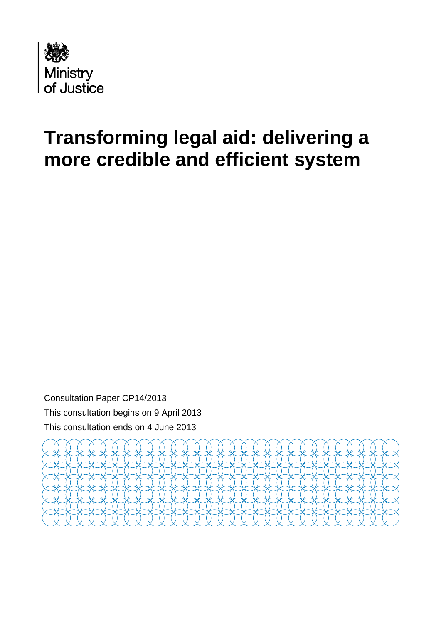

# **Transforming legal aid: delivering a more credible and efficient system**

Consultation Paper CP14/2013 This consultation begins on 9 April 2013 This consultation ends on 4 June 2013

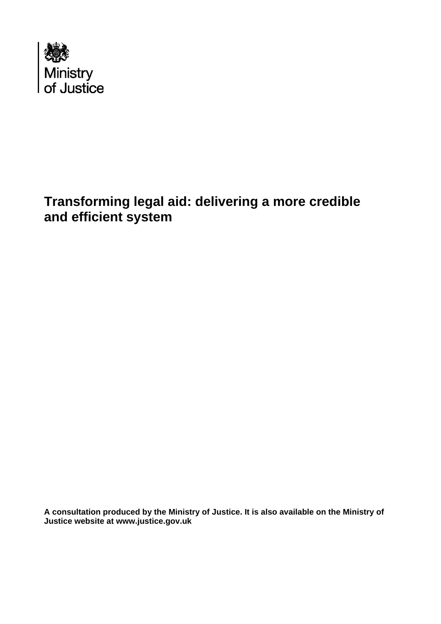

## **Transforming legal aid: delivering a more credible and efficient system**

**A consultation produced by the Ministry of Justice. It is also available on the Ministry of Justice website at [www.justice.gov.uk](http://www.justice.gov.uk/)**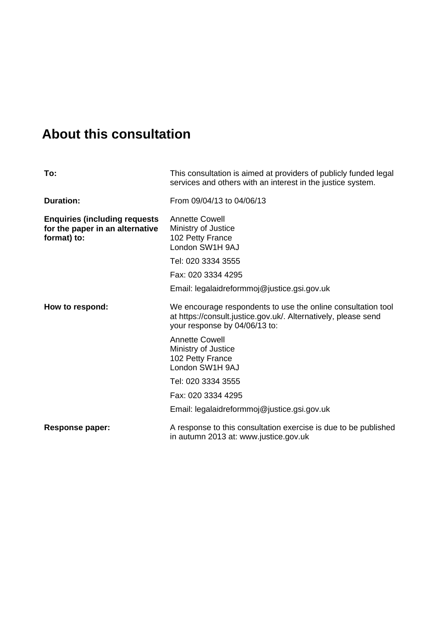## **About this consultation**

| To:                                                                                     | This consultation is aimed at providers of publicly funded legal<br>services and others with an interest in the justice system.                                 |  |
|-----------------------------------------------------------------------------------------|-----------------------------------------------------------------------------------------------------------------------------------------------------------------|--|
| <b>Duration:</b>                                                                        | From 09/04/13 to 04/06/13                                                                                                                                       |  |
| <b>Enquiries (including requests)</b><br>for the paper in an alternative<br>format) to: | <b>Annette Cowell</b><br>Ministry of Justice<br>102 Petty France<br>London SW1H 9AJ                                                                             |  |
|                                                                                         | Tel: 020 3334 3555                                                                                                                                              |  |
|                                                                                         | Fax: 020 3334 4295                                                                                                                                              |  |
|                                                                                         | Email: legalaidreformmoj@justice.gsi.gov.uk                                                                                                                     |  |
| How to respond:                                                                         | We encourage respondents to use the online consultation tool<br>at https://consult.justice.gov.uk/. Alternatively, please send<br>your response by 04/06/13 to: |  |
|                                                                                         | <b>Annette Cowell</b><br>Ministry of Justice<br>102 Petty France<br>London SW1H 9AJ                                                                             |  |
|                                                                                         | Tel: 020 3334 3555                                                                                                                                              |  |
|                                                                                         | Fax: 020 3334 4295                                                                                                                                              |  |
|                                                                                         | Email: legalaidreformmoj@justice.gsi.gov.uk                                                                                                                     |  |
| <b>Response paper:</b>                                                                  | A response to this consultation exercise is due to be published<br>in autumn 2013 at: www.justice.gov.uk                                                        |  |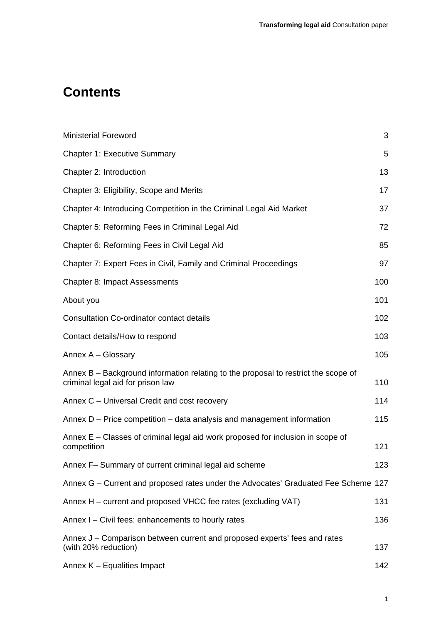## **Contents**

| <b>Ministerial Foreword</b>                                                                                             | 3   |
|-------------------------------------------------------------------------------------------------------------------------|-----|
| <b>Chapter 1: Executive Summary</b>                                                                                     | 5   |
| Chapter 2: Introduction                                                                                                 | 13  |
| Chapter 3: Eligibility, Scope and Merits                                                                                | 17  |
| Chapter 4: Introducing Competition in the Criminal Legal Aid Market                                                     | 37  |
| Chapter 5: Reforming Fees in Criminal Legal Aid                                                                         | 72  |
| Chapter 6: Reforming Fees in Civil Legal Aid                                                                            | 85  |
| Chapter 7: Expert Fees in Civil, Family and Criminal Proceedings                                                        | 97  |
| <b>Chapter 8: Impact Assessments</b>                                                                                    | 100 |
| About you                                                                                                               | 101 |
| <b>Consultation Co-ordinator contact details</b>                                                                        | 102 |
| Contact details/How to respond                                                                                          | 103 |
| Annex A – Glossary                                                                                                      | 105 |
| Annex B – Background information relating to the proposal to restrict the scope of<br>criminal legal aid for prison law | 110 |
| Annex C - Universal Credit and cost recovery                                                                            | 114 |
| Annex D – Price competition – data analysis and management information                                                  | 115 |
| Annex E – Classes of criminal legal aid work proposed for inclusion in scope of<br>competition                          | 121 |
| Annex F- Summary of current criminal legal aid scheme                                                                   | 123 |
| Annex G – Current and proposed rates under the Advocates' Graduated Fee Scheme 127                                      |     |
| Annex H – current and proposed VHCC fee rates (excluding VAT)                                                           | 131 |
| Annex I - Civil fees: enhancements to hourly rates                                                                      | 136 |
| Annex J – Comparison between current and proposed experts' fees and rates<br>(with 20% reduction)                       | 137 |
| Annex K - Equalities Impact                                                                                             | 142 |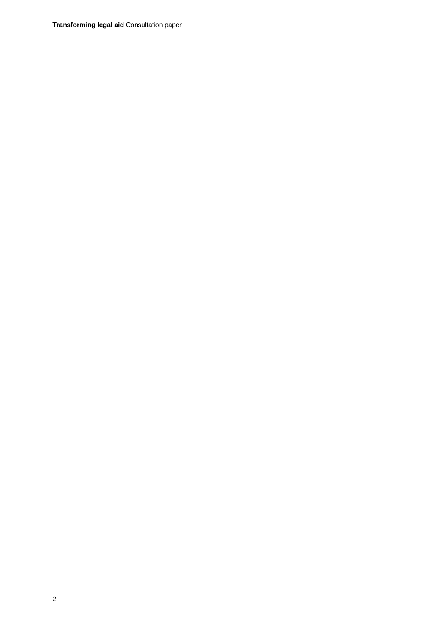**Transforming legal aid** Consultation paper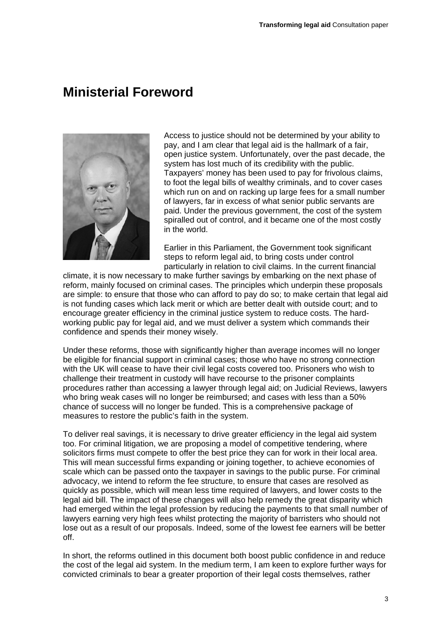## <span id="page-5-0"></span>**Ministerial Foreword**



open justice system. Unfortunately, over the past decade, the in the world. Access to justice should not be determined by your ability to pay, and I am clear that legal aid is the hallmark of a fair, system has lost much of its credibility with the public. Taxpayers' money has been used to pay for frivolous claims, to foot the legal bills of wealthy criminals, and to cover cases which run on and on racking up large fees for a small number of lawyers, far in excess of what senior public servants are paid. Under the previous government, the cost of the system spiralled out of control, and it became one of the most costly

Earlier in this Parliament, the Government took significant steps to reform legal aid, to bring costs under control particularly in relation to civil claims. In the current financial

climate, it is now necessary to make further savings by embarking on the next phase of reform, mainly focused on criminal cases. The principles which underpin these proposals are simple: to ensure that those who can afford to pay do so; to make certain that legal aid is not funding cases which lack merit or which are better dealt with outside court; and to encourage greater efficiency in the criminal justice system to reduce costs. The hardworking public pay for legal aid, and we must deliver a system which commands their confidence and spends their money wisely.

Under these reforms, those with significantly higher than average incomes will no longer be eligible for financial support in criminal cases; those who have no strong connection with the UK will cease to have their civil legal costs covered too. Prisoners who wish to challenge their treatment in custody will have recourse to the prisoner complaints procedures rather than accessing a lawyer through legal aid; on Judicial Reviews, lawyers who bring weak cases will no longer be reimbursed; and cases with less than a 50% chance of success will no longer be funded. This is a comprehensive package of measures to restore the public's faith in the system.

To deliver real savings, it is necessary to drive greater efficiency in the legal aid system too. For criminal litigation, we are proposing a model of competitive tendering, where solicitors firms must compete to offer the best price they can for work in their local area. This will mean successful firms expanding or joining together, to achieve economies of scale which can be passed onto the taxpayer in savings to the public purse. For criminal advocacy, we intend to reform the fee structure, to ensure that cases are resolved as quickly as possible, which will mean less time required of lawyers, and lower costs to the legal aid bill. The impact of these changes will also help remedy the great disparity which had emerged within the legal profession by reducing the payments to that small number of lawyers earning very high fees whilst protecting the majority of barristers who should not lose out as a result of our proposals. Indeed, some of the lowest fee earners will be better off.

In short, the reforms outlined in this document both boost public confidence in and reduce the cost of the legal aid system. In the medium term, I am keen to explore further ways for convicted criminals to bear a greater proportion of their legal costs themselves, rather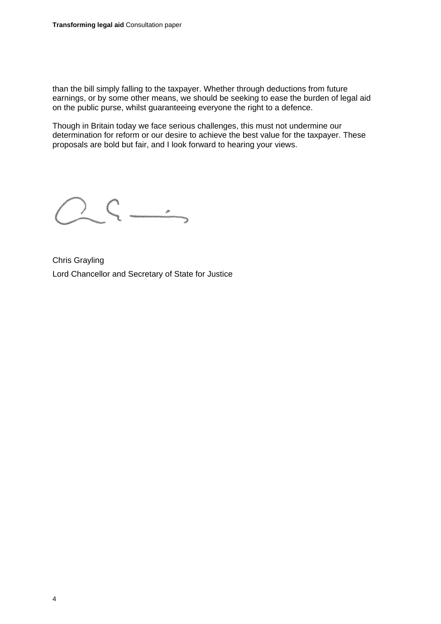than the bill simply falling to the taxpayer. Whether through deductions from future earnings, or by some other means, we should be seeking to ease the burden of legal aid on the public purse, whilst guaranteeing everyone the right to a defence.

Though in Britain today we face serious challenges, this must not undermine our determination for reform or our desire to achieve the best value for the taxpayer. These proposals are bold but fair, and I look forward to hearing your views.

 $S \longrightarrow$ 

Chris Grayling Lord Chancellor and Secretary of State for Justice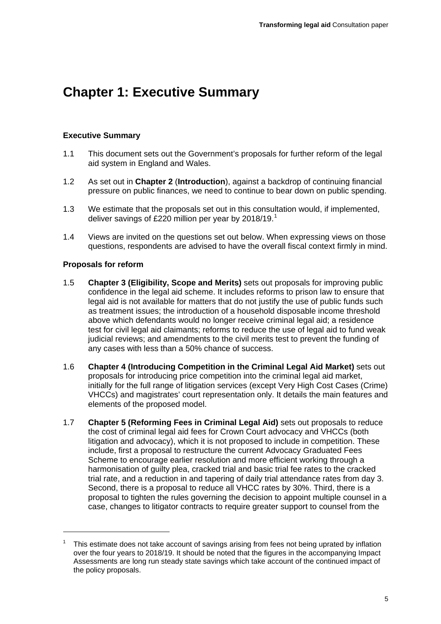## <span id="page-7-0"></span>**Chapter 1: Executive Summary**

### **Executive Summary**

- 1.1 This document sets out the Government's proposals for further reform of the legal aid system in England and Wales.
- 1.2 As set out in **Chapter 2** (**Introduction**), against a backdrop of continuing financial pressure on public finances, we need to continue to bear down on public spending.
- 1.3 We estimate that the proposals set out in this consultation would, if implemented, deliver savings of £220 million per year by 20[1](#page-7-1)8/19.<sup>1</sup>
- 1.4 Views are invited on the questions set out below. When expressing views on those questions, respondents are advised to have the overall fiscal context firmly in mind.

### **Proposals for reform**

- 1.5 **Chapter 3 (Eligibility, Scope and Merits)** sets out proposals for improving public confidence in the legal aid scheme. It includes reforms to prison law to ensure that legal aid is not available for matters that do not justify the use of public funds such as treatment issues; the introduction of a household disposable income threshold above which defendants would no longer receive criminal legal aid; a residence test for civil legal aid claimants; reforms to reduce the use of legal aid to fund weak judicial reviews; and amendments to the civil merits test to prevent the funding of any cases with less than a 50% chance of success.
- 1.6 **Chapter 4 (Introducing Competition in the Criminal Legal Aid Market)** sets out proposals for introducing price competition into the criminal legal aid market, initially for the full range of litigation services (except Very High Cost Cases (Crime) VHCCs) and magistrates' court representation only. It details the main features and elements of the proposed model.
- 1.7 **Chapter 5 (Reforming Fees in Criminal Legal Aid)** sets out proposals to reduce the cost of criminal legal aid fees for Crown Court advocacy and VHCCs (both litigation and advocacy), which it is not proposed to include in competition. These include, first a proposal to restructure the current Advocacy Graduated Fees Scheme to encourage earlier resolution and more efficient working through a harmonisation of guilty plea, cracked trial and basic trial fee rates to the cracked trial rate, and a reduction in and tapering of daily trial attendance rates from day 3. Second, there is a proposal to reduce all VHCC rates by 30%. Third, there is a proposal to tighten the rules governing the decision to appoint multiple counsel in a case, changes to litigator contracts to require greater support to counsel from the

<span id="page-7-1"></span><sup>1</sup> This estimate does not take account of savings arising from fees not being uprated by inflation over the four years to 2018/19. It should be noted that the figures in the accompanying Impact Assessments are long run steady state savings which take account of the continued impact of the policy proposals.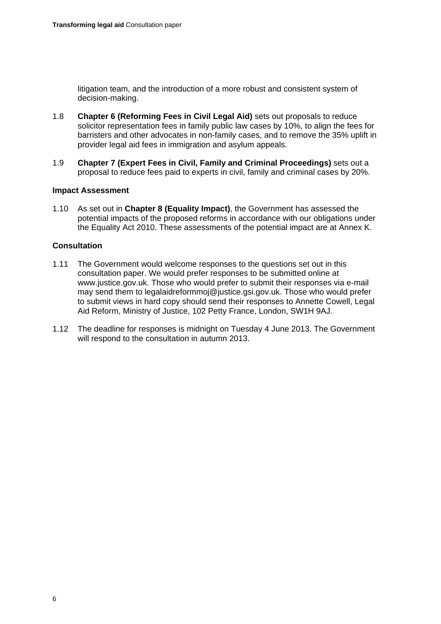litigation team, and the introduction of a more robust and consistent system of decision-making.

- 1.8 **Chapter 6 (Reforming Fees in Civil Legal Aid)** sets out proposals to reduce solicitor representation fees in family public law cases by 10%, to align the fees for barristers and other advocates in non-family cases, and to remove the 35% uplift in provider legal aid fees in immigration and asylum appeals.
- 1.9 **Chapter 7 (Expert Fees in Civil, Family and Criminal Proceedings)** sets out a proposal to reduce fees paid to experts in civil, family and criminal cases by 20%.

#### **Impact Assessment**

1.10 As set out in **Chapter 8 (Equality Impact)**, the Government has assessed the potential impacts of the proposed reforms in accordance with our obligations under the Equality Act 2010. These assessments of the potential impact are at [Annex K](#page-144-0).

### **Consultation**

- 1.11 The Government would welcome responses to the questions set out in this consultation paper. We would prefer responses to be submitted online at [www.justice.gov.uk](http://www.justice.gov.uk/). Those who would prefer to submit their responses via e-mail may send them to [legalaidreformmoj@justice.gsi.gov.uk.](mailto:legalaidreformmoj@justice.gsi.gov.uk) Those who would prefer to submit views in hard copy should send their responses to Annette Cowell, Legal Aid Reform, Ministry of Justice, 102 Petty France, London, SW1H 9AJ.
- 1.12 The deadline for responses is midnight on Tuesday 4 June 2013. The Government will respond to the consultation in autumn 2013.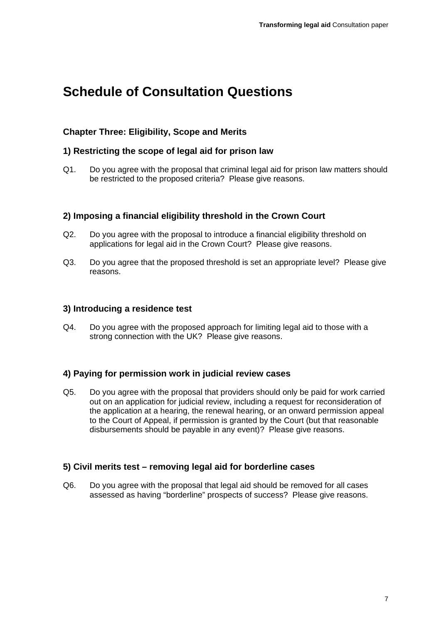## **Schedule of Consultation Questions**

### **Chapter Three: Eligibility, Scope and Merits**

### **1) Restricting the scope of legal aid for prison law**

Q1. Do you agree with the proposal that criminal legal aid for prison law matters should be restricted to the proposed criteria? Please give reasons.

### **2) Imposing a financial eligibility threshold in the Crown Court**

- Q2. Do you agree with the proposal to introduce a financial eligibility threshold on applications for legal aid in the Crown Court? Please give reasons.
- Q3. Do you agree that the proposed threshold is set an appropriate level? Please give reasons.

### **3) Introducing a residence test**

Q4. Do you agree with the proposed approach for limiting legal aid to those with a strong connection with the UK? Please give reasons.

### **4) Paying for permission work in judicial review cases**

Q5. Do you agree with the proposal that providers should only be paid for work carried out on an application for judicial review, including a request for reconsideration of the application at a hearing, the renewal hearing, or an onward permission appeal to the Court of Appeal, if permission is granted by the Court (but that reasonable disbursements should be payable in any event)? Please give reasons.

### **5) Civil merits test – removing legal aid for borderline cases**

Q6. Do you agree with the proposal that legal aid should be removed for all cases assessed as having "borderline" prospects of success? Please give reasons.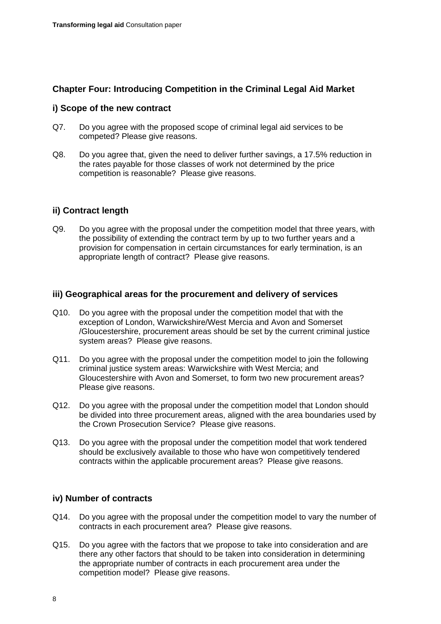### **Chapter Four: Introducing Competition in the Criminal Legal Aid Market**

### **i) Scope of the new contract**

- Q7. Do you agree with the proposed scope of criminal legal aid services to be competed? Please give reasons.
- Q8. Do you agree that, given the need to deliver further savings, a 17.5% reduction in the rates payable for those classes of work not determined by the price competition is reasonable? Please give reasons.

### **ii) Contract length**

Q9. Do you agree with the proposal under the competition model that three years, with the possibility of extending the contract term by up to two further years and a provision for compensation in certain circumstances for early termination, is an appropriate length of contract? Please give reasons.

### **iii) Geographical areas for the procurement and delivery of services**

- Q10. Do you agree with the proposal under the competition model that with the exception of London, Warwickshire/West Mercia and Avon and Somerset /Gloucestershire, procurement areas should be set by the current criminal justice system areas? Please give reasons.
- Q11. Do you agree with the proposal under the competition model to join the following criminal justice system areas: Warwickshire with West Mercia; and Gloucestershire with Avon and Somerset, to form two new procurement areas? Please give reasons.
- Q12. Do you agree with the proposal under the competition model that London should be divided into three procurement areas, aligned with the area boundaries used by the Crown Prosecution Service? Please give reasons.
- Q13. Do you agree with the proposal under the competition model that work tendered should be exclusively available to those who have won competitively tendered contracts within the applicable procurement areas? Please give reasons.

### **iv) Number of contracts**

- Q14. Do you agree with the proposal under the competition model to vary the number of contracts in each procurement area? Please give reasons.
- Q15. Do you agree with the factors that we propose to take into consideration and are there any other factors that should to be taken into consideration in determining the appropriate number of contracts in each procurement area under the competition model? Please give reasons.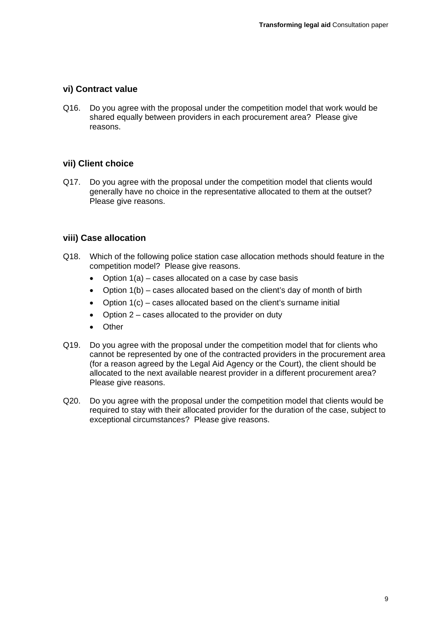### **vi) Contract value**

Q16. Do you agree with the proposal under the competition model that work would be shared equally between providers in each procurement area? Please give reasons.

### **vii) Client choice**

Q17. Do you agree with the proposal under the competition model that clients would generally have no choice in the representative allocated to them at the outset? Please give reasons.

### **viii) Case allocation**

- Q18. Which of the following police station case allocation methods should feature in the competition model? Please give reasons.
	- Option 1(a) cases allocated on a case by case basis
	- Option  $1(b)$  cases allocated based on the client's day of month of birth
	- Option  $1(c)$  cases allocated based on the client's surname initial
	- Option 2 cases allocated to the provider on duty
	- Other
- Q19. Do you agree with the proposal under the competition model that for clients who cannot be represented by one of the contracted providers in the procurement area (for a reason agreed by the Legal Aid Agency or the Court), the client should be allocated to the next available nearest provider in a different procurement area? Please give reasons.
- Q20. Do you agree with the proposal under the competition model that clients would be required to stay with their allocated provider for the duration of the case, subject to exceptional circumstances? Please give reasons.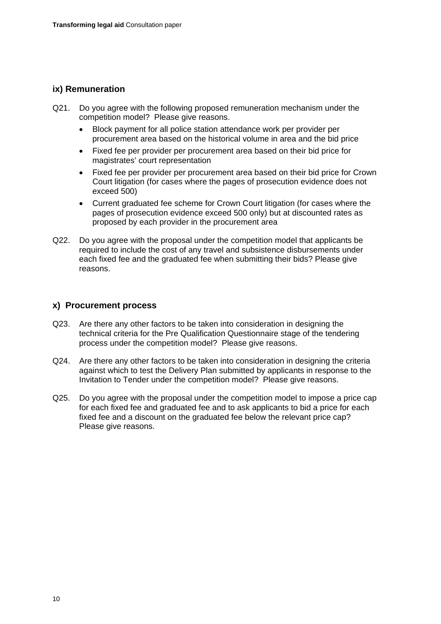### **ix) Remuneration**

- Q21. Do you agree with the following proposed remuneration mechanism under the competition model? Please give reasons.
	- Block payment for all police station attendance work per provider per procurement area based on the historical volume in area and the bid price
	- Fixed fee per provider per procurement area based on their bid price for magistrates' court representation
	- Fixed fee per provider per procurement area based on their bid price for Crown Court litigation (for cases where the pages of prosecution evidence does not exceed 500)
	- Current graduated fee scheme for Crown Court litigation (for cases where the pages of prosecution evidence exceed 500 only) but at discounted rates as proposed by each provider in the procurement area
- Q22. Do you agree with the proposal under the competition model that applicants be required to include the cost of any travel and subsistence disbursements under each fixed fee and the graduated fee when submitting their bids? Please give reasons.

### **x) Procurement process**

- Q23. Are there any other factors to be taken into consideration in designing the technical criteria for the Pre Qualification Questionnaire stage of the tendering process under the competition model? Please give reasons.
- Q24. Are there any other factors to be taken into consideration in designing the criteria against which to test the Delivery Plan submitted by applicants in response to the Invitation to Tender under the competition model? Please give reasons.
- Q25. Do you agree with the proposal under the competition model to impose a price cap for each fixed fee and graduated fee and to ask applicants to bid a price for each fixed fee and a discount on the graduated fee below the relevant price cap? Please give reasons.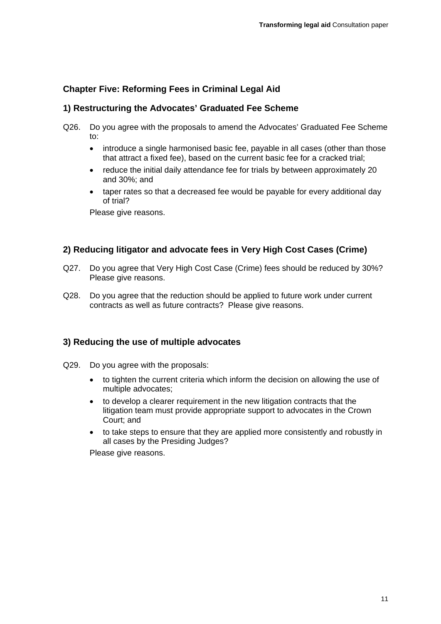### **Chapter Five: Reforming Fees in Criminal Legal Aid**

### **1) Restructuring the Advocates' Graduated Fee Scheme**

- Q26. Do you agree with the proposals to amend the Advocates' Graduated Fee Scheme to:
	- introduce a single harmonised basic fee, payable in all cases (other than those that attract a fixed fee), based on the current basic fee for a cracked trial;
	- reduce the initial daily attendance fee for trials by between approximately 20 and 30%; and
	- taper rates so that a decreased fee would be payable for every additional day of trial?

Please give reasons.

### **2) Reducing litigator and advocate fees in Very High Cost Cases (Crime)**

- Q27. Do you agree that Very High Cost Case (Crime) fees should be reduced by 30%? Please give reasons.
- Q28. Do you agree that the reduction should be applied to future work under current contracts as well as future contracts? Please give reasons.

### **3) Reducing the use of multiple advocates**

- Q29. Do you agree with the proposals:
	- to tighten the current criteria which inform the decision on allowing the use of multiple advocates;
	- to develop a clearer requirement in the new litigation contracts that the litigation team must provide appropriate support to advocates in the Crown Court; and
	- to take steps to ensure that they are applied more consistently and robustly in all cases by the Presiding Judges?

Please give reasons.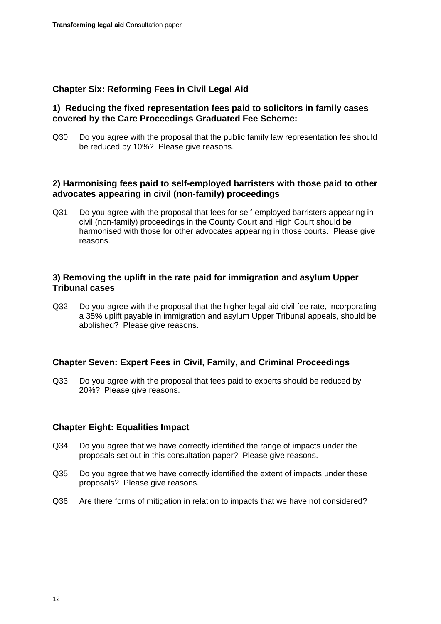### **Chapter Six: Reforming Fees in Civil Legal Aid**

### **1) Reducing the fixed representation fees paid to solicitors in family cases covered by the Care Proceedings Graduated Fee Scheme:**

Q30. Do you agree with the proposal that the public family law representation fee should be reduced by 10%? Please give reasons.

### **2) Harmonising fees paid to self-employed barristers with those paid to other advocates appearing in civil (non-family) proceedings**

Q31. Do you agree with the proposal that fees for self-employed barristers appearing in civil (non-family) proceedings in the County Court and High Court should be harmonised with those for other advocates appearing in those courts. Please give reasons.

### **3) Removing the uplift in the rate paid for immigration and asylum Upper Tribunal cases**

Q32. Do you agree with the proposal that the higher legal aid civil fee rate, incorporating a 35% uplift payable in immigration and asylum Upper Tribunal appeals, should be abolished? Please give reasons.

### **Chapter Seven: Expert Fees in Civil, Family, and Criminal Proceedings**

Q33. Do you agree with the proposal that fees paid to experts should be reduced by 20%? Please give reasons.

### **Chapter Eight: Equalities Impact**

- Q34. Do you agree that we have correctly identified the range of impacts under the proposals set out in this consultation paper? Please give reasons.
- Q35. Do you agree that we have correctly identified the extent of impacts under these proposals? Please give reasons.
- Q36. Are there forms of mitigation in relation to impacts that we have not considered?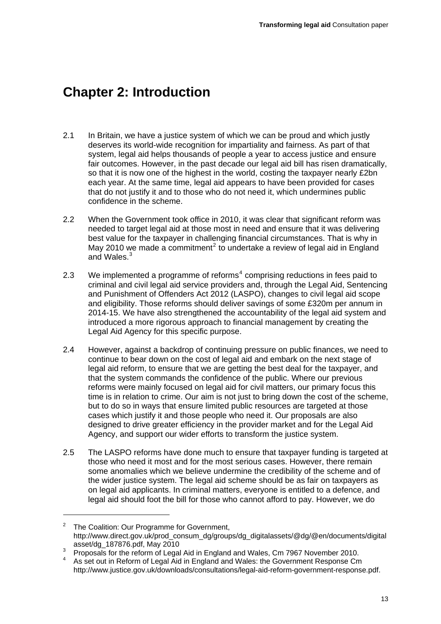## <span id="page-15-0"></span>**Chapter 2: Introduction**

- 2.1 In Britain, we have a justice system of which we can be proud and which justly deserves its world-wide recognition for impartiality and fairness. As part of that system, legal aid helps thousands of people a year to access justice and ensure fair outcomes. However, in the past decade our legal aid bill has risen dramatically, so that it is now one of the highest in the world, costing the taxpayer nearly £2bn each year. At the same time, legal aid appears to have been provided for cases that do not justify it and to those who do not need it, which undermines public confidence in the scheme.
- 2.2 When the Government took office in 2010, it was clear that significant reform was needed to target legal aid at those most in need and ensure that it was delivering best value for the taxpayer in challenging financial circumstances. That is why in May [2](#page-15-1)010 we made a commitment<sup>2</sup> to undertake a review of legal aid in England and Wales.<sup>[3](#page-15-2)</sup>
- 2.3 We implemented a programme of reforms<sup>[4](#page-15-3)</sup> comprising reductions in fees paid to criminal and civil legal aid service providers and, through the Legal Aid, Sentencing and Punishment of Offenders Act 2012 (LASPO), changes to civil legal aid scope and eligibility. Those reforms should deliver savings of some £320m per annum in 2014-15. We have also strengthened the accountability of the legal aid system and introduced a more rigorous approach to financial management by creating the Legal Aid Agency for this specific purpose.
- 2.4 However, against a backdrop of continuing pressure on public finances, we need to continue to bear down on the cost of legal aid and embark on the next stage of legal aid reform, to ensure that we are getting the best deal for the taxpayer, and that the system commands the confidence of the public. Where our previous reforms were mainly focused on legal aid for civil matters, our primary focus this time is in relation to crime. Our aim is not just to bring down the cost of the scheme, but to do so in ways that ensure limited public resources are targeted at those cases which justify it and those people who need it. Our proposals are also designed to drive greater efficiency in the provider market and for the Legal Aid Agency, and support our wider efforts to transform the justice system.
- 2.5 The LASPO reforms have done much to ensure that taxpayer funding is targeted at those who need it most and for the most serious cases. However, there remain some anomalies which we believe undermine the credibility of the scheme and of the wider justice system. The legal aid scheme should be as fair on taxpayers as on legal aid applicants. In criminal matters, everyone is entitled to a defence, and legal aid should foot the bill for those who cannot afford to pay. However, we do

1

<span id="page-15-1"></span><sup>2</sup> The Coalition: Our Programme for Government, [http://www.direct.gov.uk/prod\\_consum\\_dg/groups/dg\\_digitalassets/@dg/@en/documents/digital](http://www.direct.gov.uk/prod_consum_dg/groups/dg_digitalassets/@dg/@en/documents/digitalasset/dg_187876.pdf) [asset/dg\\_187876.pdf,](http://www.direct.gov.uk/prod_consum_dg/groups/dg_digitalassets/@dg/@en/documents/digitalasset/dg_187876.pdf) May 2010

Proposals for the reform of Legal Aid in England and Wales, Cm 7967 November 2010.

<span id="page-15-3"></span><span id="page-15-2"></span><sup>4</sup> As set out in Reform of Legal Aid in England and Wales: the Government Response Cm http://www.justice.gov.uk/downloads/consultations/legal-aid-reform-government-response.pdf.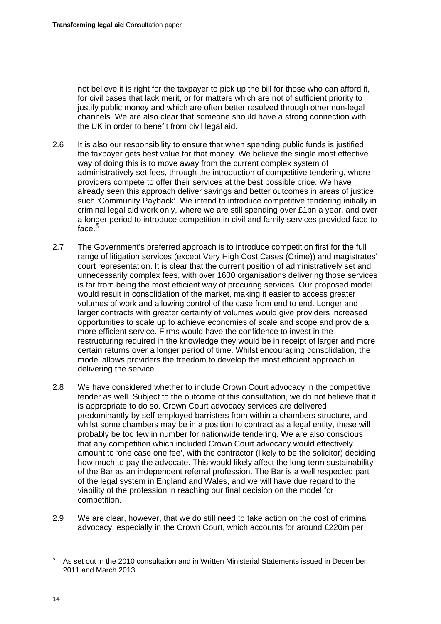not believe it is right for the taxpayer to pick up the bill for those who can afford it, for civil cases that lack merit, or for matters which are not of sufficient priority to justify public money and which are often better resolved through other non-legal channels. We are also clear that someone should have a strong connection with the UK in order to benefit from civil legal aid.

- 2.6 It is also our responsibility to ensure that when spending public funds is justified, the taxpayer gets best value for that money. We believe the single most effective way of doing this is to move away from the current complex system of administratively set fees, through the introduction of competitive tendering, where providers compete to offer their services at the best possible price. We have already seen this approach deliver savings and better outcomes in areas of justice such 'Community Payback'. We intend to introduce competitive tendering initially in criminal legal aid work only, where we are still spending over £1bn a year, and over a longer period to introduce competition in civil and family services provided face to face.<sup>[5](#page-16-0)</sup>
- 2.7 The Government's preferred approach is to introduce competition first for the full range of litigation services (except Very High Cost Cases (Crime)) and magistrates' court representation. It is clear that the current position of administratively set and unnecessarily complex fees, with over 1600 organisations delivering those services is far from being the most efficient way of procuring services. Our proposed model would result in consolidation of the market, making it easier to access greater volumes of work and allowing control of the case from end to end. Longer and larger contracts with greater certainty of volumes would give providers increased opportunities to scale up to achieve economies of scale and scope and provide a more efficient service. Firms would have the confidence to invest in the restructuring required in the knowledge they would be in receipt of larger and more certain returns over a longer period of time. Whilst encouraging consolidation, the model allows providers the freedom to develop the most efficient approach in delivering the service.
- 2.8 We have considered whether to include Crown Court advocacy in the competitive tender as well. Subject to the outcome of this consultation, we do not believe that it is appropriate to do so. Crown Court advocacy services are delivered predominantly by self-employed barristers from within a chambers structure, and whilst some chambers may be in a position to contract as a legal entity, these will probably be too few in number for nationwide tendering. We are also conscious that any competition which included Crown Court advocacy would effectively amount to 'one case one fee', with the contractor (likely to be the solicitor) deciding how much to pay the advocate. This would likely affect the long-term sustainability of the Bar as an independent referral profession. The Bar is a well respected part of the legal system in England and Wales, and we will have due regard to the viability of the profession in reaching our final decision on the model for competition.
- 2.9 We are clear, however, that we do still need to take action on the cost of criminal advocacy, especially in the Crown Court, which accounts for around £220m per

<span id="page-16-0"></span><sup>5</sup> As set out in the 2010 consultation and in Written Ministerial Statements issued in December 2011 and March 2013.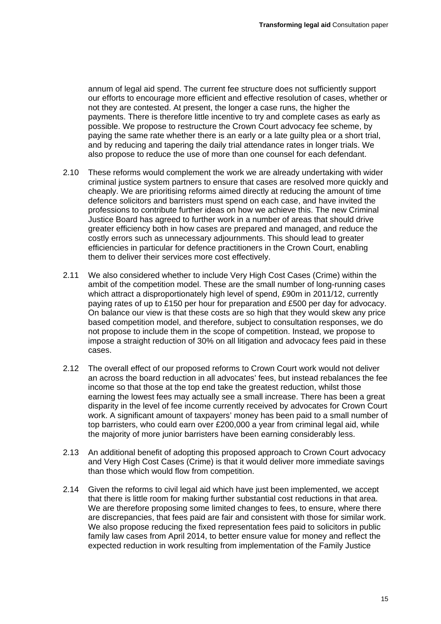annum of legal aid spend. The current fee structure does not sufficiently support our efforts to encourage more efficient and effective resolution of cases, whether or not they are contested. At present, the longer a case runs, the higher the payments. There is therefore little incentive to try and complete cases as early as possible. We propose to restructure the Crown Court advocacy fee scheme, by paying the same rate whether there is an early or a late guilty plea or a short trial, and by reducing and tapering the daily trial attendance rates in longer trials. We also propose to reduce the use of more than one counsel for each defendant.

- 2.10 These reforms would complement the work we are already undertaking with wider criminal justice system partners to ensure that cases are resolved more quickly and cheaply. We are prioritising reforms aimed directly at reducing the amount of time defence solicitors and barristers must spend on each case, and have invited the professions to contribute further ideas on how we achieve this. The new Criminal Justice Board has agreed to further work in a number of areas that should drive greater efficiency both in how cases are prepared and managed, and reduce the costly errors such as unnecessary adjournments. This should lead to greater efficiencies in particular for defence practitioners in the Crown Court, enabling them to deliver their services more cost effectively.
- 2.11 We also considered whether to include Very High Cost Cases (Crime) within the ambit of the competition model. These are the small number of long-running cases which attract a disproportionately high level of spend, £90m in 2011/12, currently paying rates of up to £150 per hour for preparation and £500 per day for advocacy. On balance our view is that these costs are so high that they would skew any price based competition model, and therefore, subject to consultation responses, we do not propose to include them in the scope of competition. Instead, we propose to impose a straight reduction of 30% on all litigation and advocacy fees paid in these cases.
- 2.12 The overall effect of our proposed reforms to Crown Court work would not deliver an across the board reduction in all advocates' fees, but instead rebalances the fee income so that those at the top end take the greatest reduction, whilst those earning the lowest fees may actually see a small increase. There has been a great disparity in the level of fee income currently received by advocates for Crown Court work. A significant amount of taxpayers' money has been paid to a small number of top barristers, who could earn over £200,000 a year from criminal legal aid, while the majority of more junior barristers have been earning considerably less.
- 2.13 An additional benefit of adopting this proposed approach to Crown Court advocacy and Very High Cost Cases (Crime) is that it would deliver more immediate savings than those which would flow from competition.
- 2.14 Given the reforms to civil legal aid which have just been implemented, we accept that there is little room for making further substantial cost reductions in that area. We are therefore proposing some limited changes to fees, to ensure, where there are discrepancies, that fees paid are fair and consistent with those for similar work. We also propose reducing the fixed representation fees paid to solicitors in public family law cases from April 2014, to better ensure value for money and reflect the expected reduction in work resulting from implementation of the Family Justice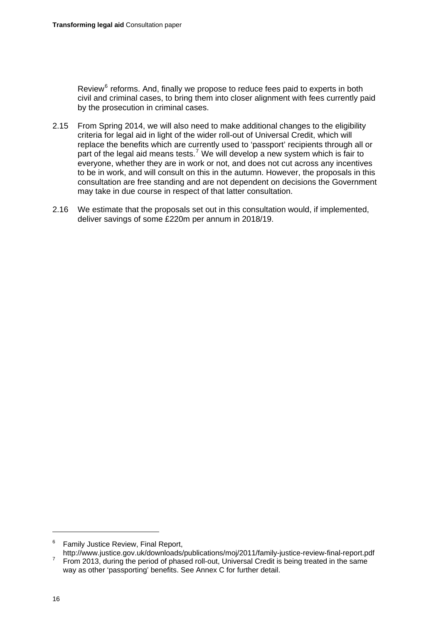Review<sup>6</sup> reforms. And, finally we propose to reduce fees paid to experts in both civil and criminal cases, to bring them into closer alignment with fees currently paid by the prosecution in criminal cases.

- 2.15 From Spring 2014, we will also need to make additional changes to the eligibility criteria for legal aid in light of the wider roll-out of Universal Credit, which will replace the benefits which are currently used to 'passport' recipients through all or part of the legal aid means tests.<sup>[7](#page-18-0)</sup> We will develop a new system which is fair to everyone, whether they are in work or not, and does not cut across any incentives to be in work, and will consult on this in the autumn. However, the proposals in this consultation are free standing and are not dependent on decisions the Government may take in due course in respect of that latter consultation.
- 2.16 We estimate that the proposals set out in this consultation would, if implemented, deliver savings of some £220m per annum in 2018/19.

<sup>6</sup> Family Justice Review, Final Report,

<span id="page-18-0"></span>http://www.justice.gov.uk/downloads/publications/moj/2011/family-justice-review-final-report.pdf From 2013, during the period of phased roll-out, Universal Credit is being treated in the same way as other 'passporting' benefits. See Annex C for further detail.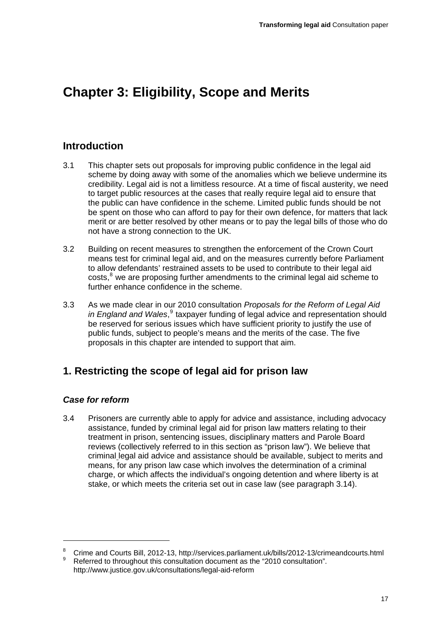## <span id="page-19-0"></span>**Chapter 3: Eligibility, Scope and Merits**

### **Introduction**

- 3.1 This chapter sets out proposals for improving public confidence in the legal aid scheme by doing away with some of the anomalies which we believe undermine its credibility. Legal aid is not a limitless resource. At a time of fiscal austerity, we need to target public resources at the cases that really require legal aid to ensure that the public can have confidence in the scheme. Limited public funds should be not be spent on those who can afford to pay for their own defence, for matters that lack merit or are better resolved by other means or to pay the legal bills of those who do not have a strong connection to the UK.
- 3.2 Building on recent measures to strengthen the enforcement of the Crown Court means test for criminal legal aid, and on the measures currently before Parliament to allow defendants' restrained assets to be used to contribute to their legal aid costs,<sup>[8](#page-19-1)</sup> we are proposing further amendments to the criminal legal aid scheme to further enhance confidence in the scheme.
- 3.3 As we made clear in our 2010 consultation *Proposals for the Reform of Legal Aid*  in England and Wales,<sup>[9](#page-19-2)</sup> taxpayer funding of legal advice and representation should be reserved for serious issues which have sufficient priority to justify the use of public funds, subject to people's means and the merits of the case. The five proposals in this chapter are intended to support that aim.

### **1. Restricting the scope of legal aid for prison law**

### *Case for reform*

1

3.4 Prisoners are currently able to apply for advice and assistance, including advocacy assistance, funded by criminal legal aid for prison law matters relating to their treatment in prison, sentencing issues, disciplinary matters and Parole Board reviews (collectively referred to in this section as "prison law"). We believe that criminal legal aid advice and assistance should be available, subject to merits and means, for any prison law case which involves the determination of a criminal charge, or which affects the individual's ongoing detention and where liberty is at stake, or which meets the criteria set out in case law (see paragraph 3.14).

<span id="page-19-2"></span><span id="page-19-1"></span><sup>8</sup> Crime and Courts Bill, 2012-13, http://services.parliament.uk/bills/2012-13/crimeandcourts.html  $\alpha$ Referred to throughout this consultation document as the "2010 consultation".

http://www.justice.gov.uk/consultations/legal-aid-reform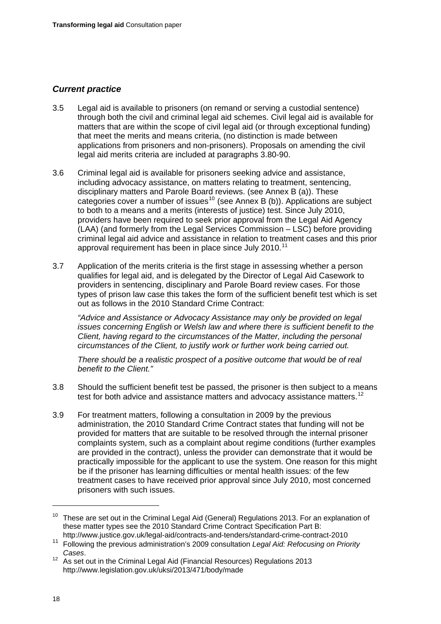### *Current practice*

- 3.5 Legal aid is available to prisoners (on remand or serving a custodial sentence) through both the civil and criminal legal aid schemes. Civil legal aid is available for matters that are within the scope of civil legal aid (or through exceptional funding) that meet the merits and means criteria, (no distinction is made between applications from prisoners and non-prisoners). Proposals on amending the civil legal aid merits criteria are included at paragraphs 3.80-90.
- 3.6 Criminal legal aid is available for prisoners seeking advice and assistance, including advocacy assistance, on matters relating to treatment, sentencing, disciplinary matters and Parole Board reviews. (see Annex B (a)). These categories cover a number of issues<sup>[10](#page-20-0)</sup> (see Annex B (b)). Applications are subject to both to a means and a merits (interests of justice) test. Since July 2010, providers have been required to seek prior approval from the Legal Aid Agency (LAA) (and formerly from the Legal Services Commission – LSC) before providing criminal legal aid advice and assistance in relation to treatment cases and this prior approval requirement has been in place since July 2010.<sup>[11](#page-20-1)</sup>
- 3.7 Application of the merits criteria is the first stage in assessing whether a person qualifies for legal aid, and is delegated by the Director of Legal Aid Casework to providers in sentencing, disciplinary and Parole Board review cases. For those types of prison law case this takes the form of the sufficient benefit test which is set out as follows in the 2010 Standard Crime Contract:

*"Advice and Assistance or Advocacy Assistance may only be provided on legal issues concerning English or Welsh law and where there is sufficient benefit to the Client, having regard to the circumstances of the Matter, including the personal circumstances of the Client, to justify work or further work being carried out.* 

*There should be a realistic prospect of a positive outcome that would be of real benefit to the Client."* 

- 3.8 Should the sufficient benefit test be passed, the prisoner is then subject to a means test for both advice and assistance matters and advocacy assistance matters.<sup>[12](#page-20-2)</sup>
- 3.9 For treatment matters, following a consultation in 2009 by the previous administration, the 2010 Standard Crime Contract states that funding will not be provided for matters that are suitable to be resolved through the internal prisoner complaints system, such as a complaint about regime conditions (further examples are provided in the contract), unless the provider can demonstrate that it would be practically impossible for the applicant to use the system. One reason for this might be if the prisoner has learning difficulties or mental health issues: of the few treatment cases to have received prior approval since July 2010, most concerned prisoners with such issues.

<span id="page-20-0"></span><sup>&</sup>lt;sup>10</sup> These are set out in the Criminal Legal Aid (General) Regulations 2013. For an explanation of these matter types see the 2010 Standard Crime Contract Specification Part B: <http://www.justice.gov.uk/legal-aid/contracts-and-tenders/standard-crime-contract-2010>

<sup>11</sup> Following the previous administration's 2009 consultation *Legal Aid: Refocusing on Priority* 

<span id="page-20-1"></span>*Cases*. 12 As set out in the Criminal Legal Aid (Financial Resources) Regulations 2013

<span id="page-20-2"></span>http://www.legislation.gov.uk/uksi/2013/471/body/made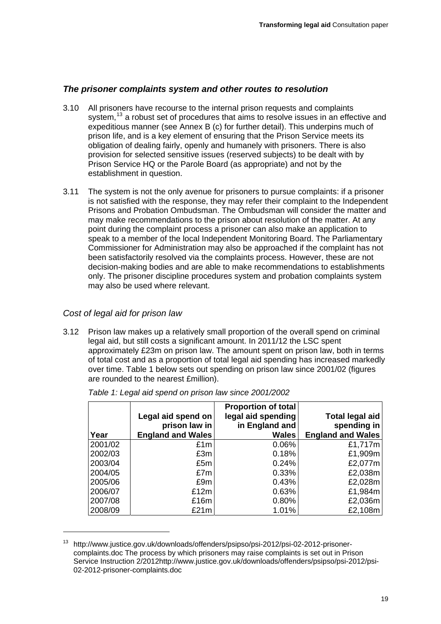### *The prisoner complaints system and other routes to resolution*

- 3.10 All prisoners have recourse to the internal prison requests and complaints system, $13$  a robust set of procedures that aims to resolve issues in an effective and expeditious manner (see Annex B (c) for further detail). This underpins much of prison life, and is a key element of ensuring that the Prison Service meets its obligation of dealing fairly, openly and humanely with prisoners. There is also provision for selected sensitive issues (reserved subjects) to be dealt with by Prison Service HQ or the Parole Board (as appropriate) and not by the establishment in question.
- 3.11 The system is not the only avenue for prisoners to pursue complaints: if a prisoner is not satisfied with the response, they may refer their complaint to the Independent Prisons and Probation Ombudsman. The Ombudsman will consider the matter and may make recommendations to the prison about resolution of the matter. At any point during the complaint process a prisoner can also make an application to speak to a member of the local Independent Monitoring Board. The Parliamentary Commissioner for Administration may also be approached if the complaint has not been satisfactorily resolved via the complaints process. However, these are not decision-making bodies and are able to make recommendations to establishments only. The prisoner discipline procedures system and probation complaints system may also be used where relevant.

### *Cost of legal aid for prison law*

-

3.12 Prison law makes up a relatively small proportion of the overall spend on criminal legal aid, but still costs a significant amount. In 2011/12 the LSC spent approximately £23m on prison law. The amount spent on prison law, both in terms of total cost and as a proportion of total legal aid spending has increased markedly over time. Table 1 below sets out spending on prison law since 2001/02 (figures are rounded to the nearest £million).

| Year    | Legal aid spend on<br>prison law in<br><b>England and Wales</b> | <b>Proportion of total</b><br>legal aid spending<br>in England and<br><b>Wales</b> | <b>Total legal aid</b><br>spending in<br><b>England and Wales</b> |
|---------|-----------------------------------------------------------------|------------------------------------------------------------------------------------|-------------------------------------------------------------------|
| 2001/02 | £1m                                                             | 0.06%                                                                              | £1,717m                                                           |
| 2002/03 | £3m                                                             | 0.18%                                                                              | £1,909m                                                           |
| 2003/04 | £5m                                                             | 0.24%                                                                              | £2,077m                                                           |
| 2004/05 | £7m                                                             | 0.33%                                                                              | £2,038m                                                           |
| 2005/06 | £9m                                                             | 0.43%                                                                              | £2,028m                                                           |
| 2006/07 | £12m                                                            | 0.63%                                                                              | £1,984m                                                           |
| 2007/08 | £16m                                                            | 0.80%                                                                              | £2,036m                                                           |
| 2008/09 | £21m                                                            | 1.01%                                                                              | £2,108m                                                           |

*Table 1: Legal aid spend on prison law since 2001/2002* 

<span id="page-21-0"></span><sup>13</sup> [http://www.justice.gov.uk/downloads/offenders/psipso/psi-2012/psi-02-2012-prisoner](http://www.justice.gov.uk/downloads/offenders/psipso/psi-2012/psi-02-2012-prisoner-complaints.doc)[complaints.doc](http://www.justice.gov.uk/downloads/offenders/psipso/psi-2012/psi-02-2012-prisoner-complaints.doc) The process by which prisoners may raise complaints is set out in Prison Service Instruction 2/2012[http://www.justice.gov.uk/downloads/offenders/psipso/psi-2012/psi-](http://www.justice.gov.uk/downloads/offenders/psipso/psi-2012/psi-02-2012-prisoner-complaints.doc)[02-2012-prisoner-complaints.doc](http://www.justice.gov.uk/downloads/offenders/psipso/psi-2012/psi-02-2012-prisoner-complaints.doc)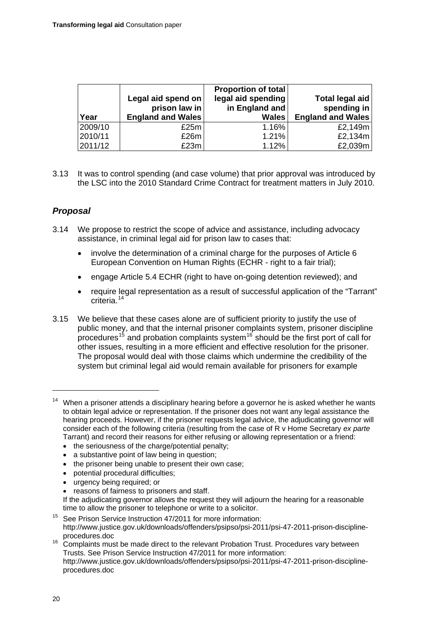| Year    | Legal aid spend on<br>prison law in<br><b>England and Wales</b> | <b>Proportion of total</b><br>legal aid spending<br>in England and<br><b>Wales</b> | <b>Total legal aid</b><br>spending in<br><b>England and Wales</b> |
|---------|-----------------------------------------------------------------|------------------------------------------------------------------------------------|-------------------------------------------------------------------|
| 2009/10 | £25m                                                            | 1.16%                                                                              | £2,149m                                                           |
| 2010/11 | £26m                                                            | 1.21%                                                                              | £2,134 $m$                                                        |
| 2011/12 | £23m                                                            | 1.12%                                                                              | £2,039m                                                           |

3.13 It was to control spending (and case volume) that prior approval was introduced by the LSC into the 2010 Standard Crime Contract for treatment matters in July 2010.

### *Proposal*

- 3.14 We propose to restrict the scope of advice and assistance, including advocacy assistance, in criminal legal aid for prison law to cases that:
	- involve the determination of a criminal charge for the purposes of Article 6 European Convention on Human Rights (ECHR - right to a fair trial);
	- engage Article 5.4 ECHR (right to have on-going detention reviewed); and
	- require legal representation as a result of successful application of the "Tarrant" criteria.[14](#page-22-0)
- 3.15 We believe that these cases alone are of sufficient priority to justify the use of public money, and that the internal prisoner complaints system, prisoner discipline procedures<sup>[15](#page-22-1)</sup> and probation complaints system<sup>[16](#page-22-2)</sup> should be the first port of call for other issues, resulting in a more efficient and effective resolution for the prisoner. The proposal would deal with those claims which undermine the credibility of the system but criminal legal aid would remain available for prisoners for example

- the seriousness of the charge/potential penalty;
- a substantive point of law being in question;
- the prisoner being unable to present their own case;
- potential procedural difficulties;
- urgency being required; or
- reasons of fairness to prisoners and staff.

<span id="page-22-1"></span><sup>15</sup> See Prison Service Instruction 47/2011 for more information: http://www.justice.gov.uk/downloads/offenders/psipso/psi-2011/psi-47-2011-prison-discipline-

<span id="page-22-2"></span>procedures.doc 16 Complaints must be made direct to the relevant Probation Trust. Procedures vary between Trusts. See Prison Service Instruction 47/2011 for more information: http://www.justice.gov.uk/downloads/offenders/psipso/psi-2011/psi-47-2011-prison-disciplineprocedures.doc

<span id="page-22-0"></span><sup>&</sup>lt;sup>14</sup> When a prisoner attends a disciplinary hearing before a governor he is asked whether he wants to obtain legal advice or representation. If the prisoner does not want any legal assistance the hearing proceeds. However, if the prisoner requests legal advice, the adjudicating governor will consider each of the following criteria (resulting from the case of R v Home Secretary *ex parte* Tarrant) and record their reasons for either refusing or allowing representation or a friend:

If the adjudicating governor allows the request they will adjourn the hearing for a reasonable time to allow the prisoner to telephone or write to a solicitor.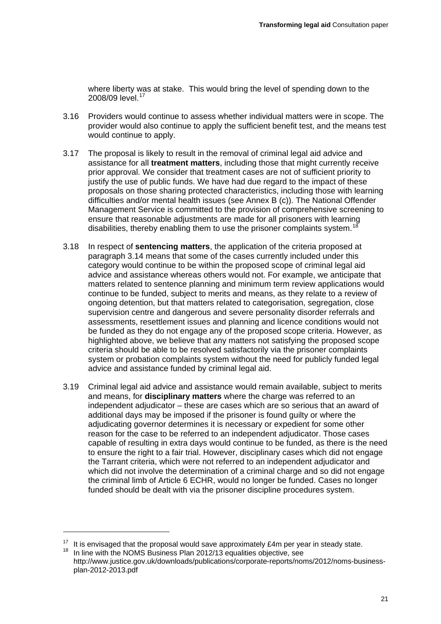where liberty was at stake. This would bring the level of spending down to the 2008/09 level.<sup>17</sup>

- 3.16 Providers would continue to assess whether individual matters were in scope. The provider would also continue to apply the sufficient benefit test, and the means test would continue to apply.
- 3.17 The proposal is likely to result in the removal of criminal legal aid advice and assistance for all **treatment matters**, including those that might currently receive prior approval. We consider that treatment cases are not of sufficient priority to justify the use of public funds. We have had due regard to the impact of these proposals on those sharing protected characteristics, including those with learning difficulties and/or mental health issues (see Annex B (c)). The National Offender Management Service is committed to the provision of comprehensive screening to ensure that reasonable adjustments are made for all prisoners with learning disabilities, thereby enabling them to use the prisoner complaints system.<sup>[18](#page-23-0)</sup>
- 3.18 In respect of **sentencing matters**, the application of the criteria proposed at paragraph 3.14 means that some of the cases currently included under this category would continue to be within the proposed scope of criminal legal aid advice and assistance whereas others would not. For example, we anticipate that matters related to sentence planning and minimum term review applications would continue to be funded, subject to merits and means, as they relate to a review of ongoing detention, but that matters related to categorisation, segregation, close supervision centre and dangerous and severe personality disorder referrals and assessments, resettlement issues and planning and licence conditions would not be funded as they do not engage any of the proposed scope criteria. However, as highlighted above, we believe that any matters not satisfying the proposed scope criteria should be able to be resolved satisfactorily via the prisoner complaints system or probation complaints system without the need for publicly funded legal advice and assistance funded by criminal legal aid.
- 3.19 Criminal legal aid advice and assistance would remain available, subject to merits and means, for **disciplinary matters** where the charge was referred to an independent adjudicator – these are cases which are so serious that an award of additional days may be imposed if the prisoner is found guilty or where the adjudicating governor determines it is necessary or expedient for some other reason for the case to be referred to an independent adjudicator. Those cases capable of resulting in extra days would continue to be funded, as there is the need to ensure the right to a fair trial. However, disciplinary cases which did not engage the Tarrant criteria, which were not referred to an independent adjudicator and which did not involve the determination of a criminal charge and so did not engage the criminal limb of Article 6 ECHR, would no longer be funded. Cases no longer funded should be dealt with via the prisoner discipline procedures system.

<span id="page-23-0"></span><sup>&</sup>lt;sup>17</sup> It is envisaged that the proposal would save approximately £4m per year in steady state.<br><sup>18</sup> In line with the NOMS Business Plan 2012/13 equalities objective, see

http://www.justice.gov.uk/downloads/publications/corporate-reports/noms/2012/noms-businessplan-2012-2013.pdf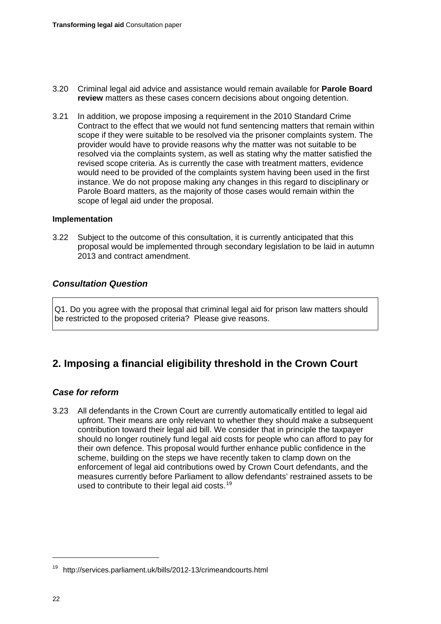- 3.20 Criminal legal aid advice and assistance would remain available for **Parole Board review** matters as these cases concern decisions about ongoing detention.
- 3.21 In addition, we propose imposing a requirement in the 2010 Standard Crime Contract to the effect that we would not fund sentencing matters that remain within scope if they were suitable to be resolved via the prisoner complaints system. The provider would have to provide reasons why the matter was not suitable to be resolved via the complaints system, as well as stating why the matter satisfied the revised scope criteria. As is currently the case with treatment matters, evidence would need to be provided of the complaints system having been used in the first instance. We do not propose making any changes in this regard to disciplinary or Parole Board matters, as the majority of those cases would remain within the scope of legal aid under the proposal.

### **Implementation**

3.22 Subject to the outcome of this consultation, it is currently anticipated that this proposal would be implemented through secondary legislation to be laid in autumn 2013 and contract amendment.

### *Consultation Question*

Q1. Do you agree with the proposal that criminal legal aid for prison law matters should be restricted to the proposed criteria? Please give reasons.

### **2. Imposing a financial eligibility threshold in the Crown Court**

### *Case for reform*

3.23 All defendants in the Crown Court are currently automatically entitled to legal aid upfront. Their means are only relevant to whether they should make a subsequent contribution toward their legal aid bill. We consider that in principle the taxpayer should no longer routinely fund legal aid costs for people who can afford to pay for their own defence. This proposal would further enhance public confidence in the scheme, building on the steps we have recently taken to clamp down on the enforcement of legal aid contributions owed by Crown Court defendants, and the measures currently before Parliament to allow defendants' restrained assets to be used to contribute to their legal aid costs.<sup>[19](#page-24-0)</sup>

<span id="page-24-0"></span><sup>19</sup> http://services.parliament.uk/bills/2012-13/crimeandcourts.html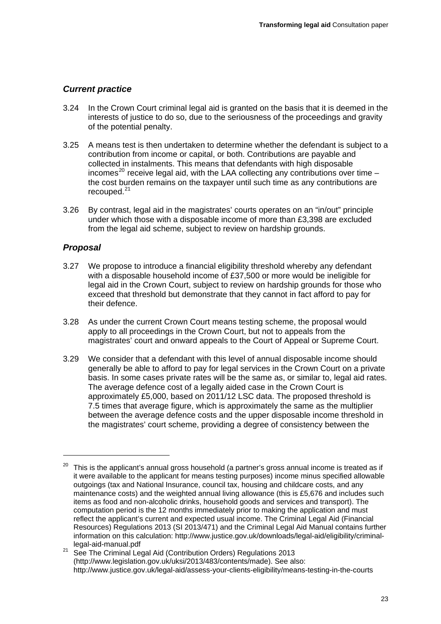### *Current practice*

- 3.24 In the Crown Court criminal legal aid is granted on the basis that it is deemed in the interests of justice to do so, due to the seriousness of the proceedings and gravity of the potential penalty.
- 3.25 A means test is then undertaken to determine whether the defendant is subject to a contribution from income or capital, or both. Contributions are payable and collected in instalments. This means that defendants with high disposable incomes<sup>[20](#page-25-0)</sup> receive legal aid, with the LAA collecting any contributions over time  $$ the cost burden remains on the taxpayer until such time as any contributions are recouped.<sup>[21](#page-25-1)</sup>
- 3.26 By contrast, legal aid in the magistrates' courts operates on an "in/out" principle under which those with a disposable income of more than £3,398 are excluded from the legal aid scheme, subject to review on hardship grounds.

### *Proposal*

- 3.27 We propose to introduce a financial eligibility threshold whereby any defendant with a disposable household income of £37,500 or more would be ineligible for legal aid in the Crown Court, subject to review on hardship grounds for those who exceed that threshold but demonstrate that they cannot in fact afford to pay for their defence.
- 3.28 As under the current Crown Court means testing scheme, the proposal would apply to all proceedings in the Crown Court, but not to appeals from the magistrates' court and onward appeals to the Court of Appeal or Supreme Court.
- 3.29 We consider that a defendant with this level of annual disposable income should generally be able to afford to pay for legal services in the Crown Court on a private basis. In some cases private rates will be the same as, or similar to, legal aid rates. The average defence cost of a legally aided case in the Crown Court is approximately £5,000, based on 2011/12 LSC data. The proposed threshold is 7.5 times that average figure, which is approximately the same as the multiplier between the average defence costs and the upper disposable income threshold in the magistrates' court scheme, providing a degree of consistency between the

<span id="page-25-0"></span> $20$  This is the applicant's annual gross household (a partner's gross annual income is treated as if it were available to the applicant for means testing purposes) income minus specified allowable outgoings (tax and National Insurance, council tax, housing and childcare costs, and any maintenance costs) and the weighted annual living allowance (this is £5,676 and includes such items as food and non-alcoholic drinks, household goods and services and transport). The computation period is the 12 months immediately prior to making the application and must reflect the applicant's current and expected usual income. The Criminal Legal Aid (Financial Resources) Regulations 2013 (SI 2013/471) and the Criminal Legal Aid Manual contains further information on this calculation: http://www.justice.gov.uk/downloads/legal-aid/eligibility/criminal-

<span id="page-25-1"></span>legal-aid-manual.pdf 21 See The Criminal Legal Aid (Contribution Orders) Regulations 2013 (<http://www.legislation.gov.uk/uksi/2013/483/contents/made>). See also: http://www.justice.gov.uk/legal-aid/assess-your-clients-eligibility/means-testing-in-the-courts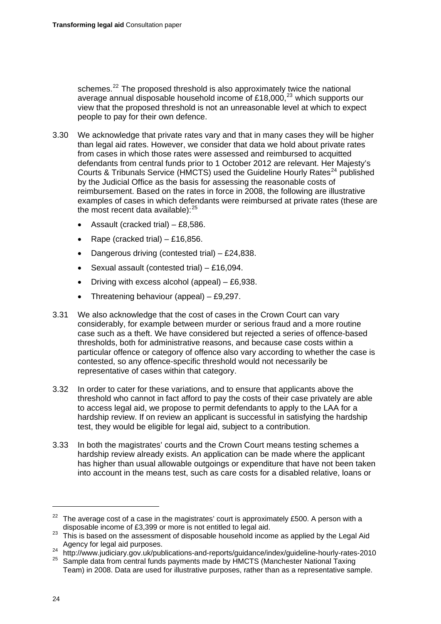schemes.<sup>22</sup> The proposed threshold is also approximately twice the national average annual disposable household income of £18,000, $^{23}$  which supports our view that the proposed threshold is not an unreasonable level at which to expect people to pay for their own defence.

- 3.30 We acknowledge that private rates vary and that in many cases they will be higher than legal aid rates. However, we consider that data we hold about private rates from cases in which those rates were assessed and reimbursed to acquitted defendants from central funds prior to 1 October 2012 are relevant. Her Majesty's Courts & Tribunals Service (HMCTS) used the Guideline Hourly Rates<sup>[24](#page-26-0)</sup> published by the Judicial Office as the basis for assessing the reasonable costs of reimbursement. Based on the rates in force in 2008, the following are illustrative examples of cases in which defendants were reimbursed at private rates (these are the most recent data available): $25$ 
	- Assault (cracked trial)  $-$  £8,586.
	- Rape (cracked trial)  $-$  £16,856.
	- Dangerous driving (contested trial)  $-$  £24,838.
	- Sexual assault (contested trial) £16,094.
	- Driving with excess alcohol (appeal)  $-$  £6,938.
	- Threatening behaviour (appeal) £9,297.
- 3.31 We also acknowledge that the cost of cases in the Crown Court can vary considerably, for example between murder or serious fraud and a more routine case such as a theft. We have considered but rejected a series of offence-based thresholds, both for administrative reasons, and because case costs within a particular offence or category of offence also vary according to whether the case is contested, so any offence-specific threshold would not necessarily be representative of cases within that category.
- 3.32 In order to cater for these variations, and to ensure that applicants above the threshold who cannot in fact afford to pay the costs of their case privately are able to access legal aid, we propose to permit defendants to apply to the LAA for a hardship review. If on review an applicant is successful in satisfying the hardship test, they would be eligible for legal aid, subject to a contribution.
- 3.33 In both the magistrates' courts and the Crown Court means testing schemes a hardship review already exists. An application can be made where the applicant has higher than usual allowable outgoings or expenditure that have not been taken into account in the means test, such as care costs for a disabled relative, loans or

 $22$  The average cost of a case in the magistrates' court is approximately £500. A person with a disposable income of £3,399 or more is not entitled to legal aid.<br><sup>23</sup> This is based on the assessment of disposable household income as applied by the Legal Aid

<span id="page-26-0"></span>Agency for legal aid purposes.<br><sup>24</sup> http://www.judiciary.gov.uk/publications-and-reports/guidance/index/guideline-hourly-rates-2010<br><sup>25</sup> Sample data from central funds payments made by HMCTS (Manchester National Taxing

<span id="page-26-1"></span>Team) in 2008. Data are used for illustrative purposes, rather than as a representative sample.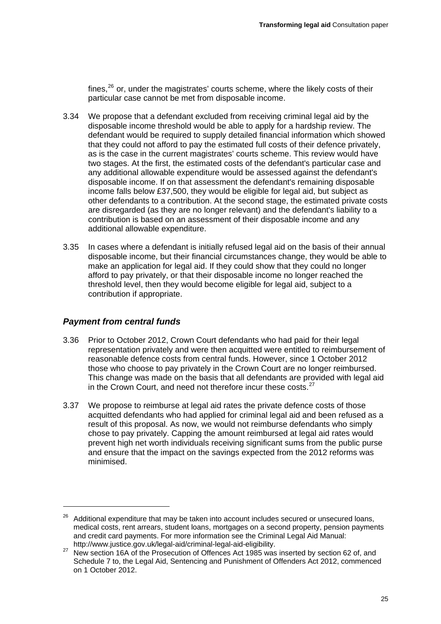fines, $26$  or, under the magistrates' courts scheme, where the likely costs of their particular case cannot be met from disposable income.

- 3.34 We propose that a defendant excluded from receiving criminal legal aid by the disposable income threshold would be able to apply for a hardship review. The defendant would be required to supply detailed financial information which showed that they could not afford to pay the estimated full costs of their defence privately, as is the case in the current magistrates' courts scheme. This review would have two stages. At the first, the estimated costs of the defendant's particular case and any additional allowable expenditure would be assessed against the defendant's disposable income. If on that assessment the defendant's remaining disposable income falls below £37,500, they would be eligible for legal aid, but subject as other defendants to a contribution. At the second stage, the estimated private costs are disregarded (as they are no longer relevant) and the defendant's liability to a contribution is based on an assessment of their disposable income and any additional allowable expenditure.
- 3.35 In cases where a defendant is initially refused legal aid on the basis of their annual disposable income, but their financial circumstances change, they would be able to make an application for legal aid. If they could show that they could no longer afford to pay privately, or that their disposable income no longer reached the threshold level, then they would become eligible for legal aid, subject to a contribution if appropriate.

### *Payment from central funds*

- 3.36 Prior to October 2012, Crown Court defendants who had paid for their legal representation privately and were then acquitted were entitled to reimbursement of reasonable defence costs from central funds. However, since 1 October 2012 those who choose to pay privately in the Crown Court are no longer reimbursed. This change was made on the basis that all defendants are provided with legal aid in the Crown Court, and need not therefore incur these costs. $27$
- 3.37 We propose to reimburse at legal aid rates the private defence costs of those acquitted defendants who had applied for criminal legal aid and been refused as a result of this proposal. As now, we would not reimburse defendants who simply chose to pay privately. Capping the amount reimbursed at legal aid rates would prevent high net worth individuals receiving significant sums from the public purse and ensure that the impact on the savings expected from the 2012 reforms was minimised.

 $26$  Additional expenditure that may be taken into account includes secured or unsecured loans, medical costs, rent arrears, student loans, mortgages on a second property, pension payments and credit card payments. For more information see the Criminal Legal Aid Manual:

<span id="page-27-0"></span>http://www.justice.gov.uk/legal-aid/criminal-legal-aid-eligibility.<br><sup>27</sup> New section 16A of the Prosecution of Offences Act 1985 was inserted by section 62 of, and Schedule 7 to, the Legal Aid, Sentencing and Punishment of Offenders Act 2012, commenced on 1 October 2012.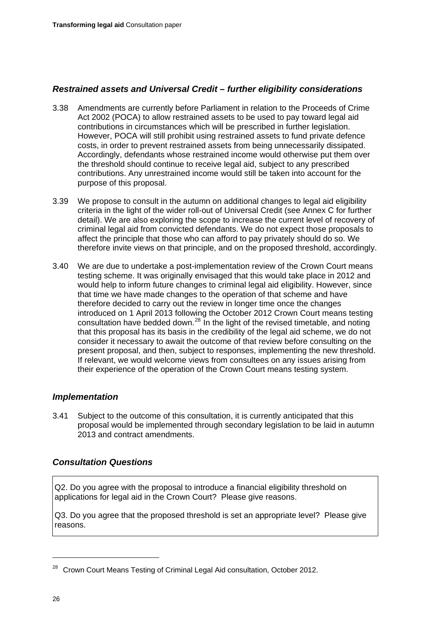### *Restrained assets and Universal Credit – further eligibility considerations*

- 3.38 Amendments are currently before Parliament in relation to the Proceeds of Crime Act 2002 (POCA) to allow restrained assets to be used to pay toward legal aid contributions in circumstances which will be prescribed in further legislation. However, POCA will still prohibit using restrained assets to fund private defence costs, in order to prevent restrained assets from being unnecessarily dissipated. Accordingly, defendants whose restrained income would otherwise put them over the threshold should continue to receive legal aid, subject to any prescribed contributions. Any unrestrained income would still be taken into account for the purpose of this proposal.
- 3.39 We propose to consult in the autumn on additional changes to legal aid eligibility criteria in the light of the wider roll-out of Universal Credit (see Annex C for further detail). We are also exploring the scope to increase the current level of recovery of criminal legal aid from convicted defendants. We do not expect those proposals to affect the principle that those who can afford to pay privately should do so. We therefore invite views on that principle, and on the proposed threshold, accordingly.
- 3.40 We are due to undertake a post-implementation review of the Crown Court means testing scheme. It was originally envisaged that this would take place in 2012 and would help to inform future changes to criminal legal aid eligibility. However, since that time we have made changes to the operation of that scheme and have therefore decided to carry out the review in longer time once the changes introduced on 1 April 2013 following the October 2012 Crown Court means testing consultation have bedded down.[28](#page-28-0) In the light of the revised timetable, and noting that this proposal has its basis in the credibility of the legal aid scheme, we do not consider it necessary to await the outcome of that review before consulting on the present proposal, and then, subject to responses, implementing the new threshold. If relevant, we would welcome views from consultees on any issues arising from their experience of the operation of the Crown Court means testing system.

### *Implementation*

3.41 Subject to the outcome of this consultation, it is currently anticipated that this proposal would be implemented through secondary legislation to be laid in autumn 2013 and contract amendments.

### *Consultation Questions*

Q2. Do you agree with the proposal to introduce a financial eligibility threshold on applications for legal aid in the Crown Court? Please give reasons.

Q3. Do you agree that the proposed threshold is set an appropriate level? Please give reasons.

<span id="page-28-0"></span><sup>&</sup>lt;sup>28</sup> Crown Court Means Testing of Criminal Legal Aid consultation, October 2012.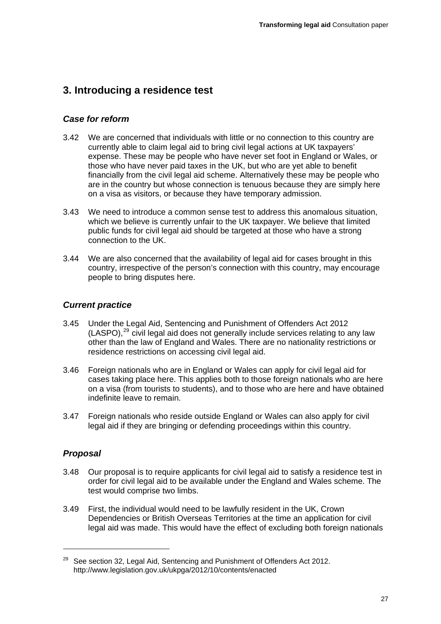### **3. Introducing a residence test**

### *Case for reform*

- 3.42 We are concerned that individuals with little or no connection to this country are currently able to claim legal aid to bring civil legal actions at UK taxpayers' expense. These may be people who have never set foot in England or Wales, or those who have never paid taxes in the UK, but who are yet able to benefit financially from the civil legal aid scheme. Alternatively these may be people who are in the country but whose connection is tenuous because they are simply here on a visa as visitors, or because they have temporary admission.
- 3.43 We need to introduce a common sense test to address this anomalous situation, which we believe is currently unfair to the UK taxpayer. We believe that limited public funds for civil legal aid should be targeted at those who have a strong connection to the UK.
- 3.44 We are also concerned that the availability of legal aid for cases brought in this country, irrespective of the person's connection with this country, may encourage people to bring disputes here.

### *Current practice*

- 3.45 Under the Legal Aid, Sentencing and Punishment of Offenders Act 2012  $(LASPO)$ ,  $^{29}$  $^{29}$  $^{29}$  civil legal aid does not generally include services relating to any law other than the law of England and Wales. There are no nationality restrictions or residence restrictions on accessing civil legal aid.
- 3.46 Foreign nationals who are in England or Wales can apply for civil legal aid for cases taking place here. This applies both to those foreign nationals who are here on a visa (from tourists to students), and to those who are here and have obtained indefinite leave to remain.
- 3.47 Foreign nationals who reside outside England or Wales can also apply for civil legal aid if they are bringing or defending proceedings within this country.

### *Proposal*

1

- 3.48 Our proposal is to require applicants for civil legal aid to satisfy a residence test in order for civil legal aid to be available under the England and Wales scheme. The test would comprise two limbs.
- 3.49 First, the individual would need to be lawfully resident in the UK, Crown Dependencies or British Overseas Territories at the time an application for civil legal aid was made. This would have the effect of excluding both foreign nationals

<span id="page-29-0"></span>See section 32, Legal Aid, Sentencing and Punishment of Offenders Act 2012. http://www.legislation.gov.uk/ukpga/2012/10/contents/enacted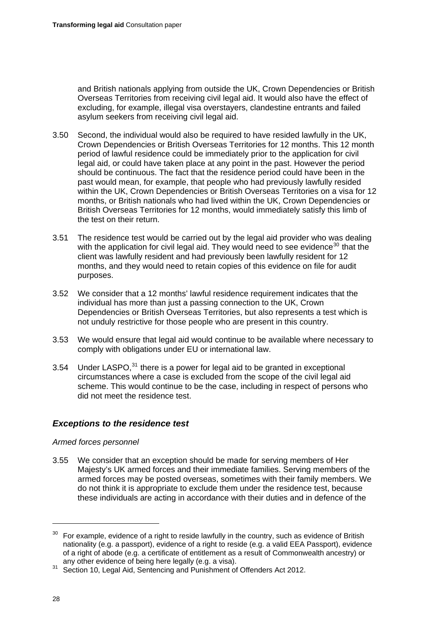and British nationals applying from outside the UK, Crown Dependencies or British Overseas Territories from receiving civil legal aid. It would also have the effect of excluding, for example, illegal visa overstayers, clandestine entrants and failed asylum seekers from receiving civil legal aid.

- 3.50 Second, the individual would also be required to have resided lawfully in the UK, Crown Dependencies or British Overseas Territories for 12 months. This 12 month period of lawful residence could be immediately prior to the application for civil legal aid, or could have taken place at any point in the past. However the period should be continuous. The fact that the residence period could have been in the past would mean, for example, that people who had previously lawfully resided within the UK, Crown Dependencies or British Overseas Territories on a visa for 12 months, or British nationals who had lived within the UK, Crown Dependencies or British Overseas Territories for 12 months, would immediately satisfy this limb of the test on their return.
- 3.51 The residence test would be carried out by the legal aid provider who was dealing with the application for civil legal aid. They would need to see evidence<sup>[30](#page-30-0)</sup> that the client was lawfully resident and had previously been lawfully resident for 12 months, and they would need to retain copies of this evidence on file for audit purposes.
- 3.52 We consider that a 12 months' lawful residence requirement indicates that the individual has more than just a passing connection to the UK, Crown Dependencies or British Overseas Territories, but also represents a test which is not unduly restrictive for those people who are present in this country.
- 3.53 We would ensure that legal aid would continue to be available where necessary to comply with obligations under EU or international law.
- 3.54 Under LASPO,  $31$  there is a power for legal aid to be granted in exceptional circumstances where a case is excluded from the scope of the civil legal aid scheme. This would continue to be the case, including in respect of persons who did not meet the residence test.

### *Exceptions to the residence test*

### *Armed forces personnel*

3.55 We consider that an exception should be made for serving members of Her Majesty's UK armed forces and their immediate families. Serving members of the armed forces may be posted overseas, sometimes with their family members. We do not think it is appropriate to exclude them under the residence test, because these individuals are acting in accordance with their duties and in defence of the

<span id="page-30-0"></span> $30$  For example, evidence of a right to reside lawfully in the country, such as evidence of British nationality (e.g. a passport), evidence of a right to reside (e.g. a valid EEA Passport), evidence of a right of abode (e.g. a certificate of entitlement as a result of Commonwealth ancestry) or

<span id="page-30-1"></span>any other evidence of being here legally (e.g. a visa).<br><sup>31</sup> Section 10, Legal Aid, Sentencing and Punishment of Offenders Act 2012.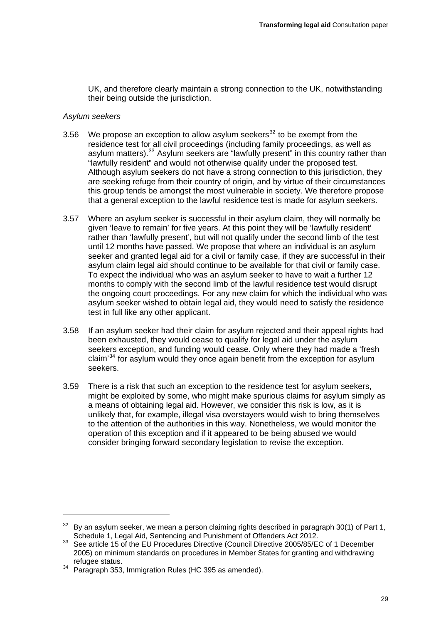UK, and therefore clearly maintain a strong connection to the UK, notwithstanding their being outside the jurisdiction.

### *Asylum seekers*

1

- 3.56 We propose an exception to allow asylum seekers<sup>[32](#page-31-0)</sup> to be exempt from the residence test for all civil proceedings (including family proceedings, as well as asylum matters).<sup>[33](#page-31-1)</sup> Asylum seekers are "lawfully present" in this country rather than "lawfully resident" and would not otherwise qualify under the proposed test. Although asylum seekers do not have a strong connection to this jurisdiction, they are seeking refuge from their country of origin, and by virtue of their circumstances this group tends be amongst the most vulnerable in society. We therefore propose that a general exception to the lawful residence test is made for asylum seekers.
- 3.57 Where an asylum seeker is successful in their asylum claim, they will normally be given 'leave to remain' for five years. At this point they will be 'lawfully resident' rather than 'lawfully present', but will not qualify under the second limb of the test until 12 months have passed. We propose that where an individual is an asylum seeker and granted legal aid for a civil or family case, if they are successful in their asylum claim legal aid should continue to be available for that civil or family case. To expect the individual who was an asylum seeker to have to wait a further 12 months to comply with the second limb of the lawful residence test would disrupt the ongoing court proceedings. For any new claim for which the individual who was asylum seeker wished to obtain legal aid, they would need to satisfy the residence test in full like any other applicant.
- 3.58 If an asylum seeker had their claim for asylum rejected and their appeal rights had been exhausted, they would cease to qualify for legal aid under the asylum seekers exception, and funding would cease. Only where they had made a 'fresh claim<sup>[34](#page-31-2)</sup> for asylum would they once again benefit from the exception for asylum seekers.
- 3.59 There is a risk that such an exception to the residence test for asylum seekers, might be exploited by some, who might make spurious claims for asylum simply as a means of obtaining legal aid. However, we consider this risk is low, as it is unlikely that, for example, illegal visa overstayers would wish to bring themselves to the attention of the authorities in this way. Nonetheless, we would monitor the operation of this exception and if it appeared to be being abused we would consider bringing forward secondary legislation to revise the exception.

<span id="page-31-0"></span> $32$  By an asylum seeker, we mean a person claiming rights described in paragraph 30(1) of Part 1,<br>Schedule 1, Legal Aid, Sentencing and Punishment of Offenders Act 2012.

<span id="page-31-1"></span>Schedule 1, Legal Aid, Sentencing and Punishment of Offenders Act 2012. 33 See article 15 of the EU Procedures Directive (Council Directive 2005/85/EC of 1 December 2005) on minimum standards on procedures in Member States for granting and withdrawing refugee status. 34 Paragraph 353, Immigration Rules (HC 395 as amended).

<span id="page-31-2"></span>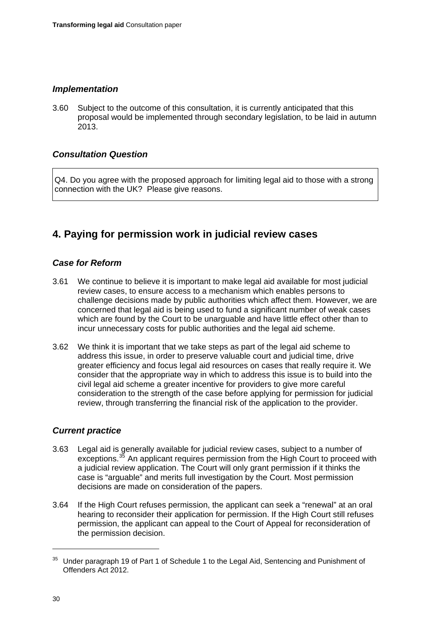### *Implementation*

3.60 Subject to the outcome of this consultation, it is currently anticipated that this proposal would be implemented through secondary legislation, to be laid in autumn 2013.

### *Consultation Question*

Q4. Do you agree with the proposed approach for limiting legal aid to those with a strong connection with the UK? Please give reasons.

### **4. Paying for permission work in judicial review cases**

### *Case for Reform*

- 3.61 We continue to believe it is important to make legal aid available for most judicial review cases, to ensure access to a mechanism which enables persons to challenge decisions made by public authorities which affect them. However, we are concerned that legal aid is being used to fund a significant number of weak cases which are found by the Court to be unarguable and have little effect other than to incur unnecessary costs for public authorities and the legal aid scheme.
- 3.62 We think it is important that we take steps as part of the legal aid scheme to address this issue, in order to preserve valuable court and judicial time, drive greater efficiency and focus legal aid resources on cases that really require it. We consider that the appropriate way in which to address this issue is to build into the civil legal aid scheme a greater incentive for providers to give more careful consideration to the strength of the case before applying for permission for judicial review, through transferring the financial risk of the application to the provider.

### *Current practice*

- 3.63 Legal aid is generally available for judicial review cases, subject to a number of exceptions.<sup>[35](#page-32-0)</sup> An applicant requires permission from the High Court to proceed with a judicial review application. The Court will only grant permission if it thinks the case is "arguable" and merits full investigation by the Court. Most permission decisions are made on consideration of the papers.
- 3.64 If the High Court refuses permission, the applicant can seek a "renewal" at an oral hearing to reconsider their application for permission. If the High Court still refuses permission, the applicant can appeal to the Court of Appeal for reconsideration of the permission decision.

<span id="page-32-0"></span><sup>&</sup>lt;sup>35</sup> Under paragraph 19 of Part 1 of Schedule 1 to the Legal Aid, Sentencing and Punishment of Offenders Act 2012.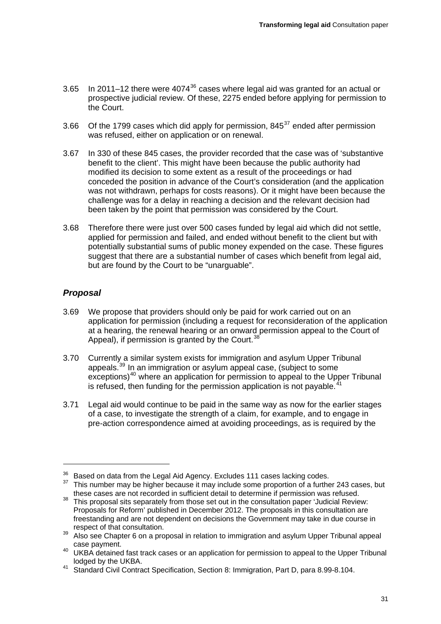- 3.65 In 2011–12 there were 4074 $36$  cases where legal aid was granted for an actual or prospective judicial review. Of these, 2275 ended before applying for permission to the Court.
- 3.66 Of the 1799 cases which did apply for permission,  $845^{37}$  $845^{37}$  $845^{37}$  ended after permission was refused, either on application or on renewal.
- 3.67 In 330 of these 845 cases, the provider recorded that the case was of 'substantive benefit to the client'. This might have been because the public authority had modified its decision to some extent as a result of the proceedings or had conceded the position in advance of the Court's consideration (and the application was not withdrawn, perhaps for costs reasons). Or it might have been because the challenge was for a delay in reaching a decision and the relevant decision had been taken by the point that permission was considered by the Court.
- 3.68 Therefore there were just over 500 cases funded by legal aid which did not settle, applied for permission and failed, and ended without benefit to the client but with potentially substantial sums of public money expended on the case. These figures suggest that there are a substantial number of cases which benefit from legal aid, but are found by the Court to be "unarguable".

### *Proposal*

 $\overline{a}$ 

- 3.69 We propose that providers should only be paid for work carried out on an application for permission (including a request for reconsideration of the application at a hearing, the renewal hearing or an onward permission appeal to the Court of Appeal), if permission is granted by the Court.  $38$
- 3.70 Currently a similar system exists for immigration and asylum Upper Tribunal appeals.<sup>[39](#page-33-3)</sup> In an immigration or asylum appeal case, (subject to some  $exceptions)$ <sup>[40](#page-33-4)</sup> where an application for permission to appeal to the Upper Tribunal is refused, then funding for the permission application is not payable.  $41$
- 3.71 Legal aid would continue to be paid in the same way as now for the earlier stages of a case, to investigate the strength of a claim, for example, and to engage in pre-action correspondence aimed at avoiding proceedings, as is required by the

<span id="page-33-0"></span> $36$  Based on data from the Legal Aid Agency. Excludes 111 cases lacking codes.<br> $37$  This number may be higher because it may include some proportion of a further 243 cases, but

<span id="page-33-2"></span><span id="page-33-1"></span>these cases are not recorded in sufficient detail to determine if permission was refused.<br><sup>38</sup> This proposal sits separately from those set out in the consultation paper 'Judicial Review: Proposals for Reform' published in December 2012. The proposals in this consultation are freestanding and are not dependent on decisions the Government may take in due course in

respect of that consultation.<br><sup>39</sup> Also see Chapter 6 on a proposal in relation to immigration and asylum Upper Tribunal appeal

<span id="page-33-4"></span><span id="page-33-3"></span>case payment.<br><sup>40</sup> UKBA detained fast track cases or an application for permission to appeal to the Upper Tribunal

lodged by the UKBA.<br><sup>41</sup> Standard Civil Contract Specification, Section 8: Immigration, Part D, para 8.99-8.104.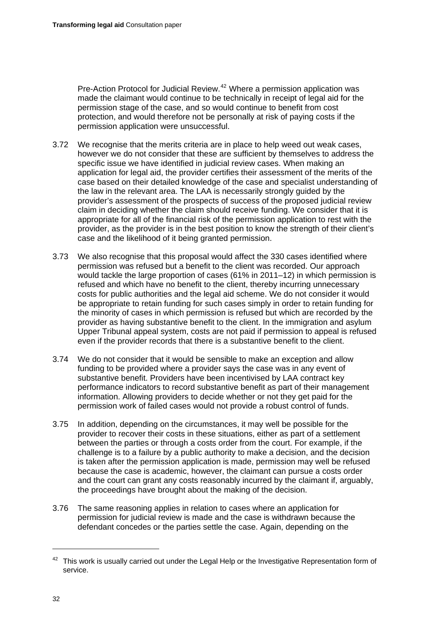Pre-Action Protocol for Judicial Review.<sup>42</sup> Where a permission application was made the claimant would continue to be technically in receipt of legal aid for the permission stage of the case, and so would continue to benefit from cost protection, and would therefore not be personally at risk of paying costs if the permission application were unsuccessful.

- 3.72 We recognise that the merits criteria are in place to help weed out weak cases, however we do not consider that these are sufficient by themselves to address the specific issue we have identified in judicial review cases. When making an application for legal aid, the provider certifies their assessment of the merits of the case based on their detailed knowledge of the case and specialist understanding of the law in the relevant area. The LAA is necessarily strongly guided by the provider's assessment of the prospects of success of the proposed judicial review claim in deciding whether the claim should receive funding. We consider that it is appropriate for all of the financial risk of the permission application to rest with the provider, as the provider is in the best position to know the strength of their client's case and the likelihood of it being granted permission.
- 3.73 We also recognise that this proposal would affect the 330 cases identified where permission was refused but a benefit to the client was recorded. Our approach would tackle the large proportion of cases (61% in 2011–12) in which permission is refused and which have no benefit to the client, thereby incurring unnecessary costs for public authorities and the legal aid scheme. We do not consider it would be appropriate to retain funding for such cases simply in order to retain funding for the minority of cases in which permission is refused but which are recorded by the provider as having substantive benefit to the client. In the immigration and asylum Upper Tribunal appeal system, costs are not paid if permission to appeal is refused even if the provider records that there is a substantive benefit to the client.
- 3.74 We do not consider that it would be sensible to make an exception and allow funding to be provided where a provider says the case was in any event of substantive benefit. Providers have been incentivised by LAA contract key performance indicators to record substantive benefit as part of their management information. Allowing providers to decide whether or not they get paid for the permission work of failed cases would not provide a robust control of funds.
- 3.75 In addition, depending on the circumstances, it may well be possible for the provider to recover their costs in these situations, either as part of a settlement between the parties or through a costs order from the court. For example, if the challenge is to a failure by a public authority to make a decision, and the decision is taken after the permission application is made, permission may well be refused because the case is academic, however, the claimant can pursue a costs order and the court can grant any costs reasonably incurred by the claimant if, arguably, the proceedings have brought about the making of the decision.
- 3.76 The same reasoning applies in relation to cases where an application for permission for judicial review is made and the case is withdrawn because the defendant concedes or the parties settle the case. Again, depending on the

<sup>&</sup>lt;sup>42</sup> This work is usually carried out under the Legal Help or the Investigative Representation form of service.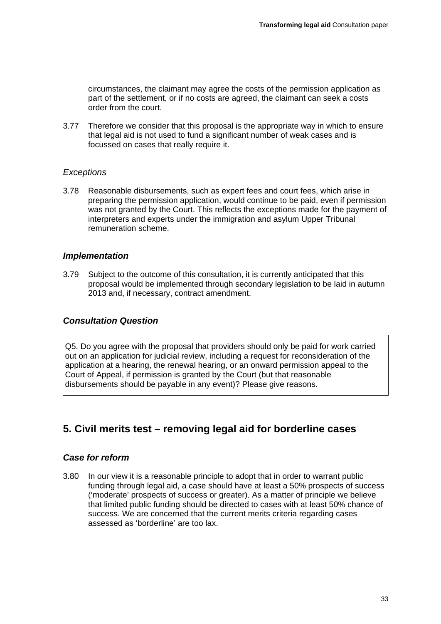circumstances, the claimant may agree the costs of the permission application as part of the settlement, or if no costs are agreed, the claimant can seek a costs order from the court.

3.77 Therefore we consider that this proposal is the appropriate way in which to ensure that legal aid is not used to fund a significant number of weak cases and is focussed on cases that really require it.

### *Exceptions*

3.78 Reasonable disbursements, such as expert fees and court fees, which arise in preparing the permission application, would continue to be paid, even if permission was not granted by the Court. This reflects the exceptions made for the payment of interpreters and experts under the immigration and asylum Upper Tribunal remuneration scheme.

### *Implementation*

3.79 Subject to the outcome of this consultation, it is currently anticipated that this proposal would be implemented through secondary legislation to be laid in autumn 2013 and, if necessary, contract amendment.

### *Consultation Question*

Q5. Do you agree with the proposal that providers should only be paid for work carried out on an application for judicial review, including a request for reconsideration of the application at a hearing, the renewal hearing, or an onward permission appeal to the Court of Appeal, if permission is granted by the Court (but that reasonable disbursements should be payable in any event)? Please give reasons.

### **5. Civil merits test – removing legal aid for borderline cases**

### *Case for reform*

3.80 In our view it is a reasonable principle to adopt that in order to warrant public funding through legal aid, a case should have at least a 50% prospects of success ('moderate' prospects of success or greater). As a matter of principle we believe that limited public funding should be directed to cases with at least 50% chance of success. We are concerned that the current merits criteria regarding cases assessed as 'borderline' are too lax.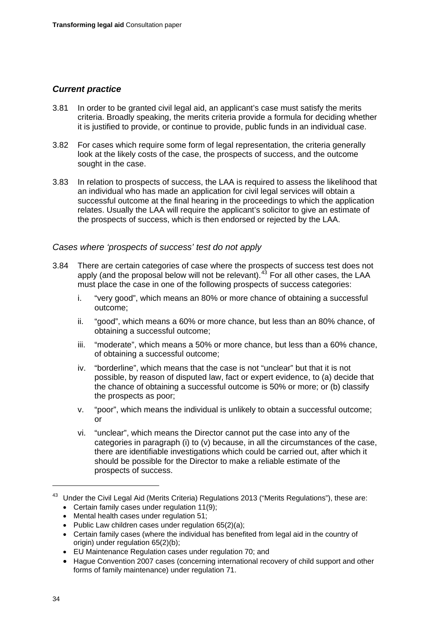### *Current practice*

- 3.81 In order to be granted civil legal aid, an applicant's case must satisfy the merits criteria. Broadly speaking, the merits criteria provide a formula for deciding whether it is justified to provide, or continue to provide, public funds in an individual case.
- 3.82 For cases which require some form of legal representation, the criteria generally look at the likely costs of the case, the prospects of success, and the outcome sought in the case.
- 3.83 In relation to prospects of success, the LAA is required to assess the likelihood that an individual who has made an application for civil legal services will obtain a successful outcome at the final hearing in the proceedings to which the application relates. Usually the LAA will require the applicant's solicitor to give an estimate of the prospects of success, which is then endorsed or rejected by the LAA.

### *Cases where 'prospects of success' test do not apply*

- 3.84 There are certain categories of case where the prospects of success test does not apply (and the proposal below will not be relevant).<sup>[43](#page-36-0)</sup> For all other cases, the LAA must place the case in one of the following prospects of success categories:
	- i. "very good", which means an 80% or more chance of obtaining a successful outcome;
	- ii. "good", which means a 60% or more chance, but less than an 80% chance, of obtaining a successful outcome;
	- iii. "moderate", which means a 50% or more chance, but less than a 60% chance, of obtaining a successful outcome;
	- iv. "borderline", which means that the case is not "unclear" but that it is not possible, by reason of disputed law, fact or expert evidence, to (a) decide that the chance of obtaining a successful outcome is 50% or more; or (b) classify the prospects as poor;
	- v. "poor", which means the individual is unlikely to obtain a successful outcome; or
	- vi. "unclear", which means the Director cannot put the case into any of the categories in paragraph (i) to (v) because, in all the circumstances of the case, there are identifiable investigations which could be carried out, after which it should be possible for the Director to make a reliable estimate of the prospects of success.

<span id="page-36-0"></span><sup>&</sup>lt;sup>43</sup> Under the Civil Legal Aid (Merits Criteria) Regulations 2013 ("Merits Regulations"), these are:

Certain family cases under regulation 11(9);

<sup>•</sup> Mental health cases under regulation 51;

<sup>•</sup> Public Law children cases under regulation  $65(2)(a)$ ;

Certain family cases (where the individual has benefited from legal aid in the country of origin) under regulation 65(2)(b);

EU Maintenance Regulation cases under regulation 70; and

<sup>•</sup> Hague Convention 2007 cases (concerning international recovery of child support and other forms of family maintenance) under regulation 71.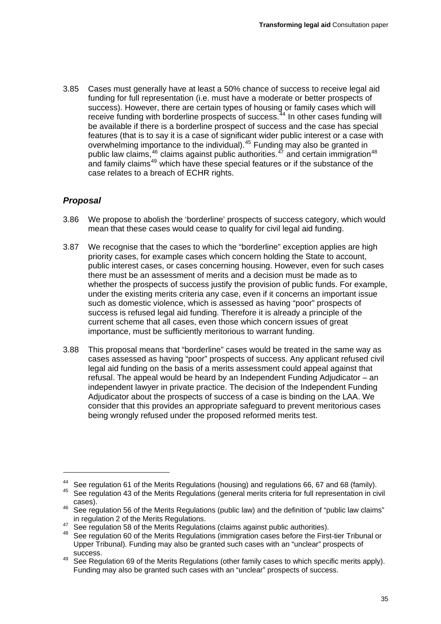3.85 Cases must generally have at least a 50% chance of success to receive legal aid funding for full representation (i.e. must have a moderate or better prospects of success). However, there are certain types of housing or family cases which will receive funding with borderline prospects of success.<sup>[44](#page-37-0)</sup> In other cases funding will be available if there is a borderline prospect of success and the case has special features (that is to say it is a case of significant wider public interest or a case with overwhelming importance to the individual).<sup>[45](#page-37-1)</sup> Funding may also be granted in public law claims,<sup>[46](#page-37-2)</sup> claims against public authorities.<sup>[47](#page-37-3)</sup> and certain immigration<sup>[48](#page-37-4)</sup> and family claims<sup>[49](#page-37-5)</sup> which have these special features or if the substance of the case relates to a breach of ECHR rights.

### *Proposal*

1

- 3.86 We propose to abolish the 'borderline' prospects of success category, which would mean that these cases would cease to qualify for civil legal aid funding.
- 3.87 We recognise that the cases to which the "borderline" exception applies are high priority cases, for example cases which concern holding the State to account, public interest cases, or cases concerning housing. However, even for such cases there must be an assessment of merits and a decision must be made as to whether the prospects of success justify the provision of public funds. For example, under the existing merits criteria any case, even if it concerns an important issue such as domestic violence, which is assessed as having "poor" prospects of success is refused legal aid funding. Therefore it is already a principle of the current scheme that all cases, even those which concern issues of great importance, must be sufficiently meritorious to warrant funding.
- 3.88 This proposal means that "borderline" cases would be treated in the same way as cases assessed as having "poor" prospects of success. Any applicant refused civil legal aid funding on the basis of a merits assessment could appeal against that refusal. The appeal would be heard by an Independent Funding Adjudicator – an independent lawyer in private practice. The decision of the Independent Funding Adjudicator about the prospects of success of a case is binding on the LAA. We consider that this provides an appropriate safeguard to prevent meritorious cases being wrongly refused under the proposed reformed merits test.

<span id="page-37-0"></span><sup>&</sup>lt;sup>44</sup> See regulation 61 of the Merits Regulations (housing) and regulations 66, 67 and 68 (family).<br><sup>45</sup> See regulation 43 of the Merits Regulations (general merits criteria for full representation in civil

<span id="page-37-1"></span>cases). 46 See regulation 56 of the Merits Regulations (public law) and the definition of "public law claims"

<span id="page-37-4"></span>

<span id="page-37-3"></span><span id="page-37-2"></span>in regulation 2 of the Merits Regulations.<br><sup>47</sup> See regulation 58 of the Merits Regulations (claims against public authorities).<br><sup>48</sup> See regulation 60 of the Merits Regulations (immigration cases before the First-tier Tr Upper Tribunal). Funding may also be granted such cases with an "unclear" prospects of success.

<span id="page-37-5"></span><sup>&</sup>lt;sup>49</sup> See Regulation 69 of the Merits Regulations (other family cases to which specific merits apply). Funding may also be granted such cases with an "unclear" prospects of success.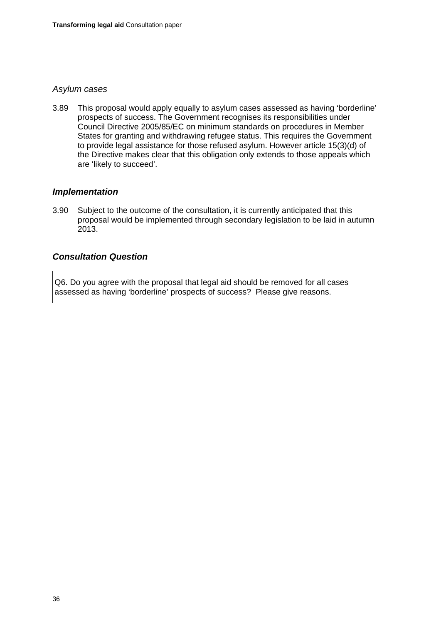### *Asylum cases*

3.89 This proposal would apply equally to asylum cases assessed as having 'borderline' prospects of success. The Government recognises its responsibilities under Council Directive 2005/85/EC on minimum standards on procedures in Member States for granting and withdrawing refugee status. This requires the Government to provide legal assistance for those refused asylum. However article 15(3)(d) of the Directive makes clear that this obligation only extends to those appeals which are 'likely to succeed'.

### *Implementation*

3.90 Subject to the outcome of the consultation, it is currently anticipated that this proposal would be implemented through secondary legislation to be laid in autumn 2013.

### *Consultation Question*

Q6. Do you agree with the proposal that legal aid should be removed for all cases assessed as having 'borderline' prospects of success? Please give reasons.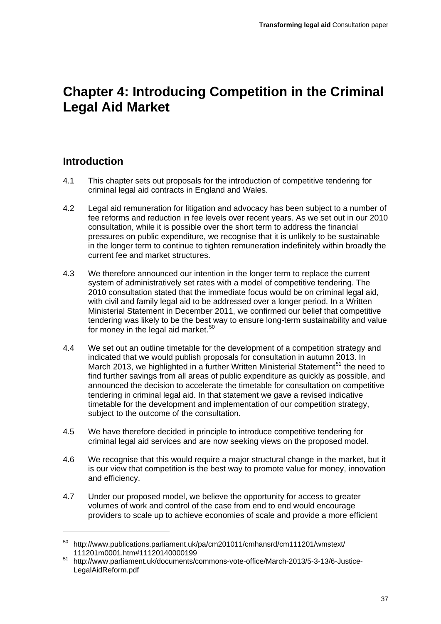# **Chapter 4: Introducing Competition in the Criminal Legal Aid Market**

# **Introduction**

- 4.1 This chapter sets out proposals for the introduction of competitive tendering for criminal legal aid contracts in England and Wales.
- 4.2 Legal aid remuneration for litigation and advocacy has been subject to a number of fee reforms and reduction in fee levels over recent years. As we set out in our 2010 consultation, while it is possible over the short term to address the financial pressures on public expenditure, we recognise that it is unlikely to be sustainable in the longer term to continue to tighten remuneration indefinitely within broadly the current fee and market structures.
- 4.3 We therefore announced our intention in the longer term to replace the current system of administratively set rates with a model of competitive tendering. The 2010 consultation stated that the immediate focus would be on criminal legal aid, with civil and family legal aid to be addressed over a longer period. In a Written Ministerial Statement in December 2011, we confirmed our belief that competitive tendering was likely to be the best way to ensure long-term sustainability and value for money in the legal aid market.<sup>[50](#page-39-0)</sup>
- 4.4 We set out an outline timetable for the development of a competition strategy and indicated that we would publish proposals for consultation in autumn 2013. In March 2013, we highlighted in a further Written Ministerial Statement<sup>[51](#page-39-1)</sup> the need to find further savings from all areas of public expenditure as quickly as possible, and announced the decision to accelerate the timetable for consultation on competitive tendering in criminal legal aid. In that statement we gave a revised indicative timetable for the development and implementation of our competition strategy, subject to the outcome of the consultation.
- 4.5 We have therefore decided in principle to introduce competitive tendering for criminal legal aid services and are now seeking views on the proposed model.
- 4.6 We recognise that this would require a major structural change in the market, but it is our view that competition is the best way to promote value for money, innovation and efficiency.
- 4.7 Under our proposed model, we believe the opportunity for access to greater volumes of work and control of the case from end to end would encourage providers to scale up to achieve economies of scale and provide a more efficient

<span id="page-39-0"></span> $50$  http://www.publications.parliament.uk/pa/cm201011/cmhansrd/cm111201/wmstext/ [111201m0001.htm#11120140000199](http://www.publications.parliament.uk/pa/cm201011/cmhansrd/cm111201/wmstext/111201m0001.htm#11120140000199) 

<span id="page-39-1"></span><sup>51</sup> [http://www.parliament.uk/documents/commons-vote-office/March-2013/5-3-13/6-Justice-](http://www.parliament.uk/documents/commons-vote-office/March-2013/5-3-13/6-Justice-LegalAidReform.pdf)[LegalAidReform.pdf](http://www.parliament.uk/documents/commons-vote-office/March-2013/5-3-13/6-Justice-LegalAidReform.pdf)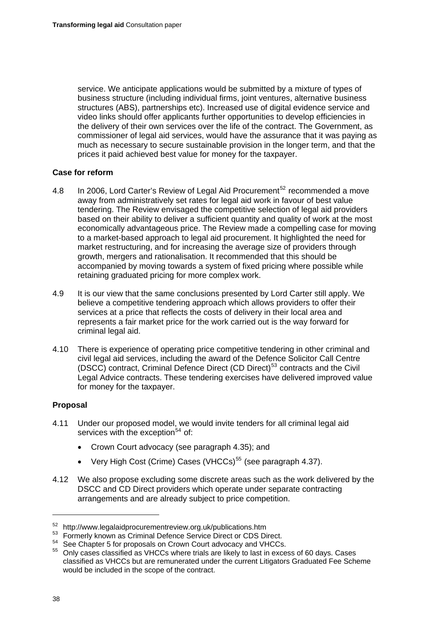service. We anticipate applications would be submitted by a mixture of types of business structure (including individual firms, joint ventures, alternative business structures (ABS), partnerships etc). Increased use of digital evidence service and video links should offer applicants further opportunities to develop efficiencies in the delivery of their own services over the life of the contract. The Government, as commissioner of legal aid services, would have the assurance that it was paying as much as necessary to secure sustainable provision in the longer term, and that the prices it paid achieved best value for money for the taxpayer.

### **Case for reform**

- 4.8 In 2006, Lord Carter's Review of Legal Aid Procurement<sup>[52](#page-40-0)</sup> recommended a move away from administratively set rates for legal aid work in favour of best value tendering. The Review envisaged the competitive selection of legal aid providers based on their ability to deliver a sufficient quantity and quality of work at the most economically advantageous price. The Review made a compelling case for moving to a market-based approach to legal aid procurement. It highlighted the need for market restructuring, and for increasing the average size of providers through growth, mergers and rationalisation. It recommended that this should be accompanied by moving towards a system of fixed pricing where possible while retaining graduated pricing for more complex work.
- 4.9 It is our view that the same conclusions presented by Lord Carter still apply. We believe a competitive tendering approach which allows providers to offer their services at a price that reflects the costs of delivery in their local area and represents a fair market price for the work carried out is the way forward for criminal legal aid.
- 4.10 There is experience of operating price competitive tendering in other criminal and civil legal aid services, including the award of the Defence Solicitor Call Centre (DSCC) contract, Criminal Defence Direct (CD Direct)<sup>[53](#page-40-1)</sup> contracts and the Civil Legal Advice contracts. These tendering exercises have delivered improved value for money for the taxpayer.

### **Proposal**

- 4.11 Under our proposed model, we would invite tenders for all criminal legal aid services with the exception<sup>[54](#page-40-2)</sup> of:
	- Crown Court advocacy (see paragraph 4.35); and
	- Very High Cost (Crime) Cases (VHCCs)<sup>[55](#page-40-3)</sup> (see paragraph 4.37).
- 4.12 We also propose excluding some discrete areas such as the work delivered by the DSCC and CD Direct providers which operate under separate contracting arrangements and are already subject to price competition.

<span id="page-40-3"></span><span id="page-40-2"></span>

<span id="page-40-1"></span><span id="page-40-0"></span><sup>&</sup>lt;sup>52</sup> http://www.legalaidprocurementreview.org.uk/publications.htm<br>
<sup>53</sup> Formerly known as Criminal Defence Service Direct or CDS Direct.<br>
<sup>54</sup> See Chapter 5 for proposals on Crown Court advocacy and VHCCs.<br>
<sup>55</sup> Only case classified as VHCCs but are remunerated under the current Litigators Graduated Fee Scheme would be included in the scope of the contract.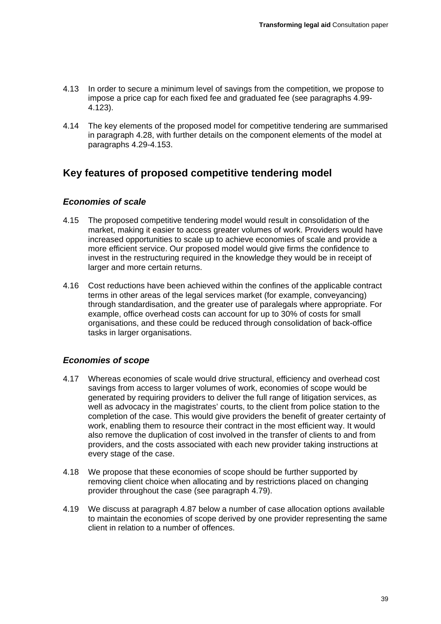- 4.13 In order to secure a minimum level of savings from the competition, we propose to impose a price cap for each fixed fee and graduated fee (see paragraphs 4.99- 4.123).
- 4.14 The key elements of the proposed model for competitive tendering are summarised in paragraph 4.28, with further details on the component elements of the model at paragraphs 4.29-4.153.

# **Key features of proposed competitive tendering model**

### *Economies of scale*

- 4.15 The proposed competitive tendering model would result in consolidation of the market, making it easier to access greater volumes of work. Providers would have increased opportunities to scale up to achieve economies of scale and provide a more efficient service. Our proposed model would give firms the confidence to invest in the restructuring required in the knowledge they would be in receipt of larger and more certain returns.
- 4.16 Cost reductions have been achieved within the confines of the applicable contract terms in other areas of the legal services market (for example, conveyancing) through standardisation, and the greater use of paralegals where appropriate. For example, office overhead costs can account for up to 30% of costs for small organisations, and these could be reduced through consolidation of back-office tasks in larger organisations.

### *Economies of scope*

- 4.17 Whereas economies of scale would drive structural, efficiency and overhead cost savings from access to larger volumes of work, economies of scope would be generated by requiring providers to deliver the full range of litigation services, as well as advocacy in the magistrates' courts, to the client from police station to the completion of the case. This would give providers the benefit of greater certainty of work, enabling them to resource their contract in the most efficient way. It would also remove the duplication of cost involved in the transfer of clients to and from providers, and the costs associated with each new provider taking instructions at every stage of the case.
- 4.18 We propose that these economies of scope should be further supported by removing client choice when allocating and by restrictions placed on changing provider throughout the case (see paragraph 4.79).
- 4.19 We discuss at paragraph 4.87 below a number of case allocation options available to maintain the economies of scope derived by one provider representing the same client in relation to a number of offences.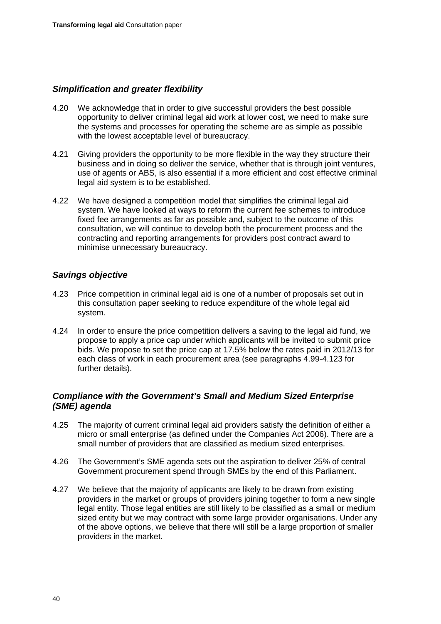### *Simplification and greater flexibility*

- 4.20 We acknowledge that in order to give successful providers the best possible opportunity to deliver criminal legal aid work at lower cost, we need to make sure the systems and processes for operating the scheme are as simple as possible with the lowest acceptable level of bureaucracy.
- 4.21 Giving providers the opportunity to be more flexible in the way they structure their business and in doing so deliver the service, whether that is through joint ventures, use of agents or ABS, is also essential if a more efficient and cost effective criminal legal aid system is to be established.
- 4.22 We have designed a competition model that simplifies the criminal legal aid system. We have looked at ways to reform the current fee schemes to introduce fixed fee arrangements as far as possible and, subject to the outcome of this consultation, we will continue to develop both the procurement process and the contracting and reporting arrangements for providers post contract award to minimise unnecessary bureaucracy.

### *Savings objective*

- 4.23 Price competition in criminal legal aid is one of a number of proposals set out in this consultation paper seeking to reduce expenditure of the whole legal aid system.
- 4.24 In order to ensure the price competition delivers a saving to the legal aid fund, we propose to apply a price cap under which applicants will be invited to submit price bids. We propose to set the price cap at 17.5% below the rates paid in 2012/13 for each class of work in each procurement area (see paragraphs 4.99-4.123 for further details).

### *Compliance with the Government's Small and Medium Sized Enterprise (SME) agenda*

- 4.25 The majority of current criminal legal aid providers satisfy the definition of either a micro or small enterprise (as defined under the Companies Act 2006). There are a small number of providers that are classified as medium sized enterprises.
- 4.26 The Government's SME agenda sets out the aspiration to deliver 25% of central Government procurement spend through SMEs by the end of this Parliament.
- 4.27 We believe that the majority of applicants are likely to be drawn from existing providers in the market or groups of providers joining together to form a new single legal entity. Those legal entities are still likely to be classified as a small or medium sized entity but we may contract with some large provider organisations. Under any of the above options, we believe that there will still be a large proportion of smaller providers in the market.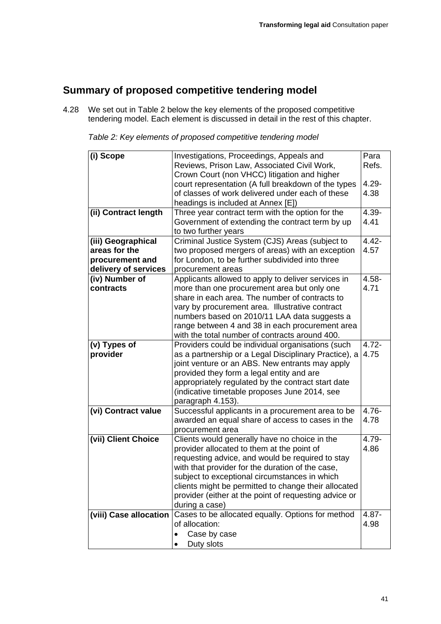# **Summary of proposed competitive tendering model**

4.28 We set out in Table 2 below the key elements of the proposed competitive tendering model. Each element is discussed in detail in the rest of this chapter.

*Table 2: Key elements of proposed competitive tendering model* 

| (i) Scope              | Investigations, Proceedings, Appeals and              | Para     |
|------------------------|-------------------------------------------------------|----------|
|                        | Reviews, Prison Law, Associated Civil Work,           | Refs.    |
|                        | Crown Court (non VHCC) litigation and higher          |          |
|                        | court representation (A full breakdown of the types   | $4.29 -$ |
|                        | of classes of work delivered under each of these      | 4.38     |
|                        | headings is included at Annex [E])                    |          |
| (ii) Contract length   | Three year contract term with the option for the      | 4.39-    |
|                        | Government of extending the contract term by up       | 4.41     |
|                        | to two further years                                  |          |
| (iii) Geographical     | Criminal Justice System (CJS) Areas (subject to       | $4.42 -$ |
| areas for the          | two proposed mergers of areas) with an exception      | 4.57     |
| procurement and        | for London, to be further subdivided into three       |          |
| delivery of services   | procurement areas                                     |          |
| (iv) Number of         | Applicants allowed to apply to deliver services in    | $4.58 -$ |
| contracts              | more than one procurement area but only one           | 4.71     |
|                        | share in each area. The number of contracts to        |          |
|                        | vary by procurement area. Illustrative contract       |          |
|                        | numbers based on 2010/11 LAA data suggests a          |          |
|                        | range between 4 and 38 in each procurement area       |          |
|                        | with the total number of contracts around 400.        |          |
| (v) Types of           | Providers could be individual organisations (such     | $4.72 -$ |
| provider               | as a partnership or a Legal Disciplinary Practice), a | 4.75     |
|                        | joint venture or an ABS. New entrants may apply       |          |
|                        | provided they form a legal entity and are             |          |
|                        | appropriately regulated by the contract start date    |          |
|                        | (indicative timetable proposes June 2014, see         |          |
|                        | paragraph 4.153).                                     |          |
| (vi) Contract value    | Successful applicants in a procurement area to be     | $4.76 -$ |
|                        | awarded an equal share of access to cases in the      | 4.78     |
|                        | procurement area                                      |          |
| (vii) Client Choice    | Clients would generally have no choice in the         | 4.79-    |
|                        | provider allocated to them at the point of            | 4.86     |
|                        | requesting advice, and would be required to stay      |          |
|                        | with that provider for the duration of the case,      |          |
|                        | subject to exceptional circumstances in which         |          |
|                        | clients might be permitted to change their allocated  |          |
|                        | provider (either at the point of requesting advice or |          |
|                        | during a case)                                        |          |
| (viii) Case allocation | Cases to be allocated equally. Options for method     | $4.87 -$ |
|                        | of allocation:                                        | 4.98     |
|                        | Case by case<br>$\bullet$                             |          |
|                        | Duty slots                                            |          |
|                        |                                                       |          |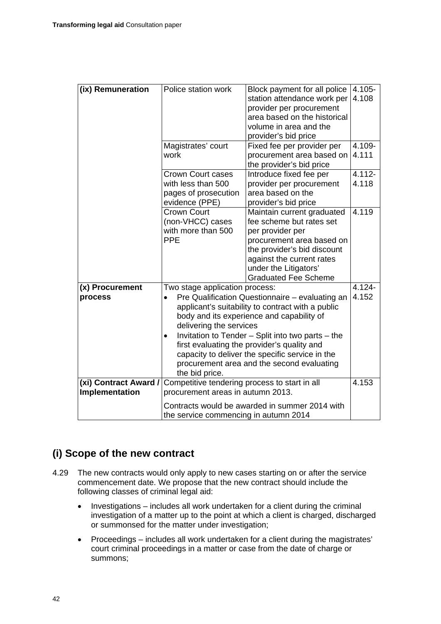| (ix) Remuneration     | Police station work                               | Block payment for all police                      | 4.105- |
|-----------------------|---------------------------------------------------|---------------------------------------------------|--------|
|                       |                                                   | station attendance work per                       | 4.108  |
|                       |                                                   | provider per procurement                          |        |
|                       |                                                   | area based on the historical                      |        |
|                       |                                                   | volume in area and the                            |        |
|                       |                                                   | provider's bid price                              |        |
|                       | Magistrates' court                                | Fixed fee per provider per                        | 4.109- |
|                       | work                                              | procurement area based on                         | 4.111  |
|                       |                                                   | the provider's bid price                          |        |
|                       | <b>Crown Court cases</b>                          | Introduce fixed fee per                           | 4.112- |
|                       | with less than 500                                | provider per procurement                          | 4.118  |
|                       | pages of prosecution                              | area based on the                                 |        |
|                       | evidence (PPE)                                    | provider's bid price                              |        |
|                       | <b>Crown Court</b>                                | Maintain current graduated                        | 4.119  |
|                       | (non-VHCC) cases                                  | fee scheme but rates set                          |        |
|                       | with more than 500                                | per provider per                                  |        |
|                       | PPE<br>procurement area based on                  |                                                   |        |
|                       |                                                   | the provider's bid discount                       |        |
|                       |                                                   | against the current rates                         |        |
|                       |                                                   | under the Litigators'                             |        |
|                       | <b>Graduated Fee Scheme</b>                       |                                                   |        |
| (x) Procurement       | Two stage application process:                    |                                                   | 4.124- |
| process               |                                                   | Pre Qualification Questionnaire - evaluating an   | 4.152  |
|                       |                                                   | applicant's suitability to contract with a public |        |
|                       |                                                   | body and its experience and capability of         |        |
|                       | delivering the services                           |                                                   |        |
|                       | Invitation to Tender - Split into two parts - the |                                                   |        |
|                       | first evaluating the provider's quality and       |                                                   |        |
|                       | capacity to deliver the specific service in the   |                                                   |        |
|                       | procurement area and the second evaluating        |                                                   |        |
|                       | the bid price.                                    |                                                   |        |
| (xi) Contract Award / | Competitive tendering process to start in all     |                                                   | 4.153  |
| Implementation        | procurement areas in autumn 2013.                 |                                                   |        |
|                       | Contracts would be awarded in summer 2014 with    |                                                   |        |
|                       | the service commencing in autumn 2014             |                                                   |        |

# **(i) Scope of the new contract**

- 4.29 The new contracts would only apply to new cases starting on or after the service commencement date. We propose that the new contract should include the following classes of criminal legal aid:
	- Investigations includes all work undertaken for a client during the criminal investigation of a matter up to the point at which a client is charged, discharged or summonsed for the matter under investigation;
	- Proceedings includes all work undertaken for a client during the magistrates' court criminal proceedings in a matter or case from the date of charge or summons;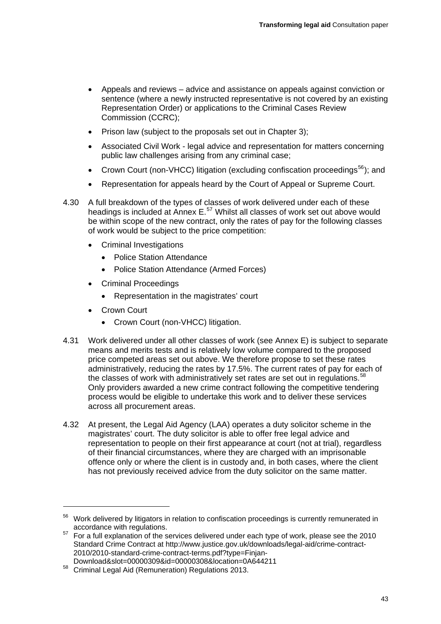- Appeals and reviews advice and assistance on appeals against conviction or sentence (where a newly instructed representative is not covered by an existing Representation Order) or applications to the Criminal Cases Review Commission (CCRC);
- Prison law (subject to the proposals set out in Chapter 3);
- Associated Civil Work legal advice and representation for matters concerning public law challenges arising from any criminal case;
- Crown Court (non-VHCC) litigation (excluding confiscation proceedings<sup>[56](#page-45-0)</sup>); and
- Representation for appeals heard by the Court of Appeal or Supreme Court.
- 4.30 A full breakdown of the types of classes of work delivered under each of these headings is included at Annex E.<sup>[57](#page-45-1)</sup> Whilst all classes of work set out above would be within scope of the new contract, only the rates of pay for the following classes of work would be subject to the price competition:
	- Criminal Investigations
		- Police Station Attendance
		- Police Station Attendance (Armed Forces)
	- Criminal Proceedings
		- Representation in the magistrates' court
	- Crown Court

- Crown Court (non-VHCC) litigation.
- 4.31 Work delivered under all other classes of work (see Annex E) is subject to separate means and merits tests and is relatively low volume compared to the proposed price competed areas set out above. We therefore propose to set these rates administratively, reducing the rates by 17.5%. The current rates of pay for each of the classes of work with administratively set rates are set out in regulations.<sup>[58](#page-45-2)</sup> Only providers awarded a new crime contract following the competitive tendering process would be eligible to undertake this work and to deliver these services across all procurement areas.
- 4.32 At present, the Legal Aid Agency (LAA) operates a duty solicitor scheme in the magistrates' court. The duty solicitor is able to offer free legal advice and representation to people on their first appearance at court (not at trial), regardless of their financial circumstances, where they are charged with an imprisonable offence only or where the client is in custody and, in both cases, where the client has not previously received advice from the duty solicitor on the same matter.

<span id="page-45-0"></span> $56$  Work delivered by litigators in relation to confiscation proceedings is currently remunerated in accordance with regulations.

<span id="page-45-1"></span>accordance with regulations.<br><sup>57</sup> For a full explanation of the services delivered under each type of work, please see the 2010 Standard Crime Contract at http://www.justice.gov.uk/downloads/legal-aid/crime-contract-2010/2010-standard-crime-contract-terms.pdf?type=Finjan-

Download&slot=00000309&id=00000308&location=0A644211

<span id="page-45-2"></span><sup>58</sup> Criminal Legal Aid (Remuneration) Regulations 2013.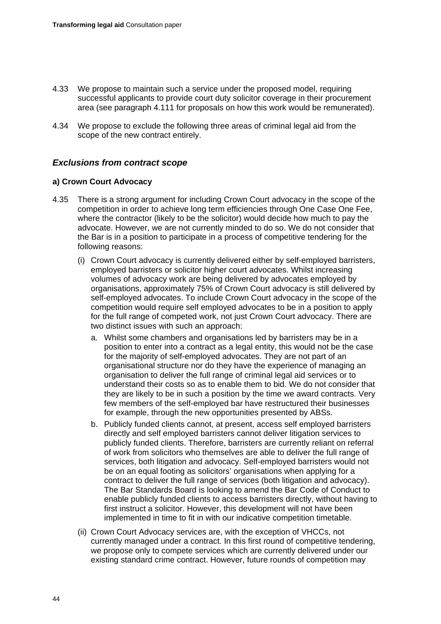- 4.33 We propose to maintain such a service under the proposed model, requiring successful applicants to provide court duty solicitor coverage in their procurement area (see paragraph 4.111 for proposals on how this work would be remunerated).
- 4.34 We propose to exclude the following three areas of criminal legal aid from the scope of the new contract entirely.

### *Exclusions from contract scope*

### **a) Crown Court Advocacy**

- 4.35 There is a strong argument for including Crown Court advocacy in the scope of the competition in order to achieve long term efficiencies through One Case One Fee, where the contractor (likely to be the solicitor) would decide how much to pay the advocate. However, we are not currently minded to do so. We do not consider that the Bar is in a position to participate in a process of competitive tendering for the following reasons:
	- (i) Crown Court advocacy is currently delivered either by self-employed barristers, employed barristers or solicitor higher court advocates. Whilst increasing volumes of advocacy work are being delivered by advocates employed by organisations, approximately 75% of Crown Court advocacy is still delivered by self-employed advocates. To include Crown Court advocacy in the scope of the competition would require self employed advocates to be in a position to apply for the full range of competed work, not just Crown Court advocacy. There are two distinct issues with such an approach:
		- a. Whilst some chambers and organisations led by barristers may be in a position to enter into a contract as a legal entity, this would not be the case for the majority of self-employed advocates. They are not part of an organisational structure nor do they have the experience of managing an organisation to deliver the full range of criminal legal aid services or to understand their costs so as to enable them to bid. We do not consider that they are likely to be in such a position by the time we award contracts. Very few members of the self-employed bar have restructured their businesses for example, through the new opportunities presented by ABSs.
		- b. Publicly funded clients cannot, at present, access self employed barristers directly and self employed barristers cannot deliver litigation services to publicly funded clients. Therefore, barristers are currently reliant on referral of work from solicitors who themselves are able to deliver the full range of services, both litigation and advocacy. Self-employed barristers would not be on an equal footing as solicitors' organisations when applying for a contract to deliver the full range of services (both litigation and advocacy). The Bar Standards Board is looking to amend the Bar Code of Conduct to enable publicly funded clients to access barristers directly, without having to first instruct a solicitor. However, this development will not have been implemented in time to fit in with our indicative competition timetable.
	- (ii) Crown Court Advocacy services are, with the exception of VHCCs, not currently managed under a contract. In this first round of competitive tendering, we propose only to compete services which are currently delivered under our existing standard crime contract. However, future rounds of competition may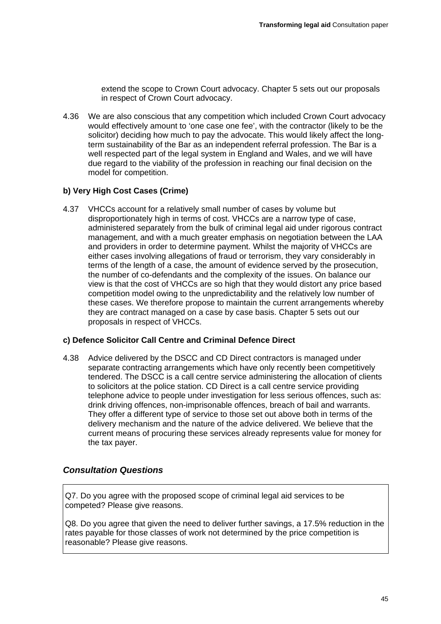extend the scope to Crown Court advocacy. Chapter 5 sets out our proposals in respect of Crown Court advocacy.

4.36 We are also conscious that any competition which included Crown Court advocacy would effectively amount to 'one case one fee', with the contractor (likely to be the solicitor) deciding how much to pay the advocate. This would likely affect the longterm sustainability of the Bar as an independent referral profession. The Bar is a well respected part of the legal system in England and Wales, and we will have due regard to the viability of the profession in reaching our final decision on the model for competition.

### **b) Very High Cost Cases (Crime)**

4.37 VHCCs account for a relatively small number of cases by volume but disproportionately high in terms of cost. VHCCs are a narrow type of case, administered separately from the bulk of criminal legal aid under rigorous contract management, and with a much greater emphasis on negotiation between the LAA and providers in order to determine payment. Whilst the majority of VHCCs are either cases involving allegations of fraud or terrorism, they vary considerably in terms of the length of a case, the amount of evidence served by the prosecution, the number of co-defendants and the complexity of the issues. On balance our view is that the cost of VHCCs are so high that they would distort any price based competition model owing to the unpredictability and the relatively low number of these cases. We therefore propose to maintain the current arrangements whereby they are contract managed on a case by case basis. Chapter 5 sets out our proposals in respect of VHCCs.

### **c) Defence Solicitor Call Centre and Criminal Defence Direct**

4.38 Advice delivered by the DSCC and CD Direct contractors is managed under separate contracting arrangements which have only recently been competitively tendered. The DSCC is a call centre service administering the allocation of clients to solicitors at the police station. CD Direct is a call centre service providing telephone advice to people under investigation for less serious offences, such as: drink driving offences, non-imprisonable offences, breach of bail and warrants. They offer a different type of service to those set out above both in terms of the delivery mechanism and the nature of the advice delivered. We believe that the current means of procuring these services already represents value for money for the tax payer.

### *Consultation Questions*

Q7. Do you agree with the proposed scope of criminal legal aid services to be competed? Please give reasons.

Q8. Do you agree that given the need to deliver further savings, a 17.5% reduction in the rates payable for those classes of work not determined by the price competition is reasonable? Please give reasons.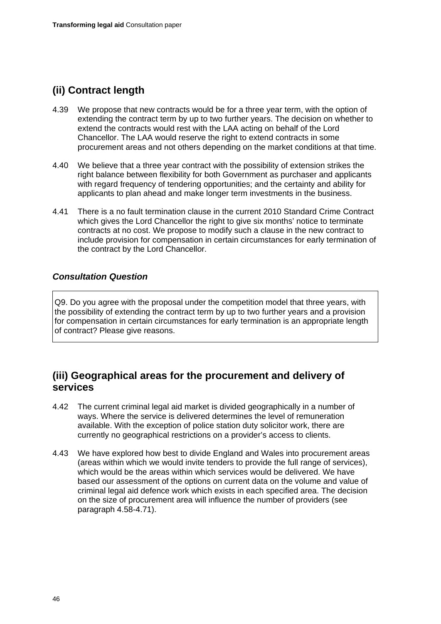# **(ii) Contract length**

- 4.39 We propose that new contracts would be for a three year term, with the option of extending the contract term by up to two further years. The decision on whether to extend the contracts would rest with the LAA acting on behalf of the Lord Chancellor. The LAA would reserve the right to extend contracts in some procurement areas and not others depending on the market conditions at that time.
- 4.40 We believe that a three year contract with the possibility of extension strikes the right balance between flexibility for both Government as purchaser and applicants with regard frequency of tendering opportunities; and the certainty and ability for applicants to plan ahead and make longer term investments in the business.
- 4.41 There is a no fault termination clause in the current 2010 Standard Crime Contract which gives the Lord Chancellor the right to give six months' notice to terminate contracts at no cost. We propose to modify such a clause in the new contract to include provision for compensation in certain circumstances for early termination of the contract by the Lord Chancellor.

## *Consultation Question*

Q9. Do you agree with the proposal under the competition model that three years, with the possibility of extending the contract term by up to two further years and a provision for compensation in certain circumstances for early termination is an appropriate length of contract? Please give reasons.

# **(iii) Geographical areas for the procurement and delivery of services**

- 4.42 The current criminal legal aid market is divided geographically in a number of ways. Where the service is delivered determines the level of remuneration available. With the exception of police station duty solicitor work, there are currently no geographical restrictions on a provider's access to clients.
- 4.43 We have explored how best to divide England and Wales into procurement areas (areas within which we would invite tenders to provide the full range of services), which would be the areas within which services would be delivered. We have based our assessment of the options on current data on the volume and value of criminal legal aid defence work which exists in each specified area. The decision on the size of procurement area will influence the number of providers (see paragraph 4.58-4.71).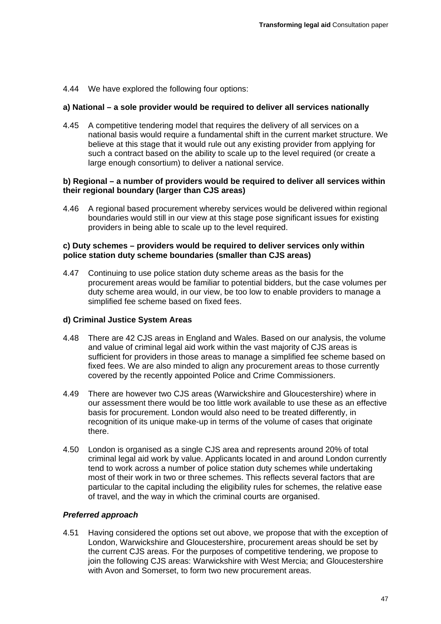4.44 We have explored the following four options:

#### **a) National – a sole provider would be required to deliver all services nationally**

4.45 A competitive tendering model that requires the delivery of all services on a national basis would require a fundamental shift in the current market structure. We believe at this stage that it would rule out any existing provider from applying for such a contract based on the ability to scale up to the level required (or create a large enough consortium) to deliver a national service.

#### **b) Regional – a number of providers would be required to deliver all services within their regional boundary (larger than CJS areas)**

4.46 A regional based procurement whereby services would be delivered within regional boundaries would still in our view at this stage pose significant issues for existing providers in being able to scale up to the level required.

#### **c) Duty schemes – providers would be required to deliver services only within police station duty scheme boundaries (smaller than CJS areas)**

4.47 Continuing to use police station duty scheme areas as the basis for the procurement areas would be familiar to potential bidders, but the case volumes per duty scheme area would, in our view, be too low to enable providers to manage a simplified fee scheme based on fixed fees.

#### **d) Criminal Justice System Areas**

- 4.48 There are 42 CJS areas in England and Wales. Based on our analysis, the volume and value of criminal legal aid work within the vast majority of CJS areas is sufficient for providers in those areas to manage a simplified fee scheme based on fixed fees. We are also minded to align any procurement areas to those currently covered by the recently appointed Police and Crime Commissioners.
- 4.49 There are however two CJS areas (Warwickshire and Gloucestershire) where in our assessment there would be too little work available to use these as an effective basis for procurement. London would also need to be treated differently, in recognition of its unique make-up in terms of the volume of cases that originate there.
- 4.50 London is organised as a single CJS area and represents around 20% of total criminal legal aid work by value. Applicants located in and around London currently tend to work across a number of police station duty schemes while undertaking most of their work in two or three schemes. This reflects several factors that are particular to the capital including the eligibility rules for schemes, the relative ease of travel, and the way in which the criminal courts are organised.

### *Preferred approach*

4.51 Having considered the options set out above, we propose that with the exception of London, Warwickshire and Gloucestershire, procurement areas should be set by the current CJS areas. For the purposes of competitive tendering, we propose to join the following CJS areas: Warwickshire with West Mercia; and Gloucestershire with Avon and Somerset, to form two new procurement areas.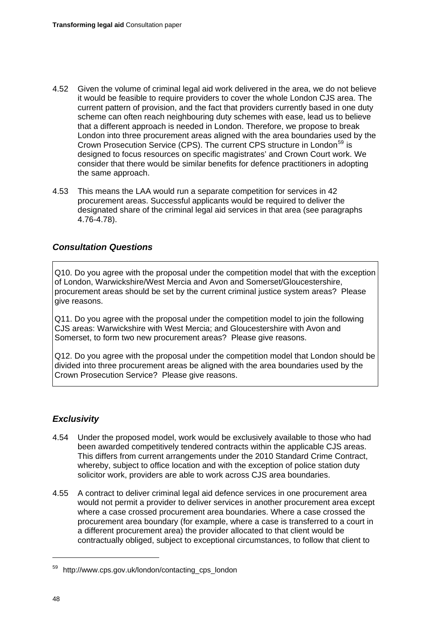- 4.52 Given the volume of criminal legal aid work delivered in the area, we do not believe it would be feasible to require providers to cover the whole London CJS area. The current pattern of provision, and the fact that providers currently based in one duty scheme can often reach neighbouring duty schemes with ease, lead us to believe that a different approach is needed in London. Therefore, we propose to break London into three procurement areas aligned with the area boundaries used by the Crown Prosecution Service (CPS). The current CPS structure in London<sup>[59](#page-50-0)</sup> is designed to focus resources on specific magistrates' and Crown Court work. We consider that there would be similar benefits for defence practitioners in adopting the same approach.
- 4.53 This means the LAA would run a separate competition for services in 42 procurement areas. Successful applicants would be required to deliver the designated share of the criminal legal aid services in that area (see paragraphs 4.76-4.78).

## *Consultation Questions*

Q10. Do you agree with the proposal under the competition model that with the exception of London, Warwickshire/West Mercia and Avon and Somerset/Gloucestershire, procurement areas should be set by the current criminal justice system areas? Please give reasons.

Q11. Do you agree with the proposal under the competition model to join the following CJS areas: Warwickshire with West Mercia; and Gloucestershire with Avon and Somerset, to form two new procurement areas? Please give reasons.

Q12. Do you agree with the proposal under the competition model that London should be divided into three procurement areas be aligned with the area boundaries used by the Crown Prosecution Service? Please give reasons.

## *Exclusivity*

- 4.54 Under the proposed model, work would be exclusively available to those who had been awarded competitively tendered contracts within the applicable CJS areas. This differs from current arrangements under the 2010 Standard Crime Contract, whereby, subject to office location and with the exception of police station duty solicitor work, providers are able to work across CJS area boundaries.
- 4.55 A contract to deliver criminal legal aid defence services in one procurement area would not permit a provider to deliver services in another procurement area except where a case crossed procurement area boundaries. Where a case crossed the procurement area boundary (for example, where a case is transferred to a court in a different procurement area) the provider allocated to that client would be contractually obliged, subject to exceptional circumstances, to follow that client to

<span id="page-50-0"></span><sup>59</sup> http://www.cps.gov.uk/london/contacting\_cps\_london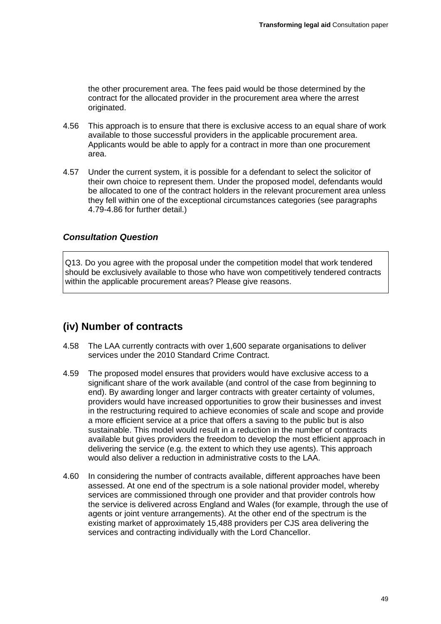the other procurement area. The fees paid would be those determined by the contract for the allocated provider in the procurement area where the arrest originated.

- 4.56 This approach is to ensure that there is exclusive access to an equal share of work available to those successful providers in the applicable procurement area. Applicants would be able to apply for a contract in more than one procurement area.
- 4.57 Under the current system, it is possible for a defendant to select the solicitor of their own choice to represent them. Under the proposed model, defendants would be allocated to one of the contract holders in the relevant procurement area unless they fell within one of the exceptional circumstances categories (see paragraphs 4.79-4.86 for further detail.)

### *Consultation Question*

Q13. Do you agree with the proposal under the competition model that work tendered should be exclusively available to those who have won competitively tendered contracts within the applicable procurement areas? Please give reasons.

## **(iv) Number of contracts**

- 4.58 The LAA currently contracts with over 1,600 separate organisations to deliver services under the 2010 Standard Crime Contract.
- 4.59 The proposed model ensures that providers would have exclusive access to a significant share of the work available (and control of the case from beginning to end). By awarding longer and larger contracts with greater certainty of volumes, providers would have increased opportunities to grow their businesses and invest in the restructuring required to achieve economies of scale and scope and provide a more efficient service at a price that offers a saving to the public but is also sustainable. This model would result in a reduction in the number of contracts available but gives providers the freedom to develop the most efficient approach in delivering the service (e.g. the extent to which they use agents). This approach would also deliver a reduction in administrative costs to the LAA.
- 4.60 In considering the number of contracts available, different approaches have been assessed. At one end of the spectrum is a sole national provider model, whereby services are commissioned through one provider and that provider controls how the service is delivered across England and Wales (for example, through the use of agents or joint venture arrangements). At the other end of the spectrum is the existing market of approximately 15,488 providers per CJS area delivering the services and contracting individually with the Lord Chancellor.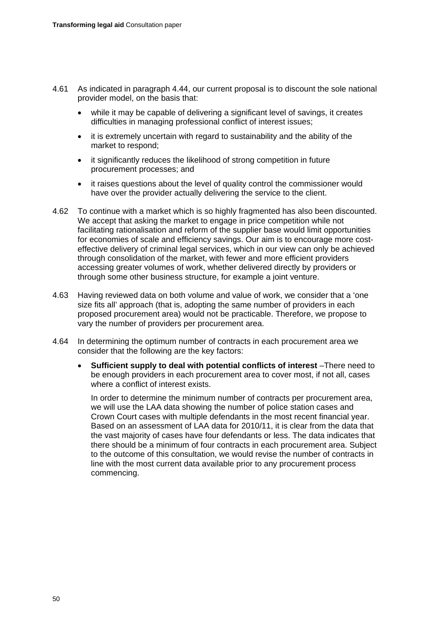- 4.61 As indicated in paragraph 4.44, our current proposal is to discount the sole national provider model, on the basis that:
	- while it may be capable of delivering a significant level of savings, it creates difficulties in managing professional conflict of interest issues;
	- it is extremely uncertain with regard to sustainability and the ability of the market to respond;
	- it significantly reduces the likelihood of strong competition in future procurement processes; and
	- it raises questions about the level of quality control the commissioner would have over the provider actually delivering the service to the client.
- 4.62 To continue with a market which is so highly fragmented has also been discounted. We accept that asking the market to engage in price competition while not facilitating rationalisation and reform of the supplier base would limit opportunities for economies of scale and efficiency savings. Our aim is to encourage more costeffective delivery of criminal legal services, which in our view can only be achieved through consolidation of the market, with fewer and more efficient providers accessing greater volumes of work, whether delivered directly by providers or through some other business structure, for example a joint venture.
- 4.63 Having reviewed data on both volume and value of work, we consider that a 'one size fits all' approach (that is, adopting the same number of providers in each proposed procurement area) would not be practicable. Therefore, we propose to vary the number of providers per procurement area.
- 4.64 In determining the optimum number of contracts in each procurement area we consider that the following are the key factors:
	- **Sufficient supply to deal with potential conflicts of interest** –There need to be enough providers in each procurement area to cover most, if not all, cases where a conflict of interest exists.

In order to determine the minimum number of contracts per procurement area, we will use the LAA data showing the number of police station cases and Crown Court cases with multiple defendants in the most recent financial year. Based on an assessment of LAA data for 2010/11, it is clear from the data that the vast majority of cases have four defendants or less. The data indicates that there should be a minimum of four contracts in each procurement area. Subject to the outcome of this consultation, we would revise the number of contracts in line with the most current data available prior to any procurement process commencing.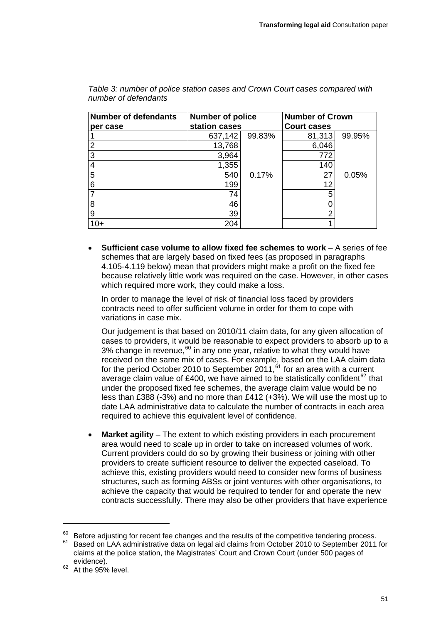| <b>Number of defendants</b><br>per case | <b>Number of police</b><br>station cases |        | <b>Number of Crown</b><br><b>Court cases</b> |        |
|-----------------------------------------|------------------------------------------|--------|----------------------------------------------|--------|
|                                         | 637,142                                  | 99.83% | 81,313                                       | 99.95% |
| າ                                       | 13,768                                   |        | 6,046                                        |        |
| 3                                       | 3,964                                    |        | 772                                          |        |
|                                         | 1,355                                    |        | 140                                          |        |
| 5                                       | 540                                      | 0.17%  | 27                                           | 0.05%  |
| 6                                       | 199                                      |        | 12                                           |        |
|                                         | 74                                       |        | 5                                            |        |
| 8                                       | 46                                       |        |                                              |        |
|                                         | 39                                       |        | ◠                                            |        |
| $10+$                                   | 204                                      |        |                                              |        |

*Table 3: number of police station cases and Crown Court cases compared with number of defendants* 

 **Sufficient case volume to allow fixed fee schemes to work** – A series of fee schemes that are largely based on fixed fees (as proposed in paragraphs 4.105-4.119 below) mean that providers might make a profit on the fixed fee because relatively little work was required on the case. However, in other cases which required more work, they could make a loss.

In order to manage the level of risk of financial loss faced by providers contracts need to offer sufficient volume in order for them to cope with variations in case mix.

Our judgement is that based on 2010/11 claim data, for any given allocation of cases to providers, it would be reasonable to expect providers to absorb up to a  $3\%$  change in revenue,<sup>[60](#page-53-0)</sup> in any one year, relative to what they would have received on the same mix of cases. For example, based on the LAA claim data for the period October 2010 to September 2011, $^{61}$  $^{61}$  $^{61}$  for an area with a current average claim value of £400, we have aimed to be statistically confident<sup>[62](#page-53-2)</sup> that under the proposed fixed fee schemes, the average claim value would be no less than £388 (-3%) and no more than £412 (+3%). We will use the most up to date LAA administrative data to calculate the number of contracts in each area required to achieve this equivalent level of confidence.

 **Market agility** – The extent to which existing providers in each procurement area would need to scale up in order to take on increased volumes of work. Current providers could do so by growing their business or joining with other providers to create sufficient resource to deliver the expected caseload. To achieve this, existing providers would need to consider new forms of business structures, such as forming ABSs or joint ventures with other organisations, to achieve the capacity that would be required to tender for and operate the new contracts successfully. There may also be other providers that have experience

1

<span id="page-53-0"></span> $60$  Before adjusting for recent fee changes and the results of the competitive tendering process.<br> $61$  Based on LAA administrative data on legal aid claims from October 2010 to September 2011 for

<span id="page-53-1"></span>claims at the police station, the Magistrates' Court and Crown Court (under 500 pages of evidence).<br><sup>62</sup> At the 95% level.

<span id="page-53-2"></span>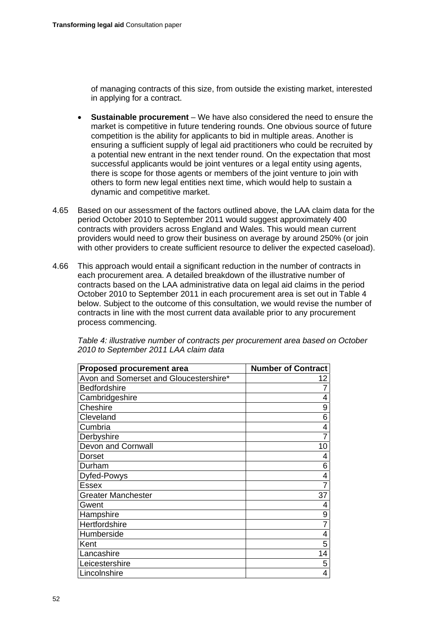of managing contracts of this size, from outside the existing market, interested in applying for a contract.

- **Sustainable procurement** We have also considered the need to ensure the market is competitive in future tendering rounds. One obvious source of future competition is the ability for applicants to bid in multiple areas. Another is ensuring a sufficient supply of legal aid practitioners who could be recruited by a potential new entrant in the next tender round. On the expectation that most successful applicants would be joint ventures or a legal entity using agents, there is scope for those agents or members of the joint venture to join with others to form new legal entities next time, which would help to sustain a dynamic and competitive market.
- 4.65 Based on our assessment of the factors outlined above, the LAA claim data for the period October 2010 to September 2011 would suggest approximately 400 contracts with providers across England and Wales. This would mean current providers would need to grow their business on average by around 250% (or join with other providers to create sufficient resource to deliver the expected caseload).
- 4.66 This approach would entail a significant reduction in the number of contracts in each procurement area. A detailed breakdown of the illustrative number of contracts based on the LAA administrative data on legal aid claims in the period October 2010 to September 2011 in each procurement area is set out in Table 4 below. Subject to the outcome of this consultation, we would revise the number of contracts in line with the most current data available prior to any procurement process commencing.

| <b>Proposed procurement area</b>       | <b>Number of Contract</b> |
|----------------------------------------|---------------------------|
| Avon and Somerset and Gloucestershire* | 12                        |
| <b>Bedfordshire</b>                    | 7                         |
| Cambridgeshire                         | 4                         |
| Cheshire                               | 9                         |
| Cleveland                              | 6                         |
| Cumbria                                | 4                         |
| Derbyshire                             |                           |
| <b>Devon and Cornwall</b>              | 10                        |
| <b>Dorset</b>                          | 4                         |
| Durham                                 | 6                         |
| Dyfed-Powys                            | 4                         |
| <b>Essex</b>                           | 7                         |
| <b>Greater Manchester</b>              | 37                        |
| Gwent                                  | 4                         |
| Hampshire                              | 9                         |
| Hertfordshire                          |                           |
| Humberside                             | 4                         |
| Kent                                   | 5                         |
| Lancashire                             | 14                        |
| Leicestershire                         | 5                         |
| Lincolnshire                           | 4                         |

*Table 4: illustrative number of contracts per procurement area based on October 2010 to September 2011 LAA claim data*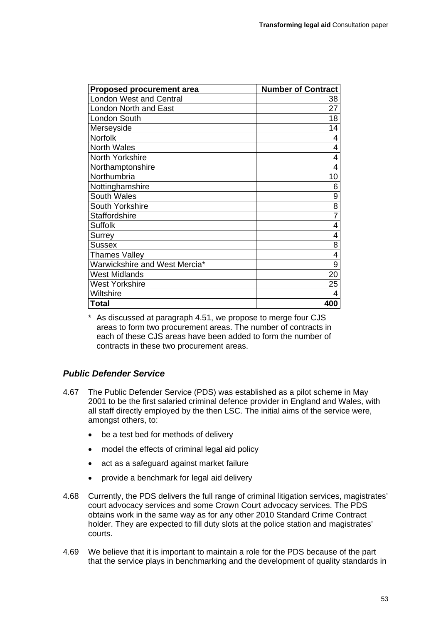| <b>Proposed procurement area</b> | <b>Number of Contract</b> |
|----------------------------------|---------------------------|
| <b>London West and Central</b>   | 38                        |
| <b>London North and East</b>     | 27                        |
| London South                     | 18                        |
| Merseyside                       | 14                        |
| <b>Norfolk</b>                   | 4                         |
| <b>North Wales</b>               | 4                         |
| <b>North Yorkshire</b>           | 4                         |
| Northamptonshire                 | 4                         |
| Northumbria                      | 10                        |
| Nottinghamshire                  | 6                         |
| South Wales                      | 9                         |
| South Yorkshire                  | 8                         |
| <b>Staffordshire</b>             | $\overline{7}$            |
| <b>Suffolk</b>                   | 4                         |
| Surrey                           | 4                         |
| <b>Sussex</b>                    | 8                         |
| <b>Thames Valley</b>             | 4                         |
| Warwickshire and West Mercia*    | 9                         |
| <b>West Midlands</b>             | 20                        |
| <b>West Yorkshire</b>            | 25                        |
| Wiltshire                        | 4                         |
| Total                            | 400                       |

\* As discussed at paragraph 4.51, we propose to merge four CJS areas to form two procurement areas. The number of contracts in each of these CJS areas have been added to form the number of contracts in these two procurement areas.

## *Public Defender Service*

- 4.67 The Public Defender Service (PDS) was established as a pilot scheme in May 2001 to be the first salaried criminal defence provider in England and Wales, with all staff directly employed by the then LSC. The initial aims of the service were, amongst others, to:
	- be a test bed for methods of delivery
	- model the effects of criminal legal aid policy
	- act as a safeguard against market failure
	- provide a benchmark for legal aid delivery
- 4.68 Currently, the PDS delivers the full range of criminal litigation services, magistrates' court advocacy services and some Crown Court advocacy services. The PDS obtains work in the same way as for any other 2010 Standard Crime Contract holder. They are expected to fill duty slots at the police station and magistrates' courts.
- 4.69 We believe that it is important to maintain a role for the PDS because of the part that the service plays in benchmarking and the development of quality standards in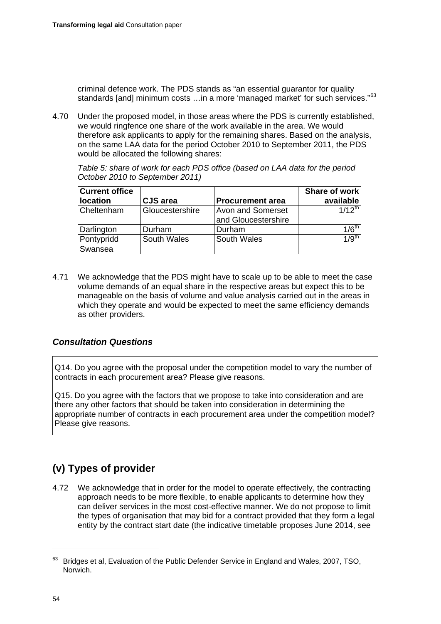criminal defence work. The PDS stands as "an essential guarantor for quality standards [and] minimum costs ...in a more 'managed market' for such services."<sup>63</sup>

4.70 Under the proposed model, in those areas where the PDS is currently established, we would ringfence one share of the work available in the area. We would therefore ask applicants to apply for the remaining shares. Based on the analysis, on the same LAA data for the period October 2010 to September 2011, the PDS would be allocated the following shares:

*Table 5: share of work for each PDS office (based on LAA data for the period October 2010 to September 2011)* 

| <b>Current office</b> |                 |                                                 | Share of work       |
|-----------------------|-----------------|-------------------------------------------------|---------------------|
| <b>location</b>       | <b>CJS</b> area | <b>Procurement area</b>                         | available           |
| Cheltenham            | Gloucestershire | <b>Avon and Somerset</b><br>and Gloucestershire | $1/12^{th}$         |
| Darlington            | Durham          | Durham                                          | $1/6$ <sup>th</sup> |
| Pontypridd            | South Wales     | South Wales                                     | $1/9$ <sup>th</sup> |
| Swansea               |                 |                                                 |                     |

4.71 We acknowledge that the PDS might have to scale up to be able to meet the case volume demands of an equal share in the respective areas but expect this to be manageable on the basis of volume and value analysis carried out in the areas in which they operate and would be expected to meet the same efficiency demands as other providers.

### *Consultation Questions*

Q14. Do you agree with the proposal under the competition model to vary the number of contracts in each procurement area? Please give reasons.

Q15. Do you agree with the factors that we propose to take into consideration and are there any other factors that should be taken into consideration in determining the appropriate number of contracts in each procurement area under the competition model? Please give reasons.

# **(v) Types of provider**

4.72 We acknowledge that in order for the model to operate effectively, the contracting approach needs to be more flexible, to enable applicants to determine how they can deliver services in the most cost-effective manner. We do not propose to limit the types of organisation that may bid for a contract provided that they form a legal entity by the contract start date (the indicative timetable proposes June 2014, see

<sup>&</sup>lt;sup>63</sup> Bridges et al, Evaluation of the Public Defender Service in England and Wales, 2007, TSO, Norwich.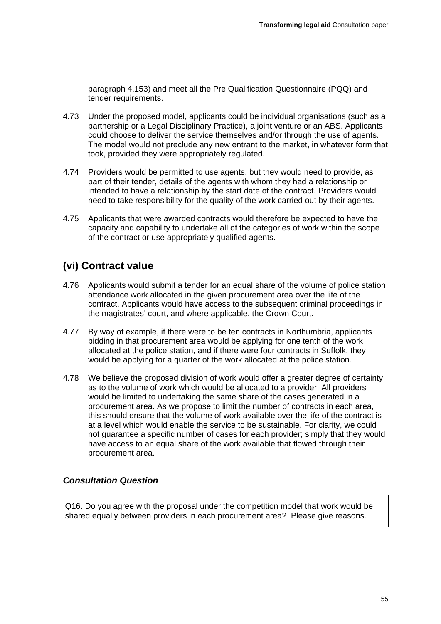paragraph 4.153) and meet all the Pre Qualification Questionnaire (PQQ) and tender requirements.

- 4.73 Under the proposed model, applicants could be individual organisations (such as a partnership or a Legal Disciplinary Practice), a joint venture or an ABS. Applicants could choose to deliver the service themselves and/or through the use of agents. The model would not preclude any new entrant to the market, in whatever form that took, provided they were appropriately regulated.
- 4.74 Providers would be permitted to use agents, but they would need to provide, as part of their tender, details of the agents with whom they had a relationship or intended to have a relationship by the start date of the contract. Providers would need to take responsibility for the quality of the work carried out by their agents.
- 4.75 Applicants that were awarded contracts would therefore be expected to have the capacity and capability to undertake all of the categories of work within the scope of the contract or use appropriately qualified agents.

# **(vi) Contract value**

- 4.76 Applicants would submit a tender for an equal share of the volume of police station attendance work allocated in the given procurement area over the life of the contract. Applicants would have access to the subsequent criminal proceedings in the magistrates' court, and where applicable, the Crown Court.
- 4.77 By way of example, if there were to be ten contracts in Northumbria, applicants bidding in that procurement area would be applying for one tenth of the work allocated at the police station, and if there were four contracts in Suffolk, they would be applying for a quarter of the work allocated at the police station.
- 4.78 We believe the proposed division of work would offer a greater degree of certainty as to the volume of work which would be allocated to a provider. All providers would be limited to undertaking the same share of the cases generated in a procurement area. As we propose to limit the number of contracts in each area, this should ensure that the volume of work available over the life of the contract is at a level which would enable the service to be sustainable. For clarity, we could not guarantee a specific number of cases for each provider; simply that they would have access to an equal share of the work available that flowed through their procurement area.

### *Consultation Question*

Q16. Do you agree with the proposal under the competition model that work would be shared equally between providers in each procurement area? Please give reasons.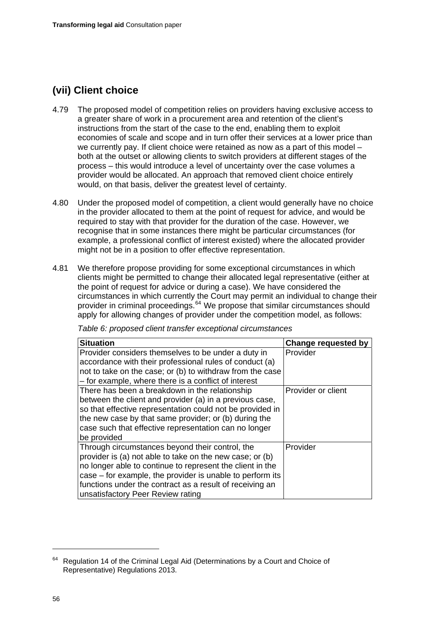# **(vii) Client choice**

- 4.79 The proposed model of competition relies on providers having exclusive access to a greater share of work in a procurement area and retention of the client's instructions from the start of the case to the end, enabling them to exploit economies of scale and scope and in turn offer their services at a lower price than we currently pay. If client choice were retained as now as a part of this model – both at the outset or allowing clients to switch providers at different stages of the process – this would introduce a level of uncertainty over the case volumes a provider would be allocated. An approach that removed client choice entirely would, on that basis, deliver the greatest level of certainty.
- 4.80 Under the proposed model of competition, a client would generally have no choice in the provider allocated to them at the point of request for advice, and would be required to stay with that provider for the duration of the case. However, we recognise that in some instances there might be particular circumstances (for example, a professional conflict of interest existed) where the allocated provider might not be in a position to offer effective representation.
- 4.81 We therefore propose providing for some exceptional circumstances in which clients might be permitted to change their allocated legal representative (either at the point of request for advice or during a case). We have considered the circumstances in which currently the Court may permit an individual to change their provider in criminal proceedings.[64](#page-58-0) We propose that similar circumstances should apply for allowing changes of provider under the competition model, as follows:

| <b>Situation</b>                                          | <b>Change requested by</b> |
|-----------------------------------------------------------|----------------------------|
| Provider considers themselves to be under a duty in       | Provider                   |
| accordance with their professional rules of conduct (a)   |                            |
| not to take on the case; or (b) to withdraw from the case |                            |
| - for example, where there is a conflict of interest      |                            |
| There has been a breakdown in the relationship            | Provider or client         |
| between the client and provider (a) in a previous case,   |                            |
| so that effective representation could not be provided in |                            |
| the new case by that same provider; or (b) during the     |                            |
| case such that effective representation can no longer     |                            |
| be provided                                               |                            |
| Through circumstances beyond their control, the           | Provider                   |
| provider is (a) not able to take on the new case; or (b)  |                            |
| no longer able to continue to represent the client in the |                            |
| case – for example, the provider is unable to perform its |                            |
| functions under the contract as a result of receiving an  |                            |
| unsatisfactory Peer Review rating                         |                            |

*Table 6: proposed client transfer exceptional circumstances* 

<span id="page-58-0"></span><sup>64</sup> Regulation 14 of the Criminal Legal Aid (Determinations by a Court and Choice of Representative) Regulations 2013.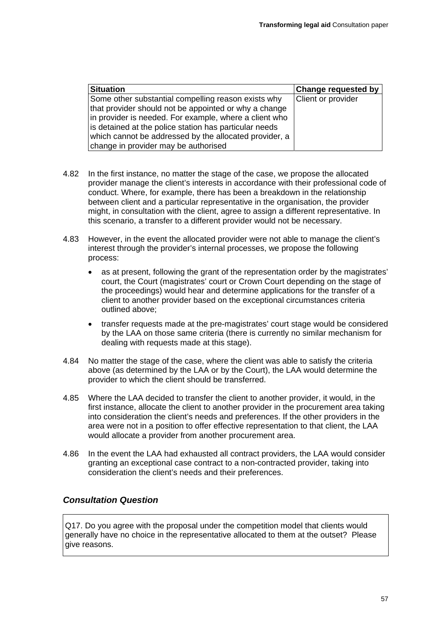| <b>Situation</b>                                       | <b>Change requested by</b> |
|--------------------------------------------------------|----------------------------|
| Some other substantial compelling reason exists why    | <b>Client or provider</b>  |
| that provider should not be appointed or why a change  |                            |
| in provider is needed. For example, where a client who |                            |
| is detained at the police station has particular needs |                            |
| which cannot be addressed by the allocated provider, a |                            |
| change in provider may be authorised                   |                            |

- 4.82 In the first instance, no matter the stage of the case, we propose the allocated provider manage the client's interests in accordance with their professional code of conduct. Where, for example, there has been a breakdown in the relationship between client and a particular representative in the organisation, the provider might, in consultation with the client, agree to assign a different representative. In this scenario, a transfer to a different provider would not be necessary.
- 4.83 However, in the event the allocated provider were not able to manage the client's interest through the provider's internal processes, we propose the following process:
	- as at present, following the grant of the representation order by the magistrates' court, the Court (magistrates' court or Crown Court depending on the stage of the proceedings) would hear and determine applications for the transfer of a client to another provider based on the exceptional circumstances criteria outlined above;
	- transfer requests made at the pre-magistrates' court stage would be considered by the LAA on those same criteria (there is currently no similar mechanism for dealing with requests made at this stage).
- 4.84 No matter the stage of the case, where the client was able to satisfy the criteria above (as determined by the LAA or by the Court), the LAA would determine the provider to which the client should be transferred.
- 4.85 Where the LAA decided to transfer the client to another provider, it would, in the first instance, allocate the client to another provider in the procurement area taking into consideration the client's needs and preferences. If the other providers in the area were not in a position to offer effective representation to that client, the LAA would allocate a provider from another procurement area.
- 4.86 In the event the LAA had exhausted all contract providers, the LAA would consider granting an exceptional case contract to a non-contracted provider, taking into consideration the client's needs and their preferences.

## *Consultation Question*

Q17. Do you agree with the proposal under the competition model that clients would generally have no choice in the representative allocated to them at the outset? Please give reasons.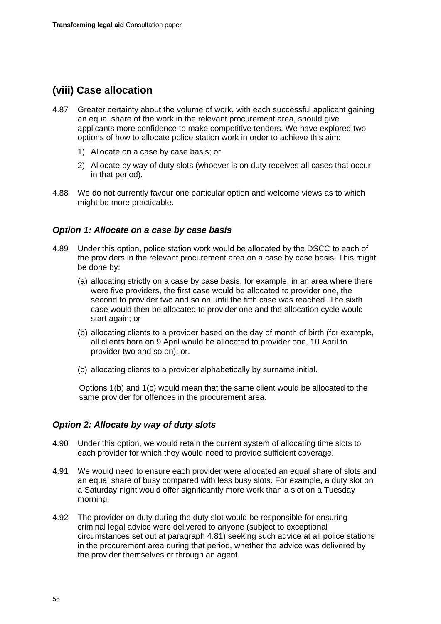# **(viii) Case allocation**

- 4.87 Greater certainty about the volume of work, with each successful applicant gaining an equal share of the work in the relevant procurement area, should give applicants more confidence to make competitive tenders. We have explored two options of how to allocate police station work in order to achieve this aim:
	- 1) Allocate on a case by case basis; or
	- 2) Allocate by way of duty slots (whoever is on duty receives all cases that occur in that period).
- 4.88 We do not currently favour one particular option and welcome views as to which might be more practicable.

### *Option 1: Allocate on a case by case basis*

- 4.89 Under this option, police station work would be allocated by the DSCC to each of the providers in the relevant procurement area on a case by case basis. This might be done by:
	- (a) allocating strictly on a case by case basis, for example, in an area where there were five providers, the first case would be allocated to provider one, the second to provider two and so on until the fifth case was reached. The sixth case would then be allocated to provider one and the allocation cycle would start again; or
	- (b) allocating clients to a provider based on the day of month of birth (for example, all clients born on 9 April would be allocated to provider one, 10 April to provider two and so on); or.
	- (c) allocating clients to a provider alphabetically by surname initial.

Options 1(b) and 1(c) would mean that the same client would be allocated to the same provider for offences in the procurement area.

## *Option 2: Allocate by way of duty slots*

- 4.90 Under this option, we would retain the current system of allocating time slots to each provider for which they would need to provide sufficient coverage.
- 4.91 We would need to ensure each provider were allocated an equal share of slots and an equal share of busy compared with less busy slots. For example, a duty slot on a Saturday night would offer significantly more work than a slot on a Tuesday morning.
- 4.92 The provider on duty during the duty slot would be responsible for ensuring criminal legal advice were delivered to anyone (subject to exceptional circumstances set out at paragraph 4.81) seeking such advice at all police stations in the procurement area during that period, whether the advice was delivered by the provider themselves or through an agent.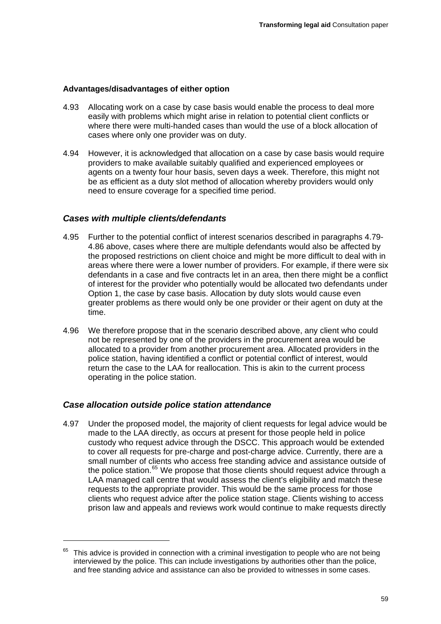#### **Advantages/disadvantages of either option**

- 4.93 Allocating work on a case by case basis would enable the process to deal more easily with problems which might arise in relation to potential client conflicts or where there were multi-handed cases than would the use of a block allocation of cases where only one provider was on duty.
- 4.94 However, it is acknowledged that allocation on a case by case basis would require providers to make available suitably qualified and experienced employees or agents on a twenty four hour basis, seven days a week. Therefore, this might not be as efficient as a duty slot method of allocation whereby providers would only need to ensure coverage for a specified time period.

### *Cases with multiple clients/defendants*

- 4.95 Further to the potential conflict of interest scenarios described in paragraphs 4.79- 4.86 above, cases where there are multiple defendants would also be affected by the proposed restrictions on client choice and might be more difficult to deal with in areas where there were a lower number of providers. For example, if there were six defendants in a case and five contracts let in an area, then there might be a conflict of interest for the provider who potentially would be allocated two defendants under Option 1, the case by case basis. Allocation by duty slots would cause even greater problems as there would only be one provider or their agent on duty at the time.
- 4.96 We therefore propose that in the scenario described above, any client who could not be represented by one of the providers in the procurement area would be allocated to a provider from another procurement area. Allocated providers in the police station, having identified a conflict or potential conflict of interest, would return the case to the LAA for reallocation. This is akin to the current process operating in the police station.

### *Case allocation outside police station attendance*

1

4.97 Under the proposed model, the majority of client requests for legal advice would be made to the LAA directly, as occurs at present for those people held in police custody who request advice through the DSCC. This approach would be extended to cover all requests for pre-charge and post-charge advice. Currently, there are a small number of clients who access free standing advice and assistance outside of the police station.<sup>[65](#page-61-0)</sup> We propose that those clients should request advice through a LAA managed call centre that would assess the client's eligibility and match these requests to the appropriate provider. This would be the same process for those clients who request advice after the police station stage. Clients wishing to access prison law and appeals and reviews work would continue to make requests directly

<span id="page-61-0"></span>This advice is provided in connection with a criminal investigation to people who are not being interviewed by the police. This can include investigations by authorities other than the police, and free standing advice and assistance can also be provided to witnesses in some cases.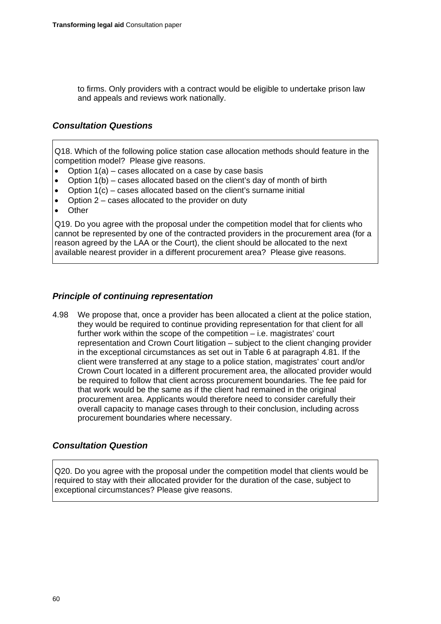to firms. Only providers with a contract would be eligible to undertake prison law and appeals and reviews work nationally.

### *Consultation Questions*

Q18. Which of the following police station case allocation methods should feature in the competition model? Please give reasons.

- Option  $1(a)$  cases allocated on a case by case basis
- Option 1(b) cases allocated based on the client's day of month of birth
- Option  $1(c)$  cases allocated based on the client's surname initial
- Option  $2 \text{cases}$  allocated to the provider on duty
- Other

Q19. Do you agree with the proposal under the competition model that for clients who cannot be represented by one of the contracted providers in the procurement area (for a reason agreed by the LAA or the Court), the client should be allocated to the next available nearest provider in a different procurement area? Please give reasons.

### *Principle of continuing representation*

4.98 We propose that, once a provider has been allocated a client at the police station, they would be required to continue providing representation for that client for all further work within the scope of the competition – i.e. magistrates' court representation and Crown Court litigation – subject to the client changing provider in the exceptional circumstances as set out in Table 6 at paragraph 4.81. If the client were transferred at any stage to a police station, magistrates' court and/or Crown Court located in a different procurement area, the allocated provider would be required to follow that client across procurement boundaries. The fee paid for that work would be the same as if the client had remained in the original procurement area. Applicants would therefore need to consider carefully their overall capacity to manage cases through to their conclusion, including across procurement boundaries where necessary.

### *Consultation Question*

Q20. Do you agree with the proposal under the competition model that clients would be required to stay with their allocated provider for the duration of the case, subject to exceptional circumstances? Please give reasons.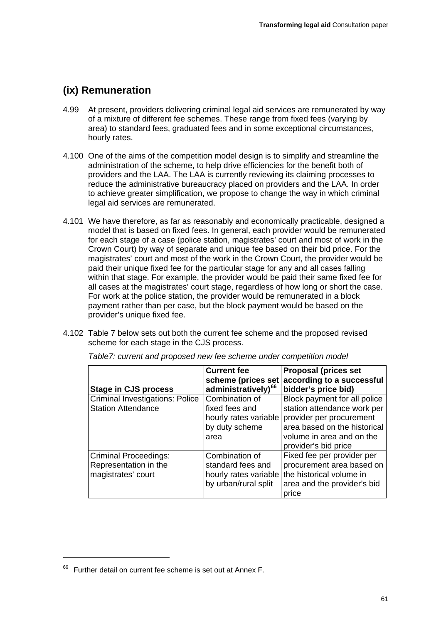# **(ix) Remuneration**

- 4.99 At present, providers delivering criminal legal aid services are remunerated by way of a mixture of different fee schemes. These range from fixed fees (varying by area) to standard fees, graduated fees and in some exceptional circumstances, hourly rates.
- 4.100 One of the aims of the competition model design is to simplify and streamline the administration of the scheme, to help drive efficiencies for the benefit both of providers and the LAA. The LAA is currently reviewing its claiming processes to reduce the administrative bureaucracy placed on providers and the LAA. In order to achieve greater simplification, we propose to change the way in which criminal legal aid services are remunerated.
- 4.101 We have therefore, as far as reasonably and economically practicable, designed a model that is based on fixed fees. In general, each provider would be remunerated for each stage of a case (police station, magistrates' court and most of work in the Crown Court) by way of separate and unique fee based on their bid price. For the magistrates' court and most of the work in the Crown Court, the provider would be paid their unique fixed fee for the particular stage for any and all cases falling within that stage. For example, the provider would be paid their same fixed fee for all cases at the magistrates' court stage, regardless of how long or short the case. For work at the police station, the provider would be remunerated in a block payment rather than per case, but the block payment would be based on the provider's unique fixed fee.
- 4.102 Table 7 below sets out both the current fee scheme and the proposed revised scheme for each stage in the CJS process.

|                                        | <b>Current fee</b><br>scheme (prices set | <b>Proposal (prices set</b><br>according to a successful |
|----------------------------------------|------------------------------------------|----------------------------------------------------------|
| <b>Stage in CJS process</b>            | administratively) <sup>66</sup>          | bidder's price bid)                                      |
| <b>Criminal Investigations: Police</b> | Combination of                           | Block payment for all police                             |
| <b>Station Attendance</b>              | fixed fees and                           | station attendance work per                              |
|                                        | hourly rates variable                    | provider per procurement                                 |
|                                        | by duty scheme                           | area based on the historical                             |
|                                        | area                                     | volume in area and on the                                |
|                                        |                                          | provider's bid price                                     |
| <b>Criminal Proceedings:</b>           | Combination of                           | Fixed fee per provider per                               |
| Representation in the                  | standard fees and                        | procurement area based on                                |
| magistrates' court                     | hourly rates variable                    | the historical volume in                                 |
|                                        | by urban/rural split                     | area and the provider's bid                              |
|                                        |                                          | price                                                    |

*Table7: current and proposed new fee scheme under competition model* 

<span id="page-63-0"></span><sup>&</sup>lt;sup>66</sup> Further detail on current fee scheme is set out at Annex F.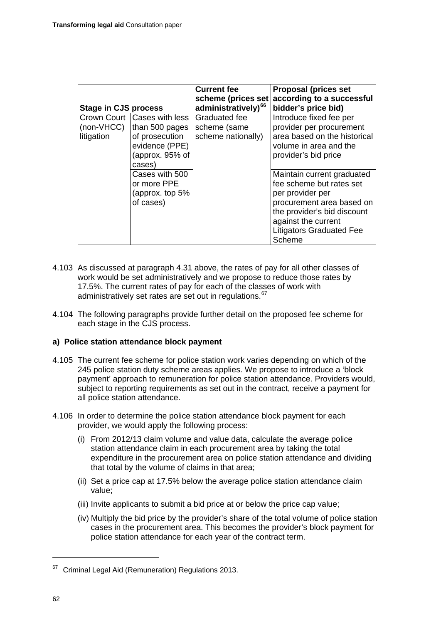| <b>Stage in CJS process</b> |                                                                                                                  | <b>Current fee</b><br>scheme (prices set<br>administratively) <sup>66</sup> | <b>Proposal (prices set</b><br>according to a successful<br>bidder's price bid)                                                                                                                            |
|-----------------------------|------------------------------------------------------------------------------------------------------------------|-----------------------------------------------------------------------------|------------------------------------------------------------------------------------------------------------------------------------------------------------------------------------------------------------|
| (non-VHCC)<br>litigation    | Crown Court   Cases with less<br>than 500 pages<br>of prosecution<br>evidence (PPE)<br>(approx. 95% of<br>cases) | Graduated fee<br>scheme (same<br>scheme nationally)                         | Introduce fixed fee per<br>provider per procurement<br>area based on the historical<br>volume in area and the<br>provider's bid price                                                                      |
|                             | Cases with 500<br>or more PPE<br>(approx. top $5\%$<br>of cases)                                                 |                                                                             | Maintain current graduated<br>fee scheme but rates set<br>per provider per<br>procurement area based on<br>the provider's bid discount<br>against the current<br><b>Litigators Graduated Fee</b><br>Scheme |

- 4.103 As discussed at paragraph 4.31 above, the rates of pay for all other classes of work would be set administratively and we propose to reduce those rates by 17.5%. The current rates of pay for each of the classes of work with administratively set rates are set out in regulations.<sup>[67](#page-64-0)</sup>
- 4.104 The following paragraphs provide further detail on the proposed fee scheme for each stage in the CJS process.

### **a) Police station attendance block payment**

- 4.105 The current fee scheme for police station work varies depending on which of the 245 police station duty scheme areas applies. We propose to introduce a 'block payment' approach to remuneration for police station attendance. Providers would, subject to reporting requirements as set out in the contract, receive a payment for all police station attendance.
- 4.106 In order to determine the police station attendance block payment for each provider, we would apply the following process:
	- (i) From 2012/13 claim volume and value data, calculate the average police station attendance claim in each procurement area by taking the total expenditure in the procurement area on police station attendance and dividing that total by the volume of claims in that area;
	- (ii) Set a price cap at 17.5% below the average police station attendance claim value;
	- (iii) Invite applicants to submit a bid price at or below the price cap value;
	- (iv) Multiply the bid price by the provider's share of the total volume of police station cases in the procurement area. This becomes the provider's block payment for police station attendance for each year of the contract term.

<span id="page-64-0"></span> $67$  Criminal Legal Aid (Remuneration) Regulations 2013.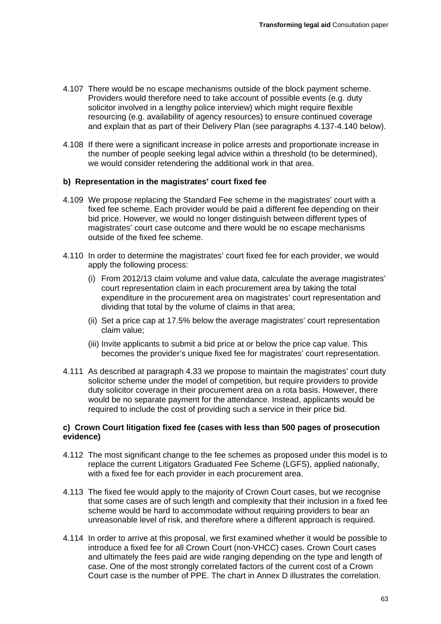- 4.107 There would be no escape mechanisms outside of the block payment scheme. Providers would therefore need to take account of possible events (e.g. duty solicitor involved in a lengthy police interview) which might require flexible resourcing (e.g. availability of agency resources) to ensure continued coverage and explain that as part of their Delivery Plan (see paragraphs 4.137-4.140 below).
- 4.108 If there were a significant increase in police arrests and proportionate increase in the number of people seeking legal advice within a threshold (to be determined), we would consider retendering the additional work in that area.

#### **b) Representation in the magistrates' court fixed fee**

- 4.109 We propose replacing the Standard Fee scheme in the magistrates' court with a fixed fee scheme. Each provider would be paid a different fee depending on their bid price. However, we would no longer distinguish between different types of magistrates' court case outcome and there would be no escape mechanisms outside of the fixed fee scheme.
- 4.110 In order to determine the magistrates' court fixed fee for each provider, we would apply the following process:
	- (i) From 2012/13 claim volume and value data, calculate the average magistrates' court representation claim in each procurement area by taking the total expenditure in the procurement area on magistrates' court representation and dividing that total by the volume of claims in that area;
	- (ii) Set a price cap at 17.5% below the average magistrates' court representation claim value;
	- (iii) Invite applicants to submit a bid price at or below the price cap value. This becomes the provider's unique fixed fee for magistrates' court representation.
- 4.111 As described at paragraph 4.33 we propose to maintain the magistrates' court duty solicitor scheme under the model of competition, but require providers to provide duty solicitor coverage in their procurement area on a rota basis. However, there would be no separate payment for the attendance. Instead, applicants would be required to include the cost of providing such a service in their price bid.

#### **c) Crown Court litigation fixed fee (cases with less than 500 pages of prosecution evidence)**

- 4.112 The most significant change to the fee schemes as proposed under this model is to replace the current Litigators Graduated Fee Scheme (LGFS), applied nationally, with a fixed fee for each provider in each procurement area.
- 4.113 The fixed fee would apply to the majority of Crown Court cases, but we recognise that some cases are of such length and complexity that their inclusion in a fixed fee scheme would be hard to accommodate without requiring providers to bear an unreasonable level of risk, and therefore where a different approach is required.
- 4.114 In order to arrive at this proposal, we first examined whether it would be possible to introduce a fixed fee for all Crown Court (non-VHCC) cases. Crown Court cases and ultimately the fees paid are wide ranging depending on the type and length of case. One of the most strongly correlated factors of the current cost of a Crown Court case is the number of PPE. The chart in Annex D illustrates the correlation.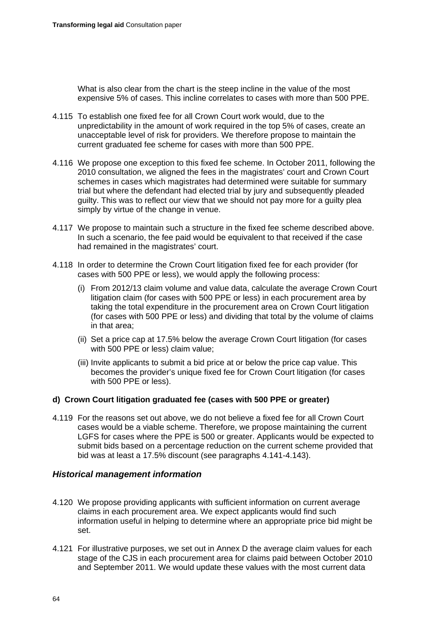What is also clear from the chart is the steep incline in the value of the most expensive 5% of cases. This incline correlates to cases with more than 500 PPE.

- 4.115 To establish one fixed fee for all Crown Court work would, due to the unpredictability in the amount of work required in the top 5% of cases, create an unacceptable level of risk for providers. We therefore propose to maintain the current graduated fee scheme for cases with more than 500 PPE.
- 4.116 We propose one exception to this fixed fee scheme. In October 2011, following the 2010 consultation, we aligned the fees in the magistrates' court and Crown Court schemes in cases which magistrates had determined were suitable for summary trial but where the defendant had elected trial by jury and subsequently pleaded guilty. This was to reflect our view that we should not pay more for a guilty plea simply by virtue of the change in venue.
- 4.117 We propose to maintain such a structure in the fixed fee scheme described above. In such a scenario, the fee paid would be equivalent to that received if the case had remained in the magistrates' court.
- 4.118 In order to determine the Crown Court litigation fixed fee for each provider (for cases with 500 PPE or less), we would apply the following process:
	- (i) From 2012/13 claim volume and value data, calculate the average Crown Court litigation claim (for cases with 500 PPE or less) in each procurement area by taking the total expenditure in the procurement area on Crown Court litigation (for cases with 500 PPE or less) and dividing that total by the volume of claims in that area;
	- (ii) Set a price cap at 17.5% below the average Crown Court litigation (for cases with 500 PPE or less) claim value;
	- (iii) Invite applicants to submit a bid price at or below the price cap value. This becomes the provider's unique fixed fee for Crown Court litigation (for cases with 500 PPE or less).

### **d) Crown Court litigation graduated fee (cases with 500 PPE or greater)**

4.119 For the reasons set out above, we do not believe a fixed fee for all Crown Court cases would be a viable scheme. Therefore, we propose maintaining the current LGFS for cases where the PPE is 500 or greater. Applicants would be expected to submit bids based on a percentage reduction on the current scheme provided that bid was at least a 17.5% discount (see paragraphs 4.141-4.143).

### *Historical management information*

- 4.120 We propose providing applicants with sufficient information on current average claims in each procurement area. We expect applicants would find such information useful in helping to determine where an appropriate price bid might be set.
- 4.121 For illustrative purposes, we set out in Annex D the average claim values for each stage of the CJS in each procurement area for claims paid between October 2010 and September 2011. We would update these values with the most current data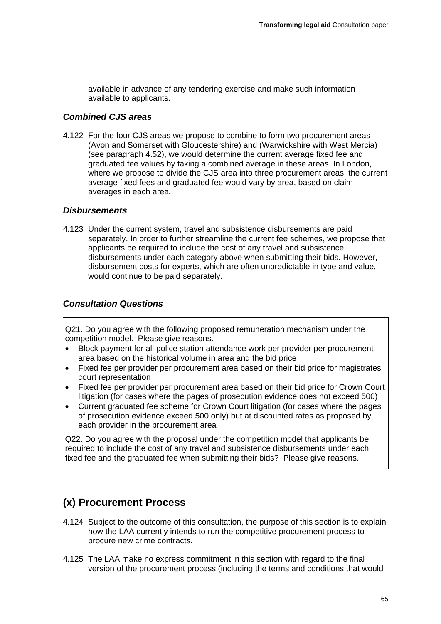available in advance of any tendering exercise and make such information available to applicants.

### *Combined CJS areas*

4.122 For the four CJS areas we propose to combine to form two procurement areas (Avon and Somerset with Gloucestershire) and (Warwickshire with West Mercia) (see paragraph 4.52), we would determine the current average fixed fee and graduated fee values by taking a combined average in these areas. In London, where we propose to divide the CJS area into three procurement areas, the current average fixed fees and graduated fee would vary by area, based on claim averages in each area**.**

### *Disbursements*

4.123 Under the current system, travel and subsistence disbursements are paid separately. In order to further streamline the current fee schemes, we propose that applicants be required to include the cost of any travel and subsistence disbursements under each category above when submitting their bids. However, disbursement costs for experts, which are often unpredictable in type and value, would continue to be paid separately.

### *Consultation Questions*

Q21. Do you agree with the following proposed remuneration mechanism under the competition model. Please give reasons.

- Block payment for all police station attendance work per provider per procurement area based on the historical volume in area and the bid price
- Fixed fee per provider per procurement area based on their bid price for magistrates' court representation
- Fixed fee per provider per procurement area based on their bid price for Crown Court litigation (for cases where the pages of prosecution evidence does not exceed 500)
- Current graduated fee scheme for Crown Court litigation (for cases where the pages of prosecution evidence exceed 500 only) but at discounted rates as proposed by each provider in the procurement area

Q22. Do you agree with the proposal under the competition model that applicants be required to include the cost of any travel and subsistence disbursements under each fixed fee and the graduated fee when submitting their bids? Please give reasons.

# **(x) Procurement Process**

- 4.124 Subject to the outcome of this consultation, the purpose of this section is to explain how the LAA currently intends to run the competitive procurement process to procure new crime contracts.
- 4.125 The LAA make no express commitment in this section with regard to the final version of the procurement process (including the terms and conditions that would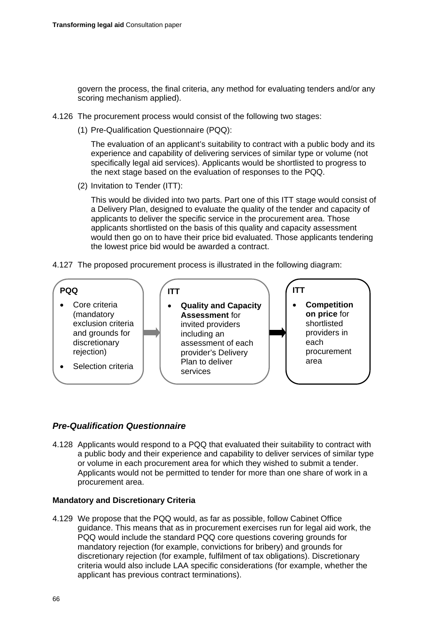govern the process, the final criteria, any method for evaluating tenders and/or any scoring mechanism applied).

- 4.126 The procurement process would consist of the following two stages:
	- (1) Pre-Qualification Questionnaire (PQQ):

The evaluation of an applicant's suitability to contract with a public body and its experience and capability of delivering services of similar type or volume (not specifically legal aid services). Applicants would be shortlisted to progress to the next stage based on the evaluation of responses to the PQQ.

(2) Invitation to Tender (ITT):

This would be divided into two parts. Part one of this ITT stage would consist of a Delivery Plan, designed to evaluate the quality of the tender and capacity of applicants to deliver the specific service in the procurement area. Those applicants shortlisted on the basis of this quality and capacity assessment would then go on to have their price bid evaluated. Those applicants tendering the lowest price bid would be awarded a contract.

4.127 The proposed procurement process is illustrated in the following diagram:



### *Pre-Qualification Questionnaire*

4.128 Applicants would respond to a PQQ that evaluated their suitability to contract with a public body and their experience and capability to deliver services of similar type or volume in each procurement area for which they wished to submit a tender. Applicants would not be permitted to tender for more than one share of work in a procurement area.

#### **Mandatory and Discretionary Criteria**

4.129 We propose that the PQQ would, as far as possible, follow Cabinet Office guidance. This means that as in procurement exercises run for legal aid work, the PQQ would include the standard PQQ core questions covering grounds for mandatory rejection (for example, convictions for bribery) and grounds for discretionary rejection (for example, fulfilment of tax obligations). Discretionary criteria would also include LAA specific considerations (for example, whether the applicant has previous contract terminations).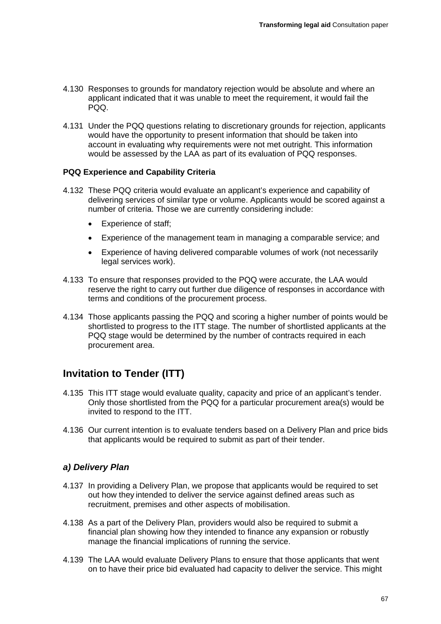- 4.130 Responses to grounds for mandatory rejection would be absolute and where an applicant indicated that it was unable to meet the requirement, it would fail the PQQ.
- 4.131 Under the PQQ questions relating to discretionary grounds for rejection, applicants would have the opportunity to present information that should be taken into account in evaluating why requirements were not met outright. This information would be assessed by the LAA as part of its evaluation of PQQ responses.

#### **PQQ Experience and Capability Criteria**

- 4.132 These PQQ criteria would evaluate an applicant's experience and capability of delivering services of similar type or volume. Applicants would be scored against a number of criteria. Those we are currently considering include:
	- Experience of staff:
	- Experience of the management team in managing a comparable service; and
	- Experience of having delivered comparable volumes of work (not necessarily legal services work).
- 4.133 To ensure that responses provided to the PQQ were accurate, the LAA would reserve the right to carry out further due diligence of responses in accordance with terms and conditions of the procurement process.
- 4.134 Those applicants passing the PQQ and scoring a higher number of points would be shortlisted to progress to the ITT stage. The number of shortlisted applicants at the PQQ stage would be determined by the number of contracts required in each procurement area.

# **Invitation to Tender (ITT)**

- 4.135 This ITT stage would evaluate quality, capacity and price of an applicant's tender. Only those shortlisted from the PQQ for a particular procurement area(s) would be invited to respond to the ITT.
- 4.136 Our current intention is to evaluate tenders based on a Delivery Plan and price bids that applicants would be required to submit as part of their tender.

### *a) Delivery Plan*

- 4.137 In providing a Delivery Plan, we propose that applicants would be required to set out how they intended to deliver the service against defined areas such as recruitment, premises and other aspects of mobilisation.
- 4.138 As a part of the Delivery Plan, providers would also be required to submit a financial plan showing how they intended to finance any expansion or robustly manage the financial implications of running the service.
- 4.139 The LAA would evaluate Delivery Plans to ensure that those applicants that went on to have their price bid evaluated had capacity to deliver the service. This might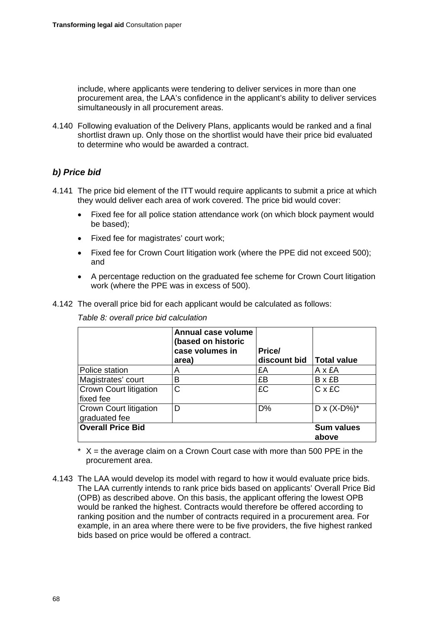include, where applicants were tendering to deliver services in more than one procurement area, the LAA's confidence in the applicant's ability to deliver services simultaneously in all procurement areas.

4.140 Following evaluation of the Delivery Plans, applicants would be ranked and a final shortlist drawn up. Only those on the shortlist would have their price bid evaluated to determine who would be awarded a contract.

## *b) Price bid*

- 4.141 The price bid element of the ITT would require applicants to submit a price at which they would deliver each area of work covered. The price bid would cover:
	- Fixed fee for all police station attendance work (on which block payment would be based);
	- Fixed fee for magistrates' court work;
	- Fixed fee for Crown Court litigation work (where the PPE did not exceed 500); and
	- A percentage reduction on the graduated fee scheme for Crown Court litigation work (where the PPE was in excess of 500).

|  |  | 4.142 The overall price bid for each applicant would be calculated as follows: |
|--|--|--------------------------------------------------------------------------------|
|  |  |                                                                                |

*Table 8: overall price bid calculation* 

|                                         | Annual case volume<br>(based on historic<br>case volumes in<br>area) | Price/<br>discount bid | Total value                |
|-----------------------------------------|----------------------------------------------------------------------|------------------------|----------------------------|
| Police station                          | Α                                                                    | £A                     | A x £A                     |
| Magistrates' court                      | в                                                                    | £B                     | B x £B                     |
| Crown Court litigation<br>fixed fee     | С                                                                    | £C                     | $C \times EC$              |
| Crown Court litigation<br>graduated fee | D                                                                    | $D\%$                  | $D \times (X-D\%)^*$       |
| <b>Overall Price Bid</b>                |                                                                      |                        | <b>Sum values</b><br>above |

 $*$  X = the average claim on a Crown Court case with more than 500 PPE in the procurement area.

4.143 The LAA would develop its model with regard to how it would evaluate price bids. The LAA currently intends to rank price bids based on applicants' Overall Price Bid (OPB) as described above. On this basis, the applicant offering the lowest OPB would be ranked the highest. Contracts would therefore be offered according to ranking position and the number of contracts required in a procurement area. For example, in an area where there were to be five providers, the five highest ranked bids based on price would be offered a contract.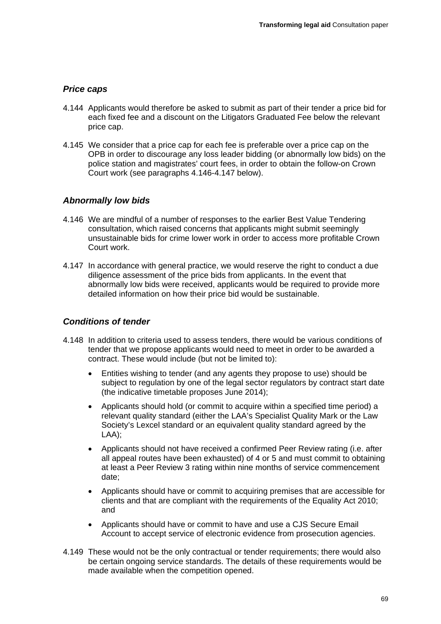### *Price caps*

- 4.144 Applicants would therefore be asked to submit as part of their tender a price bid for each fixed fee and a discount on the Litigators Graduated Fee below the relevant price cap.
- 4.145 We consider that a price cap for each fee is preferable over a price cap on the OPB in order to discourage any loss leader bidding (or abnormally low bids) on the police station and magistrates' court fees, in order to obtain the follow-on Crown Court work (see paragraphs 4.146-4.147 below).

### *Abnormally low bids*

- 4.146 We are mindful of a number of responses to the earlier Best Value Tendering consultation, which raised concerns that applicants might submit seemingly unsustainable bids for crime lower work in order to access more profitable Crown Court work.
- 4.147 In accordance with general practice, we would reserve the right to conduct a due diligence assessment of the price bids from applicants. In the event that abnormally low bids were received, applicants would be required to provide more detailed information on how their price bid would be sustainable.

### *Conditions of tender*

- 4.148 In addition to criteria used to assess tenders, there would be various conditions of tender that we propose applicants would need to meet in order to be awarded a contract. These would include (but not be limited to):
	- Entities wishing to tender (and any agents they propose to use) should be subject to regulation by one of the legal sector regulators by contract start date (the indicative timetable proposes June 2014);
	- Applicants should hold (or commit to acquire within a specified time period) a relevant quality standard (either the LAA's Specialist Quality Mark or the Law Society's Lexcel standard or an equivalent quality standard agreed by the LAA);
	- Applicants should not have received a confirmed Peer Review rating (i.e. after all appeal routes have been exhausted) of 4 or 5 and must commit to obtaining at least a Peer Review 3 rating within nine months of service commencement date;
	- Applicants should have or commit to acquiring premises that are accessible for clients and that are compliant with the requirements of the Equality Act 2010; and
	- Applicants should have or commit to have and use a CJS Secure Email Account to accept service of electronic evidence from prosecution agencies.
- 4.149 These would not be the only contractual or tender requirements; there would also be certain ongoing service standards. The details of these requirements would be made available when the competition opened.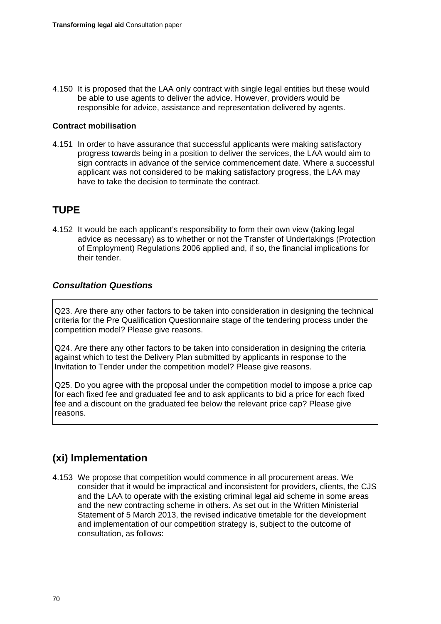4.150 It is proposed that the LAA only contract with single legal entities but these would be able to use agents to deliver the advice. However, providers would be responsible for advice, assistance and representation delivered by agents.

#### **Contract mobilisation**

4.151 In order to have assurance that successful applicants were making satisfactory progress towards being in a position to deliver the services, the LAA would aim to sign contracts in advance of the service commencement date. Where a successful applicant was not considered to be making satisfactory progress, the LAA may have to take the decision to terminate the contract.

## **TUPE**

4.152 It would be each applicant's responsibility to form their own view (taking legal advice as necessary) as to whether or not the Transfer of Undertakings (Protection of Employment) Regulations 2006 applied and, if so, the financial implications for their tender.

#### *Consultation Questions*

Q23. Are there any other factors to be taken into consideration in designing the technical criteria for the Pre Qualification Questionnaire stage of the tendering process under the competition model? Please give reasons.

Q24. Are there any other factors to be taken into consideration in designing the criteria against which to test the Delivery Plan submitted by applicants in response to the Invitation to Tender under the competition model? Please give reasons.

Q25. Do you agree with the proposal under the competition model to impose a price cap for each fixed fee and graduated fee and to ask applicants to bid a price for each fixed fee and a discount on the graduated fee below the relevant price cap? Please give reasons.

## **(xi) Implementation**

4.153 We propose that competition would commence in all procurement areas. We consider that it would be impractical and inconsistent for providers, clients, the CJS and the LAA to operate with the existing criminal legal aid scheme in some areas and the new contracting scheme in others. As set out in the Written Ministerial Statement of 5 March 2013, the revised indicative timetable for the development and implementation of our competition strategy is, subject to the outcome of consultation, as follows: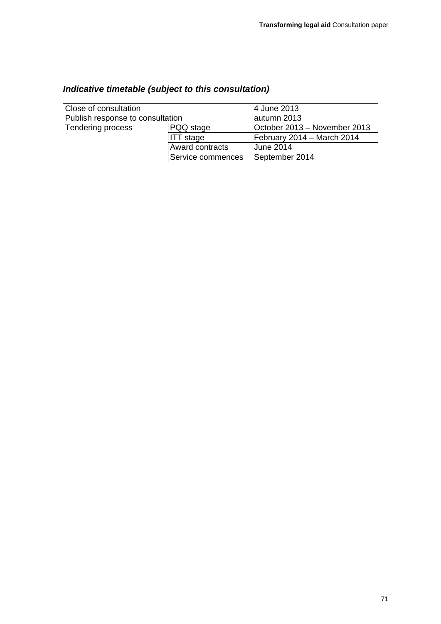| Close of consultation            | 4 June 2013                               |                            |  |
|----------------------------------|-------------------------------------------|----------------------------|--|
| Publish response to consultation | autumn 2013                               |                            |  |
| Tendering process                | October 2013 - November 2013<br>PQQ stage |                            |  |
|                                  | <b>ITT</b> stage                          | February 2014 - March 2014 |  |
|                                  | Award contracts                           | Uune 2014                  |  |
|                                  | Service commences                         | September 2014             |  |

## *Indicative timetable (subject to this consultation)*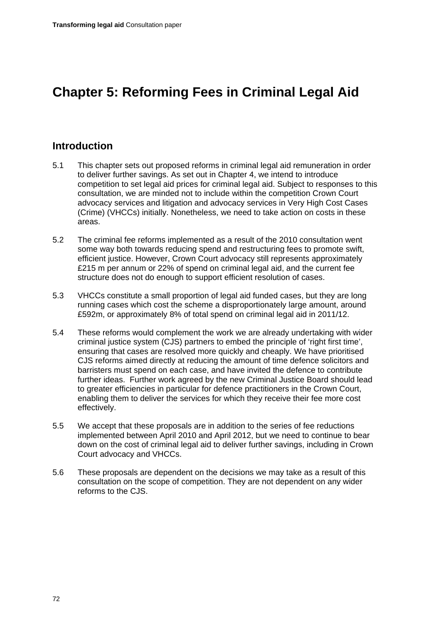# **Chapter 5: Reforming Fees in Criminal Legal Aid**

## **Introduction**

- 5.1 This chapter sets out proposed reforms in criminal legal aid remuneration in order to deliver further savings. As set out in Chapter 4, we intend to introduce competition to set legal aid prices for criminal legal aid. Subject to responses to this consultation, we are minded not to include within the competition Crown Court advocacy services and litigation and advocacy services in Very High Cost Cases (Crime) (VHCCs) initially. Nonetheless, we need to take action on costs in these areas.
- 5.2 The criminal fee reforms implemented as a result of the 2010 consultation went some way both towards reducing spend and restructuring fees to promote swift, efficient justice. However, Crown Court advocacy still represents approximately £215 m per annum or 22% of spend on criminal legal aid, and the current fee structure does not do enough to support efficient resolution of cases.
- 5.3 VHCCs constitute a small proportion of legal aid funded cases, but they are long running cases which cost the scheme a disproportionately large amount, around £592m, or approximately 8% of total spend on criminal legal aid in 2011/12.
- 5.4 These reforms would complement the work we are already undertaking with wider criminal justice system (CJS) partners to embed the principle of 'right first time', ensuring that cases are resolved more quickly and cheaply. We have prioritised CJS reforms aimed directly at reducing the amount of time defence solicitors and barristers must spend on each case, and have invited the defence to contribute further ideas. Further work agreed by the new Criminal Justice Board should lead to greater efficiencies in particular for defence practitioners in the Crown Court, enabling them to deliver the services for which they receive their fee more cost effectively.
- 5.5 We accept that these proposals are in addition to the series of fee reductions implemented between April 2010 and April 2012, but we need to continue to bear down on the cost of criminal legal aid to deliver further savings, including in Crown Court advocacy and VHCCs.
- 5.6 These proposals are dependent on the decisions we may take as a result of this consultation on the scope of competition. They are not dependent on any wider reforms to the CJS.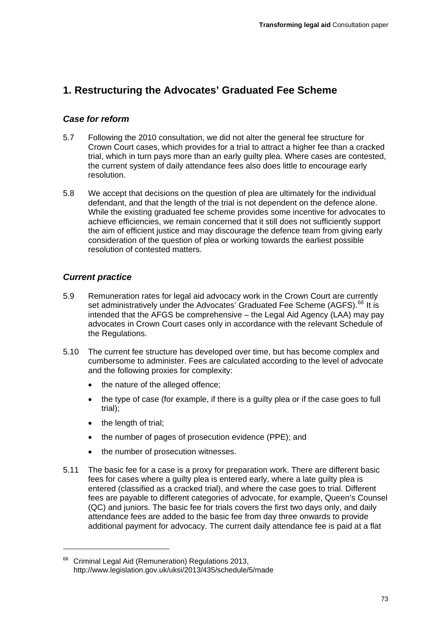## **1. Restructuring the Advocates' Graduated Fee Scheme**

#### *Case for reform*

- 5.7 Following the 2010 consultation, we did not alter the general fee structure for Crown Court cases, which provides for a trial to attract a higher fee than a cracked trial, which in turn pays more than an early guilty plea. Where cases are contested, the current system of daily attendance fees also does little to encourage early resolution.
- 5.8 We accept that decisions on the question of plea are ultimately for the individual defendant, and that the length of the trial is not dependent on the defence alone. While the existing graduated fee scheme provides some incentive for advocates to achieve efficiencies, we remain concerned that it still does not sufficiently support the aim of efficient justice and may discourage the defence team from giving early consideration of the question of plea or working towards the earliest possible resolution of contested matters.

### *Current practice*

- 5.9 Remuneration rates for legal aid advocacy work in the Crown Court are currently set administratively under the Advocates' Graduated Fee Scheme (AGFS).<sup>[68](#page-75-0)</sup> It is intended that the AFGS be comprehensive – the Legal Aid Agency (LAA) may pay advocates in Crown Court cases only in accordance with the relevant Schedule of the Regulations.
- 5.10 The current fee structure has developed over time, but has become complex and cumbersome to administer. Fees are calculated according to the level of advocate and the following proxies for complexity:
	- the nature of the alleged offence;
	- the type of case (for example, if there is a quilty plea or if the case goes to full trial);
	- the length of trial;

1

- the number of pages of prosecution evidence (PPE); and
- the number of prosecution witnesses.
- 5.11 The basic fee for a case is a proxy for preparation work. There are different basic fees for cases where a guilty plea is entered early, where a late guilty plea is entered (classified as a cracked trial), and where the case goes to trial. Different fees are payable to different categories of advocate, for example, Queen's Counsel (QC) and juniors. The basic fee for trials covers the first two days only, and daily attendance fees are added to the basic fee from day three onwards to provide additional payment for advocacy. The current daily attendance fee is paid at a flat

<span id="page-75-0"></span><sup>68</sup> Criminal Legal Aid (Remuneration) Regulations 2013, http://www.legislation.gov.uk/uksi/2013/435/schedule/5/made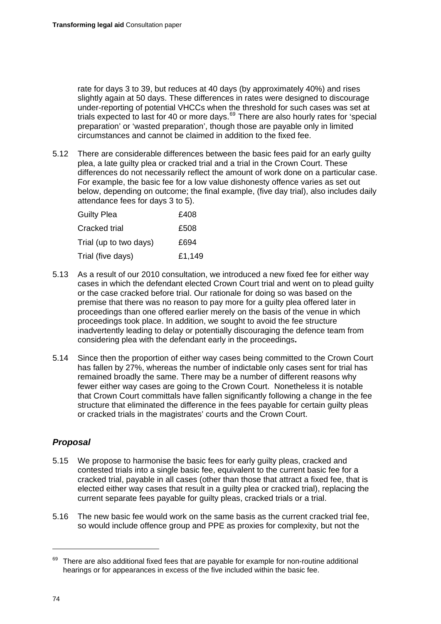rate for days 3 to 39, but reduces at 40 days (by approximately 40%) and rises slightly again at 50 days. These differences in rates were designed to discourage under-reporting of potential VHCCs when the threshold for such cases was set at trials expected to last for 40 or more days. $^{69}$  There are also hourly rates for 'special preparation' or 'wasted preparation', though those are payable only in limited circumstances and cannot be claimed in addition to the fixed fee.

5.12 There are considerable differences between the basic fees paid for an early guilty plea, a late guilty plea or cracked trial and a trial in the Crown Court. These differences do not necessarily reflect the amount of work done on a particular case. For example, the basic fee for a low value dishonesty offence varies as set out below, depending on outcome; the final example, (five day trial), also includes daily attendance fees for days 3 to 5).

| Guilty Plea            | £408   |
|------------------------|--------|
| Cracked trial          | £508   |
| Trial (up to two days) | £694   |
| Trial (five days)      | £1,149 |

- 5.13 As a result of our 2010 consultation, we introduced a new fixed fee for either way cases in which the defendant elected Crown Court trial and went on to plead guilty or the case cracked before trial. Our rationale for doing so was based on the premise that there was no reason to pay more for a guilty plea offered later in proceedings than one offered earlier merely on the basis of the venue in which proceedings took place. In addition, we sought to avoid the fee structure inadvertently leading to delay or potentially discouraging the defence team from considering plea with the defendant early in the proceedings**.**
- 5.14 Since then the proportion of either way cases being committed to the Crown Court has fallen by 27%, whereas the number of indictable only cases sent for trial has remained broadly the same. There may be a number of different reasons why fewer either way cases are going to the Crown Court. Nonetheless it is notable that Crown Court committals have fallen significantly following a change in the fee structure that eliminated the difference in the fees payable for certain guilty pleas or cracked trials in the magistrates' courts and the Crown Court.

### *Proposal*

- 5.15 We propose to harmonise the basic fees for early guilty pleas, cracked and contested trials into a single basic fee, equivalent to the current basic fee for a cracked trial, payable in all cases (other than those that attract a fixed fee, that is elected either way cases that result in a guilty plea or cracked trial), replacing the current separate fees payable for guilty pleas, cracked trials or a trial.
- 5.16 The new basic fee would work on the same basis as the current cracked trial fee, so would include offence group and PPE as proxies for complexity, but not the

There are also additional fixed fees that are payable for example for non-routine additional hearings or for appearances in excess of the five included within the basic fee.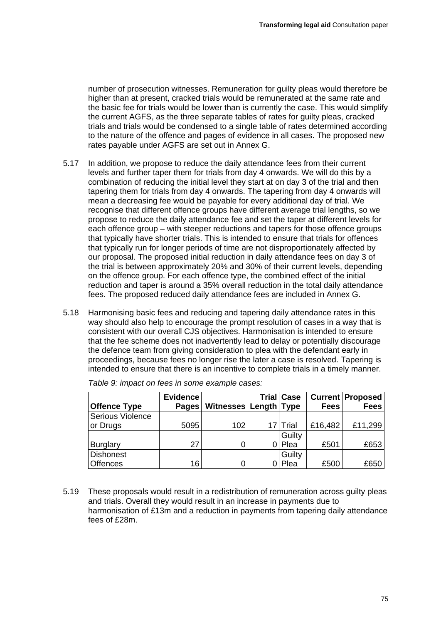number of prosecution witnesses. Remuneration for guilty pleas would therefore be higher than at present, cracked trials would be remunerated at the same rate and the basic fee for trials would be lower than is currently the case. This would simplify the current AGFS, as the three separate tables of rates for guilty pleas, cracked trials and trials would be condensed to a single table of rates determined according to the nature of the offence and pages of evidence in all cases. The proposed new rates payable under AGFS are set out in Annex G.

- 5.17 In addition, we propose to reduce the daily attendance fees from their current levels and further taper them for trials from day 4 onwards. We will do this by a combination of reducing the initial level they start at on day 3 of the trial and then tapering them for trials from day 4 onwards. The tapering from day 4 onwards will mean a decreasing fee would be payable for every additional day of trial. We recognise that different offence groups have different average trial lengths, so we propose to reduce the daily attendance fee and set the taper at different levels for each offence group – with steeper reductions and tapers for those offence groups that typically have shorter trials. This is intended to ensure that trials for offences that typically run for longer periods of time are not disproportionately affected by our proposal. The proposed initial reduction in daily attendance fees on day 3 of the trial is between approximately 20% and 30% of their current levels, depending on the offence group. For each offence type, the combined effect of the initial reduction and taper is around a 35% overall reduction in the total daily attendance fees. The proposed reduced daily attendance fees are included in Annex G.
- 5.18 Harmonising basic fees and reducing and tapering daily attendance rates in this way should also help to encourage the prompt resolution of cases in a way that is consistent with our overall CJS objectives. Harmonisation is intended to ensure that the fee scheme does not inadvertently lead to delay or potentially discourage the defence team from giving consideration to plea with the defendant early in proceedings, because fees no longer rise the later a case is resolved. Tapering is intended to ensure that there is an incentive to complete trials in a timely manner.

|                     | <b>Evidence</b> |                           | <b>Trial Case</b> |             | <b>Current Proposed</b> |
|---------------------|-----------------|---------------------------|-------------------|-------------|-------------------------|
| <b>Offence Type</b> | <b>Pages</b>    | Witnesses   Length   Type |                   | <b>Fees</b> | <b>Fees</b>             |
| Serious Violence    |                 |                           |                   |             |                         |
| or Drugs            | 5095            | 102                       | 17 Trial          | £16,482     | £11,299                 |
|                     |                 |                           | Guilty            |             |                         |
| Burglary            | 27              |                           | Plea              | £501        | £653                    |
| Dishonest           |                 |                           | Guilty            |             |                         |
| <b>Offences</b>     | 16              |                           | ) Plea            | £500        | £650                    |

*Table 9: impact on fees in some example cases:* 

5.19 These proposals would result in a redistribution of remuneration across guilty pleas and trials. Overall they would result in an increase in payments due to harmonisation of £13m and a reduction in payments from tapering daily attendance fees of £28m.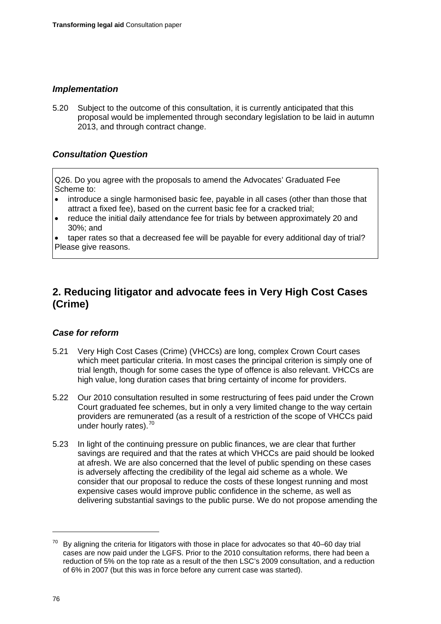#### *Implementation*

5.20 Subject to the outcome of this consultation, it is currently anticipated that this proposal would be implemented through secondary legislation to be laid in autumn 2013, and through contract change.

#### *Consultation Question*

Q26. Do you agree with the proposals to amend the Advocates' Graduated Fee Scheme to:

- introduce a single harmonised basic fee, payable in all cases (other than those that attract a fixed fee), based on the current basic fee for a cracked trial;
- reduce the initial daily attendance fee for trials by between approximately 20 and 30%; and

 taper rates so that a decreased fee will be payable for every additional day of trial? Please give reasons.

## **2. Reducing litigator and advocate fees in Very High Cost Cases (Crime)**

#### *Case for reform*

- 5.21 Very High Cost Cases (Crime) (VHCCs) are long, complex Crown Court cases which meet particular criteria. In most cases the principal criterion is simply one of trial length, though for some cases the type of offence is also relevant. VHCCs are high value, long duration cases that bring certainty of income for providers.
- 5.22 Our 2010 consultation resulted in some restructuring of fees paid under the Crown Court graduated fee schemes, but in only a very limited change to the way certain providers are remunerated (as a result of a restriction of the scope of VHCCs paid under hourly rates).<sup>[70](#page-78-0)</sup>
- 5.23 In light of the continuing pressure on public finances, we are clear that further savings are required and that the rates at which VHCCs are paid should be looked at afresh. We are also concerned that the level of public spending on these cases is adversely affecting the credibility of the legal aid scheme as a whole. We consider that our proposal to reduce the costs of these longest running and most expensive cases would improve public confidence in the scheme, as well as delivering substantial savings to the public purse. We do not propose amending the

<span id="page-78-0"></span> $70$  By aligning the criteria for litigators with those in place for advocates so that 40–60 day trial cases are now paid under the LGFS. Prior to the 2010 consultation reforms, there had been a reduction of 5% on the top rate as a result of the then LSC's 2009 consultation, and a reduction of 6% in 2007 (but this was in force before any current case was started).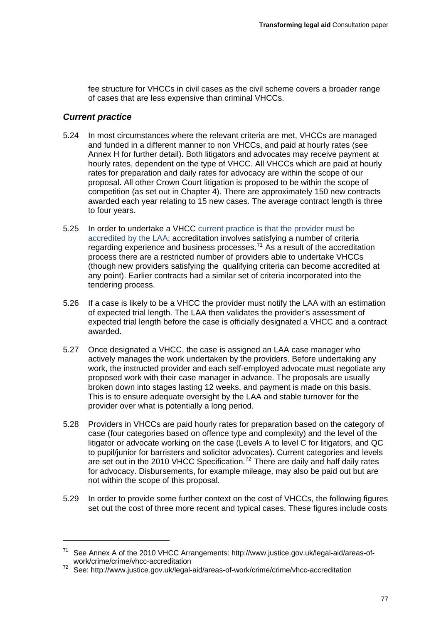fee structure for VHCCs in civil cases as the civil scheme covers a broader range of cases that are less expensive than criminal VHCCs.

#### *Current practice*

1

- 5.24 In most circumstances where the relevant criteria are met, VHCCs are managed and funded in a different manner to non VHCCs, and paid at hourly rates (see Annex H for further detail). Both litigators and advocates may receive payment at hourly rates, dependent on the type of VHCC. All VHCCs which are paid at hourly rates for preparation and daily rates for advocacy are within the scope of our proposal. All other Crown Court litigation is proposed to be within the scope of competition (as set out in Chapter 4). There are approximately 150 new contracts awarded each year relating to 15 new cases. The average contract length is three to four years.
- 5.25 In order to undertake a VHCC current practice is that the provider must be accredited by the LAA; accreditation involves satisfying a number of criteria regarding experience and business processes.<sup>[71](#page-79-0)</sup> As a result of the accreditation process there are a restricted number of providers able to undertake VHCCs (though new providers satisfying the qualifying criteria can become accredited at any point). Earlier contracts had a similar set of criteria incorporated into the tendering process.
- 5.26 If a case is likely to be a VHCC the provider must notify the LAA with an estimation of expected trial length. The LAA then validates the provider's assessment of expected trial length before the case is officially designated a VHCC and a contract awarded.
- 5.27 Once designated a VHCC, the case is assigned an LAA case manager who actively manages the work undertaken by the providers. Before undertaking any work, the instructed provider and each self-employed advocate must negotiate any proposed work with their case manager in advance. The proposals are usually broken down into stages lasting 12 weeks, and payment is made on this basis. This is to ensure adequate oversight by the LAA and stable turnover for the provider over what is potentially a long period.
- 5.28 Providers in VHCCs are paid hourly rates for preparation based on the category of case (four categories based on offence type and complexity) and the level of the litigator or advocate working on the case (Levels A to level C for litigators, and QC to pupil/junior for barristers and solicitor advocates). Current categories and levels are set out in the 2010 VHCC Specification.[72](#page-79-1) There are daily and half daily rates for advocacy. Disbursements, for example mileage, may also be paid out but are not within the scope of this proposal.
- 5.29 In order to provide some further context on the cost of VHCCs, the following figures set out the cost of three more recent and typical cases. These figures include costs

<span id="page-79-0"></span><sup>71</sup> See Annex A of the 2010 VHCC Arrangements: http://www.justice.gov.uk/legal-aid/areas-ofwork/crime/crime/vhcc-accreditation

<span id="page-79-1"></span><sup>72</sup> See: <http://www.justice.gov.uk/legal-aid/areas-of-work/crime/crime/vhcc-accreditation>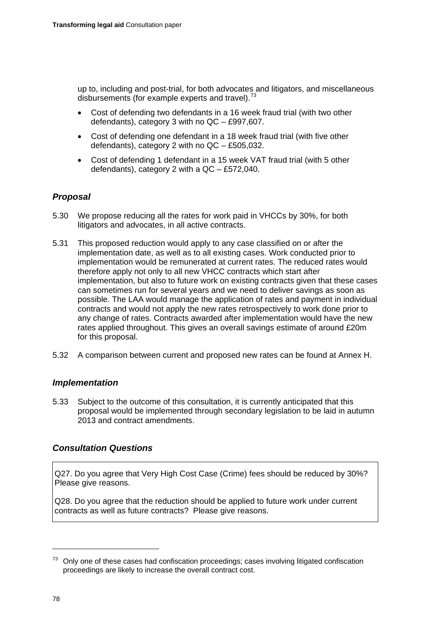up to, including and post-trial, for both advocates and litigators, and miscellaneous disbursements (for example experts and travel).<sup>73</sup>

- Cost of defending two defendants in a 16 week fraud trial (with two other defendants), category 3 with no QC – £997,607.
- Cost of defending one defendant in a 18 week fraud trial (with five other defendants), category 2 with no QC – £505,032.
- Cost of defending 1 defendant in a 15 week VAT fraud trial (with 5 other defendants), category 2 with a QC – £572,040.

### *Proposal*

- 5.30 We propose reducing all the rates for work paid in VHCCs by 30%, for both litigators and advocates, in all active contracts.
- 5.31 This proposed reduction would apply to any case classified on or after the implementation date, as well as to all existing cases. Work conducted prior to implementation would be remunerated at current rates. The reduced rates would therefore apply not only to all new VHCC contracts which start after implementation, but also to future work on existing contracts given that these cases can sometimes run for several years and we need to deliver savings as soon as possible. The LAA would manage the application of rates and payment in individual contracts and would not apply the new rates retrospectively to work done prior to any change of rates. Contracts awarded after implementation would have the new rates applied throughout. This gives an overall savings estimate of around £20m for this proposal.
- 5.32 A comparison between current and proposed new rates can be found at Annex H.

#### *Implementation*

5.33 Subject to the outcome of this consultation, it is currently anticipated that this proposal would be implemented through secondary legislation to be laid in autumn 2013 and contract amendments.

#### *Consultation Questions*

Q27. Do you agree that Very High Cost Case (Crime) fees should be reduced by 30%? Please give reasons.

Q28. Do you agree that the reduction should be applied to future work under current contracts as well as future contracts? Please give reasons.

 $73$  Only one of these cases had confiscation proceedings; cases involving litigated confiscation proceedings are likely to increase the overall contract cost.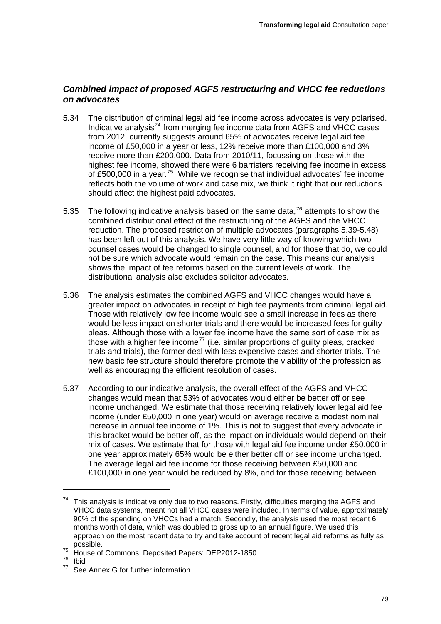### *Combined impact of proposed AGFS restructuring and VHCC fee reductions on advocates*

- 5.34 The distribution of criminal legal aid fee income across advocates is very polarised. Indicative analysis<sup>[74](#page-81-0)</sup> from merging fee income data from AGFS and VHCC cases from 2012, currently suggests around 65% of advocates receive legal aid fee income of £50,000 in a year or less, 12% receive more than £100,000 and 3% receive more than £200,000. Data from 2010/11, focussing on those with the highest fee income, showed there were 6 barristers receiving fee income in excess of £500,000 in a year.<sup>[75](#page-81-1)</sup> While we recognise that individual advocates' fee income reflects both the volume of work and case mix, we think it right that our reductions should affect the highest paid advocates.
- 5.35 The following indicative analysis based on the same data, $76$  attempts to show the combined distributional effect of the restructuring of the AGFS and the VHCC reduction. The proposed restriction of multiple advocates (paragraphs 5.39-5.48) has been left out of this analysis. We have very little way of knowing which two counsel cases would be changed to single counsel, and for those that do, we could not be sure which advocate would remain on the case. This means our analysis shows the impact of fee reforms based on the current levels of work. The distributional analysis also excludes solicitor advocates.
- 5.36 The analysis estimates the combined AGFS and VHCC changes would have a greater impact on advocates in receipt of high fee payments from criminal legal aid. Those with relatively low fee income would see a small increase in fees as there would be less impact on shorter trials and there would be increased fees for guilty pleas. Although those with a lower fee income have the same sort of case mix as those with a higher fee income<sup>[77](#page-81-3)</sup> (i.e. similar proportions of guilty pleas, cracked trials and trials), the former deal with less expensive cases and shorter trials. The new basic fee structure should therefore promote the viability of the profession as well as encouraging the efficient resolution of cases.
- 5.37 According to our indicative analysis, the overall effect of the AGFS and VHCC changes would mean that 53% of advocates would either be better off or see income unchanged. We estimate that those receiving relatively lower legal aid fee income (under £50,000 in one year) would on average receive a modest nominal increase in annual fee income of 1%. This is not to suggest that every advocate in this bracket would be better off, as the impact on individuals would depend on their mix of cases. We estimate that for those with legal aid fee income under £50,000 in one year approximately 65% would be either better off or see income unchanged. The average legal aid fee income for those receiving between £50,000 and £100,000 in one year would be reduced by 8%, and for those receiving between

<span id="page-81-3"></span><span id="page-81-2"></span><span id="page-81-1"></span>

 $\overline{a}$ 

<span id="page-81-0"></span> $74$  This analysis is indicative only due to two reasons. Firstly, difficulties merging the AGFS and VHCC data systems, meant not all VHCC cases were included. In terms of value, approximately 90% of the spending on VHCCs had a match. Secondly, the analysis used the most recent 6 months worth of data, which was doubled to gross up to an annual figure. We used this approach on the most recent data to try and take account of recent legal aid reforms as fully as

possible.<br>
75 House of Commons, Deposited Papers: DEP2012-1850.<br>
76 Ibid<br>
77 See Annex G for further information.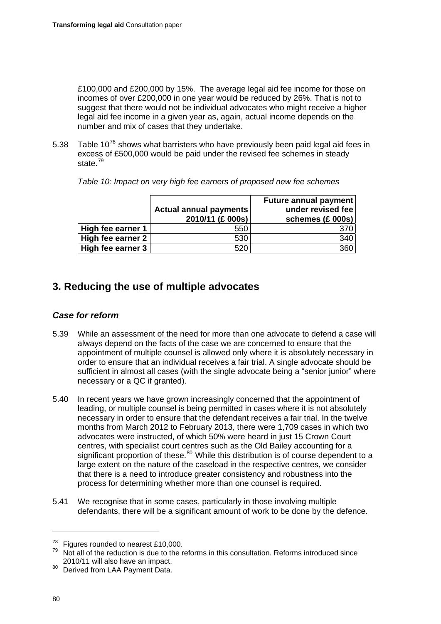£100,000 and £200,000 by 15%. The average legal aid fee income for those on incomes of over £200,000 in one year would be reduced by 26%. That is not to suggest that there would not be individual advocates who might receive a higher legal aid fee income in a given year as, again, actual income depends on the number and mix of cases that they undertake.

5.38 Table  $10^{78}$  $10^{78}$  $10^{78}$  shows what barristers who have previously been paid legal aid fees in excess of £500,000 would be paid under the revised fee schemes in steady state.<sup>79</sup>

|                          | <b>Actual annual payments</b><br>2010/11 (£ 000s) | Future annual payment<br>under revised fee<br>schemes (£ 000s) |
|--------------------------|---------------------------------------------------|----------------------------------------------------------------|
| High fee earner 1        | 550                                               | 370                                                            |
| High fee earner $2 \mid$ | 530                                               | 340                                                            |
| High fee earner 3        | 520                                               | 360                                                            |

*Table 10: Impact on very high fee earners of proposed new fee schemes* 

## **3. Reducing the use of multiple advocates**

#### *Case for reform*

- 5.39 While an assessment of the need for more than one advocate to defend a case will always depend on the facts of the case we are concerned to ensure that the appointment of multiple counsel is allowed only where it is absolutely necessary in order to ensure that an individual receives a fair trial. A single advocate should be sufficient in almost all cases (with the single advocate being a "senior junior" where necessary or a QC if granted).
- 5.40 In recent years we have grown increasingly concerned that the appointment of leading, or multiple counsel is being permitted in cases where it is not absolutely necessary in order to ensure that the defendant receives a fair trial. In the twelve months from March 2012 to February 2013, there were 1,709 cases in which two advocates were instructed, of which 50% were heard in just 15 Crown Court centres, with specialist court centres such as the Old Bailey accounting for a significant proportion of these.<sup>[80](#page-82-1)</sup> While this distribution is of course dependent to a large extent on the nature of the caseload in the respective centres, we consider that there is a need to introduce greater consistency and robustness into the process for determining whether more than one counsel is required.
- 5.41 We recognise that in some cases, particularly in those involving multiple defendants, there will be a significant amount of work to be done by the defence.

<span id="page-82-0"></span><sup>&</sup>lt;sup>78</sup> Figures rounded to nearest £10,000.<br><sup>79</sup> Not all of the reduction is due to the reforms in this consultation. Reforms introduced since

<span id="page-82-1"></span><sup>2010/11</sup> will also have an impact.<br><sup>80</sup> Derived from LAA Payment Data.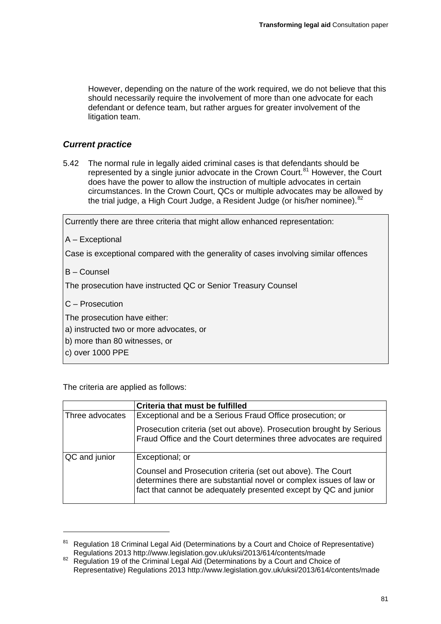However, depending on the nature of the work required, we do not believe that this should necessarily require the involvement of more than one advocate for each defendant or defence team, but rather argues for greater involvement of the litigation team.

#### *Current practice*

5.42 The normal rule in legally aided criminal cases is that defendants should be represented by a single junior advocate in the Crown Court.<sup>[81](#page-83-0)</sup> However, the Court does have the power to allow the instruction of multiple advocates in certain circumstances. In the Crown Court, QCs or multiple advocates may be allowed by the trial judge, a High Court Judge, a Resident Judge (or his/her nominee).  $82$ 

Currently there are three criteria that might allow enhanced representation:

A – Exceptional

Case is exceptional compared with the generality of cases involving similar offences

B – Counsel

The prosecution have instructed QC or Senior Treasury Counsel

C – Prosecution

The prosecution have either:

a) instructed two or more advocates, or

- b) more than 80 witnesses, or
- c) over 1000 PPE

-

The criteria are applied as follows:

|                 | Criteria that must be fulfilled                                                                                                                                                                       |
|-----------------|-------------------------------------------------------------------------------------------------------------------------------------------------------------------------------------------------------|
| Three advocates | Exceptional and be a Serious Fraud Office prosecution; or                                                                                                                                             |
|                 | Prosecution criteria (set out above). Prosecution brought by Serious<br>Fraud Office and the Court determines three advocates are required                                                            |
| QC and junior   | Exceptional; or                                                                                                                                                                                       |
|                 | Counsel and Prosecution criteria (set out above). The Court<br>determines there are substantial novel or complex issues of law or<br>fact that cannot be adequately presented except by QC and junior |

<span id="page-83-0"></span> $81$  Regulation 18 Criminal Legal Aid (Determinations by a Court and Choice of Representative) Regulations 2013 http://www.legislation.gov.uk/uksi/2013/614/contents/made

<sup>&</sup>lt;sup>82</sup> Regulation 19 of the Criminal Legal Aid (Determinations by a Court and Choice of Representative) Regulations 2013 http://www.legislation.gov.uk/uksi/2013/614/contents/made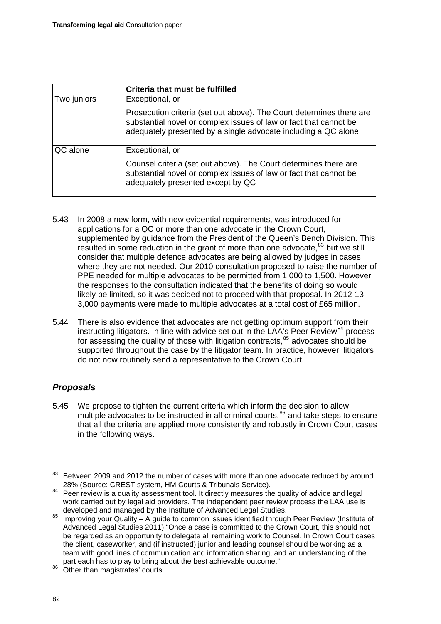|             | Criteria that must be fulfilled                                                                                                                                                                             |
|-------------|-------------------------------------------------------------------------------------------------------------------------------------------------------------------------------------------------------------|
| Two juniors | Exceptional, or                                                                                                                                                                                             |
|             | Prosecution criteria (set out above). The Court determines there are<br>substantial novel or complex issues of law or fact that cannot be<br>adequately presented by a single advocate including a QC alone |
| QC alone    | Exceptional, or                                                                                                                                                                                             |
|             | Counsel criteria (set out above). The Court determines there are<br>substantial novel or complex issues of law or fact that cannot be<br>adequately presented except by QC                                  |

- 5.43 In 2008 a new form, with new evidential requirements, was introduced for applications for a QC or more than one advocate in the Crown Court, supplemented by guidance from the President of the Queen's Bench Division. This resulted in some reduction in the grant of more than one advocate,<sup>[83](#page-84-0)</sup> but we still consider that multiple defence advocates are being allowed by judges in cases where they are not needed. Our 2010 consultation proposed to raise the number of PPE needed for multiple advocates to be permitted from 1,000 to 1,500. However the responses to the consultation indicated that the benefits of doing so would likely be limited, so it was decided not to proceed with that proposal. In 2012-13, 3,000 payments were made to multiple advocates at a total cost of £65 million.
- 5.44 There is also evidence that advocates are not getting optimum support from their instructing litigators. In line with advice set out in the LAA's Peer Review $84$  process for assessing the quality of those with litigation contracts,<sup>[85](#page-84-2)</sup> advocates should be supported throughout the case by the litigator team. In practice, however, litigators do not now routinely send a representative to the Crown Court.

## *Proposals*

5.45 We propose to tighten the current criteria which inform the decision to allow multiple advocates to be instructed in all criminal courts,<sup>[86](#page-84-3)</sup> and take steps to ensure that all the criteria are applied more consistently and robustly in Crown Court cases in the following ways.

 $\overline{a}$ 

<span id="page-84-0"></span><sup>&</sup>lt;sup>83</sup> Between 2009 and 2012 the number of cases with more than one advocate reduced by around

<span id="page-84-1"></span><sup>28% (</sup>Source: CREST system, HM Courts & Tribunals Service).<br><sup>84</sup> Peer review is a quality assessment tool. It directly measures the quality of advice and legal work carried out by legal aid providers. The independent peer review process the LAA use is developed and managed by the Institute of Advanced Legal Studies.

<span id="page-84-2"></span>developed and managed by the memore of Advanced Legal Studies.<br><sup>85</sup> Improving your Quality – A guide to common issues identified through Peer Review (Institute of Advanced Legal Studies 2011) "Once a case is committed to the Crown Court, this should not be regarded as an opportunity to delegate all remaining work to Counsel. In Crown Court cases the client, caseworker, and (if instructed) junior and leading counsel should be working as a team with good lines of communication and information sharing, and an understanding of the part each has to play to bring about the best achievable outcome."<br><sup>86</sup> Other than magistrates' courts.

<span id="page-84-3"></span>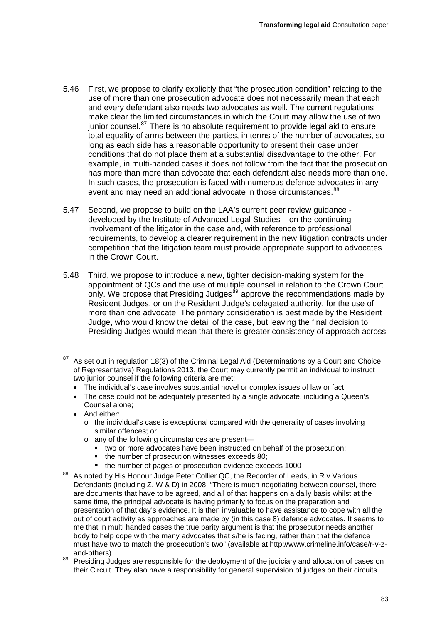- 5.46 First, we propose to clarify explicitly that "the prosecution condition" relating to the use of more than one prosecution advocate does not necessarily mean that each and every defendant also needs two advocates as well. The current regulations make clear the limited circumstances in which the Court may allow the use of two  $\mu$ iunior counsel.<sup>[87](#page-85-0)</sup> There is no absolute requirement to provide legal aid to ensure total equality of arms between the parties, in terms of the number of advocates, so long as each side has a reasonable opportunity to present their case under conditions that do not place them at a substantial disadvantage to the other. For example, in multi-handed cases it does not follow from the fact that the prosecution has more than more than advocate that each defendant also needs more than one. In such cases, the prosecution is faced with numerous defence advocates in any event and may need an additional advocate in those circumstances.<sup>[88](#page-85-1)</sup>
- 5.47 Second, we propose to build on the LAA's current peer review guidance developed by the Institute of Advanced Legal Studies – on the continuing involvement of the litigator in the case and, with reference to professional requirements, to develop a clearer requirement in the new litigation contracts under competition that the litigation team must provide appropriate support to advocates in the Crown Court.
- 5.48 Third, we propose to introduce a new, tighter decision-making system for the appointment of QCs and the use of multiple counsel in relation to the Crown Court only. We propose that Presiding Judges<sup>[89](#page-85-2)</sup> approve the recommendations made by Resident Judges, or on the Resident Judge's delegated authority, for the use of more than one advocate. The primary consideration is best made by the Resident Judge, who would know the detail of the case, but leaving the final decision to Presiding Judges would mean that there is greater consistency of approach across

- The individual's case involves substantial novel or complex issues of law or fact;
- The case could not be adequately presented by a single advocate, including a Queen's Counsel alone;
- And either:

- $\circ$  the individual's case is exceptional compared with the generality of cases involving similar offences; or
- o any of the following circumstances are present
	- two or more advocates have been instructed on behalf of the prosecution;
	- the number of prosecution witnesses exceeds 80;
	- the number of pages of prosecution evidence exceeds 1000
- <span id="page-85-1"></span>88 As noted by His Honour Judge Peter Collier QC, the Recorder of Leeds, in R v Various Defendants (including Z, W & D) in 2008: "There is much negotiating between counsel, there are documents that have to be agreed, and all of that happens on a daily basis whilst at the same time, the principal advocate is having primarily to focus on the preparation and presentation of that day's evidence. It is then invaluable to have assistance to cope with all the out of court activity as approaches are made by (in this case 8) defence advocates. It seems to me that in multi handed cases the true parity argument is that the prosecutor needs another body to help cope with the many advocates that s/he is facing, rather than that the defence must have two to match the prosecution's two" (available at [http://www.crimeline.info/case/r-v-z-](http://www.crimeline.info/case/r-v-z-and-others)
- <span id="page-85-2"></span>[and-others](http://www.crimeline.info/case/r-v-z-and-others)).<br><sup>89</sup> [Presiding J](http://www.crimeline.info/case/r-v-z-and-others)udges are responsible for the deployment of the judiciary and allocation of cases on their Circuit. They also have a responsibility for general supervision of judges on their circuits.

<span id="page-85-0"></span> $87$  As set out in regulation 18(3) of the Criminal Legal Aid (Determinations by a Court and Choice of Representative) Regulations 2013, the Court may currently permit an individual to instruct two junior counsel if the following criteria are met: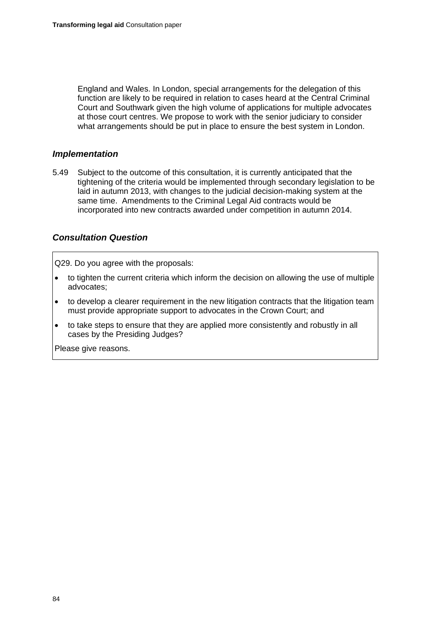England and Wales. In London, special arrangements for the delegation of this function are likely to be required in relation to cases heard at the Central Criminal Court and Southwark given the high volume of applications for multiple advocates at those court centres. We propose to work with the senior judiciary to consider what arrangements should be put in place to ensure the best system in London.

#### *Implementation*

5.49 Subject to the outcome of this consultation, it is currently anticipated that the tightening of the criteria would be implemented through secondary legislation to be laid in autumn 2013, with changes to the judicial decision-making system at the same time. Amendments to the Criminal Legal Aid contracts would be incorporated into new contracts awarded under competition in autumn 2014.

#### *Consultation Question*

Q29. Do you agree with the proposals:

- to tighten the current criteria which inform the decision on allowing the use of multiple advocates;
- to develop a clearer requirement in the new litigation contracts that the litigation team must provide appropriate support to advocates in the Crown Court; and
- to take steps to ensure that they are applied more consistently and robustly in all cases by the Presiding Judges?

Please give reasons.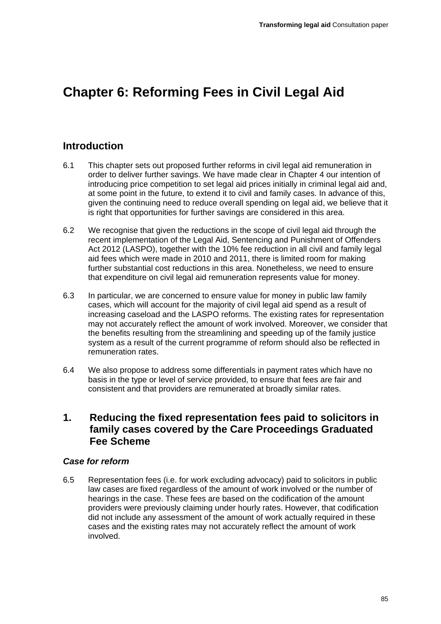## **Chapter 6: Reforming Fees in Civil Legal Aid**

### **Introduction**

- 6.1 This chapter sets out proposed further reforms in civil legal aid remuneration in order to deliver further savings. We have made clear in Chapter 4 our intention of introducing price competition to set legal aid prices initially in criminal legal aid and, at some point in the future, to extend it to civil and family cases. In advance of this, given the continuing need to reduce overall spending on legal aid, we believe that it is right that opportunities for further savings are considered in this area.
- 6.2 We recognise that given the reductions in the scope of civil legal aid through the recent implementation of the Legal Aid, Sentencing and Punishment of Offenders Act 2012 (LASPO), together with the 10% fee reduction in all civil and family legal aid fees which were made in 2010 and 2011, there is limited room for making further substantial cost reductions in this area. Nonetheless, we need to ensure that expenditure on civil legal aid remuneration represents value for money.
- 6.3 In particular, we are concerned to ensure value for money in public law family cases, which will account for the majority of civil legal aid spend as a result of increasing caseload and the LASPO reforms. The existing rates for representation may not accurately reflect the amount of work involved. Moreover, we consider that the benefits resulting from the streamlining and speeding up of the family justice system as a result of the current programme of reform should also be reflected in remuneration rates.
- 6.4 We also propose to address some differentials in payment rates which have no basis in the type or level of service provided, to ensure that fees are fair and consistent and that providers are remunerated at broadly similar rates.

## **1. Reducing the fixed representation fees paid to solicitors in family cases covered by the Care Proceedings Graduated Fee Scheme**

#### *Case for reform*

6.5 Representation fees (i.e. for work excluding advocacy) paid to solicitors in public law cases are fixed regardless of the amount of work involved or the number of hearings in the case. These fees are based on the codification of the amount providers were previously claiming under hourly rates. However, that codification did not include any assessment of the amount of work actually required in these cases and the existing rates may not accurately reflect the amount of work involved.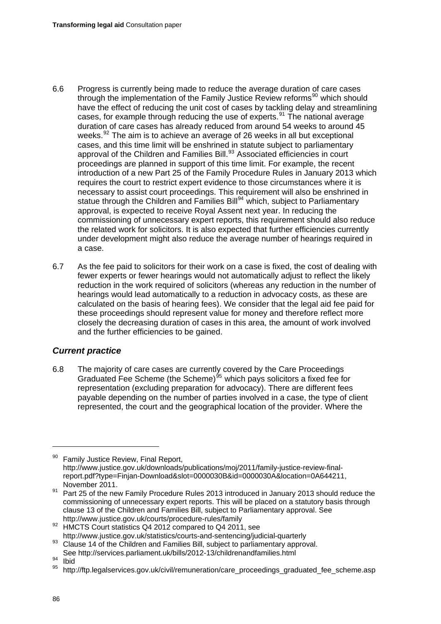- 6.6 Progress is currently being made to reduce the average duration of care cases through the implementation of the Family Justice Review reforms<sup>[90](#page-88-0)</sup> which should have the effect of reducing the unit cost of cases by tackling delay and streamlining cases, for example through reducing the use of experts.<sup>[91](#page-88-1)</sup> The national average duration of care cases has already reduced from around 54 weeks to around 45 weeks.<sup>[92](#page-88-2)</sup> The aim is to achieve an average of 26 weeks in all but exceptional cases, and this time limit will be enshrined in statute subject to parliamentary approval of the Children and Families Bill.<sup>[93](#page-88-3)</sup> Associated efficiencies in court proceedings are planned in support of this time limit. For example, the recent introduction of a new Part 25 of the Family Procedure Rules in January 2013 which requires the court to restrict expert evidence to those circumstances where it is necessary to assist court proceedings. This requirement will also be enshrined in statue through the Children and Families Bill<sup>[94](#page-88-4)</sup> which, subject to Parliamentary approval, is expected to receive Royal Assent next year. In reducing the commissioning of unnecessary expert reports, this requirement should also reduce the related work for solicitors. It is also expected that further efficiencies currently under development might also reduce the average number of hearings required in a case.
- 6.7 As the fee paid to solicitors for their work on a case is fixed, the cost of dealing with fewer experts or fewer hearings would not automatically adjust to reflect the likely reduction in the work required of solicitors (whereas any reduction in the number of hearings would lead automatically to a reduction in advocacy costs, as these are calculated on the basis of hearing fees). We consider that the legal aid fee paid for these proceedings should represent value for money and therefore reflect more closely the decreasing duration of cases in this area, the amount of work involved and the further efficiencies to be gained.

### *Current practice*

6.8 The majority of care cases are currently covered by the Care Proceedings Graduated Fee Scheme (the Scheme)<sup>[95](#page-88-5)</sup> which pays solicitors a fixed fee for representation (excluding preparation for advocacy). There are different fees payable depending on the number of parties involved in a case, the type of client represented, the court and the geographical location of the provider. Where the

<span id="page-88-0"></span><sup>&</sup>lt;sup>90</sup> Family Justice Review, Final Report, [http://www.justice.gov.uk/downloads/publications/moj/2011/family-justice-review-final](http://www.justice.gov.uk/downloads/publications/moj/2011/family-justice-review-final-report.pdf?type=Finjan-Download&slot=0000030B&id=0000030A&location=0A644211)[report.pdf?type=Finjan-Download&slot=0000030B&id=0000030A&location=0A644211](http://www.justice.gov.uk/downloads/publications/moj/2011/family-justice-review-final-report.pdf?type=Finjan-Download&slot=0000030B&id=0000030A&location=0A644211), November 2011.

<span id="page-88-1"></span><sup>91</sup> Part 25 of the new Family Procedure Rules 2013 introduced in January 2013 should reduce the commissioning of unnecessary expert reports. This will be placed on a statutory basis through clause 13 of the Children and Families Bill, subject to Parliamentary approval. See

<span id="page-88-2"></span>http://www.justice.gov.uk/courts/procedure-rules/family<br><sup>92</sup> HMCTS Court statistics Q4 2012 compared to Q4 2011, see<br>http://www.justice.gov.uk/statistics/courts-and-sentencing/judicial-quarterly

<span id="page-88-3"></span><sup>&</sup>lt;sup>93</sup> Clause 14 of the Children and Families Bill, subject to parliamentary approval. See http://services.parliament.uk/bills/2012-13/childrenandfamilies.html

<span id="page-88-5"></span><span id="page-88-4"></span> $\frac{94}{95}$  Ibid

http://ftp.legalservices.gov.uk/civil/remuneration/care\_proceedings\_graduated\_fee\_scheme.asp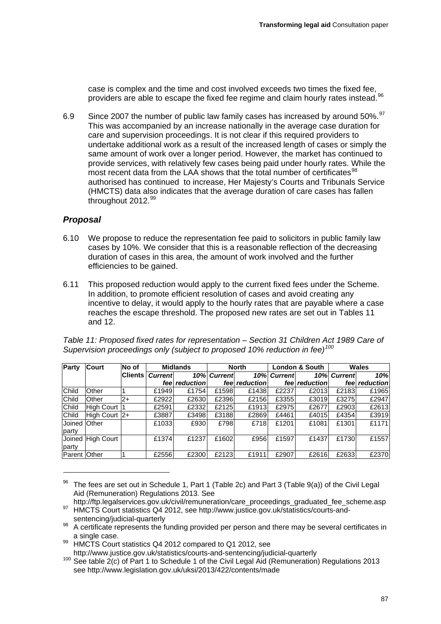case is complex and the time and cost involved exceeds two times the fixed fee, providers are able to escape the fixed fee regime and claim hourly rates instead.<sup>96</sup>

6.9 Since 2007 the number of public law family cases has increased by around 50%. $^{97}$  $^{97}$  $^{97}$ This was accompanied by an increase nationally in the average case duration for care and supervision proceedings. It is not clear if this required providers to undertake additional work as a result of the increased length of cases or simply the same amount of work over a longer period. However, the market has continued to provide services, with relatively few cases being paid under hourly rates. While the most recent data from the LAA shows that the total number of certificates<sup>[98](#page-89-1)</sup> authorised has continued to increase, Her Majesty's Courts and Tribunals Service (HMCTS) data also indicates that the average duration of care cases has fallen throughout 2012.<sup>[99](#page-89-2)</sup>

#### *Proposal*

1

- 6.10 We propose to reduce the representation fee paid to solicitors in public family law cases by 10%. We consider that this is a reasonable reflection of the decreasing duration of cases in this area, the amount of work involved and the further efficiencies to be gained.
- 6.11 This proposed reduction would apply to the current fixed fees under the Scheme. In addition, to promote efficient resolution of cases and avoid creating any incentive to delay, it would apply to the hourly rates that are payable where a case reaches the escape threshold. The proposed new rates are set out in Tables 11 and 12.

| <b>Party</b> | <b>Court</b>      | No of          | <b>Midlands</b> |           | <b>North</b>   |                |                | <b>London &amp; South</b> | Wales       |                |
|--------------|-------------------|----------------|-----------------|-----------|----------------|----------------|----------------|---------------------------|-------------|----------------|
|              |                   | <b>Clients</b> | <b>Current</b>  | 10%       | <b>Current</b> | 10%            | <b>Current</b> |                           | 10% Current | 10%            |
|              |                   |                | feel            | reduction |                | feel reduction | feel           | reduction                 |             | feel reduction |
| Child        | <b>Other</b>      |                | £1949           | £1754     | £1598          | £1438          | £2237          | £2013                     | £2183       | £1965          |
| Child        | Other             | $2+$           | £2922           | £2630     | £2396          | £2156          | £3355          | £3019                     | £3275       | £2947          |
| Child        | High Court 1      |                | £2591           | £2332     | £2125          | £1913          | £2975          | £2677                     | £2903       | £2613          |
| Child        | High Court 2+     |                | £3887           | £3498     | £3188          | £2869          | £4461          | £4015                     | £4354       | £3919          |
| Joined       | <b>Other</b>      |                | £1033           | £930      | £798           | £718           | £1201          | £1081                     | £1301       | £1171          |
| party        |                   |                |                 |           |                |                |                |                           |             |                |
|              | Joined High Court |                | £1374           | £1237     | £1602          | £956           | £1597          | £1437                     | £1730       | £1557          |
| party        |                   |                |                 |           |                |                |                |                           |             |                |
| Parent Other |                   |                | £2556           | £2300     | £2123          | £1911          | £2907          | £2616                     | £2633       | £2370          |

*Table 11: Proposed fixed rates for representation – Section 31 Children Act 1989 Care of Supervision proceedings only (subject to proposed 10% reduction in fee)[100](#page-89-3)*

 $96$  The fees are set out in Schedule 1, Part 1 (Table 2c) and Part 3 (Table 9(a)) of the Civil Legal Aid (Remuneration) Regulations 2013. See

http://ftp.legalservices.gov.uk/civil/remuneration/care\_proceedings\_graduated\_fee\_scheme.asp<br><sup>97</sup> HMCTS Court statistics Q4 2012, see http://www.justice.gov.uk/statistics/courts-and-

<span id="page-89-1"></span><span id="page-89-0"></span>sentencing/judicial-quarterly<br><sup>98</sup> A certificate represents the funding provided per person and there may be several certificates in

<span id="page-89-2"></span>a single case.<br><sup>99</sup> HMCTS Court statistics Q4 2012 compared to Q1 2012, see

<span id="page-89-3"></span>http://www.justice.gov.uk/statistics/courts-and-sentencing/judicial-quarterly<br><sup>100</sup> See table 2(c) of Part 1 to Schedule 1 of the Civil Legal Aid (Remuneration) Regulations 2013 see http://www.legislation.gov.uk/uksi/2013/422/contents/made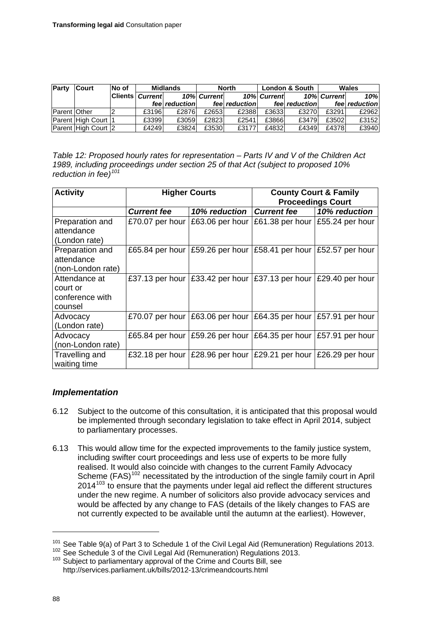| Party               | <b>Court</b>        | <b>No of</b> | <b>Midlands</b>        |                | North       |                | <b>London &amp; South</b> |               | Wales       |                |
|---------------------|---------------------|--------------|------------------------|----------------|-------------|----------------|---------------------------|---------------|-------------|----------------|
|                     |                     |              | <b>Clients Current</b> |                | 10% Current |                | 10%l Currentl             |               | 10% Current | 10%            |
|                     |                     |              |                        | feel reduction |             | feel reduction |                           | fee reduction |             | feel reduction |
| <b>Parent Other</b> |                     |              | £3196                  | £2876          | £2653       | £2388          | £3633                     | £3270         | £3291       | £29621         |
|                     | Parent High Court 1 |              | £3399                  | £3059          | £2823       | £2541          | £3866                     | £3479         | £3502       | £3152          |
|                     | Parent High Court 2 |              | £4249                  | £3824          | £3530       | £3177          | £4832                     | £4349         | £4378       | £3940          |

*Table 12: Proposed hourly rates for representation – Parts IV and V of the Children Act 1989, including proceedings under section 25 of that Act (subject to proposed 10% reduction in fee)[101](#page-90-0)*

| <b>Activity</b>                                         |                    | <b>Higher Courts</b> | <b>County Court &amp; Family</b><br><b>Proceedings Court</b>                                                                |                 |  |
|---------------------------------------------------------|--------------------|----------------------|-----------------------------------------------------------------------------------------------------------------------------|-----------------|--|
|                                                         | <b>Current fee</b> | 10% reduction        | <b>Current fee</b>                                                                                                          | 10% reduction   |  |
| Preparation and<br>attendance<br>(London rate)          | £70.07 per hour    | £63.06 per hour      | £61.38 per hour $\,$ £55.24 per hour                                                                                        |                 |  |
| Preparation and<br>attendance<br>(non-London rate)      |                    |                      | £65.84 per hour £59.26 per hour £58.41 per hour                                                                             | £52.57 per hour |  |
| Attendance at<br>court or<br>conference with<br>counsel |                    |                      | £37.13 per hour $\vert$ £33.42 per hour $\vert$ £37.13 per hour $\vert$                                                     | £29.40 per hour |  |
| Advocacy<br>(London rate)                               |                    |                      | £70.07 per hour $\left  \text{\pounds}63.06 \text{ per hour} \right $ $\left  \text{\pounds}64.35 \text{ per hour} \right $ | £57.91 per hour |  |
| Advocacy<br>(non-London rate)                           |                    |                      | £65.84 per hour £59.26 per hour £64.35 per hour                                                                             | £57.91 per hour |  |
| Travelling and<br>waiting time                          |                    |                      | £32.18 per hour $\vert$ £28.96 per hour $\vert$ £29.21 per hour                                                             | £26.29 per hour |  |

#### *Implementation*

- 6.12 Subject to the outcome of this consultation, it is anticipated that this proposal would be implemented through secondary legislation to take effect in April 2014, subject to parliamentary processes.
- 6.13 This would allow time for the expected improvements to the family justice system, including swifter court proceedings and less use of experts to be more fully realised. It would also coincide with changes to the current Family Advocacy Scheme (FAS)<sup>[102](#page-90-1)</sup> necessitated by the introduction of the single family court in April 2014<sup>[103](#page-90-2)</sup> to ensure that the payments under legal aid reflect the different structures under the new regime. A number of solicitors also provide advocacy services and would be affected by any change to FAS (details of the likely changes to FAS are not currently expected to be available until the autumn at the earliest). However,

<span id="page-90-0"></span><sup>&</sup>lt;sup>101</sup> See Table 9(a) of Part 3 to Schedule 1 of the Civil Legal Aid (Remuneration) Regulations 2013.<br><sup>102</sup> See Schedule 3 of the Civil Legal Aid (Remuneration) Regulations 2013.<br><sup>103</sup> Subiect to parliamentary approval of

<span id="page-90-1"></span>

<span id="page-90-2"></span>http://services.parliament.uk/bills/2012-13/crimeandcourts.html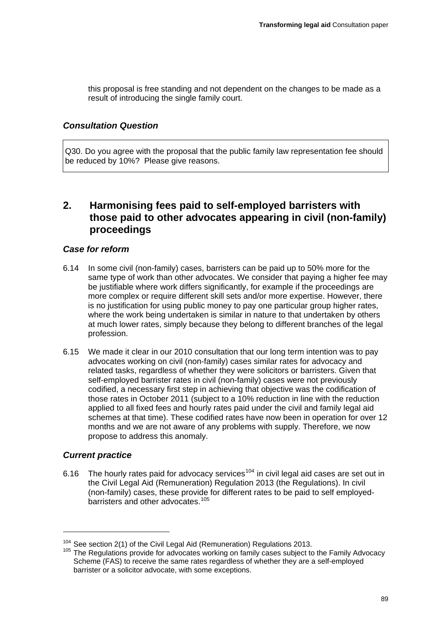this proposal is free standing and not dependent on the changes to be made as a result of introducing the single family court.

#### *Consultation Question*

Q30. Do you agree with the proposal that the public family law representation fee should be reduced by 10%? Please give reasons.

## **2. Harmonising fees paid to self-employed barristers with those paid to other advocates appearing in civil (non-family) proceedings**

#### *Case for reform*

- 6.14 In some civil (non-family) cases, barristers can be paid up to 50% more for the same type of work than other advocates. We consider that paying a higher fee may be justifiable where work differs significantly, for example if the proceedings are more complex or require different skill sets and/or more expertise. However, there is no justification for using public money to pay one particular group higher rates, where the work being undertaken is similar in nature to that undertaken by others at much lower rates, simply because they belong to different branches of the legal profession.
- 6.15 We made it clear in our 2010 consultation that our long term intention was to pay advocates working on civil (non-family) cases similar rates for advocacy and related tasks, regardless of whether they were solicitors or barristers. Given that self-employed barrister rates in civil (non-family) cases were not previously codified, a necessary first step in achieving that objective was the codification of those rates in October 2011 (subject to a 10% reduction in line with the reduction applied to all fixed fees and hourly rates paid under the civil and family legal aid schemes at that time). These codified rates have now been in operation for over 12 months and we are not aware of any problems with supply. Therefore, we now propose to address this anomaly.

#### *Current practice*

-

6.16 The hourly rates paid for advocacy services<sup>[104](#page-91-0)</sup> in civil legal aid cases are set out in the Civil Legal Aid (Remuneration) Regulation 2013 (the Regulations). In civil (non-family) cases, these provide for different rates to be paid to self employed-barristers and other advocates.<sup>[105](#page-91-1)</sup>

<span id="page-91-1"></span><span id="page-91-0"></span>

<sup>&</sup>lt;sup>104</sup> See section 2(1) of the Civil Legal Aid (Remuneration) Regulations 2013.<br><sup>105</sup> The Regulations provide for advocates working on family cases subject to the Family Advocacy Scheme (FAS) to receive the same rates regardless of whether they are a self-employed barrister or a solicitor advocate, with some exceptions.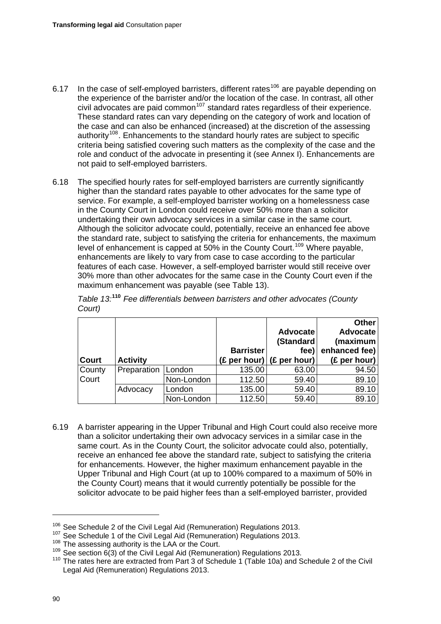- 6.17 In the case of self-employed barristers, different rates<sup>[106](#page-92-0)</sup> are payable depending on the experience of the barrister and/or the location of the case. In contrast, all other  $c$ ivil advocates are paid common<sup>[107](#page-92-1)</sup> standard rates regardless of their experience. These standard rates can vary depending on the category of work and location of the case and can also be enhanced (increased) at the discretion of the assessing authority<sup>[108](#page-92-2)</sup>. Enhancements to the standard hourly rates are subject to specific criteria being satisfied covering such matters as the complexity of the case and the role and conduct of the advocate in presenting it (see Annex I). Enhancements are not paid to self-employed barristers.
- 6.18 The specified hourly rates for self-employed barristers are currently significantly higher than the standard rates payable to other advocates for the same type of service. For example, a self-employed barrister working on a homelessness case in the County Court in London could receive over 50% more than a solicitor undertaking their own advocacy services in a similar case in the same court. Although the solicitor advocate could, potentially, receive an enhanced fee above the standard rate, subject to satisfying the criteria for enhancements, the maximum level of enhancement is capped at  $50\%$  in the County Court.<sup>[109](#page-92-3)</sup> Where payable, enhancements are likely to vary from case to case according to the particular features of each case. However, a self-employed barrister would still receive over 30% more than other advocates for the same case in the County Court even if the maximum enhancement was payable (see Table 13).

|              |                 |            |                  |                                     | <b>Other</b>  |
|--------------|-----------------|------------|------------------|-------------------------------------|---------------|
|              |                 |            |                  | <b>Advocate</b>                     | Advocate      |
|              |                 |            |                  | (Standard                           | (maximum      |
|              |                 |            | <b>Barrister</b> | fee)                                | enhanced fee) |
| <b>Court</b> | <b>Activity</b> |            |                  | $(E \text{ per hour})$ (£ per hour) | (£ per hour)  |
| County       | Preparation     | London     | 135.00           | 63.00                               | 94.50         |
| Court        |                 | Non-London | 112.50           | 59.40                               | 89.10         |
|              | Advocacy        | London     | 135.00           | 59.40                               | 89.10         |
|              |                 | Non-London | 112.50           | 59.40                               | 89.10         |

*Table 13:***[110](#page-92-4)** *Fee differentials between barristers and other advocates (County Court)* 

6.19 A barrister appearing in the Upper Tribunal and High Court could also receive more than a solicitor undertaking their own advocacy services in a similar case in the same court. As in the County Court, the solicitor advocate could also, potentially, receive an enhanced fee above the standard rate, subject to satisfying the criteria for enhancements. However, the higher maximum enhancement payable in the Upper Tribunal and High Court (at up to 100% compared to a maximum of 50% in the County Court) means that it would currently potentially be possible for the solicitor advocate to be paid higher fees than a self-employed barrister, provided

<span id="page-92-1"></span>

<span id="page-92-2"></span>

<span id="page-92-4"></span><span id="page-92-3"></span>

<span id="page-92-0"></span><sup>&</sup>lt;sup>106</sup> See Schedule 2 of the Civil Legal Aid (Remuneration) Regulations 2013.<br><sup>107</sup> See Schedule 1 of the Civil Legal Aid (Remuneration) Regulations 2013.<br><sup>108</sup> The assessing authority is the LAA or the Court.<br><sup>109</sup> See se Legal Aid (Remuneration) Regulations 2013.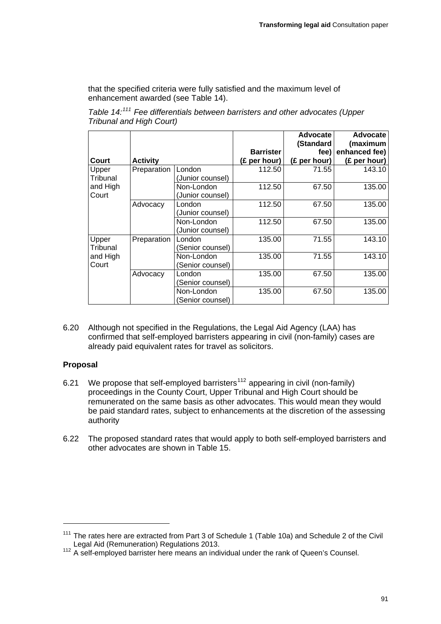that the specified criteria were fully satisfied and the maximum level of enhancement awarded (see Table 14).

|          |                 |                  | <b>Barrister</b> | Advocate<br>(Standard<br>fee) | Advocate<br>(maximum<br>enhanced fee) |
|----------|-----------------|------------------|------------------|-------------------------------|---------------------------------------|
| Court    | <b>Activity</b> |                  | (£ per hour)     | (£ per hour)                  | (£ per hour)                          |
| Upper    | Preparation     | London           | 112.50           | 71.55                         | 143.10                                |
| Tribunal |                 | (Junior counsel) |                  |                               |                                       |
| and High |                 | Non-London       | 112.50           | 67.50                         | 135.00                                |
| Court    |                 | (Junior counsel) |                  |                               |                                       |
|          | Advocacy        | London           | 112.50           | 67.50                         | 135.00                                |
|          |                 | (Junior counsel) |                  |                               |                                       |
|          |                 | Non-London       | 112.50           | 67.50                         | 135.00                                |
|          |                 | (Junior counsel) |                  |                               |                                       |
| Upper    | Preparation     | London           | 135.00           | 71.55                         | 143.10                                |
| Tribunal |                 | Senior counsel)  |                  |                               |                                       |
| and High |                 | Non-London       | 135.00           | 71.55                         | 143.10                                |
| Court    |                 | (Senior counsel) |                  |                               |                                       |
|          | Advocacy        | London           | 135.00           | 67.50                         | 135.00                                |
|          |                 | Senior counsel)  |                  |                               |                                       |
|          |                 | Non-London       | 135.00           | 67.50                         | 135.00                                |
|          |                 | (Senior counsel) |                  |                               |                                       |

*Table 14:[111](#page-93-0) Fee differentials between barristers and other advocates (Upper Tribunal and High Court)* 

6.20 Although not specified in the Regulations, the Legal Aid Agency (LAA) has confirmed that self-employed barristers appearing in civil (non-family) cases are already paid equivalent rates for travel as solicitors.

#### **Proposal**

1

- 6.21 We propose that self-employed barristers<sup>[112](#page-93-1)</sup> appearing in civil (non-family) proceedings in the County Court, Upper Tribunal and High Court should be remunerated on the same basis as other advocates. This would mean they would be paid standard rates, subject to enhancements at the discretion of the assessing authority
- 6.22 The proposed standard rates that would apply to both self-employed barristers and other advocates are shown in Table 15.

<span id="page-93-0"></span><sup>&</sup>lt;sup>111</sup> The rates here are extracted from Part 3 of Schedule 1 (Table 10a) and Schedule 2 of the Civil Legal Aid (Remuneration) Regulations 2013. 112 A self-employed barrister here means an individual under the rank of Queen's Counsel.

<span id="page-93-1"></span>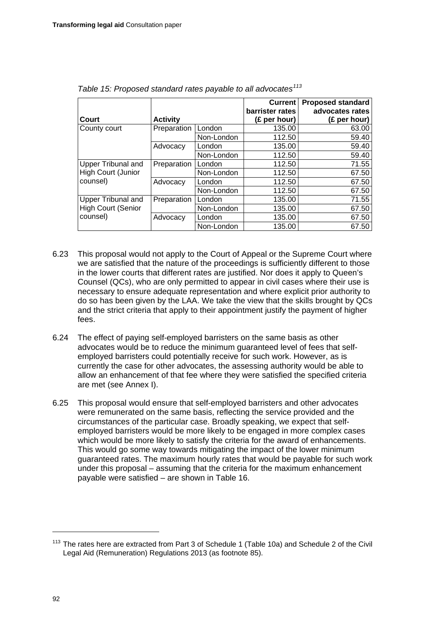|                           |                 |            | <b>Current</b>  | <b>Proposed standard</b> |
|---------------------------|-----------------|------------|-----------------|--------------------------|
|                           |                 |            | barrister rates | advocates rates          |
| Court                     | <b>Activity</b> |            | (£ per hour)    | (£ per hour)             |
| County court              | Preparation     | London     | 135.00          | 63.00                    |
|                           |                 | Non-London | 112.50          | 59.40                    |
|                           | Advocacy        | London     | 135.00          | 59.40                    |
|                           |                 | Non-London | 112.50          | 59.40                    |
| Upper Tribunal and        | Preparation     | London     | 112.50          | 71.55                    |
| High Court (Junior        |                 | Non-London | 112.50          | 67.50                    |
| counsel)                  | Advocacy        | London     | 112.50          | 67.50                    |
|                           |                 | Non-London | 112.50          | 67.50                    |
| Upper Tribunal and        | Preparation     | London     | 135.00          | 71.55                    |
| <b>High Court (Senior</b> |                 | Non-London | 135.00          | 67.50                    |
| counsel)                  | Advocacy        | London     | 135.00          | 67.50                    |
|                           |                 | Non-London | 135.00          | 67.50                    |

*Table 15: Proposed standard rates payable to all advocates[113](#page-94-0)*

- 6.23 This proposal would not apply to the Court of Appeal or the Supreme Court where we are satisfied that the nature of the proceedings is sufficiently different to those in the lower courts that different rates are justified. Nor does it apply to Queen's Counsel (QCs), who are only permitted to appear in civil cases where their use is necessary to ensure adequate representation and where explicit prior authority to do so has been given by the LAA. We take the view that the skills brought by QCs and the strict criteria that apply to their appointment justify the payment of higher fees.
- 6.24 The effect of paying self-employed barristers on the same basis as other advocates would be to reduce the minimum guaranteed level of fees that selfemployed barristers could potentially receive for such work. However, as is currently the case for other advocates, the assessing authority would be able to allow an enhancement of that fee where they were satisfied the specified criteria are met (see Annex I).
- 6.25 This proposal would ensure that self-employed barristers and other advocates were remunerated on the same basis, reflecting the service provided and the circumstances of the particular case. Broadly speaking, we expect that selfemployed barristers would be more likely to be engaged in more complex cases which would be more likely to satisfy the criteria for the award of enhancements. This would go some way towards mitigating the impact of the lower minimum guaranteed rates. The maximum hourly rates that would be payable for such work under this proposal – assuming that the criteria for the maximum enhancement payable were satisfied – are shown in Table 16.

<span id="page-94-0"></span><sup>&</sup>lt;sup>113</sup> The rates here are extracted from Part 3 of Schedule 1 (Table 10a) and Schedule 2 of the Civil Legal Aid (Remuneration) Regulations 2013 (as footnote 85).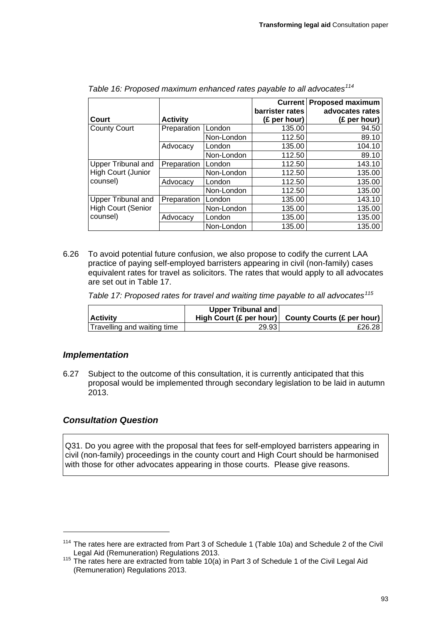|                                                                    |                 |            | Current <sub>1</sub> | <b>Proposed maximum</b> |
|--------------------------------------------------------------------|-----------------|------------|----------------------|-------------------------|
|                                                                    |                 |            | barrister rates      | advocates rates         |
| Court                                                              | <b>Activity</b> |            | (£ per hour)         | (£ per hour)            |
| <b>County Court</b>                                                | Preparation     | London     | 135.00               | 94.50                   |
|                                                                    |                 | Non-London | 112.50               | 89.10                   |
|                                                                    | Advocacy        | London     | 135.00               | 104.10                  |
|                                                                    |                 | Non-London | 112.50               | 89.10                   |
| Upper Tribunal and<br>High Court (Junior<br>counsel)               | Preparation     | London     | 112.50               | 143.10                  |
|                                                                    |                 | Non-London | 112.50               | 135.00                  |
|                                                                    | Advocacy        | London     | 112.50               | 135.00                  |
|                                                                    |                 | Non-London | 112.50               | 135.00                  |
| <b>Upper Tribunal and</b><br><b>High Court (Senior</b><br>counsel) | Preparation     | London     | 135.00               | 143.10                  |
|                                                                    |                 | Non-London | 135.00               | 135.00                  |
|                                                                    | Advocacy        | London     | 135.00               | 135.00                  |
|                                                                    |                 | Non-London | 135.00               | 135.00                  |

*Table 16: Proposed maximum enhanced rates payable to all advocates[114](#page-95-0)*

6.26 To avoid potential future confusion, we also propose to codify the current LAA practice of paying self-employed barristers appearing in civil (non-family) cases equivalent rates for travel as solicitors. The rates that would apply to all advocates are set out in Table 17.

*Table 17: Proposed rates for travel and waiting time payable to all advocates[115](#page-95-1)*

|                             | Upper Tribunal and |                                                    |
|-----------------------------|--------------------|----------------------------------------------------|
| <b>Activity</b>             |                    | High Court (£ per hour) County Courts (£ per hour) |
| Travelling and waiting time | 29.93              | £26.28                                             |

#### *Implementation*

-

6.27 Subject to the outcome of this consultation, it is currently anticipated that this proposal would be implemented through secondary legislation to be laid in autumn 2013.

#### *Consultation Question*

Q31. Do you agree with the proposal that fees for self-employed barristers appearing in civil (non-family) proceedings in the county court and High Court should be harmonised with those for other advocates appearing in those courts. Please give reasons.

<span id="page-95-1"></span><span id="page-95-0"></span><sup>&</sup>lt;sup>114</sup> The rates here are extracted from Part 3 of Schedule 1 (Table 10a) and Schedule 2 of the Civil Legal Aid (Remuneration) Regulations 2013.<br><sup>115</sup> The rates here are extracted from table 10(a) in Part 3 of Schedule 1 of the Civil Legal Aid

<sup>(</sup>Remuneration) Regulations 2013.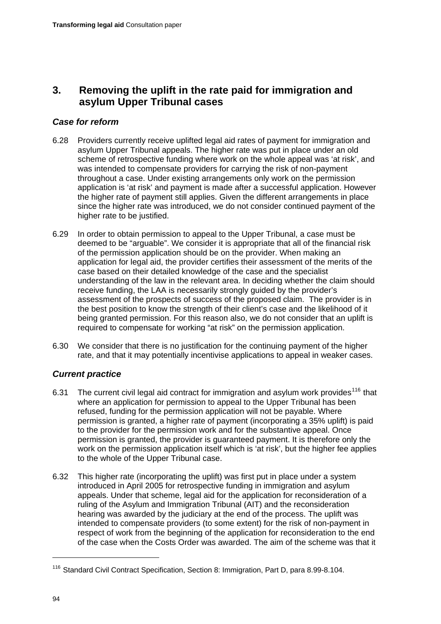## **3. Removing the uplift in the rate paid for immigration and asylum Upper Tribunal cases**

#### *Case for reform*

- 6.28 Providers currently receive uplifted legal aid rates of payment for immigration and asylum Upper Tribunal appeals. The higher rate was put in place under an old scheme of retrospective funding where work on the whole appeal was 'at risk', and was intended to compensate providers for carrying the risk of non-payment throughout a case. Under existing arrangements only work on the permission application is 'at risk' and payment is made after a successful application. However the higher rate of payment still applies. Given the different arrangements in place since the higher rate was introduced, we do not consider continued payment of the higher rate to be justified.
- 6.29 In order to obtain permission to appeal to the Upper Tribunal, a case must be deemed to be "arguable". We consider it is appropriate that all of the financial risk of the permission application should be on the provider. When making an application for legal aid, the provider certifies their assessment of the merits of the case based on their detailed knowledge of the case and the specialist understanding of the law in the relevant area. In deciding whether the claim should receive funding, the LAA is necessarily strongly guided by the provider's assessment of the prospects of success of the proposed claim. The provider is in the best position to know the strength of their client's case and the likelihood of it being granted permission. For this reason also, we do not consider that an uplift is required to compensate for working "at risk" on the permission application.
- 6.30 We consider that there is no justification for the continuing payment of the higher rate, and that it may potentially incentivise applications to appeal in weaker cases.

### *Current practice*

- 6.31 The current civil legal aid contract for immigration and asylum work provides<sup>[116](#page-96-0)</sup> that where an application for permission to appeal to the Upper Tribunal has been refused, funding for the permission application will not be payable. Where permission is granted, a higher rate of payment (incorporating a 35% uplift) is paid to the provider for the permission work and for the substantive appeal. Once permission is granted, the provider is guaranteed payment. It is therefore only the work on the permission application itself which is 'at risk', but the higher fee applies to the whole of the Upper Tribunal case.
- 6.32 This higher rate (incorporating the uplift) was first put in place under a system introduced in April 2005 for retrospective funding in immigration and asylum appeals. Under that scheme, legal aid for the application for reconsideration of a ruling of the Asylum and Immigration Tribunal (AIT) and the reconsideration hearing was awarded by the judiciary at the end of the process. The uplift was intended to compensate providers (to some extent) for the risk of non-payment in respect of work from the beginning of the application for reconsideration to the end of the case when the Costs Order was awarded. The aim of the scheme was that it

<span id="page-96-0"></span><sup>&</sup>lt;sup>116</sup> Standard Civil Contract Specification, Section 8: Immigration, Part D, para 8.99-8.104.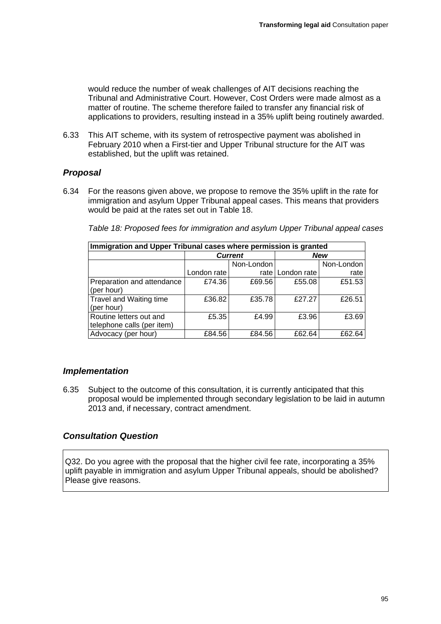would reduce the number of weak challenges of AIT decisions reaching the Tribunal and Administrative Court. However, Cost Orders were made almost as a matter of routine. The scheme therefore failed to transfer any financial risk of applications to providers, resulting instead in a 35% uplift being routinely awarded.

6.33 This AIT scheme, with its system of retrospective payment was abolished in February 2010 when a First-tier and Upper Tribunal structure for the AIT was established, but the uplift was retained.

#### *Proposal*

6.34 For the reasons given above, we propose to remove the 35% uplift in the rate for immigration and asylum Upper Tribunal appeal cases. This means that providers would be paid at the rates set out in Table 18.

| Immigration and Upper Tribunal cases where permission is granted |                |            |             |            |  |  |
|------------------------------------------------------------------|----------------|------------|-------------|------------|--|--|
|                                                                  | <b>Current</b> |            | <b>New</b>  |            |  |  |
|                                                                  |                | Non-London |             | Non-London |  |  |
|                                                                  | London rate    | rate       | London rate | rate       |  |  |
| Preparation and attendance                                       | £74.36         | £69.56     | £55.08      | £51.53     |  |  |
| (per hour)                                                       |                |            |             |            |  |  |
| Travel and Waiting time                                          | £36.82         | £35.78     | £27.27      | £26.51     |  |  |
| (per hour)                                                       |                |            |             |            |  |  |
| Routine letters out and                                          | £5.35          | £4.99      | £3.96       | £3.69      |  |  |
| telephone calls (per item)                                       |                |            |             |            |  |  |
| Advocacy (per hour)                                              | £84.56         | £84.56     | £62.64      | £62.64     |  |  |

*Table 18: Proposed fees for immigration and asylum Upper Tribunal appeal cases* 

#### *Implementation*

6.35 Subject to the outcome of this consultation, it is currently anticipated that this proposal would be implemented through secondary legislation to be laid in autumn 2013 and, if necessary, contract amendment.

#### *Consultation Question*

Q32. Do you agree with the proposal that the higher civil fee rate, incorporating a 35% uplift payable in immigration and asylum Upper Tribunal appeals, should be abolished? Please give reasons.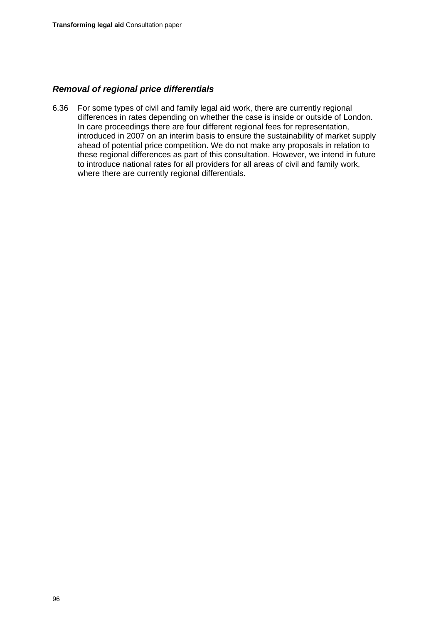#### *Removal of regional price differentials*

6.36 For some types of civil and family legal aid work, there are currently regional differences in rates depending on whether the case is inside or outside of London. In care proceedings there are four different regional fees for representation, introduced in 2007 on an interim basis to ensure the sustainability of market supply ahead of potential price competition. We do not make any proposals in relation to these regional differences as part of this consultation. However, we intend in future to introduce national rates for all providers for all areas of civil and family work, where there are currently regional differentials.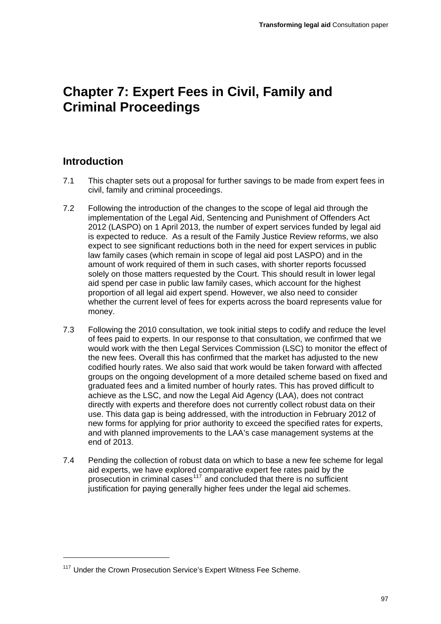# **Chapter 7: Expert Fees in Civil, Family and Criminal Proceedings**

## **Introduction**

- 7.1 This chapter sets out a proposal for further savings to be made from expert fees in civil, family and criminal proceedings.
- 7.2 Following the introduction of the changes to the scope of legal aid through the implementation of the Legal Aid, Sentencing and Punishment of Offenders Act 2012 (LASPO) on 1 April 2013, the number of expert services funded by legal aid is expected to reduce. As a result of the Family Justice Review reforms, we also expect to see significant reductions both in the need for expert services in public law family cases (which remain in scope of legal aid post LASPO) and in the amount of work required of them in such cases, with shorter reports focussed solely on those matters requested by the Court. This should result in lower legal aid spend per case in public law family cases, which account for the highest proportion of all legal aid expert spend. However, we also need to consider whether the current level of fees for experts across the board represents value for money.
- 7.3 Following the 2010 consultation, we took initial steps to codify and reduce the level of fees paid to experts. In our response to that consultation, we confirmed that we would work with the then Legal Services Commission (LSC) to monitor the effect of the new fees. Overall this has confirmed that the market has adjusted to the new codified hourly rates. We also said that work would be taken forward with affected groups on the ongoing development of a more detailed scheme based on fixed and graduated fees and a limited number of hourly rates. This has proved difficult to achieve as the LSC, and now the Legal Aid Agency (LAA), does not contract directly with experts and therefore does not currently collect robust data on their use. This data gap is being addressed, with the introduction in February 2012 of new forms for applying for prior authority to exceed the specified rates for experts, and with planned improvements to the LAA's case management systems at the end of 2013.
- 7.4 Pending the collection of robust data on which to base a new fee scheme for legal aid experts, we have explored comparative expert fee rates paid by the prosecution in criminal cases<sup>[117](#page-99-0)</sup> and concluded that there is no sufficient justification for paying generally higher fees under the legal aid schemes.

<span id="page-99-0"></span><sup>&</sup>lt;sup>117</sup> Under the Crown Prosecution Service's Expert Witness Fee Scheme.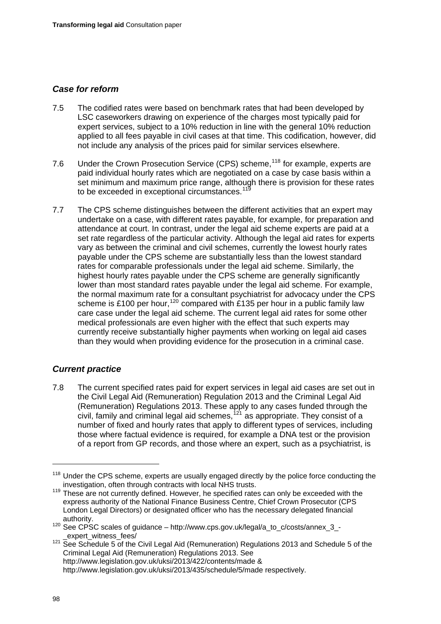#### *Case for reform*

- 7.5 The codified rates were based on benchmark rates that had been developed by LSC caseworkers drawing on experience of the charges most typically paid for expert services, subject to a 10% reduction in line with the general 10% reduction applied to all fees payable in civil cases at that time. This codification, however, did not include any analysis of the prices paid for similar services elsewhere.
- 7.6 Under the Crown Prosecution Service (CPS) scheme,<sup>[118](#page-100-0)</sup> for example, experts are paid individual hourly rates which are negotiated on a case by case basis within a set minimum and maximum price range, although there is provision for these rates to be exceeded in exceptional circumstances.<sup>[119](#page-100-1)</sup>
- 7.7 The CPS scheme distinguishes between the different activities that an expert may undertake on a case, with different rates payable, for example, for preparation and attendance at court. In contrast, under the legal aid scheme experts are paid at a set rate regardless of the particular activity. Although the legal aid rates for experts vary as between the criminal and civil schemes, currently the lowest hourly rates payable under the CPS scheme are substantially less than the lowest standard rates for comparable professionals under the legal aid scheme. Similarly, the highest hourly rates payable under the CPS scheme are generally significantly lower than most standard rates payable under the legal aid scheme. For example, the normal maximum rate for a consultant psychiatrist for advocacy under the CPS scheme is £100 per hour,<sup>[120](#page-100-2)</sup> compared with £135 per hour in a public family law care case under the legal aid scheme. The current legal aid rates for some other medical professionals are even higher with the effect that such experts may currently receive substantially higher payments when working on legal aid cases than they would when providing evidence for the prosecution in a criminal case.

### *Current practice*

7.8 The current specified rates paid for expert services in legal aid cases are set out in the Civil Legal Aid (Remuneration) Regulation 2013 and the Criminal Legal Aid (Remuneration) Regulations 2013. These apply to any cases funded through the civil, family and criminal legal aid schemes,  $121$  as appropriate. They consist of a number of fixed and hourly rates that apply to different types of services, including those where factual evidence is required, for example a DNA test or the provision of a report from GP records, and those where an expert, such as a psychiatrist, is

 $\overline{a}$ 

<span id="page-100-0"></span> $118$  Under the CPS scheme, experts are usually engaged directly by the police force conducting the investigation, often through contracts with local NHS trusts.

<span id="page-100-1"></span>investigation, of the structure of through the specified rates can only be exceeded with the 119 These are not currently defined. However, he specified rates can only be exceeded with the express authority of the National Finance Business Centre, Chief Crown Prosecutor (CPS London Legal Directors) or designated officer who has the necessary delegated financial

<span id="page-100-2"></span>authority.<br><sup>120</sup> See CPSC scales of guidance – http://www.cps.gov.uk/legal/a\_to\_c/costs/annex\_3\_-

<span id="page-100-3"></span>\_expert\_witness\_fees/ 121 See Schedule 5 of the Civil Legal Aid (Remuneration) Regulations 2013 and Schedule 5 of the Criminal Legal Aid (Remuneration) Regulations 2013. See <http://www.legislation.gov.uk/uksi/2013/422/contents/made>& <http://www.legislation.gov.uk/uksi/2013/435/schedule/5/made> respectively.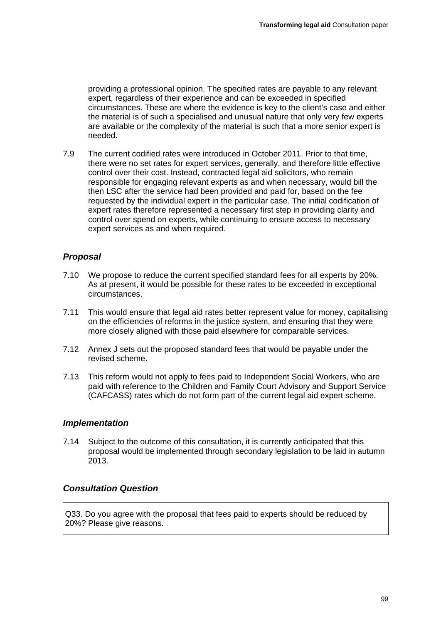providing a professional opinion. The specified rates are payable to any relevant expert, regardless of their experience and can be exceeded in specified circumstances. These are where the evidence is key to the client's case and either the material is of such a specialised and unusual nature that only very few experts are available or the complexity of the material is such that a more senior expert is needed.

7.9 The current codified rates were introduced in October 2011. Prior to that time, there were no set rates for expert services, generally, and therefore little effective control over their cost. Instead, contracted legal aid solicitors, who remain responsible for engaging relevant experts as and when necessary, would bill the then LSC after the service had been provided and paid for, based on the fee requested by the individual expert in the particular case. The initial codification of expert rates therefore represented a necessary first step in providing clarity and control over spend on experts, while continuing to ensure access to necessary expert services as and when required.

#### *Proposal*

- 7.10 We propose to reduce the current specified standard fees for all experts by 20%. As at present, it would be possible for these rates to be exceeded in exceptional circumstances.
- 7.11 This would ensure that legal aid rates better represent value for money, capitalising on the efficiencies of reforms in the justice system, and ensuring that they were more closely aligned with those paid elsewhere for comparable services.
- 7.12 Annex J sets out the proposed standard fees that would be payable under the revised scheme.
- 7.13 This reform would not apply to fees paid to Independent Social Workers, who are paid with reference to the Children and Family Court Advisory and Support Service (CAFCASS) rates which do not form part of the current legal aid expert scheme.

#### *Implementation*

7.14 Subject to the outcome of this consultation, it is currently anticipated that this proposal would be implemented through secondary legislation to be laid in autumn 2013.

#### *Consultation Question*

Q33. Do you agree with the proposal that fees paid to experts should be reduced by 20%? Please give reasons.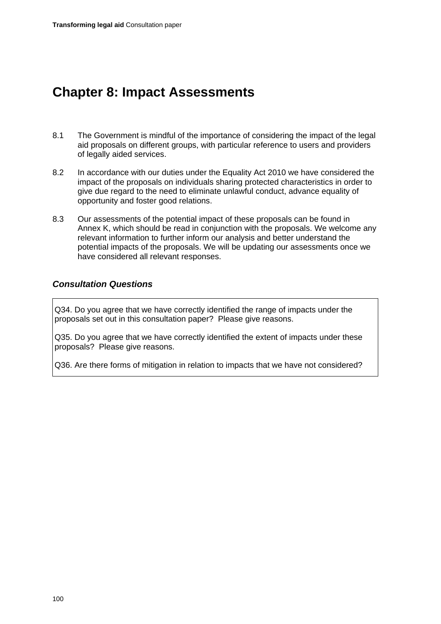# **Chapter 8: Impact Assessments**

- 8.1 The Government is mindful of the importance of considering the impact of the legal aid proposals on different groups, with particular reference to users and providers of legally aided services.
- 8.2 In accordance with our duties under the Equality Act 2010 we have considered the impact of the proposals on individuals sharing protected characteristics in order to give due regard to the need to eliminate unlawful conduct, advance equality of opportunity and foster good relations.
- 8.3 Our assessments of the potential impact of these proposals can be found in Annex K, which should be read in conjunction with the proposals. We welcome any relevant information to further inform our analysis and better understand the potential impacts of the proposals. We will be updating our assessments once we have considered all relevant responses.

#### *Consultation Questions*

Q34. Do you agree that we have correctly identified the range of impacts under the proposals set out in this consultation paper? Please give reasons.

Q35. Do you agree that we have correctly identified the extent of impacts under these proposals? Please give reasons.

Q36. Are there forms of mitigation in relation to impacts that we have not considered?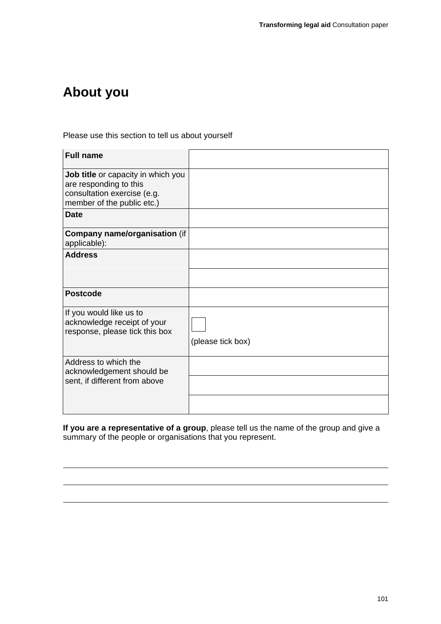## **About you**

Please use this section to tell us about yourself

| <b>Full name</b>                                                                                                          |                   |
|---------------------------------------------------------------------------------------------------------------------------|-------------------|
| Job title or capacity in which you<br>are responding to this<br>consultation exercise (e.g.<br>member of the public etc.) |                   |
| <b>Date</b>                                                                                                               |                   |
| <b>Company name/organisation (if</b><br>applicable):                                                                      |                   |
| <b>Address</b>                                                                                                            |                   |
|                                                                                                                           |                   |
| <b>Postcode</b>                                                                                                           |                   |
| If you would like us to<br>acknowledge receipt of your<br>response, please tick this box                                  | (please tick box) |
| Address to which the<br>acknowledgement should be                                                                         |                   |
| sent, if different from above                                                                                             |                   |
|                                                                                                                           |                   |

**If you are a representative of a group**, please tell us the name of the group and give a summary of the people or organisations that you represent.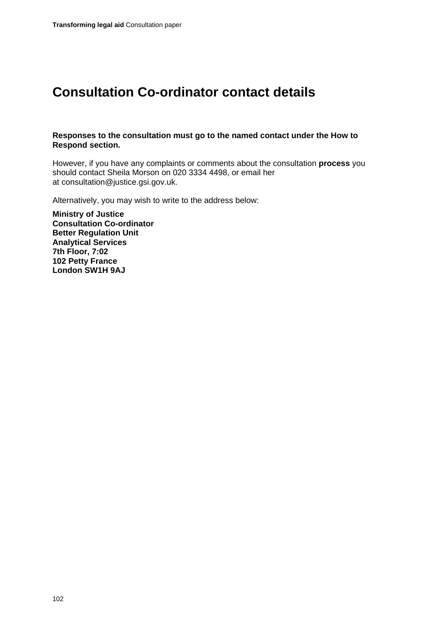# **Consultation Co-ordinator contact details**

#### **Responses to the consultation must go to the named contact under the How to Respond section.**

However, if you have any complaints or comments about the consultation **process** you should contact Sheila Morson on 020 3334 4498, or email her at [consultation@justice.gsi.gov.uk.](mailto:consultation@justice.gsi.gov.uk)

Alternatively, you may wish to write to the address below:

**Ministry of Justice Consultation Co-ordinator Better Regulation Unit Analytical Services 7th Floor, 7:02 102 Petty France London SW1H 9AJ**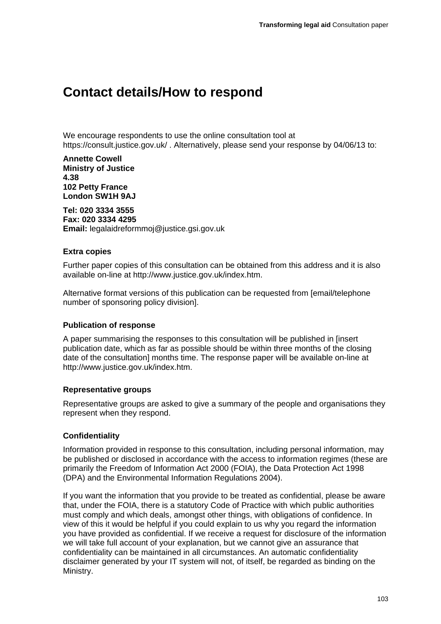## **Contact details/How to respond**

We encourage respondents to use the online consultation tool at <https://consult.justice.gov.uk/>. Alternatively, please send your response by 04/06/13 to:

**Annette Cowell Ministry of Justice 4.38 102 Petty France London SW1H 9AJ** 

**Tel: 020 3334 3555 Fax: 020 3334 4295 Email:** [legalaidreformmoj@justice.gsi.gov.uk](mailto:legalaidreformmoj@justice.gsi.gov.uk)

#### **Extra copies**

Further paper copies of this consultation can be obtained from this address and it is also available on-line at [http://www.justice.gov.uk/index.htm.](http://www.justice.gov.uk/index.htm)

Alternative format versions of this publication can be requested from [email/telephone number of sponsoring policy division].

#### **Publication of response**

A paper summarising the responses to this consultation will be published in [insert publication date, which as far as possible should be within three months of the closing date of the consultation] months time. The response paper will be available on-line at [http://www.justice.gov.uk/index.htm.](http://www.justice.gov.uk/index.htm)

#### **Representative groups**

Representative groups are asked to give a summary of the people and organisations they represent when they respond.

#### **Confidentiality**

Information provided in response to this consultation, including personal information, may be published or disclosed in accordance with the access to information regimes (these are primarily the Freedom of Information Act 2000 (FOIA), the Data Protection Act 1998 (DPA) and the Environmental Information Regulations 2004).

If you want the information that you provide to be treated as confidential, please be aware that, under the FOIA, there is a statutory Code of Practice with which public authorities must comply and which deals, amongst other things, with obligations of confidence. In view of this it would be helpful if you could explain to us why you regard the information you have provided as confidential. If we receive a request for disclosure of the information we will take full account of your explanation, but we cannot give an assurance that confidentiality can be maintained in all circumstances. An automatic confidentiality disclaimer generated by your IT system will not, of itself, be regarded as binding on the Ministry.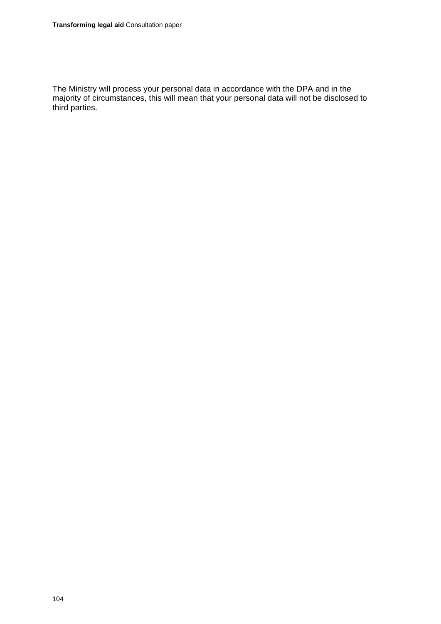The Ministry will process your personal data in accordance with the DPA and in the majority of circumstances, this will mean that your personal data will not be disclosed to third parties.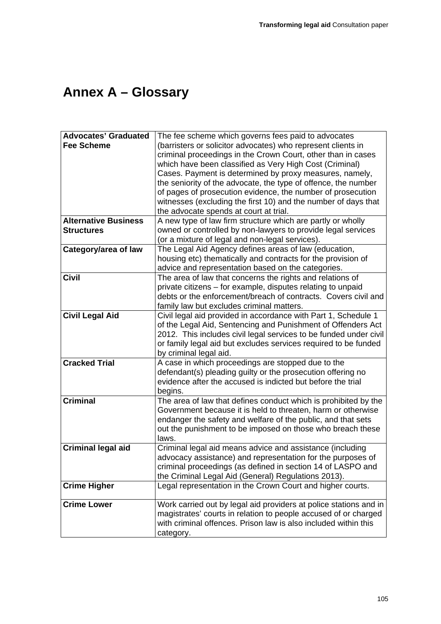# **Annex A – Glossary**

| <b>Advocates' Graduated</b> | The fee scheme which governs fees paid to advocates               |
|-----------------------------|-------------------------------------------------------------------|
| <b>Fee Scheme</b>           | (barristers or solicitor advocates) who represent clients in      |
|                             | criminal proceedings in the Crown Court, other than in cases      |
|                             | which have been classified as Very High Cost (Criminal)           |
|                             | Cases. Payment is determined by proxy measures, namely,           |
|                             | the seniority of the advocate, the type of offence, the number    |
|                             | of pages of prosecution evidence, the number of prosecution       |
|                             | witnesses (excluding the first 10) and the number of days that    |
|                             | the advocate spends at court at trial.                            |
| <b>Alternative Business</b> | A new type of law firm structure which are partly or wholly       |
| <b>Structures</b>           | owned or controlled by non-lawyers to provide legal services      |
|                             | (or a mixture of legal and non-legal services).                   |
| Category/area of law        | The Legal Aid Agency defines areas of law (education,             |
|                             | housing etc) thematically and contracts for the provision of      |
|                             | advice and representation based on the categories.                |
| <b>Civil</b>                | The area of law that concerns the rights and relations of         |
|                             | private citizens - for example, disputes relating to unpaid       |
|                             | debts or the enforcement/breach of contracts. Covers civil and    |
|                             | family law but excludes criminal matters.                         |
| <b>Civil Legal Aid</b>      | Civil legal aid provided in accordance with Part 1, Schedule 1    |
|                             | of the Legal Aid, Sentencing and Punishment of Offenders Act      |
|                             | 2012. This includes civil legal services to be funded under civil |
|                             | or family legal aid but excludes services required to be funded   |
|                             | by criminal legal aid.                                            |
| <b>Cracked Trial</b>        | A case in which proceedings are stopped due to the                |
|                             | defendant(s) pleading guilty or the prosecution offering no       |
|                             | evidence after the accused is indicted but before the trial       |
|                             | begins.                                                           |
| <b>Criminal</b>             | The area of law that defines conduct which is prohibited by the   |
|                             | Government because it is held to threaten, harm or otherwise      |
|                             | endanger the safety and welfare of the public, and that sets      |
|                             | out the punishment to be imposed on those who breach these        |
|                             | laws.                                                             |
| <b>Criminal legal aid</b>   | Criminal legal aid means advice and assistance (including         |
|                             | advocacy assistance) and representation for the purposes of       |
|                             | criminal proceedings (as defined in section 14 of LASPO and       |
|                             | the Criminal Legal Aid (General) Regulations 2013).               |
| <b>Crime Higher</b>         | Legal representation in the Crown Court and higher courts.        |
|                             |                                                                   |
| <b>Crime Lower</b>          | Work carried out by legal aid providers at police stations and in |
|                             | magistrates' courts in relation to people accused of or charged   |
|                             | with criminal offences. Prison law is also included within this   |
|                             | category.                                                         |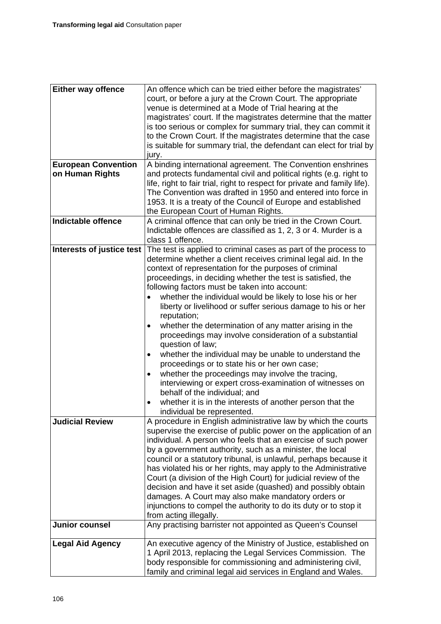| <b>Either way offence</b>  | An offence which can be tried either before the magistrates'                                                                     |
|----------------------------|----------------------------------------------------------------------------------------------------------------------------------|
|                            | court, or before a jury at the Crown Court. The appropriate                                                                      |
|                            | venue is determined at a Mode of Trial hearing at the                                                                            |
|                            | magistrates' court. If the magistrates determine that the matter                                                                 |
|                            | is too serious or complex for summary trial, they can commit it                                                                  |
|                            | to the Crown Court. If the magistrates determine that the case                                                                   |
|                            | is suitable for summary trial, the defendant can elect for trial by<br>jury.                                                     |
| <b>European Convention</b> | A binding international agreement. The Convention enshrines                                                                      |
| on Human Rights            | and protects fundamental civil and political rights (e.g. right to                                                               |
|                            | life, right to fair trial, right to respect for private and family life).                                                        |
|                            | The Convention was drafted in 1950 and entered into force in                                                                     |
|                            | 1953. It is a treaty of the Council of Europe and established                                                                    |
|                            | the European Court of Human Rights.                                                                                              |
| <b>Indictable offence</b>  | A criminal offence that can only be tried in the Crown Court.                                                                    |
|                            | Indictable offences are classified as 1, 2, 3 or 4. Murder is a                                                                  |
|                            | class 1 offence.                                                                                                                 |
| Interests of justice test  | The test is applied to criminal cases as part of the process to                                                                  |
|                            | determine whether a client receives criminal legal aid. In the                                                                   |
|                            | context of representation for the purposes of criminal                                                                           |
|                            | proceedings, in deciding whether the test is satisfied, the                                                                      |
|                            | following factors must be taken into account:                                                                                    |
|                            | whether the individual would be likely to lose his or her                                                                        |
|                            | liberty or livelihood or suffer serious damage to his or her                                                                     |
|                            | reputation;                                                                                                                      |
|                            | whether the determination of any matter arising in the                                                                           |
|                            | proceedings may involve consideration of a substantial<br>question of law;                                                       |
|                            | whether the individual may be unable to understand the                                                                           |
|                            | proceedings or to state his or her own case;                                                                                     |
|                            | whether the proceedings may involve the tracing,                                                                                 |
|                            | interviewing or expert cross-examination of witnesses on                                                                         |
|                            | behalf of the individual; and                                                                                                    |
|                            | whether it is in the interests of another person that the                                                                        |
|                            | individual be represented.                                                                                                       |
| <b>Judicial Review</b>     | A procedure in English administrative law by which the courts                                                                    |
|                            | supervise the exercise of public power on the application of an<br>individual. A person who feels that an exercise of such power |
|                            | by a government authority, such as a minister, the local                                                                         |
|                            | council or a statutory tribunal, is unlawful, perhaps because it                                                                 |
|                            | has violated his or her rights, may apply to the Administrative                                                                  |
|                            | Court (a division of the High Court) for judicial review of the                                                                  |
|                            | decision and have it set aside (quashed) and possibly obtain                                                                     |
|                            | damages. A Court may also make mandatory orders or                                                                               |
|                            | injunctions to compel the authority to do its duty or to stop it                                                                 |
|                            | from acting illegally.                                                                                                           |
| <b>Junior counsel</b>      | Any practising barrister not appointed as Queen's Counsel                                                                        |
| <b>Legal Aid Agency</b>    | An executive agency of the Ministry of Justice, established on                                                                   |
|                            | 1 April 2013, replacing the Legal Services Commission. The                                                                       |
|                            | body responsible for commissioning and administering civil,                                                                      |
|                            | family and criminal legal aid services in England and Wales.                                                                     |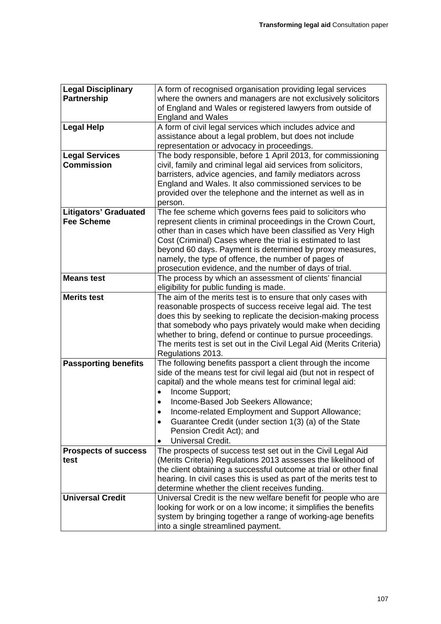| <b>Legal Disciplinary</b>    | A form of recognised organisation providing legal services          |
|------------------------------|---------------------------------------------------------------------|
| <b>Partnership</b>           | where the owners and managers are not exclusively solicitors        |
|                              | of England and Wales or registered lawyers from outside of          |
|                              | <b>England and Wales</b>                                            |
| <b>Legal Help</b>            | A form of civil legal services which includes advice and            |
|                              | assistance about a legal problem, but does not include              |
|                              | representation or advocacy in proceedings.                          |
| <b>Legal Services</b>        | The body responsible, before 1 April 2013, for commissioning        |
| <b>Commission</b>            | civil, family and criminal legal aid services from solicitors,      |
|                              | barristers, advice agencies, and family mediators across            |
|                              | England and Wales. It also commissioned services to be              |
|                              | provided over the telephone and the internet as well as in          |
|                              | person.                                                             |
| <b>Litigators' Graduated</b> | The fee scheme which governs fees paid to solicitors who            |
| <b>Fee Scheme</b>            | represent clients in criminal proceedings in the Crown Court,       |
|                              | other than in cases which have been classified as Very High         |
|                              | Cost (Criminal) Cases where the trial is estimated to last          |
|                              | beyond 60 days. Payment is determined by proxy measures,            |
|                              | namely, the type of offence, the number of pages of                 |
|                              | prosecution evidence, and the number of days of trial.              |
| <b>Means test</b>            | The process by which an assessment of clients' financial            |
|                              | eligibility for public funding is made.                             |
| <b>Merits test</b>           | The aim of the merits test is to ensure that only cases with        |
|                              | reasonable prospects of success receive legal aid. The test         |
|                              | does this by seeking to replicate the decision-making process       |
|                              | that somebody who pays privately would make when deciding           |
|                              | whether to bring, defend or continue to pursue proceedings.         |
|                              | The merits test is set out in the Civil Legal Aid (Merits Criteria) |
|                              | Regulations 2013.                                                   |
| <b>Passporting benefits</b>  | The following benefits passport a client through the income         |
|                              | side of the means test for civil legal aid (but not in respect of   |
|                              | capital) and the whole means test for criminal legal aid:           |
|                              | Income Support;                                                     |
|                              | Income-Based Job Seekers Allowance;                                 |
|                              | Income-related Employment and Support Allowance;<br>$\bullet$       |
|                              | Guarantee Credit (under section 1(3) (a) of the State               |
|                              | Pension Credit Act); and                                            |
|                              | Universal Credit.                                                   |
| <b>Prospects of success</b>  | The prospects of success test set out in the Civil Legal Aid        |
| test                         | (Merits Criteria) Regulations 2013 assesses the likelihood of       |
|                              | the client obtaining a successful outcome at trial or other final   |
|                              | hearing. In civil cases this is used as part of the merits test to  |
|                              | determine whether the client receives funding.                      |
| <b>Universal Credit</b>      | Universal Credit is the new welfare benefit for people who are      |
|                              | looking for work or on a low income; it simplifies the benefits     |
|                              | system by bringing together a range of working-age benefits         |
|                              | into a single streamlined payment.                                  |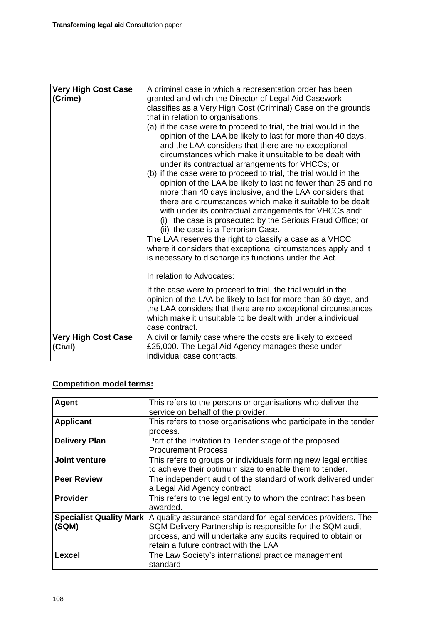| <b>Very High Cost Case</b><br>(Crime) | A criminal case in which a representation order has been<br>granted and which the Director of Legal Aid Casework<br>classifies as a Very High Cost (Criminal) Case on the grounds<br>that in relation to organisations:<br>(a) if the case were to proceed to trial, the trial would in the<br>opinion of the LAA be likely to last for more than 40 days,<br>and the LAA considers that there are no exceptional<br>circumstances which make it unsuitable to be dealt with<br>under its contractual arrangements for VHCCs; or<br>(b) if the case were to proceed to trial, the trial would in the<br>opinion of the LAA be likely to last no fewer than 25 and no<br>more than 40 days inclusive, and the LAA considers that<br>there are circumstances which make it suitable to be dealt<br>with under its contractual arrangements for VHCCs and:<br>the case is prosecuted by the Serious Fraud Office; or<br>(i)<br>(ii) the case is a Terrorism Case.<br>The LAA reserves the right to classify a case as a VHCC<br>where it considers that exceptional circumstances apply and it<br>is necessary to discharge its functions under the Act.<br>In relation to Advocates:<br>If the case were to proceed to trial, the trial would in the<br>opinion of the LAA be likely to last for more than 60 days, and<br>the LAA considers that there are no exceptional circumstances<br>which make it unsuitable to be dealt with under a individual<br>case contract. |
|---------------------------------------|--------------------------------------------------------------------------------------------------------------------------------------------------------------------------------------------------------------------------------------------------------------------------------------------------------------------------------------------------------------------------------------------------------------------------------------------------------------------------------------------------------------------------------------------------------------------------------------------------------------------------------------------------------------------------------------------------------------------------------------------------------------------------------------------------------------------------------------------------------------------------------------------------------------------------------------------------------------------------------------------------------------------------------------------------------------------------------------------------------------------------------------------------------------------------------------------------------------------------------------------------------------------------------------------------------------------------------------------------------------------------------------------------------------------------------------------------------------------------|
| <b>Very High Cost Case</b>            | A civil or family case where the costs are likely to exceed                                                                                                                                                                                                                                                                                                                                                                                                                                                                                                                                                                                                                                                                                                                                                                                                                                                                                                                                                                                                                                                                                                                                                                                                                                                                                                                                                                                                              |
| (Civil)                               | £25,000. The Legal Aid Agency manages these under                                                                                                                                                                                                                                                                                                                                                                                                                                                                                                                                                                                                                                                                                                                                                                                                                                                                                                                                                                                                                                                                                                                                                                                                                                                                                                                                                                                                                        |
|                                       | individual case contracts.                                                                                                                                                                                                                                                                                                                                                                                                                                                                                                                                                                                                                                                                                                                                                                                                                                                                                                                                                                                                                                                                                                                                                                                                                                                                                                                                                                                                                                               |
|                                       |                                                                                                                                                                                                                                                                                                                                                                                                                                                                                                                                                                                                                                                                                                                                                                                                                                                                                                                                                                                                                                                                                                                                                                                                                                                                                                                                                                                                                                                                          |

## **Competition model terms:**

| Agent                          | This refers to the persons or organisations who deliver the      |
|--------------------------------|------------------------------------------------------------------|
|                                | service on behalf of the provider.                               |
| <b>Applicant</b>               | This refers to those organisations who participate in the tender |
|                                | process.                                                         |
| <b>Delivery Plan</b>           | Part of the Invitation to Tender stage of the proposed           |
|                                | <b>Procurement Process</b>                                       |
| Joint venture                  | This refers to groups or individuals forming new legal entities  |
|                                | to achieve their optimum size to enable them to tender.          |
| <b>Peer Review</b>             | The independent audit of the standard of work delivered under    |
|                                | a Legal Aid Agency contract                                      |
| <b>Provider</b>                | This refers to the legal entity to whom the contract has been    |
|                                | awarded.                                                         |
| <b>Specialist Quality Mark</b> | A quality assurance standard for legal services providers. The   |
| (SQM)                          | SQM Delivery Partnership is responsible for the SQM audit        |
|                                | process, and will undertake any audits required to obtain or     |
|                                | retain a future contract with the LAA                            |
| Lexcel                         | The Law Society's international practice management              |
|                                | standard                                                         |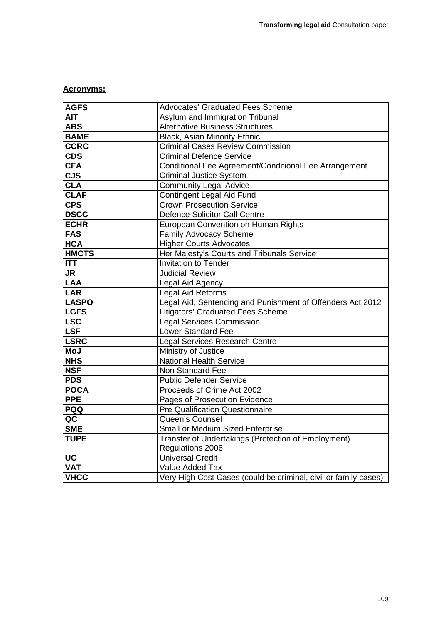### **Acronyms:**

| <b>AGFS</b>              | Advocates' Graduated Fees Scheme                                |  |  |  |  |
|--------------------------|-----------------------------------------------------------------|--|--|--|--|
| <b>AIT</b>               | Asylum and Immigration Tribunal                                 |  |  |  |  |
| <b>ABS</b>               | <b>Alternative Business Structures</b>                          |  |  |  |  |
| <b>BAME</b>              | <b>Black, Asian Minority Ethnic</b>                             |  |  |  |  |
| <b>CCRC</b>              | <b>Criminal Cases Review Commission</b>                         |  |  |  |  |
| <b>CDS</b>               | <b>Criminal Defence Service</b>                                 |  |  |  |  |
| <b>CFA</b>               | Conditional Fee Agreement/Conditional Fee Arrangement           |  |  |  |  |
| <b>CJS</b>               | <b>Criminal Justice System</b>                                  |  |  |  |  |
| <b>CLA</b>               | <b>Community Legal Advice</b>                                   |  |  |  |  |
| <b>CLAF</b>              | <b>Contingent Legal Aid Fund</b>                                |  |  |  |  |
| <b>CPS</b>               | <b>Crown Prosecution Service</b>                                |  |  |  |  |
| <b>DSCC</b>              | <b>Defence Solicitor Call Centre</b>                            |  |  |  |  |
| <b>ECHR</b>              | European Convention on Human Rights                             |  |  |  |  |
| <b>FAS</b>               | Family Advocacy Scheme                                          |  |  |  |  |
| <b>HCA</b>               | <b>Higher Courts Advocates</b>                                  |  |  |  |  |
| <b>HMCTS</b>             | Her Majesty's Courts and Tribunals Service                      |  |  |  |  |
| <b>ITT</b>               | <b>Invitation to Tender</b>                                     |  |  |  |  |
| <b>JR</b>                | <b>Judicial Review</b>                                          |  |  |  |  |
| <b>LAA</b>               | Legal Aid Agency                                                |  |  |  |  |
| <b>LAR</b>               | Legal Aid Reforms                                               |  |  |  |  |
| <b>LASPO</b>             | Legal Aid, Sentencing and Punishment of Offenders Act 2012      |  |  |  |  |
| <b>LGFS</b>              | Litigators' Graduated Fees Scheme                               |  |  |  |  |
| <b>LSC</b>               | <b>Legal Services Commission</b>                                |  |  |  |  |
| <b>LSF</b>               | <b>Lower Standard Fee</b>                                       |  |  |  |  |
| <b>LSRC</b>              | <b>Legal Services Research Centre</b>                           |  |  |  |  |
| MoJ                      | Ministry of Justice                                             |  |  |  |  |
| <b>NHS</b>               | <b>National Health Service</b>                                  |  |  |  |  |
| <b>NSF</b>               | Non Standard Fee                                                |  |  |  |  |
| <b>PDS</b>               | <b>Public Defender Service</b>                                  |  |  |  |  |
| <b>POCA</b>              | Proceeds of Crime Act 2002                                      |  |  |  |  |
| <b>PPE</b>               | Pages of Prosecution Evidence                                   |  |  |  |  |
| <b>PQQ</b>               | <b>Pre Qualification Questionnaire</b>                          |  |  |  |  |
| $\overline{\mathsf{QC}}$ | Queen's Counsel                                                 |  |  |  |  |
| <b>SME</b>               | Small or Medium Sized Enterprise                                |  |  |  |  |
| <b>TUPE</b>              | Transfer of Undertakings (Protection of Employment)             |  |  |  |  |
|                          | Regulations 2006                                                |  |  |  |  |
| <b>UC</b>                | <b>Universal Credit</b>                                         |  |  |  |  |
| <b>VAT</b>               | Value Added Tax                                                 |  |  |  |  |
| <b>VHCC</b>              | Very High Cost Cases (could be criminal, civil or family cases) |  |  |  |  |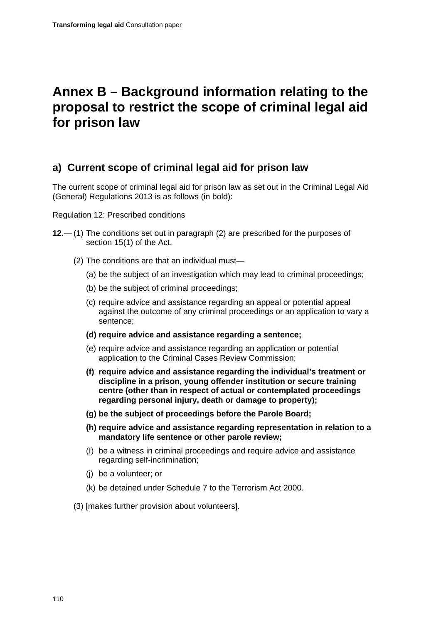# **Annex B – Background information relating to the proposal to restrict the scope of criminal legal aid for prison law**

## **a) Current scope of criminal legal aid for prison law**

The current scope of criminal legal aid for prison law as set out in the Criminal Legal Aid (General) Regulations 2013 is as follows (in bold):

Regulation 12: Prescribed conditions

- **12.** (1) The conditions set out in paragraph (2) are prescribed for the purposes of section 15(1) of the Act.
	- (2) The conditions are that an individual must—
		- (a) be the subject of an investigation which may lead to criminal proceedings;
		- (b) be the subject of criminal proceedings;
		- (c) require advice and assistance regarding an appeal or potential appeal against the outcome of any criminal proceedings or an application to vary a sentence;
		- **(d) require advice and assistance regarding a sentence;**
		- (e) require advice and assistance regarding an application or potential application to the Criminal Cases Review Commission;
		- **(f) require advice and assistance regarding the individual's treatment or discipline in a prison, young offender institution or secure training centre (other than in respect of actual or contemplated proceedings regarding personal injury, death or damage to property);**
		- **(g) be the subject of proceedings before the Parole Board;**
		- **(h) require advice and assistance regarding representation in relation to a mandatory life sentence or other parole review;**
		- (I) be a witness in criminal proceedings and require advice and assistance regarding self-incrimination;
		- (j) be a volunteer; or
		- (k) be detained under Schedule 7 to the Terrorism Act 2000.
	- (3) [makes further provision about volunteers].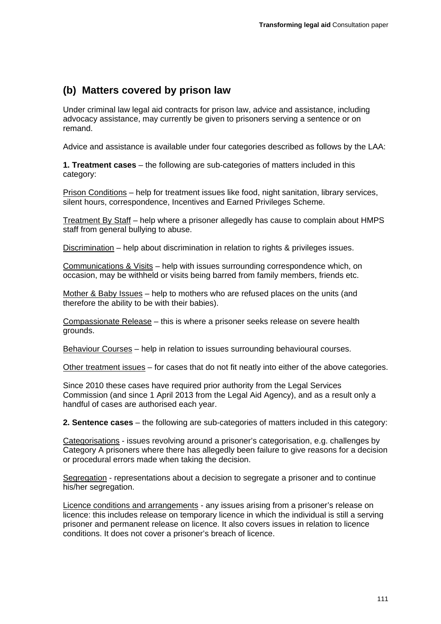## **(b) Matters covered by prison law**

Under criminal law legal aid contracts for prison law, advice and assistance, including advocacy assistance, may currently be given to prisoners serving a sentence or on remand.

Advice and assistance is available under four categories described as follows by the LAA:

**1. Treatment cases** – the following are sub-categories of matters included in this category:

Prison Conditions – help for treatment issues like food, night sanitation, library services, silent hours, correspondence, Incentives and Earned Privileges Scheme.

Treatment By Staff – help where a prisoner allegedly has cause to complain about HMPS staff from general bullying to abuse.

Discrimination – help about discrimination in relation to rights & privileges issues.

Communications & Visits – help with issues surrounding correspondence which, on occasion, may be withheld or visits being barred from family members, friends etc.

Mother & Baby Issues – help to mothers who are refused places on the units (and therefore the ability to be with their babies).

Compassionate Release – this is where a prisoner seeks release on severe health grounds.

Behaviour Courses – help in relation to issues surrounding behavioural courses.

Other treatment issues – for cases that do not fit neatly into either of the above categories.

Since 2010 these cases have required prior authority from the Legal Services Commission (and since 1 April 2013 from the Legal Aid Agency), and as a result only a handful of cases are authorised each year.

**2. Sentence cases** – the following are sub-categories of matters included in this category:

Categorisations - issues revolving around a prisoner's categorisation, e.g. challenges by Category A prisoners where there has allegedly been failure to give reasons for a decision or procedural errors made when taking the decision.

Segregation - representations about a decision to segregate a prisoner and to continue his/her segregation.

Licence conditions and arrangements - any issues arising from a prisoner's release on licence: this includes release on temporary licence in which the individual is still a serving prisoner and permanent release on licence. It also covers issues in relation to licence conditions. It does not cover a prisoner's breach of licence.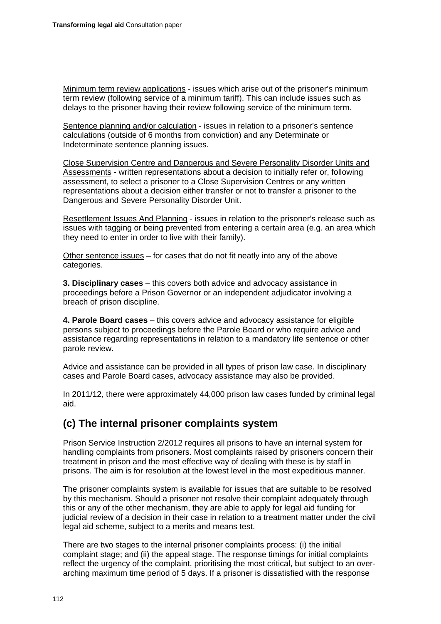Minimum term review applications - issues which arise out of the prisoner's minimum term review (following service of a minimum tariff). This can include issues such as delays to the prisoner having their review following service of the minimum term.

Sentence planning and/or calculation - issues in relation to a prisoner's sentence calculations (outside of 6 months from conviction) and any Determinate or Indeterminate sentence planning issues.

Close Supervision Centre and Dangerous and Severe Personality Disorder Units and Assessments - written representations about a decision to initially refer or, following assessment, to select a prisoner to a Close Supervision Centres or any written representations about a decision either transfer or not to transfer a prisoner to the Dangerous and Severe Personality Disorder Unit.

Resettlement Issues And Planning - issues in relation to the prisoner's release such as issues with tagging or being prevented from entering a certain area (e.g. an area which they need to enter in order to live with their family).

Other sentence issues – for cases that do not fit neatly into any of the above categories.

**3. Disciplinary cases** – this covers both advice and advocacy assistance in proceedings before a Prison Governor or an independent adjudicator involving a breach of prison discipline.

**4. Parole Board cases** – this covers advice and advocacy assistance for eligible persons subject to proceedings before the Parole Board or who require advice and assistance regarding representations in relation to a mandatory life sentence or other parole review.

Advice and assistance can be provided in all types of prison law case. In disciplinary cases and Parole Board cases, advocacy assistance may also be provided.

In 2011/12, there were approximately 44,000 prison law cases funded by criminal legal aid.

## **(c) The internal prisoner complaints system**

Prison Service Instruction 2/2012 requires all prisons to have an internal system for handling complaints from prisoners. Most complaints raised by prisoners concern their treatment in prison and the most effective way of dealing with these is by staff in prisons. The aim is for resolution at the lowest level in the most expeditious manner.

The prisoner complaints system is available for issues that are suitable to be resolved by this mechanism. Should a prisoner not resolve their complaint adequately through this or any of the other mechanism, they are able to apply for legal aid funding for judicial review of a decision in their case in relation to a treatment matter under the civil legal aid scheme, subject to a merits and means test.

There are two stages to the internal prisoner complaints process: (i) the initial complaint stage; and (ii) the appeal stage. The response timings for initial complaints reflect the urgency of the complaint, prioritising the most critical, but subject to an overarching maximum time period of 5 days. If a prisoner is dissatisfied with the response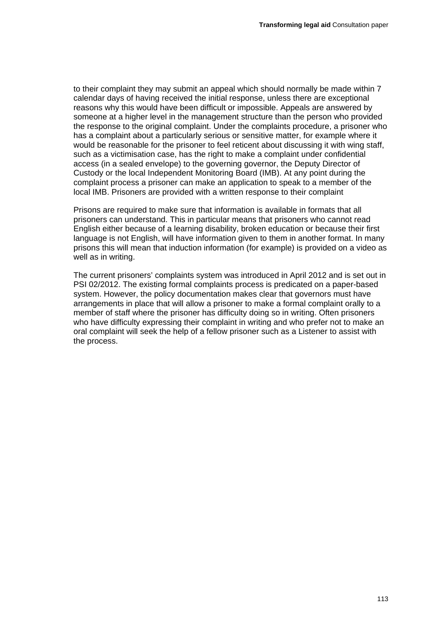to their complaint they may submit an appeal which should normally be made within 7 calendar days of having received the initial response, unless there are exceptional reasons why this would have been difficult or impossible. Appeals are answered by someone at a higher level in the management structure than the person who provided the response to the original complaint. Under the complaints procedure, a prisoner who has a complaint about a particularly serious or sensitive matter, for example where it would be reasonable for the prisoner to feel reticent about discussing it with wing staff, such as a victimisation case, has the right to make a complaint under confidential access (in a sealed envelope) to the governing governor, the Deputy Director of Custody or the local Independent Monitoring Board (IMB). At any point during the complaint process a prisoner can make an application to speak to a member of the local IMB. Prisoners are provided with a written response to their complaint

Prisons are required to make sure that information is available in formats that all prisoners can understand. This in particular means that prisoners who cannot read English either because of a learning disability, broken education or because their first language is not English, will have information given to them in another format. In many prisons this will mean that induction information (for example) is provided on a video as well as in writing.

The current prisoners' complaints system was introduced in April 2012 and is set out in PSI 02/2012. The existing formal complaints process is predicated on a paper-based system. However, the policy documentation makes clear that governors must have arrangements in place that will allow a prisoner to make a formal complaint orally to a member of staff where the prisoner has difficulty doing so in writing. Often prisoners who have difficulty expressing their complaint in writing and who prefer not to make an oral complaint will seek the help of a fellow prisoner such as a Listener to assist with the process.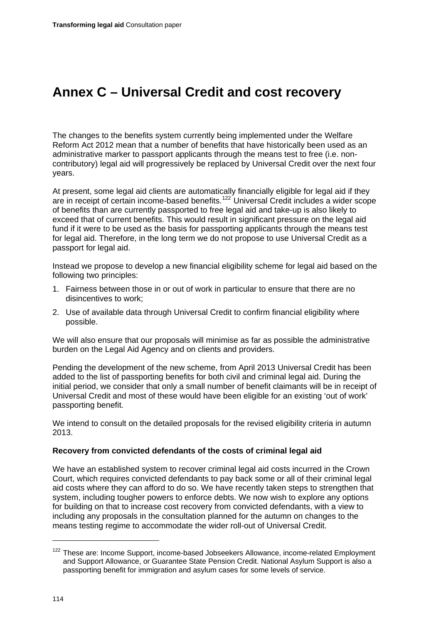# **Annex C – Universal Credit and cost recovery**

The changes to the benefits system currently being implemented under the Welfare Reform Act 2012 mean that a number of benefits that have historically been used as an administrative marker to passport applicants through the means test to free (i.e. noncontributory) legal aid will progressively be replaced by Universal Credit over the next four years.

At present, some legal aid clients are automatically financially eligible for legal aid if they are in receipt of certain income-based benefits.[122](#page-116-0) Universal Credit includes a wider scope of benefits than are currently passported to free legal aid and take-up is also likely to exceed that of current benefits. This would result in significant pressure on the legal aid fund if it were to be used as the basis for passporting applicants through the means test for legal aid. Therefore, in the long term we do not propose to use Universal Credit as a passport for legal aid.

Instead we propose to develop a new financial eligibility scheme for legal aid based on the following two principles:

- 1. Fairness between those in or out of work in particular to ensure that there are no disincentives to work;
- 2. Use of available data through Universal Credit to confirm financial eligibility where possible.

We will also ensure that our proposals will minimise as far as possible the administrative burden on the Legal Aid Agency and on clients and providers.

Pending the development of the new scheme, from April 2013 Universal Credit has been added to the list of passporting benefits for both civil and criminal legal aid. During the initial period, we consider that only a small number of benefit claimants will be in receipt of Universal Credit and most of these would have been eligible for an existing 'out of work' passporting benefit.

We intend to consult on the detailed proposals for the revised eligibility criteria in autumn 2013.

#### **Recovery from convicted defendants of the costs of criminal legal aid**

We have an established system to recover criminal legal aid costs incurred in the Crown Court, which requires convicted defendants to pay back some or all of their criminal legal aid costs where they can afford to do so. We have recently taken steps to strengthen that system, including tougher powers to enforce debts. We now wish to explore any options for building on that to increase cost recovery from convicted defendants, with a view to including any proposals in the consultation planned for the autumn on changes to the means testing regime to accommodate the wider roll-out of Universal Credit.

-

<span id="page-116-0"></span><sup>&</sup>lt;sup>122</sup> These are: Income Support, income-based Jobseekers Allowance, income-related Employment and Support Allowance, or Guarantee State Pension Credit. National Asylum Support is also a passporting benefit for immigration and asylum cases for some levels of service.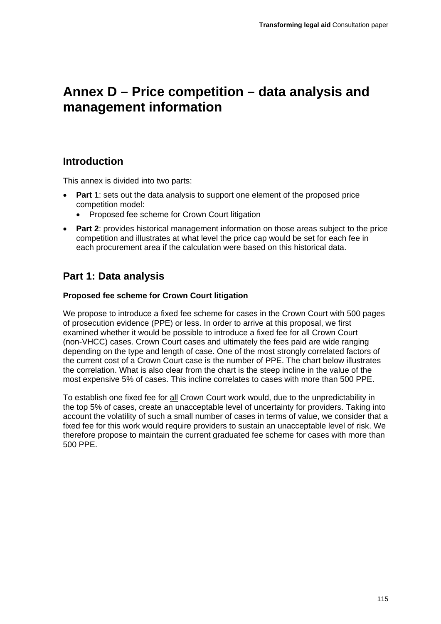# **Annex D – Price competition – data analysis and management information**

## **Introduction**

This annex is divided into two parts:

- **Part 1**: sets out the data analysis to support one element of the proposed price competition model:
	- Proposed fee scheme for Crown Court litigation
- **Part 2**: provides historical management information on those areas subject to the price competition and illustrates at what level the price cap would be set for each fee in each procurement area if the calculation were based on this historical data.

## **Part 1: Data analysis**

#### **Proposed fee scheme for Crown Court litigation**

We propose to introduce a fixed fee scheme for cases in the Crown Court with 500 pages of prosecution evidence (PPE) or less. In order to arrive at this proposal, we first examined whether it would be possible to introduce a fixed fee for all Crown Court (non-VHCC) cases. Crown Court cases and ultimately the fees paid are wide ranging depending on the type and length of case. One of the most strongly correlated factors of the current cost of a Crown Court case is the number of PPE. The chart below illustrates the correlation. What is also clear from the chart is the steep incline in the value of the most expensive 5% of cases. This incline correlates to cases with more than 500 PPE.

To establish one fixed fee for all Crown Court work would, due to the unpredictability in the top 5% of cases, create an unacceptable level of uncertainty for providers. Taking into account the volatility of such a small number of cases in terms of value, we consider that a fixed fee for this work would require providers to sustain an unacceptable level of risk. We therefore propose to maintain the current graduated fee scheme for cases with more than 500 PPE.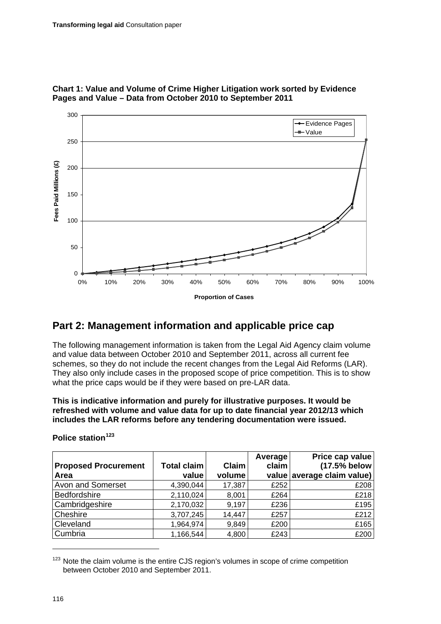



## **Part 2: Management information and applicable price cap**

The following management information is taken from the Legal Aid Agency claim volume and value data between October 2010 and September 2011, across all current fee schemes, so they do not include the recent changes from the Legal Aid Reforms (LAR). They also only include cases in the proposed scope of price competition. This is to show what the price caps would be if they were based on pre-LAR data.

**This is indicative information and purely for illustrative purposes. It would be refreshed with volume and value data for up to date financial year 2012/13 which includes the LAR reforms before any tendering documentation were issued.** 

**Police station[123](#page-118-0)**

| <b>Proposed Procurement</b> | <b>Total claim</b> | <b>Claim</b> | Average<br>claim | Price cap value<br>(17.5% below |
|-----------------------------|--------------------|--------------|------------------|---------------------------------|
| Area                        | value              | volume       |                  | value average claim value)      |
| Avon and Somerset           | 4,390,044          | 17,387       | £252             | £208                            |
| <b>Bedfordshire</b>         | 2,110,024          | 8,001        | £264             | £218                            |
| Cambridgeshire              | 2,170,032          | 9,197        | £236             | £195                            |
| Cheshire                    | 3,707,245          | 14,447       | £257             | £212                            |
| Cleveland                   | 1,964,974          | 9,849        | £200             | £165                            |
| Cumbria                     | 1,166,544          | 4,800        | £243             | £200                            |

<span id="page-118-0"></span><sup>&</sup>lt;sup>123</sup> Note the claim volume is the entire CJS region's volumes in scope of crime competition between October 2010 and September 2011.

-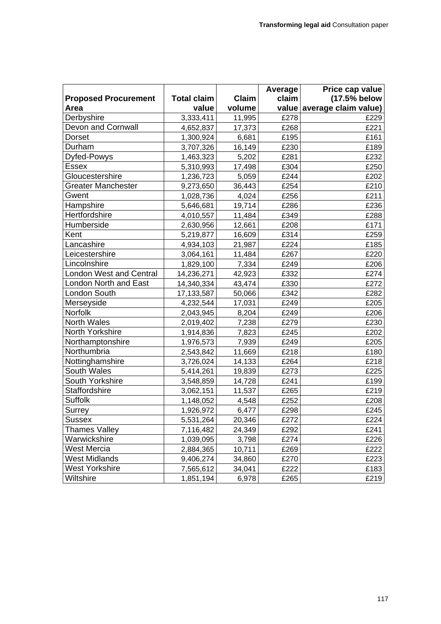|                                |                    |        | Average | Price cap value            |
|--------------------------------|--------------------|--------|---------|----------------------------|
| <b>Proposed Procurement</b>    | <b>Total claim</b> | Claim  | claim   | (17.5% below               |
| Area                           | value              | volume |         | value average claim value) |
| Derbyshire                     | 3,333,411          | 11,995 | £278    | £229                       |
| Devon and Cornwall             | 4,652,837          | 17,373 | £268    | £221                       |
| Dorset                         | 1,300,924          | 6,681  | £195    | £161                       |
| Durham                         | 3,707,326          | 16,149 | £230    | £189                       |
| Dyfed-Powys                    | 1,463,323          | 5,202  | £281    | £232                       |
| <b>Essex</b>                   | 5,310,993          | 17,498 | £304    | £250                       |
| Gloucestershire                | 1,236,723          | 5,059  | £244    | £202                       |
| <b>Greater Manchester</b>      | 9,273,650          | 36,443 | £254    | £210                       |
| Gwent                          | 1,028,736          | 4,024  | £256    | £211                       |
| Hampshire                      | 5,646,681          | 19,714 | £286    | £236                       |
| Hertfordshire                  | 4,010,557          | 11,484 | £349    | £288                       |
| Humberside                     | 2,630,956          | 12,661 | £208    | £171                       |
| Kent                           | 5,219,877          | 16,609 | £314    | £259                       |
| ancashire                      | 4,934,103          | 21,987 | £224    | £185                       |
| Leicestershire                 | 3,064,161          | 11,484 | £267    | £220                       |
| Lincolnshire                   | 1,829,100          | 7,334  | £249    | £206                       |
| <b>London West and Central</b> | 14,236,271         | 42,923 | £332    | £274                       |
| London North and East          | 14,340,334         | 43,474 | £330    | £272                       |
| London South                   | 17,133,587         | 50,066 | £342    | £282                       |
| Merseyside                     | 4,232,544          | 17,031 | £249    | £205                       |
| Norfolk                        | 2,043,945          | 8,204  | £249    | £206                       |
| North Wales                    | 2,019,402          | 7,238  | £279    | £230                       |
| North Yorkshire                | 1,914,836          | 7,823  | £245    | £202                       |
| Northamptonshire               | 1,976,573          | 7,939  | £249    | £205                       |
| Northumbria                    | 2,543,842          | 11,669 | £218    | £180                       |
| Nottinghamshire                | 3,726,024          | 14,133 | £264    | £218                       |
| South Wales                    | 5,414,261          | 19,839 | £273    | £225                       |
| South Yorkshire                | 3,548,859          | 14,728 | £241    | £199                       |
| Staffordshire                  | 3,062,151          | 11,537 | £265    | £219                       |
| <b>Suffolk</b>                 | 1,148,052          | 4,548  | £252    | £208                       |
| Surrey                         | 1,926,972          | 6,477  | £298    | £245                       |
| Sussex                         | 5,531,264          | 20,346 | £272    | £224                       |
| <b>Thames Valley</b>           | 7,116,482          | 24,349 | £292    | £241                       |
| Warwickshire                   | 1,039,095          | 3,798  | £274    | £226                       |
| West Mercia                    | 2,884,365          | 10,711 | £269    | £222                       |
| <b>West Midlands</b>           | 9,406,274          | 34,860 | £270    | £223                       |
| <b>West Yorkshire</b>          | 7,565,612          | 34,041 | £222    | £183                       |
| Wiltshire                      | 1,851,194          | 6,978  | £265    | £219                       |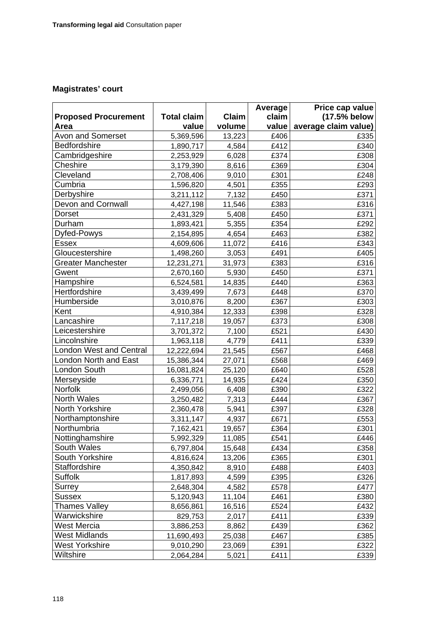## **Magistrates' court**

|                                |                    |        | Average | Price cap value      |
|--------------------------------|--------------------|--------|---------|----------------------|
| <b>Proposed Procurement</b>    | <b>Total claim</b> | Claim  | claim   | (17.5% below         |
| Area                           | value              | volume | value   | average claim value) |
| Avon and Somerset              | 5,369,596          | 13,223 | £406    | £335                 |
| <b>Bedfordshire</b>            | 1,890,717          | 4,584  | £412    | £340                 |
| Cambridgeshire                 | 2,253,929          | 6,028  | £374    | £308                 |
| Cheshire                       | 3,179,390          | 8,616  | £369    | £304                 |
| Cleveland                      | 2,708,406          | 9,010  | £301    | £248                 |
| Cumbria                        | 1,596,820          | 4,501  | £355    | £293                 |
| Derbyshire                     | 3,211,112          | 7,132  | £450    | £371                 |
| Devon and Cornwall             | 4,427,198          | 11,546 | £383    | £316                 |
| <b>Dorset</b>                  | 2,431,329          | 5,408  | £450    | £371                 |
| Durham                         | 1,893,421          | 5,355  | £354    | £292                 |
| Dyfed-Powys                    | 2,154,895          | 4,654  | £463    | £382                 |
| <b>Essex</b>                   | 4,609,606          | 11,072 | £416    | £343                 |
| Gloucestershire                | 1,498,260          | 3,053  | £491    | £405                 |
| Greater Manchester             | 12,231,271         | 31,973 | £383    | £316                 |
| Gwent                          | 2,670,160          | 5,930  | £450    | £371                 |
| Hampshire                      | 6,524,581          | 14,835 | £440    | £363                 |
| Hertfordshire                  | 3,439,499          | 7,673  | £448    | £370                 |
| Humberside                     | 3,010,876          | 8,200  | £367    | £303                 |
| Kent                           | 4,910,384          | 12,333 | £398    | £328                 |
| Lancashire                     | 7,117,218          | 19,057 | £373    | £308                 |
| Leicestershire                 | 3,701,372          | 7,100  | £521    | £430                 |
| Lincolnshire                   | 1,963,118          | 4,779  | £411    | £339                 |
| <b>London West and Central</b> | 12,222,694         | 21,545 | £567    | £468                 |
| London North and East          | 15,386,344         | 27,071 | £568    | £469                 |
| London South                   | 16,081,824         | 25,120 | £640    | £528                 |
| Merseyside                     | 6,336,771          | 14,935 | £424    | £350                 |
| Norfolk                        | 2,499,056          | 6,408  | £390    | £322                 |
| <b>North Wales</b>             | 3,250,482          | 7,313  | £444    | £367                 |
| North Yorkshire                | 2,360,478          | 5,941  | £397    | £328                 |
| Northamptonshire               | 3,311,147          | 4,937  | £671    | £553                 |
| Northumbria                    | 7,162,421          | 19,657 | £364    | £301                 |
| Nottinghamshire                | 5,992,329          | 11,085 | £541    | £446                 |
| South Wales                    | 6,797,804          | 15,648 | £434    | £358                 |
| South Yorkshire                | 4,816,624          | 13,206 | £365    | £301                 |
| Staffordshire                  | 4,350,842          | 8,910  | £488    | £403                 |
| <b>Suffolk</b>                 | 1,817,893          | 4,599  | £395    | £326                 |
| Surrey                         | 2,648,304          | 4,582  | £578    | £477                 |
| <b>Sussex</b>                  | 5,120,943          | 11,104 | £461    | £380                 |
| <b>Thames Valley</b>           | 8,656,861          | 16,516 | £524    | £432                 |
| Warwickshire                   | 829,753            | 2,017  | £411    | £339                 |
| West Mercia                    | 3,886,253          | 8,862  | £439    | £362                 |
| <b>West Midlands</b>           | 11,690,493         | 25,038 | £467    | £385                 |
| <b>West Yorkshire</b>          | 9,010,290          | 23,069 | £391    | £322                 |
| Wiltshire                      | 2,064,284          | 5,021  | £411    | £339                 |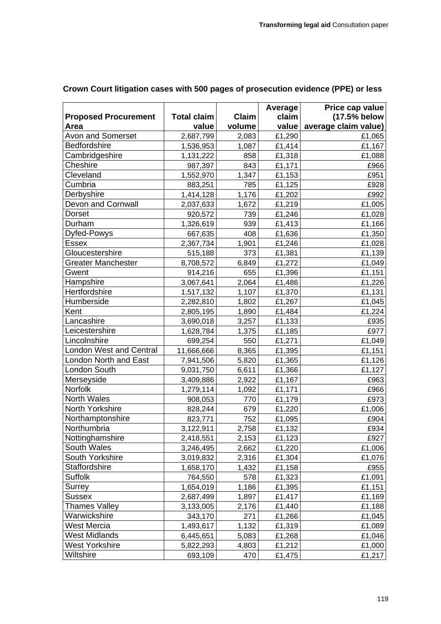|                                |                    |        | Average | Price cap value      |
|--------------------------------|--------------------|--------|---------|----------------------|
| <b>Proposed Procurement</b>    | <b>Total claim</b> | Claim  | claim   | (17.5% below         |
| Area                           | value              | volume | value   | average claim value) |
| <b>Avon and Somerset</b>       | 2,687,799          | 2,083  | £1,290  | £1,065               |
| Bedfordshire                   | 1,536,953          | 1,087  | £1,414  | £1,167               |
| Cambridgeshire                 | 1,131,222          | 858    | £1,318  | £1,088               |
| Cheshire                       | 987,397            | 843    | £1,171  | £966                 |
| Cleveland                      | 1,552,970          | 1,347  | £1,153  | £951                 |
| Cumbria                        | 883,251            | 785    | £1,125  | £928                 |
| Derbyshire                     | 1,414,128          | 1,176  | £1,202  | £992                 |
| Devon and Cornwall             | 2,037,633          | 1,672  | £1,219  | £1,005               |
| Dorset                         | 920,572            | 739    | £1,246  | £1,028               |
| Durham                         | 1,326,619          | 939    | £1,413  | £1,166               |
| Dyfed-Powys                    | 667,635            | 408    | £1,636  | £1,350               |
| <b>Essex</b>                   | 2,367,734          | 1,901  | £1,246  | £1,028               |
| Gloucestershire                | 515,188            | 373    | £1,381  | £1,139               |
| <b>Greater Manchester</b>      | 8,708,572          | 6,849  | £1,272  | £1,049               |
| Gwent                          | 914,216            | 655    | £1,396  | £1,151               |
| Hampshire                      | 3,067,641          | 2,064  | £1,486  | £1,226               |
| Hertfordshire                  | 1,517,132          | 1,107  | £1,370  | £1,131               |
| Humberside                     | 2,282,810          | 1,802  | £1,267  | £1,045               |
| Kent                           | 2,805,195          | 1,890  | £1,484  | £1,224               |
| Lancashire                     | 3,690,018          | 3,257  | £1,133  | £935                 |
| Leicestershire                 | 1,628,784          | 1,375  | £1,185  | £977                 |
| Lincolnshire                   | 699,254            | 550    | £1,271  | £1,049               |
| <b>London West and Central</b> | 11,666,666         | 8,365  | £1,395  | £1,151               |
| London North and East          | 7,941,506          | 5,820  | £1,365  | £1,126               |
| London South                   | 9,031,750          | 6,611  | £1,366  | £1,127               |
| Merseyside                     | 3,409,886          | 2,922  | £1,167  | £963                 |
| Norfolk                        | 1,279,114          | 1,092  | £1,171  | £966                 |
| <b>North Wales</b>             | 908,053            | 770    | £1,179  | £973                 |
| North Yorkshire                | 828,244            | 679    | £1,220  | £1,006               |
| Northamptonshire               | 823,771            | 752    | £1,095  | £904                 |
| Northumbria                    | 3,122,911          | 2,758  | £1,132  | £934                 |
| Nottinghamshire                | 2,418,551          | 2,153  | £1,123  | £927                 |
| South Wales                    | 3,246,495          | 2,662  | £1,220  | £1,006               |
| South Yorkshire                | 3,019,832          | 2,316  | £1,304  | £1,076               |
| Staffordshire                  | 1,658,170          | 1,432  | £1,158  | £955                 |
| <b>Suffolk</b>                 | 764,550            | 578    | £1,323  | £1,091               |
| Surrey                         | 1,654,019          | 1,186  | £1,395  | £1,151               |
| <b>Sussex</b>                  | 2,687,499          | 1,897  | £1,417  | £1,169               |
| Thames Valley                  | 3,133,005          | 2,176  | £1,440  | £1,188               |
| Warwickshire                   | 343,170            | 271    | £1,266  | £1,045               |
| West Mercia                    | 1,493,617          | 1,132  | £1,319  | £1,089               |
| <b>West Midlands</b>           | 6,445,651          | 5,083  | £1,268  | £1,046               |
| <b>West Yorkshire</b>          | 5,822,293          | 4,803  | £1,212  | £1,000               |
| Wiltshire                      | 693,109            | 470    | £1,475  | £1,217               |

## **Crown Court litigation cases with 500 pages of prosecution evidence (PPE) or less**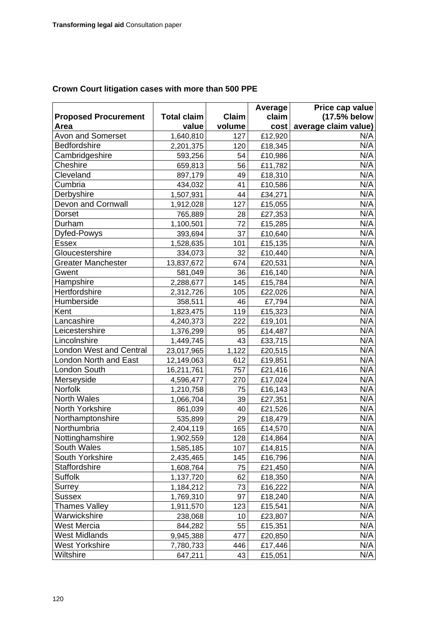## **Crown Court litigation cases with more than 500 PPE**

|                                |                    |              | Average | Price cap value           |
|--------------------------------|--------------------|--------------|---------|---------------------------|
| <b>Proposed Procurement</b>    | <b>Total claim</b> | <b>Claim</b> | claim   | (17.5% below              |
| Area                           | value              | volume       | cost    | average claim value)      |
| Avon and Somerset              | 1,640,810          | 127          | £12,920 | N/A                       |
| <b>Bedfordshire</b>            | 2,201,375          | 120          | £18,345 | N/A                       |
| Cambridgeshire                 | 593,256            | 54           | £10,986 | N/A                       |
| Cheshire                       | 659,813            | 56           | £11,782 | N/A                       |
| Cleveland                      | 897,179            | 49           | £18,310 | N/A                       |
| Cumbria                        | 434,032            | 41           | £10,586 | N/A                       |
| Derbyshire                     | 1,507,931          | 44           | £34,271 | N/A                       |
| Devon and Cornwall             | 1,912,028          | 127          | £15,055 | N/A                       |
| Dorset                         | 765,889            | 28           | £27,353 | N/A                       |
| Durham                         | 1,100,501          | 72           | £15,285 | N/A                       |
| Dyfed-Powys                    | 393,694            | 37           | £10,640 | N/A                       |
| <b>Essex</b>                   | 1,528,635          | 101          | £15,135 | N/A                       |
| Gloucestershire                | 334,073            | 32           | £10,440 | N/A                       |
| <b>Greater Manchester</b>      | 13,837,672         | 674          | £20,531 | N/A                       |
| Gwent                          | 581,049            | 36           | £16,140 | N/A                       |
| Hampshire                      | 2,288,677          | 145          | £15,784 | N/A                       |
| Hertfordshire                  | 2,312,726          | 105          | £22,026 | N/A                       |
| Humberside                     | 358,511            | 46           | £7,794  | N/A                       |
| Kent                           | 1,823,475          | 119          | £15,323 | N/A                       |
| Lancashire                     | 4,240,373          | 222          | £19,101 | N/A                       |
| Leicestershire                 | 1,376,299          | 95           | £14,487 | N/A                       |
| Lincolnshire                   | 1,449,745          | 43           | £33,715 | N/A                       |
| <b>London West and Central</b> | 23,017,965         | 1,122        | £20,515 | N/A                       |
| <b>London North and East</b>   | 12,149,063         | 612          | £19,851 | N/A                       |
| London South                   | 16,211,761         | 757          | £21,416 | N/A                       |
| Merseyside                     | 4,596,477          | 270          | £17,024 | N/A                       |
| Norfolk                        | 1,210,758          | 75           | £16,143 | N/A                       |
| <b>North Wales</b>             | 1,066,704          | 39           | £27,351 | N/A                       |
| North Yorkshire                | 861,039            | 40           | £21,526 | N/A                       |
| Northamptonshire               | 535,899            | 29           | £18,479 | N/A                       |
| Northumbria                    | 2,404,119          | 165          | £14,570 | $\overline{\mathsf{N/A}}$ |
| Nottinghamshire                | 1,902,559          | 128          | £14,864 | N/A                       |
| South Wales                    | 1,585,185          | 107          | £14,815 | N/A                       |
| South Yorkshire                | 2,435,465          | 145          | £16,796 | N/A                       |
| Staffordshire                  | 1,608,764          | 75           | £21,450 | N/A                       |
| <b>Suffolk</b>                 | 1,137,720          | 62           | £18,350 | N/A                       |
| Surrey                         | 1,184,212          | 73           | £16,222 | N/A                       |
| <b>Sussex</b>                  | 1,769,310          | 97           | £18,240 | N/A                       |
| Thames Valley                  | 1,911,570          | 123          | £15,541 | N/A                       |
| Warwickshire                   | 238,068            | 10           | £23,807 | N/A                       |
| <b>West Mercia</b>             | 844,282            | 55           | £15,351 | N/A                       |
| <b>West Midlands</b>           | 9,945,388          | 477          | £20,850 | N/A                       |
| <b>West Yorkshire</b>          | 7,780,733          | 446          | £17,446 | N/A                       |
| Wiltshire                      | 647,211            | 43           | £15,051 | N/A                       |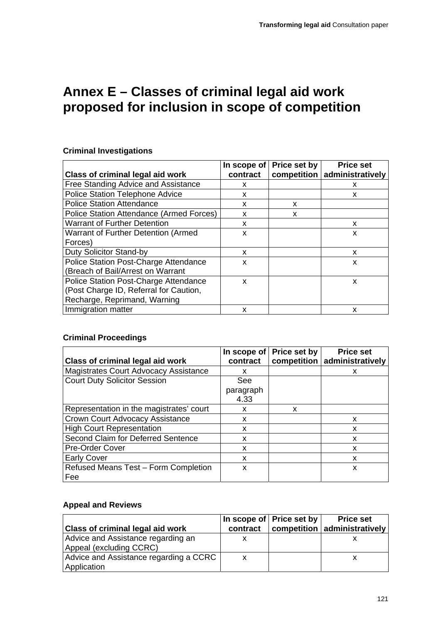# **Annex E – Classes of criminal legal aid work proposed for inclusion in scope of competition**

|                                          | In scope of | Price set by | <b>Price set</b>               |
|------------------------------------------|-------------|--------------|--------------------------------|
| Class of criminal legal aid work         | contract    |              | competition   administratively |
| Free Standing Advice and Assistance      | x           |              | x                              |
| <b>Police Station Telephone Advice</b>   | x           |              | x                              |
| <b>Police Station Attendance</b>         | x           | x            |                                |
| Police Station Attendance (Armed Forces) | X           | X            |                                |
| <b>Warrant of Further Detention</b>      | x           |              | X                              |
| Warrant of Further Detention (Armed      | X           |              | x                              |
| Forces)                                  |             |              |                                |
| Duty Solicitor Stand-by                  | X           |              | x                              |
| Police Station Post-Charge Attendance    | X           |              | x                              |
| (Breach of Bail/Arrest on Warrant        |             |              |                                |
| Police Station Post-Charge Attendance    | X           |              | X                              |
| (Post Charge ID, Referral for Caution,   |             |              |                                |
| Recharge, Reprimand, Warning             |             |              |                                |
| Immigration matter                       | x           |              | x                              |

### **Criminal Investigations**

### **Criminal Proceedings**

|                                             | In scope of | Price set by | <b>Price set</b>               |
|---------------------------------------------|-------------|--------------|--------------------------------|
| <b>Class of criminal legal aid work</b>     | contract    |              | competition   administratively |
| Magistrates Court Advocacy Assistance       | x           |              | x                              |
| <b>Court Duty Solicitor Session</b>         | See         |              |                                |
|                                             | paragraph   |              |                                |
|                                             | 4.33        |              |                                |
| Representation in the magistrates' court    | x           | x            |                                |
| <b>Crown Court Advocacy Assistance</b>      | x           |              | x                              |
| High Court Representation                   | X           |              | x                              |
| Second Claim for Deferred Sentence          | x           |              | x                              |
| <b>Pre-Order Cover</b>                      | X           |              | x                              |
| <b>Early Cover</b>                          | x           |              | x                              |
| <b>Refused Means Test - Form Completion</b> | X           |              | X                              |
| Fee                                         |             |              |                                |

#### **Appeal and Reviews**

|                                         |   | In scope of Price set by | <b>Price set</b>                          |
|-----------------------------------------|---|--------------------------|-------------------------------------------|
| <b>Class of criminal legal aid work</b> |   |                          | contract   competition   administratively |
| Advice and Assistance regarding an      | x |                          |                                           |
| Appeal (excluding CCRC)                 |   |                          |                                           |
| Advice and Assistance regarding a CCRC  | x |                          |                                           |
| Application                             |   |                          |                                           |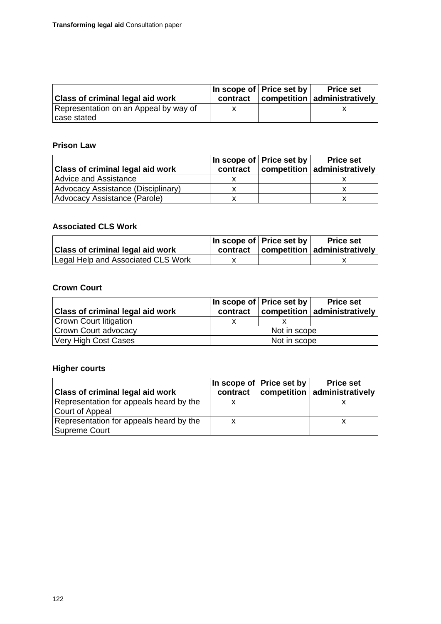| <b>Class of criminal legal aid work</b> | In scope of $ $ Price set by $ $ | <b>Price set</b><br>contract   competition   administratively |
|-----------------------------------------|----------------------------------|---------------------------------------------------------------|
| Representation on an Appeal by way of   |                                  |                                                               |
| case stated                             |                                  |                                                               |

### **Prison Law**

| <b>Class of criminal legal aid work</b> | In scope of $ $ Price set by $ $ | <b>Price set</b><br>contract competition administratively |
|-----------------------------------------|----------------------------------|-----------------------------------------------------------|
| Advice and Assistance                   |                                  |                                                           |
| Advocacy Assistance (Disciplinary)      |                                  |                                                           |
| Advocacy Assistance (Parole)            |                                  |                                                           |

### **Associated CLS Work**

|                                         | contract | In scope of Price set by $\vert$ | <b>Price set</b><br>$\mid$ competition $\mid$ administratively $\mid$ |
|-----------------------------------------|----------|----------------------------------|-----------------------------------------------------------------------|
| <b>Class of criminal legal aid work</b> |          |                                  |                                                                       |
| Legal Help and Associated CLS Work      |          |                                  |                                                                       |

#### **Crown Court**

|                                         | In scope of   Price set by |  | <b>Price set</b>                          |  |  |
|-----------------------------------------|----------------------------|--|-------------------------------------------|--|--|
| <b>Class of criminal legal aid work</b> |                            |  | contract   competition   administratively |  |  |
| <b>Crown Court litigation</b>           |                            |  |                                           |  |  |
| Crown Court advocacy                    | Not in scope               |  |                                           |  |  |
| Very High Cost Cases                    | Not in scope               |  |                                           |  |  |

## **Higher courts**

|                                         |         | In scope of Price set by | <b>Price set</b>               |
|-----------------------------------------|---------|--------------------------|--------------------------------|
| <b>Class of criminal legal aid work</b> | control |                          | competition   administratively |
| Representation for appeals heard by the |         |                          |                                |
| Court of Appeal                         |         |                          |                                |
| Representation for appeals heard by the |         |                          |                                |
| Supreme Court                           |         |                          |                                |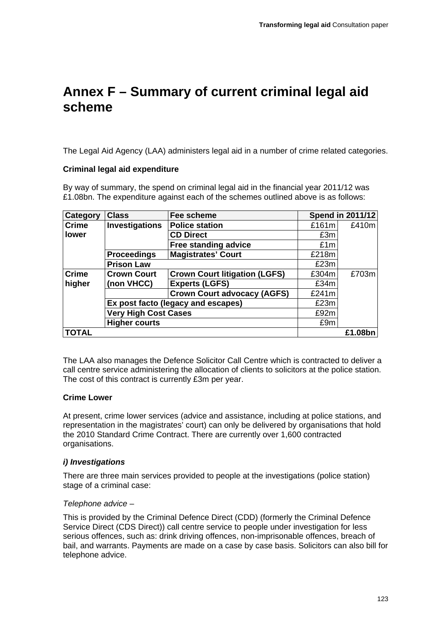# **Annex F – Summary of current criminal legal aid scheme**

The Legal Aid Agency (LAA) administers legal aid in a number of crime related categories.

#### **Criminal legal aid expenditure**

By way of summary, the spend on criminal legal aid in the financial year 2011/12 was £1.08bn. The expenditure against each of the schemes outlined above is as follows:

| Category     | <b>Class</b>                | Fee scheme                           |       | Spend in 2011/12 |
|--------------|-----------------------------|--------------------------------------|-------|------------------|
| <b>Crime</b> | <b>Investigations</b>       | <b>Police station</b>                | £161m | £410 $m$         |
| <b>lower</b> |                             | <b>CD Direct</b>                     | £3m   |                  |
|              |                             | <b>Free standing advice</b>          | £1m   |                  |
|              | <b>Proceedings</b>          | <b>Magistrates' Court</b>            | £218m |                  |
|              | <b>Prison Law</b>           |                                      | £23m  |                  |
| <b>Crime</b> | <b>Crown Court</b>          | <b>Crown Court litigation (LGFS)</b> | £304m | £703m            |
| higher       | (non VHCC)                  | <b>Experts (LGFS)</b>                | £34m  |                  |
|              |                             | <b>Crown Court advocacy (AGFS)</b>   | £241m |                  |
|              |                             | Ex post facto (legacy and escapes)   | £23m  |                  |
|              | <b>Very High Cost Cases</b> |                                      | £92m  |                  |
|              | <b>Higher courts</b>        |                                      | £9m   |                  |
| <b>TOTAL</b> |                             |                                      |       | £1.08bn          |

The LAA also manages the Defence Solicitor Call Centre which is contracted to deliver a call centre service administering the allocation of clients to solicitors at the police station. The cost of this contract is currently £3m per year.

#### **Crime Lower**

At present, crime lower services (advice and assistance, including at police stations, and representation in the magistrates' court) can only be delivered by organisations that hold the 2010 Standard Crime Contract. There are currently over 1,600 contracted organisations.

#### *i) Investigations*

There are three main services provided to people at the investigations (police station) stage of a criminal case:

#### *Telephone advice* –

This is provided by the Criminal Defence Direct (CDD) (formerly the Criminal Defence Service Direct (CDS Direct)) call centre service to people under investigation for less serious offences, such as: drink driving offences, non-imprisonable offences, breach of bail, and warrants. Payments are made on a case by case basis. Solicitors can also bill for telephone advice.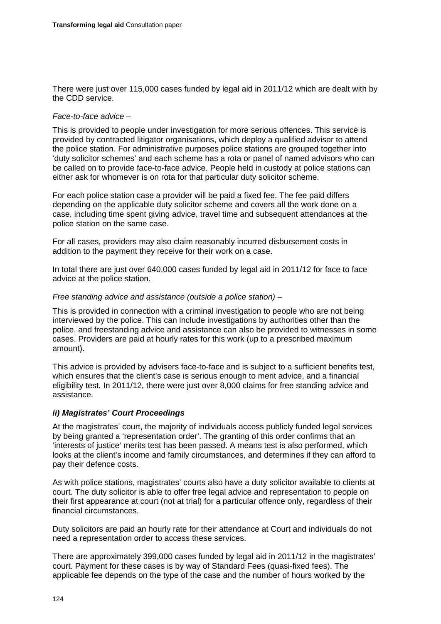There were just over 115,000 cases funded by legal aid in 2011/12 which are dealt with by the CDD service.

#### *Face-to-face advice –*

This is provided to people under investigation for more serious offences. This service is provided by contracted litigator organisations, which deploy a qualified advisor to attend the police station. For administrative purposes police stations are grouped together into 'duty solicitor schemes' and each scheme has a rota or panel of named advisors who can be called on to provide face-to-face advice. People held in custody at police stations can either ask for whomever is on rota for that particular duty solicitor scheme.

For each police station case a provider will be paid a fixed fee. The fee paid differs depending on the applicable duty solicitor scheme and covers all the work done on a case, including time spent giving advice, travel time and subsequent attendances at the police station on the same case.

For all cases, providers may also claim reasonably incurred disbursement costs in addition to the payment they receive for their work on a case.

In total there are just over 640,000 cases funded by legal aid in 2011/12 for face to face advice at the police station.

#### *Free standing advice and assistance (outside a police station) –*

This is provided in connection with a criminal investigation to people who are not being interviewed by the police. This can include investigations by authorities other than the police, and freestanding advice and assistance can also be provided to witnesses in some cases. Providers are paid at hourly rates for this work (up to a prescribed maximum amount).

This advice is provided by advisers face-to-face and is subject to a sufficient benefits test, which ensures that the client's case is serious enough to merit advice, and a financial eligibility test. In 2011/12, there were just over 8,000 claims for free standing advice and assistance.

#### *ii) Magistrates' Court Proceedings*

At the magistrates' court, the majority of individuals access publicly funded legal services by being granted a 'representation order'. The granting of this order confirms that an 'interests of justice' merits test has been passed. A means test is also performed, which looks at the client's income and family circumstances, and determines if they can afford to pay their defence costs.

As with police stations, magistrates' courts also have a duty solicitor available to clients at court. The duty solicitor is able to offer free legal advice and representation to people on their first appearance at court (not at trial) for a particular offence only, regardless of their financial circumstances.

Duty solicitors are paid an hourly rate for their attendance at Court and individuals do not need a representation order to access these services.

There are approximately 399,000 cases funded by legal aid in 2011/12 in the magistrates' court. Payment for these cases is by way of Standard Fees (quasi-fixed fees). The applicable fee depends on the type of the case and the number of hours worked by the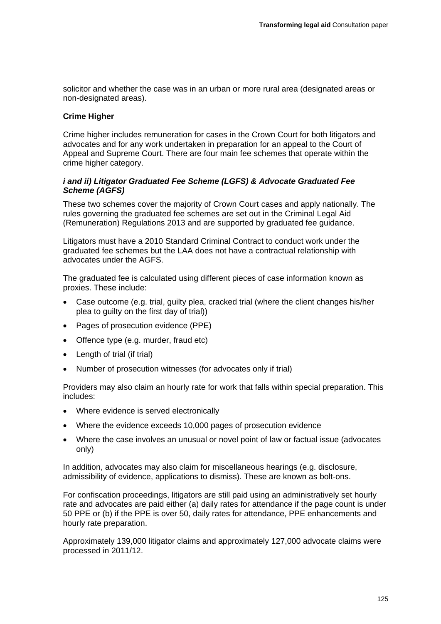solicitor and whether the case was in an urban or more rural area (designated areas or non-designated areas).

#### **Crime Higher**

Crime higher includes remuneration for cases in the Crown Court for both litigators and advocates and for any work undertaken in preparation for an appeal to the Court of Appeal and Supreme Court. There are four main fee schemes that operate within the crime higher category.

#### *i and ii) Litigator Graduated Fee Scheme (LGFS) & Advocate Graduated Fee Scheme (AGFS)*

These two schemes cover the majority of Crown Court cases and apply nationally. The rules governing the graduated fee schemes are set out in the Criminal Legal Aid (Remuneration) Regulations 2013 and are supported by graduated fee guidance.

Litigators must have a 2010 Standard Criminal Contract to conduct work under the graduated fee schemes but the LAA does not have a contractual relationship with advocates under the AGFS.

The graduated fee is calculated using different pieces of case information known as proxies. These include:

- Case outcome (e.g. trial, guilty plea, cracked trial (where the client changes his/her plea to guilty on the first day of trial))
- Pages of prosecution evidence (PPE)
- Offence type (e.g. murder, fraud etc)
- Length of trial (if trial)
- Number of prosecution witnesses (for advocates only if trial)

Providers may also claim an hourly rate for work that falls within special preparation. This includes:

- Where evidence is served electronically
- Where the evidence exceeds 10,000 pages of prosecution evidence
- Where the case involves an unusual or novel point of law or factual issue (advocates only)

In addition, advocates may also claim for miscellaneous hearings (e.g. disclosure, admissibility of evidence, applications to dismiss). These are known as bolt-ons.

For confiscation proceedings, litigators are still paid using an administratively set hourly rate and advocates are paid either (a) daily rates for attendance if the page count is under 50 PPE or (b) if the PPE is over 50, daily rates for attendance, PPE enhancements and hourly rate preparation.

Approximately 139,000 litigator claims and approximately 127,000 advocate claims were processed in 2011/12.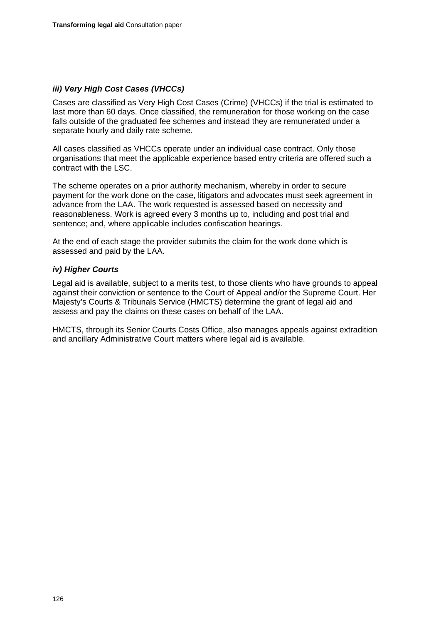### *iii) Very High Cost Cases (VHCCs)*

Cases are classified as Very High Cost Cases (Crime) (VHCCs) if the trial is estimated to last more than 60 days. Once classified, the remuneration for those working on the case falls outside of the graduated fee schemes and instead they are remunerated under a separate hourly and daily rate scheme.

All cases classified as VHCCs operate under an individual case contract. Only those organisations that meet the applicable experience based entry criteria are offered such a contract with the LSC.

The scheme operates on a prior authority mechanism, whereby in order to secure payment for the work done on the case, litigators and advocates must seek agreement in advance from the LAA. The work requested is assessed based on necessity and reasonableness. Work is agreed every 3 months up to, including and post trial and sentence; and, where applicable includes confiscation hearings.

At the end of each stage the provider submits the claim for the work done which is assessed and paid by the LAA.

#### *iv) Higher Courts*

Legal aid is available, subject to a merits test, to those clients who have grounds to appeal against their conviction or sentence to the Court of Appeal and/or the Supreme Court. Her Majesty's Courts & Tribunals Service (HMCTS) determine the grant of legal aid and assess and pay the claims on these cases on behalf of the LAA.

HMCTS, through its Senior Courts Costs Office, also manages appeals against extradition and ancillary Administrative Court matters where legal aid is available.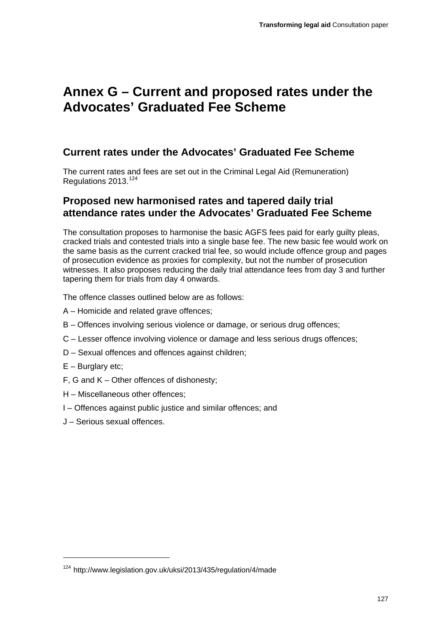# **Annex G – Current and proposed rates under the Advocates' Graduated Fee Scheme**

## **Current rates under the Advocates' Graduated Fee Scheme**

The current rates and fees are set out in the Criminal Legal Aid (Remuneration) Regulations 2013.<sup>[124](#page-129-0)</sup>

## **Proposed new harmonised rates and tapered daily trial attendance rates under the Advocates' Graduated Fee Scheme**

The consultation proposes to harmonise the basic AGFS fees paid for early guilty pleas, cracked trials and contested trials into a single base fee. The new basic fee would work on the same basis as the current cracked trial fee, so would include offence group and pages of prosecution evidence as proxies for complexity, but not the number of prosecution witnesses. It also proposes reducing the daily trial attendance fees from day 3 and further tapering them for trials from day 4 onwards.

The offence classes outlined below are as follows:

- A Homicide and related grave offences;
- B Offences involving serious violence or damage, or serious drug offences;
- C Lesser offence involving violence or damage and less serious drugs offences;
- D Sexual offences and offences against children;
- E Burglary etc;

1

- F, G and K Other offences of dishonesty;
- H Miscellaneous other offences;
- I Offences against public justice and similar offences; and
- J Serious sexual offences.

<span id="page-129-0"></span><sup>124</sup> http://www.legislation.gov.uk/uksi/2013/435/regulation/4/made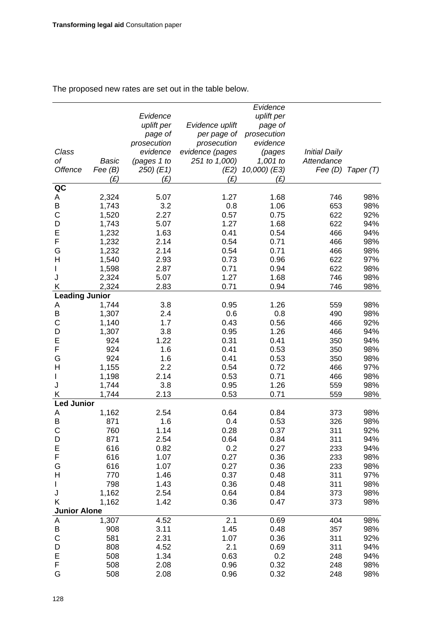| The proposed new rates are set out in the table below. |  |  |  |
|--------------------------------------------------------|--|--|--|
|--------------------------------------------------------|--|--|--|

|                       |           |                         |                 | Evidence     |                      |           |
|-----------------------|-----------|-------------------------|-----------------|--------------|----------------------|-----------|
|                       |           | Evidence                |                 | uplift per   |                      |           |
|                       |           | uplift per              | Evidence uplift | page of      |                      |           |
|                       |           | page of                 | per page of     | prosecution  |                      |           |
|                       |           |                         | prosecution     | evidence     |                      |           |
|                       |           | prosecution<br>evidence |                 |              |                      |           |
| Class                 |           |                         | evidence (pages | (pages       | <b>Initial Daily</b> |           |
| оf                    | Basic     | (pages 1 to             | 251 to 1,000)   | 1,001 to     | Attendance           |           |
| Offence               | Fee $(B)$ | 250) (E1)               | (E2)            | 10,000) (E3) | Fee $(D)$            | Taper (T) |
|                       | (E)       | (E)                     | (£)             | (£)          |                      |           |
| QC                    |           |                         |                 |              |                      |           |
| A                     | 2,324     | 5.07                    | 1.27            | 1.68         | 746                  | 98%       |
| B                     | 1,743     | 3.2                     | 0.8             | 1.06         | 653                  | 98%       |
| $\mathsf C$           | 1,520     | 2.27                    | 0.57            | 0.75         | 622                  | 92%       |
| D                     | 1,743     | 5.07                    | 1.27            | 1.68         | 622                  | 94%       |
| E                     | 1,232     | 1.63                    | 0.41            | 0.54         | 466                  | 94%       |
| F                     | 1,232     | 2.14                    | 0.54            | 0.71         | 466                  | 98%       |
| G                     | 1,232     | 2.14                    | 0.54            | 0.71         | 466                  | 98%       |
| H                     | 1,540     | 2.93                    | 0.73            | 0.96         | 622                  | 97%       |
| $\mathsf{I}$          | 1,598     | 2.87                    | 0.71            | 0.94         | 622                  | 98%       |
| J                     | 2,324     | 5.07                    | 1.27            | 1.68         | 746                  | 98%       |
| Κ                     | 2,324     | 2.83                    | 0.71            | 0.94         | 746                  | 98%       |
| <b>Leading Junior</b> |           |                         |                 |              |                      |           |
| A                     | 1,744     | 3.8                     | 0.95            | 1.26         | 559                  | 98%       |
| B                     | 1,307     | 2.4                     | 0.6             | 0.8          | 490                  | 98%       |
|                       |           |                         |                 |              |                      |           |
| $\mathsf C$           | 1,140     | 1.7                     | 0.43            | 0.56         | 466                  | 92%       |
| D                     | 1,307     | 3.8                     | 0.95            | 1.26         | 466                  | 94%       |
| E                     | 924       | 1.22                    | 0.31            | 0.41         | 350                  | 94%       |
| $\mathsf F$           | 924       | 1.6                     | 0.41            | 0.53         | 350                  | 98%       |
| G                     | 924       | 1.6                     | 0.41            | 0.53         | 350                  | 98%       |
| H                     | 1,155     | 2.2                     | 0.54            | 0.72         | 466                  | 97%       |
| $\mathsf{I}$          | 1,198     | 2.14                    | 0.53            | 0.71         | 466                  | 98%       |
| J                     | 1,744     | 3.8                     | 0.95            | 1.26         | 559                  | 98%       |
| Κ                     | 1,744     | 2.13                    | 0.53            | 0.71         | 559                  | 98%       |
| <b>Led Junior</b>     |           |                         |                 |              |                      |           |
| A                     | 1,162     | 2.54                    | 0.64            | 0.84         | 373                  | 98%       |
| $\sf B$               | 871       | 1.6                     | 0.4             | 0.53         | 326                  | 98%       |
| $\mathsf C$           | 760       | 1.14                    | 0.28            | 0.37         | 311                  | 92%       |
| D                     | 871       | 2.54                    | 0.64            | 0.84         | 311                  | 94%       |
| E                     | 616       | 0.82                    | 0.2             | 0.27         | 233                  | 94%       |
| F                     | 616       | 1.07                    | 0.27            | 0.36         | 233                  | 98%       |
| G                     | 616       | 1.07                    | 0.27            | 0.36         | 233                  | 98%       |
| H                     | 770       | 1.46                    | 0.37            | 0.48         | 311                  | 97%       |
| L                     | 798       | 1.43                    | 0.36            | 0.48         | 311                  | 98%       |
|                       |           |                         |                 |              |                      |           |
| J                     | 1,162     | 2.54                    | 0.64            | 0.84         | 373                  | 98%       |
| K                     | 1,162     | 1.42                    | 0.36            | 0.47         | 373                  | 98%       |
| <b>Junior Alone</b>   |           |                         |                 |              |                      |           |
| A                     | 1,307     | 4.52                    | 2.1             | 0.69         | 404                  | 98%       |
| B                     | 908       | 3.11                    | 1.45            | 0.48         | 357                  | 98%       |
| $\mathsf C$           | 581       | 2.31                    | 1.07            | 0.36         | 311                  | 92%       |
| D                     | 808       | 4.52                    | 2.1             | 0.69         | 311                  | 94%       |
| E                     | 508       | 1.34                    | 0.63            | 0.2          | 248                  | 94%       |
| F                     | 508       | 2.08                    | 0.96            | 0.32         | 248                  | 98%       |
| G                     | 508       | 2.08                    | 0.96            | 0.32         | 248                  | 98%       |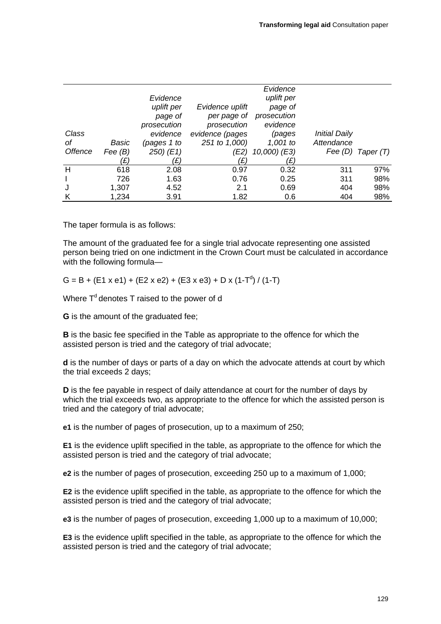|                |           |             |                 | Evidence       |                      |           |
|----------------|-----------|-------------|-----------------|----------------|----------------------|-----------|
|                |           | Evidence    |                 | uplift per     |                      |           |
|                |           | uplift per  | Evidence uplift | page of        |                      |           |
|                |           | page of     | per page of     | prosecution    |                      |           |
|                |           | prosecution | prosecution     | evidence       |                      |           |
| Class          |           | evidence    | evidence (pages | (pages         | <b>Initial Daily</b> |           |
| οf             | Basic     | (pages 1 to | 251 to 1,000)   | 1,001 to       | Attendance           |           |
| <b>Offence</b> | Fee $(B)$ | $250)$ (E1) | (E2)            | $10,000)$ (E3) | Fee (D)              | Taper (T) |
|                | '£)       | (£)         | (£)             | (£)            |                      |           |
| H              | 618       | 2.08        | 0.97            | 0.32           | 311                  | 97%       |
|                | 726       | 1.63        | 0.76            | 0.25           | 311                  | 98%       |
| J              | 1,307     | 4.52        | 2.1             | 0.69           | 404                  | 98%       |
| К              | 1,234     | 3.91        | 1.82            | 0.6            | 404                  | 98%       |

The taper formula is as follows:

The amount of the graduated fee for a single trial advocate representing one assisted person being tried on one indictment in the Crown Court must be calculated in accordance with the following formula—

 $G = B + (E1 \times e1) + (E2 \times e2) + (E3 \times e3) + D \times (1-T<sup>d</sup>) / (1-T)$ 

Where  $T<sup>d</sup>$  denotes T raised to the power of d

**G** is the amount of the graduated fee;

**B** is the basic fee specified in the Table as appropriate to the offence for which the assisted person is tried and the category of trial advocate;

**d** is the number of days or parts of a day on which the advocate attends at court by which the trial exceeds 2 days;

**D** is the fee payable in respect of daily attendance at court for the number of days by which the trial exceeds two, as appropriate to the offence for which the assisted person is tried and the category of trial advocate;

**e1** is the number of pages of prosecution, up to a maximum of 250;

**E1** is the evidence uplift specified in the table, as appropriate to the offence for which the assisted person is tried and the category of trial advocate;

**e2** is the number of pages of prosecution, exceeding 250 up to a maximum of 1,000;

**E2** is the evidence uplift specified in the table, as appropriate to the offence for which the assisted person is tried and the category of trial advocate;

**e3** is the number of pages of prosecution, exceeding 1,000 up to a maximum of 10,000;

**E3** is the evidence uplift specified in the table, as appropriate to the offence for which the assisted person is tried and the category of trial advocate;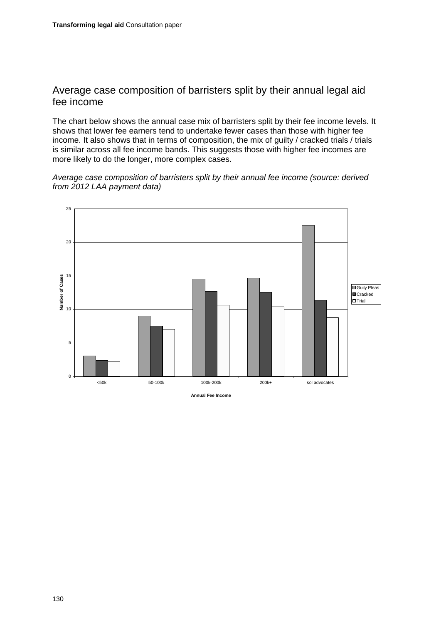## Average case composition of barristers split by their annual legal aid fee income

The chart below shows the annual case mix of barristers split by their fee income levels. It shows that lower fee earners tend to undertake fewer cases than those with higher fee income. It also shows that in terms of composition, the mix of guilty / cracked trials / trials is similar across all fee income bands. This suggests those with higher fee incomes are more likely to do the longer, more complex cases.

*Average case composition of barristers split by their annual fee income (source: derived from 2012 LAA payment data)* 



130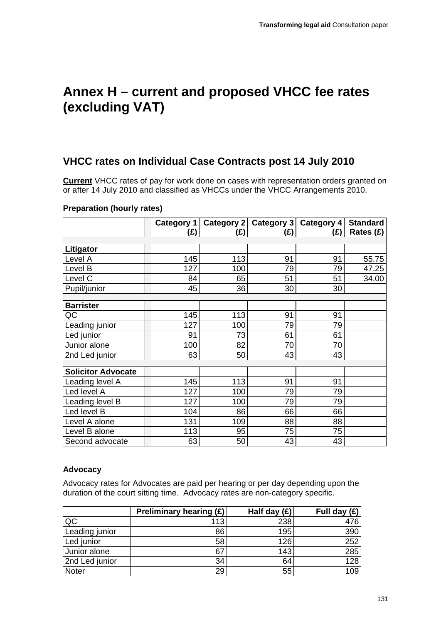# **Annex H – current and proposed VHCC fee rates (excluding VAT)**

## **VHCC rates on Individual Case Contracts post 14 July 2010**

**Current** VHCC rates of pay for work done on cases with representation orders granted on or after 14 July 2010 and classified as VHCCs under the VHCC Arrangements 2010.

#### **Preparation (hourly rates)**

|                           | Category 1 |     |     | Category 2   Category 3   Category 4 | <b>Standard</b> |
|---------------------------|------------|-----|-----|--------------------------------------|-----------------|
|                           | (£)        | (£) | (£) | (£)                                  | Rates (£)       |
|                           |            |     |     |                                      |                 |
| Litigator                 |            |     |     |                                      |                 |
| Level A                   | 145        | 113 | 91  | 91                                   | 55.75           |
| Level B                   | 127        | 100 | 79  | 79                                   | 47.25           |
| Level C                   | 84         | 65  | 51  | 51                                   | 34.00           |
| Pupil/junior              | 45         | 36  | 30  | 30                                   |                 |
|                           |            |     |     |                                      |                 |
| <b>Barrister</b>          |            |     |     |                                      |                 |
| QC                        | 145        | 113 | 91  | 91                                   |                 |
| Leading junior            | 127        | 100 | 79  | 79                                   |                 |
| Led junior                | 91         | 73  | 61  | 61                                   |                 |
| Junior alone              | 100        | 82  | 70  | 70                                   |                 |
| 2nd Led junior            | 63         | 50  | 43  | 43                                   |                 |
|                           |            |     |     |                                      |                 |
| <b>Solicitor Advocate</b> |            |     |     |                                      |                 |
| Leading level A           | 145        | 113 | 91  | 91                                   |                 |
| Led level A               | 127        | 100 | 79  | 79                                   |                 |
| Leading level B           | 127        | 100 | 79  | 79                                   |                 |
| Led level B               | 104        | 86  | 66  | 66                                   |                 |
| Level A alone             | 131        | 109 | 88  | 88                                   |                 |
| Level B alone             | 113        | 95  | 75  | 75                                   |                 |
| Second advocate           | 63         | 50  | 43  | 43                                   |                 |

#### **Advocacy**

Advocacy rates for Advocates are paid per hearing or per day depending upon the duration of the court sitting time. Advocacy rates are non-category specific.

|                | Preliminary hearing (£) | Half day $(E)$ | Full day $(E)$ |
|----------------|-------------------------|----------------|----------------|
| QC             | 113                     | 238            | 4761           |
| Leading junior | 86                      | 195            | 390            |
| Led junior     | 58                      | 126            | 252            |
| Junior alone   | 67                      | 143            | 285            |
| 2nd Led junior | 34                      | 64             | 128            |
| Noter          | 29                      | 55             | 109            |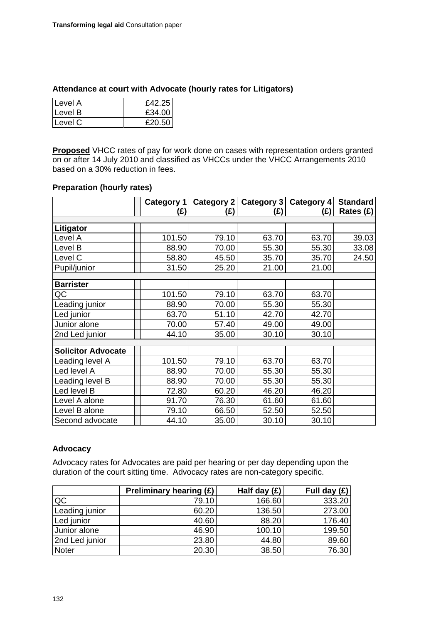#### **Attendance at court with Advocate (hourly rates for Litigators)**

| l Level A | £42.25 |
|-----------|--------|
| Level B   | £34.00 |
| Level C   | £20.50 |

**Proposed** VHCC rates of pay for work done on cases with representation orders granted on or after 14 July 2010 and classified as VHCCs under the VHCC Arrangements 2010 based on a 30% reduction in fees.

#### **Preparation (hourly rates)**

|                           |        | Category 2 Category 3 Category 4<br>Category 1 |       |       | <b>Standard</b> |  |
|---------------------------|--------|------------------------------------------------|-------|-------|-----------------|--|
|                           | (£)    | (£)                                            | (£)   | (£)   | Rates (£)       |  |
|                           |        |                                                |       |       |                 |  |
| Litigator                 |        |                                                |       |       |                 |  |
| Level A                   | 101.50 | 79.10                                          | 63.70 | 63.70 | 39.03           |  |
| Level B                   | 88.90  | 70.00                                          | 55.30 | 55.30 | 33.08           |  |
| Level C                   | 58.80  | 45.50                                          | 35.70 | 35.70 | 24.50           |  |
| Pupil/junior              | 31.50  | 25.20                                          | 21.00 | 21.00 |                 |  |
|                           |        |                                                |       |       |                 |  |
| <b>Barrister</b>          |        |                                                |       |       |                 |  |
| QC                        | 101.50 | 79.10                                          | 63.70 | 63.70 |                 |  |
| Leading junior            | 88.90  | 70.00                                          | 55.30 | 55.30 |                 |  |
| Led junior                | 63.70  | 51.10                                          | 42.70 | 42.70 |                 |  |
| Junior alone              | 70.00  | 57.40                                          | 49.00 | 49.00 |                 |  |
| 2nd Led junior            | 44.10  | 35.00                                          | 30.10 | 30.10 |                 |  |
| <b>Solicitor Advocate</b> |        |                                                |       |       |                 |  |
|                           | 101.50 | 79.10                                          | 63.70 | 63.70 |                 |  |
| Leading level A           |        |                                                |       |       |                 |  |
| Led level A               | 88.90  | 70.00                                          | 55.30 | 55.30 |                 |  |
| Leading level B           | 88.90  | 70.00                                          | 55.30 | 55.30 |                 |  |
| Led level B               | 72.80  | 60.20                                          | 46.20 | 46.20 |                 |  |
| Level A alone             | 91.70  | 76.30                                          | 61.60 | 61.60 |                 |  |
| Level B alone             | 79.10  | 66.50                                          | 52.50 | 52.50 |                 |  |
| Second advocate           | 44.10  | 35.00                                          | 30.10 | 30.10 |                 |  |

### **Advocacy**

Advocacy rates for Advocates are paid per hearing or per day depending upon the duration of the court sitting time. Advocacy rates are non-category specific.

|                | Preliminary hearing (£) | Half day $(E)$ | Full day $(E)$ |
|----------------|-------------------------|----------------|----------------|
| QC             | 79.10                   | 166.60         | 333.20         |
| Leading junior | 60.20                   | 136.50         | 273.00         |
| Led junior     | 40.60                   | 88.20          | 176.40         |
| Junior alone   | 46.90                   | 100.10         | 199.50         |
| 2nd Led junior | 23.80                   | 44.80          | 89.60          |
| <b>Noter</b>   | 20.30                   | 38.50          | 76.30          |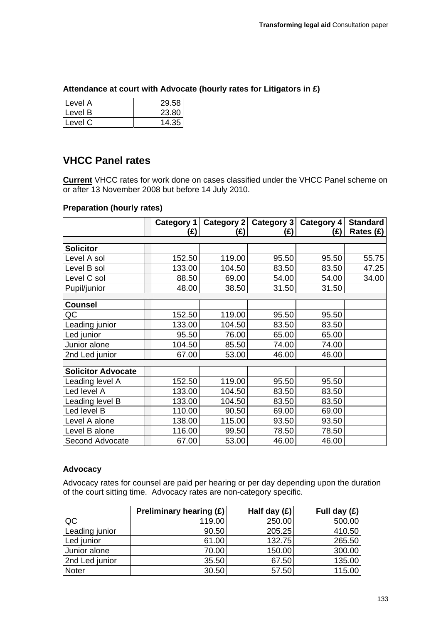| Attendance at court with Advocate (hourly rates for Litigators in $\pounds$ ) |  |  |
|-------------------------------------------------------------------------------|--|--|
|                                                                               |  |  |

| Level A | 29.58 |
|---------|-------|
| Level B | 23.80 |
| Level C | 14.35 |

## **VHCC Panel rates**

**Current** VHCC rates for work done on cases classified under the VHCC Panel scheme on or after 13 November 2008 but before 14 July 2010.

### **Preparation (hourly rates)**

|                           | Category 1 |        |       | Category 2   Category 3   Category 4 | <b>Standard</b> |
|---------------------------|------------|--------|-------|--------------------------------------|-----------------|
|                           | (£)        | (£)    | (£)   | (£)                                  | Rates (£)       |
|                           |            |        |       |                                      |                 |
| <b>Solicitor</b>          |            |        |       |                                      |                 |
| Level A sol               | 152.50     | 119.00 | 95.50 | 95.50                                | 55.75           |
| Level B sol               | 133.00     | 104.50 | 83.50 | 83.50                                | 47.25           |
| Level C sol               | 88.50      | 69.00  | 54.00 | 54.00                                | 34.00           |
| Pupil/junior              | 48.00      | 38.50  | 31.50 | 31.50                                |                 |
|                           |            |        |       |                                      |                 |
| <b>Counsel</b>            |            |        |       |                                      |                 |
| QC                        | 152.50     | 119.00 | 95.50 | 95.50                                |                 |
| Leading junior            | 133.00     | 104.50 | 83.50 | 83.50                                |                 |
| Led junior                | 95.50      | 76.00  | 65.00 | 65.00                                |                 |
| Junior alone              | 104.50     | 85.50  | 74.00 | 74.00                                |                 |
| 2nd Led junior            | 67.00      | 53.00  | 46.00 | 46.00                                |                 |
|                           |            |        |       |                                      |                 |
| <b>Solicitor Advocate</b> |            |        |       |                                      |                 |
| Leading level A           | 152.50     | 119.00 | 95.50 | 95.50                                |                 |
| Led level A               | 133.00     | 104.50 | 83.50 | 83.50                                |                 |
| Leading level B           | 133.00     | 104.50 | 83.50 | 83.50                                |                 |
| Led level B               | 110.00     | 90.50  | 69.00 | 69.00                                |                 |
| Level A alone             | 138.00     | 115.00 | 93.50 | 93.50                                |                 |
| Level B alone             | 116.00     | 99.50  | 78.50 | 78.50                                |                 |
| <b>Second Advocate</b>    | 67.00      | 53.00  | 46.00 | 46.00                                |                 |

#### **Advocacy**

Advocacy rates for counsel are paid per hearing or per day depending upon the duration of the court sitting time. Advocacy rates are non-category specific.

|                | Preliminary hearing (£) | Half day $(E)$ | Full day $(E)$ |
|----------------|-------------------------|----------------|----------------|
| QC             | 119.00                  | 250.00         | 500.00         |
| Leading junior | 90.50                   | 205.25         | 410.50         |
| Led junior     | 61.00                   | 132.75         | 265.50         |
| Junior alone   | 70.00                   | 150.00         | 300.00         |
| 2nd Led junior | 35.50                   | 67.50          | 135.00         |
| <b>Noter</b>   | 30.50                   | 57.50          | 115.00         |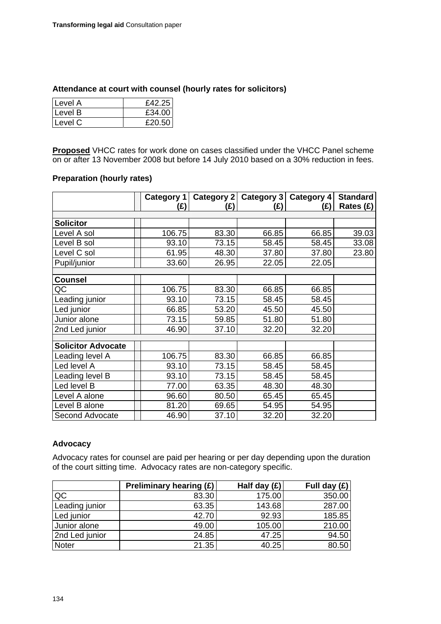#### **Attendance at court with counsel (hourly rates for solicitors)**

| l Level A | £42.25 |
|-----------|--------|
| l Level B | £34.00 |
| l Level C | £20.50 |

**Proposed** VHCC rates for work done on cases classified under the VHCC Panel scheme on or after 13 November 2008 but before 14 July 2010 based on a 30% reduction in fees.

#### **Preparation (hourly rates)**

|                           | Category 1 | Category 2 | Category 3 | <b>Category 4</b> | <b>Standard</b> |
|---------------------------|------------|------------|------------|-------------------|-----------------|
|                           | (E)        | (E)        | (£)        | (£)               | Rates (£)       |
|                           |            |            |            |                   |                 |
| <b>Solicitor</b>          |            |            |            |                   |                 |
| Level A sol               | 106.75     | 83.30      | 66.85      | 66.85             | 39.03           |
| Level B sol               | 93.10      | 73.15      | 58.45      | 58.45             | 33.08           |
| Level C sol               | 61.95      | 48.30      | 37.80      | 37.80             | 23.80           |
| Pupil/junior              | 33.60      | 26.95      | 22.05      | 22.05             |                 |
|                           |            |            |            |                   |                 |
| <b>Counsel</b>            |            |            |            |                   |                 |
| QC                        | 106.75     | 83.30      | 66.85      | 66.85             |                 |
| Leading junior            | 93.10      | 73.15      | 58.45      | 58.45             |                 |
| Led junior                | 66.85      | 53.20      | 45.50      | 45.50             |                 |
| Junior alone              | 73.15      | 59.85      | 51.80      | 51.80             |                 |
| 2nd Led junior            | 46.90      | 37.10      | 32.20      | 32.20             |                 |
|                           |            |            |            |                   |                 |
| <b>Solicitor Advocate</b> |            |            |            |                   |                 |
| Leading level A           | 106.75     | 83.30      | 66.85      | 66.85             |                 |
| Led level A               | 93.10      | 73.15      | 58.45      | 58.45             |                 |
| Leading level B           | 93.10      | 73.15      | 58.45      | 58.45             |                 |
| Led level B               | 77.00      | 63.35      | 48.30      | 48.30             |                 |
| Level A alone             | 96.60      | 80.50      | 65.45      | 65.45             |                 |
| Level B alone             | 81.20      | 69.65      | 54.95      | 54.95             |                 |
| Second Advocate           | 46.90      | 37.10      | 32.20      | 32.20             |                 |

#### **Advocacy**

Advocacy rates for counsel are paid per hearing or per day depending upon the duration of the court sitting time. Advocacy rates are non-category specific.

|                | Preliminary hearing (£) | Half day $(E)$ | Full day $(E)$ |
|----------------|-------------------------|----------------|----------------|
| QC             | 83.30                   | 175.00         | 350.00         |
| Leading junior | 63.35                   | 143.68         | 287.00         |
| Led junior     | 42.70                   | 92.93          | 185.85         |
| Junior alone   | 49.00                   | 105.00         | 210.00         |
| 2nd Led junior | 24.85                   | 47.25          | 94.50          |
| <b>Noter</b>   | 21.35                   | 40.25          | 80.50          |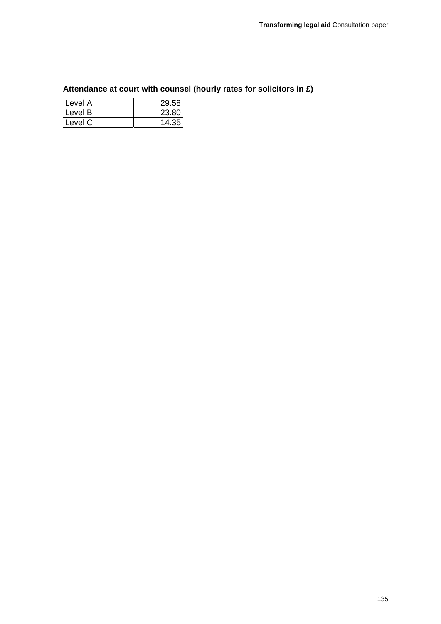| Level A | 29.58 |
|---------|-------|
| Level B | 23.80 |
| Level C | 14.35 |

# **Attendance at court with counsel (hourly rates for solicitors in £)**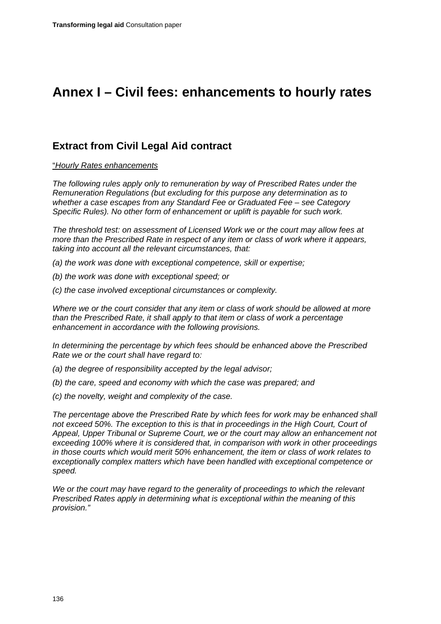# **Annex I – Civil fees: enhancements to hourly rates**

## **Extract from Civil Legal Aid contract**

#### "*Hourly Rates enhancements*

*The following rules apply only to remuneration by way of Prescribed Rates under the Remuneration Regulations (but excluding for this purpose any determination as to whether a case escapes from any Standard Fee or Graduated Fee – see Category Specific Rules). No other form of enhancement or uplift is payable for such work.* 

*The threshold test: on assessment of Licensed Work we or the court may allow fees at more than the Prescribed Rate in respect of any item or class of work where it appears, taking into account all the relevant circumstances, that:* 

- *(a) the work was done with exceptional competence, skill or expertise;*
- *(b) the work was done with exceptional speed; or*
- *(c) the case involved exceptional circumstances or complexity.*

*Where we or the court consider that any item or class of work should be allowed at more than the Prescribed Rate, it shall apply to that item or class of work a percentage enhancement in accordance with the following provisions.* 

*In determining the percentage by which fees should be enhanced above the Prescribed Rate we or the court shall have regard to:* 

- *(a) the degree of responsibility accepted by the legal advisor;*
- *(b) the care, speed and economy with which the case was prepared; and*
- *(c) the novelty, weight and complexity of the case.*

*The percentage above the Prescribed Rate by which fees for work may be enhanced shall not exceed 50%. The exception to this is that in proceedings in the High Court, Court of Appeal, Upper Tribunal or Supreme Court, we or the court may allow an enhancement not exceeding 100% where it is considered that, in comparison with work in other proceedings in those courts which would merit 50% enhancement, the item or class of work relates to exceptionally complex matters which have been handled with exceptional competence or speed.* 

We or the court may have regard to the generality of proceedings to which the relevant *Prescribed Rates apply in determining what is exceptional within the meaning of this provision."*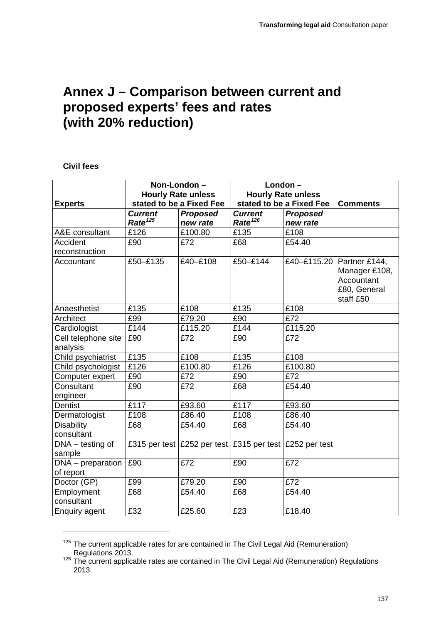# **Annex J – Comparison between current and proposed experts' fees and rates (with 20% reduction)**

#### **Civil fees**

-

|                                 | Non-London-<br><b>Hourly Rate unless</b> |                             | London-<br><b>Hourly Rate unless</b>                                                                                                  |                             |                                                                                       |
|---------------------------------|------------------------------------------|-----------------------------|---------------------------------------------------------------------------------------------------------------------------------------|-----------------------------|---------------------------------------------------------------------------------------|
| <b>Experts</b>                  |                                          | stated to be a Fixed Fee    |                                                                                                                                       | stated to be a Fixed Fee    |                                                                                       |
|                                 | <b>Current</b><br>Rate <sup>125</sup>    | <b>Proposed</b><br>new rate | <b>Current</b><br>Rate <sup>126</sup>                                                                                                 | <b>Proposed</b><br>new rate | <b>Comments</b>                                                                       |
| A&E consultant                  | £126                                     | £100.80                     | £135                                                                                                                                  | £108                        |                                                                                       |
| Accident<br>reconstruction      | £90                                      | £72                         | £68                                                                                                                                   | £54.40                      |                                                                                       |
| Accountant                      | £50-£135                                 | £40-£108                    | £50-£144                                                                                                                              |                             | £40-£115.20 Partner £144,<br>Manager £108,<br>Accountant<br>£80, General<br>staff £50 |
| Anaesthetist                    | £135                                     | £108                        | £135                                                                                                                                  | £108                        |                                                                                       |
| Architect                       | £99                                      | £79.20                      | £90                                                                                                                                   | £72                         |                                                                                       |
| Cardiologist                    | £144                                     | £115.20                     | £144                                                                                                                                  | £115.20                     |                                                                                       |
| Cell telephone site<br>analysis | £90                                      | £72                         | £90                                                                                                                                   | £72                         |                                                                                       |
| Child psychiatrist              | £135                                     | £108                        | £135                                                                                                                                  | £108                        |                                                                                       |
| Child psychologist              | £126                                     | £100.80                     | £126                                                                                                                                  | E100.80                     |                                                                                       |
| Computer expert                 | £90                                      | £72                         | £90                                                                                                                                   | £72                         |                                                                                       |
| Consultant<br>engineer          | £90                                      | £72                         | £68                                                                                                                                   | £54.40                      |                                                                                       |
| <b>Dentist</b>                  | E117                                     | £93.60                      | £117                                                                                                                                  | £93.60                      |                                                                                       |
| Dermatologist                   | £108                                     | £86.40                      | £108                                                                                                                                  | £86.40                      |                                                                                       |
| <b>Disability</b><br>consultant | £68                                      | £54.40                      | £68                                                                                                                                   | £54.40                      |                                                                                       |
| DNA - testing of<br>sample      |                                          |                             | £315 per test $\left  \frac{252}{20} \right $ per test $\left  \frac{2315}{20} \right $ fest $\left  \frac{252}{20} \right $ per test |                             |                                                                                       |
| DNA - preparation<br>of report  | £90                                      | £72                         | £90                                                                                                                                   | £72                         |                                                                                       |
| Doctor (GP)                     | £99                                      | £79.20                      | £90                                                                                                                                   | £72                         |                                                                                       |
| Employment<br>consultant        | £68                                      | £54.40                      | £68                                                                                                                                   | £54.40                      |                                                                                       |
| <b>Enquiry agent</b>            | £32                                      | £25.60                      | £23                                                                                                                                   | £18.40                      |                                                                                       |

<span id="page-139-1"></span><span id="page-139-0"></span><sup>&</sup>lt;sup>125</sup> The current applicable rates for are contained in The Civil Legal Aid (Remuneration) Regulations 2013.<br>
<sup>126</sup> The current applicable rates are contained in The Civil Legal Aid (Remuneration) Regulations

<sup>2013.</sup>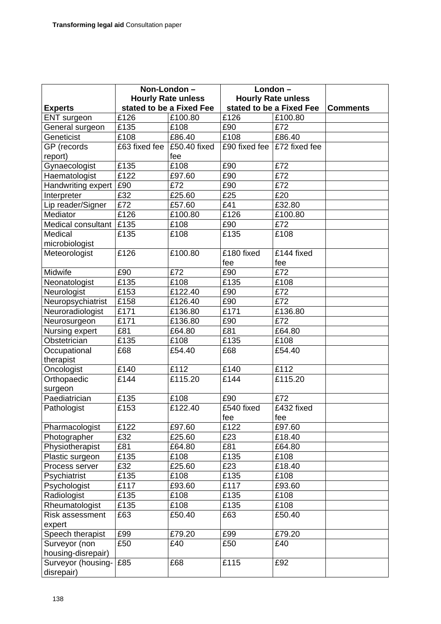|                    | Non-London -              |              | London-                   |               |                 |
|--------------------|---------------------------|--------------|---------------------------|---------------|-----------------|
|                    | <b>Hourly Rate unless</b> |              | <b>Hourly Rate unless</b> |               |                 |
| <b>Experts</b>     | stated to be a Fixed Fee  |              | stated to be a Fixed Fee  |               | <b>Comments</b> |
| <b>ENT</b> surgeon | £126                      | £100.80      | £126                      | £100.80       |                 |
| General surgeon    | £135                      | £108         | £90                       | £72           |                 |
| Geneticist         | £108                      | £86.40       | £108                      | £86.40        |                 |
| GP (records        | £63 fixed fee             | £50.40 fixed | £90 fixed fee             | £72 fixed fee |                 |
| report)            |                           | fee          |                           |               |                 |
| Gynaecologist      | £135                      | £108         | £90                       | £72           |                 |
| Haematologist      | £122                      | £97.60       | £90                       | £72           |                 |
| Handwriting expert | <b>£90</b>                | £72          | £90                       | £72           |                 |
| Interpreter        | £32                       | £25.60       | £25                       | £20           |                 |
| Lip reader/Signer  | £72                       | £57.60       | £41                       | £32.80        |                 |
| Mediator           | £126                      | £100.80      | £126                      | £100.80       |                 |
| Medical consultant | E135                      | £108         | £90                       | £72           |                 |
| Medical            | £135                      | £108         | £135                      | £108          |                 |
| microbiologist     |                           |              |                           |               |                 |
| Meteorologist      | £126                      | £100.80      | £180 fixed                | £144 fixed    |                 |
|                    |                           |              | fee                       | fee           |                 |
| Midwife            | £90                       | £72          | £90                       | £72           |                 |
| Neonatologist      | £135                      | £108         | £135                      | £108          |                 |
| Neurologist        | £153                      | £122.40      | £90                       | £72           |                 |
| Neuropsychiatrist  | £158                      | £126.40      | £90                       | £72           |                 |
| Neuroradiologist   | £171                      | £136.80      | £171                      | £136.80       |                 |
| Neurosurgeon       | £171                      | £136.80      | £90                       | £72           |                 |
| Nursing expert     | £81                       | £64.80       | £81                       | £64.80        |                 |
| Obstetrician       | £135                      | £108         | £135                      | £108          |                 |
| Occupational       | £68                       | £54.40       | £68                       | £54.40        |                 |
| therapist          |                           |              |                           |               |                 |
| Oncologist         | £140                      | £112         | £140                      | £112          |                 |
| Orthopaedic        | £144                      | £115.20      | £144                      | £115.20       |                 |
| surgeon            |                           |              |                           |               |                 |
| Paediatrician      | £135                      | £108         | £90                       | £72           |                 |
| Pathologist        | £153                      | £122.40      | £540 fixed                | £432 fixed    |                 |
|                    |                           |              | fee                       | fee           |                 |
| Pharmacologist     | £122                      | £97.60       | £122                      | £97.60        |                 |
| Photographer       | £32                       | £25.60       | £23                       | £18.40        |                 |
| Physiotherapist    | £81                       | £64.80       | £81                       | £64.80        |                 |
| Plastic surgeon    | £135                      | £108         | £135                      | £108          |                 |
| Process server     | £32                       | £25.60       | £23                       | £18.40        |                 |
| Psychiatrist       | £135                      | £108         | $\overline{£}$ 135        | £108          |                 |
| Psychologist       | £117                      | £93.60       | £117                      | £93.60        |                 |
| Radiologist        | £135                      | £108         | £135                      | £108          |                 |
| Rheumatologist     | £135                      | £108         | £135                      | £108          |                 |
| Risk assessment    | £63                       | £50.40       | £63                       | £50.40        |                 |
| expert             |                           |              |                           |               |                 |
| Speech therapist   | £99                       | £79.20       | £99                       | £79.20        |                 |
| Surveyor (non      | £50                       | £40          | £50                       | £40           |                 |
| housing-disrepair) |                           |              |                           |               |                 |
| Surveyor (housing- | £85                       | £68          | £115                      | £92           |                 |
| disrepair)         |                           |              |                           |               |                 |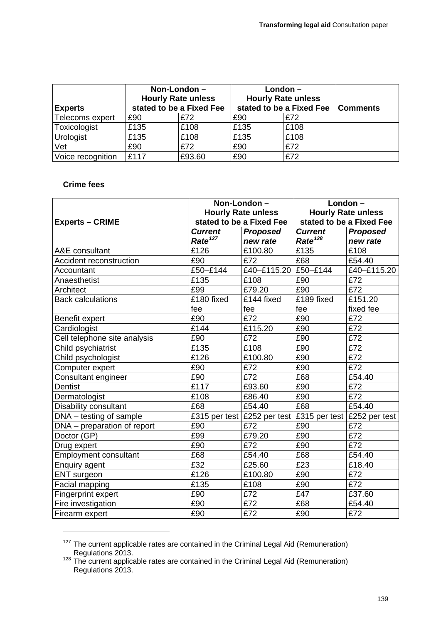| <b>Experts</b>    | Non-London -<br><b>Hourly Rate unless</b><br>stated to be a Fixed Fee |        | $London -$<br><b>Hourly Rate unless</b><br>stated to be a Fixed Fee |      | <b>Comments</b> |
|-------------------|-----------------------------------------------------------------------|--------|---------------------------------------------------------------------|------|-----------------|
| Telecoms expert   | £90                                                                   | £72    | £90                                                                 | £72  |                 |
| Toxicologist      | £135                                                                  | £108   | £135                                                                | £108 |                 |
| Urologist         | £135                                                                  | £108   | £135                                                                | £108 |                 |
| Vet               | £90                                                                   | £72    | £90                                                                 | £72  |                 |
| Voice recognition | £117                                                                  | £93.60 | £90                                                                 | £72  |                 |

#### **Crime fees**

-

|                              | Non-London-               |                                                                                 | London $-$                |                 |
|------------------------------|---------------------------|---------------------------------------------------------------------------------|---------------------------|-----------------|
|                              | <b>Hourly Rate unless</b> |                                                                                 | <b>Hourly Rate unless</b> |                 |
| <b>Experts - CRIME</b>       | stated to be a Fixed Fee  |                                                                                 | stated to be a Fixed Fee  |                 |
|                              | <b>Current</b>            | <b>Proposed</b>                                                                 | <b>Current</b>            | <b>Proposed</b> |
|                              | Rate <sup>127</sup>       | new rate                                                                        | Rate <sup>128</sup>       | new rate        |
| A&E consultant               | £126                      | £100.80                                                                         | £135                      | £108            |
| Accident reconstruction      | £90                       | £72                                                                             | £68                       | £54.40          |
| Accountant                   | £50-£144                  | £40-£115.20 £50-£144                                                            |                           | £40-£115.20     |
| Anaesthetist                 | £135                      | £108                                                                            | £90                       | £72             |
| Architect                    | £99                       | E79.20                                                                          | £90                       | E72             |
| <b>Back calculations</b>     | £180 fixed                | £144 fixed                                                                      | £189 fixed                | £151.20         |
|                              | fee                       | fee                                                                             | fee                       | fixed fee       |
| Benefit expert               | £90                       | £72                                                                             | £90                       | £72             |
| Cardiologist                 | £144                      | £115.20                                                                         | £90                       | E72             |
| Cell telephone site analysis | £90                       | £72                                                                             | £90                       | E72             |
| Child psychiatrist           | £135                      | £108                                                                            | £90                       | E72             |
| Child psychologist           | £126                      | £100.80                                                                         | £90                       | £72             |
| Computer expert              | £90                       | £72                                                                             | £90                       | E72             |
| Consultant engineer          | £90                       | £72                                                                             | £68                       | £54.40          |
| <b>Dentist</b>               | £117                      | £93.60                                                                          | £90                       | £72             |
| Dermatologist                | £108                      | £86.40                                                                          | £90                       | £72             |
| <b>Disability consultant</b> | £68                       | £54.40                                                                          | £68                       | £54.40          |
| DNA - testing of sample      |                           | £315 per test $\vert$ £252 per test $\vert$ £315 per test $\vert$ £252 per test |                           |                 |
| DNA - preparation of report  | £90                       | £72                                                                             | £90                       | £72             |
| Doctor (GP)                  | £99                       | £79.20                                                                          | £90                       | £72             |
| Drug expert                  | £90                       | £72                                                                             | £90                       | E72             |
| <b>Employment consultant</b> | £68                       | £54.40                                                                          | £68                       | £54.40          |
| Enquiry agent                | £32                       | £25.60                                                                          | £23                       | £18.40          |
| ENT surgeon                  | £126                      | £100.80                                                                         | £90                       | £72             |
| Facial mapping               | £135                      | £108                                                                            | £90                       | E72             |
| Fingerprint expert           | £90                       | £72                                                                             | £47                       | £37.60          |
| Fire investigation           | £90                       | £72                                                                             | £68                       | £54.40          |
| Firearm expert               | £90                       | £72                                                                             | £90                       | £72             |

<span id="page-141-0"></span> $127$  The current applicable rates are contained in the Criminal Legal Aid (Remuneration)

<span id="page-141-1"></span>Regulations 2013.<br><sup>128</sup> The current applicable rates are contained in the Criminal Legal Aid (Remuneration) Regulations 2013.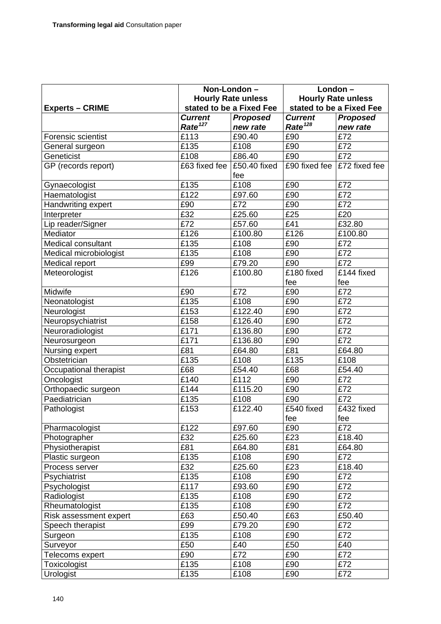|                        | Non-London -        |                           | London-             |                           |  |
|------------------------|---------------------|---------------------------|---------------------|---------------------------|--|
|                        |                     | <b>Hourly Rate unless</b> |                     | <b>Hourly Rate unless</b> |  |
| <b>Experts - CRIME</b> |                     | stated to be a Fixed Fee  |                     | stated to be a Fixed Fee  |  |
|                        | <b>Current</b>      | <b>Proposed</b>           | <b>Current</b>      | <b>Proposed</b>           |  |
|                        | Rate <sup>127</sup> | new rate                  | Rate <sup>128</sup> | new rate                  |  |
| Forensic scientist     | £113                | £90.40                    | £90                 | £72                       |  |
| General surgeon        | £135                | £108                      | £90                 | £72                       |  |
| Geneticist             | £108                | £86.40                    | £90                 | £72                       |  |
| GP (records report)    | £63 fixed fee       | £50.40 fixed              | £90 fixed fee       | £72 fixed fee             |  |
|                        |                     | fee                       |                     |                           |  |
| Gynaecologist          | £135                | $\overline{£}$ 108        | £90                 | £72                       |  |
| Haematologist          | E122                | £97.60                    | £90                 | E72                       |  |
| Handwriting expert     | £90                 | E72                       | £90                 | E72                       |  |
| Interpreter            | E32                 | £25.60                    | £25                 | $\overline{£}20$          |  |
| Lip reader/Signer      | £72                 | £57.60                    | £41                 | £32.80                    |  |
| Mediator               | £126                | £100.80                   | £126                | £100.80                   |  |
| Medical consultant     | £135                | £108                      | £90                 | £72                       |  |
| Medical microbiologist | $\overline{E}$ 135  | £108                      | £90                 | £72                       |  |
| Medical report         | £99                 | £79.20                    | £90                 | £72                       |  |
| Meteorologist          | £126                | £100.80                   | £180 fixed          | £144 fixed                |  |
|                        |                     |                           | fee                 | fee                       |  |
| Midwife                | £90                 | £72                       | £90                 | £72                       |  |
| Neonatologist          | £135                | £108                      | £90                 | £72                       |  |
| Neurologist            | £153                | £122.40                   | £90                 | £72                       |  |
| Neuropsychiatrist      | $\overline{£}$ 158  | £126.40                   | E90                 | £72                       |  |
| Neuroradiologist       | £171                | £136.80                   | £90                 | £72                       |  |
| Neurosurgeon           | £171                | £136.80                   | £90                 | £72                       |  |
| Nursing expert         | £81                 | £64.80                    | £81                 | £64.80                    |  |
| Obstetrician           | $\overline{£}135$   | £108                      | $\overline{£}$ 135  | £108                      |  |
| Occupational therapist | £68                 | £54.40                    | £68                 | £54.40                    |  |
| Oncologist             | £140                | £112                      | £90                 | £72                       |  |
| Orthopaedic surgeon    | £144                | £115.20                   | £90                 | £72                       |  |
| Paediatrician          | £135                | £108                      | £90                 | £72                       |  |
| Pathologist            | £153                | £122.40                   | £540 fixed          | £432 fixed                |  |
|                        |                     |                           | fee                 | fee                       |  |
| Pharmacologist         | £122                | £97.60                    | £90                 | £72                       |  |
| Photographer           | £32                 | £25.60                    | £23                 | £18.40                    |  |
| Physiotherapist        | £81                 | £64.80                    | £81                 | £64.80                    |  |
| Plastic surgeon        | £135                | £108                      | £90                 | £72                       |  |
| Process server         | £32                 | £25.60                    | £23                 | £18.40                    |  |
| Psychiatrist           | £135                | £108                      | £90                 | £72                       |  |
| Psychologist           | £117                | £93.60                    | £90                 | £72                       |  |
| Radiologist            | £135                | £108                      | £90                 | £72                       |  |
| Rheumatologist         | £135                | £108                      | £90                 | £72                       |  |
| Risk assessment expert | £63                 | £50.40                    | £63                 | £50.40                    |  |
| Speech therapist       | £99                 | £79.20                    | £90                 | £72                       |  |
| Surgeon                | £135                | £108                      | £90                 | £72                       |  |
| Surveyor               | £50                 | £40                       | £50                 | £40                       |  |
| Telecoms expert        | £90                 | £72                       | £90                 | £72                       |  |
| Toxicologist           | £135                | £108                      | £90                 | £72                       |  |
| Urologist              | £135                | £108                      | £90                 | £72                       |  |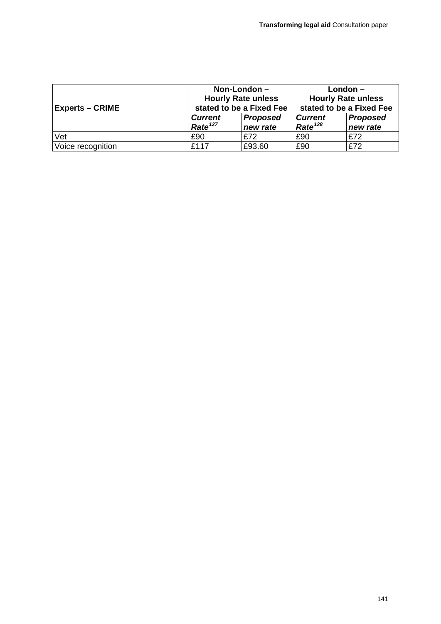| <b>Experts – CRIME</b> | Non-London -<br><b>Hourly Rate unless</b><br>stated to be a Fixed Fee |                             | $London -$<br><b>Hourly Rate unless</b><br>stated to be a Fixed Fee |                             |
|------------------------|-----------------------------------------------------------------------|-----------------------------|---------------------------------------------------------------------|-----------------------------|
|                        | <b>Current</b><br>Rate <sup>127</sup>                                 | <b>Proposed</b><br>new rate | <b>Current</b><br>Rate <sup>128</sup>                               | <b>Proposed</b><br>new rate |
| Vet                    | £90                                                                   | f.72                        | £90                                                                 | £72                         |
| Voice recognition      | £117                                                                  | £93.60                      | £90                                                                 | f72                         |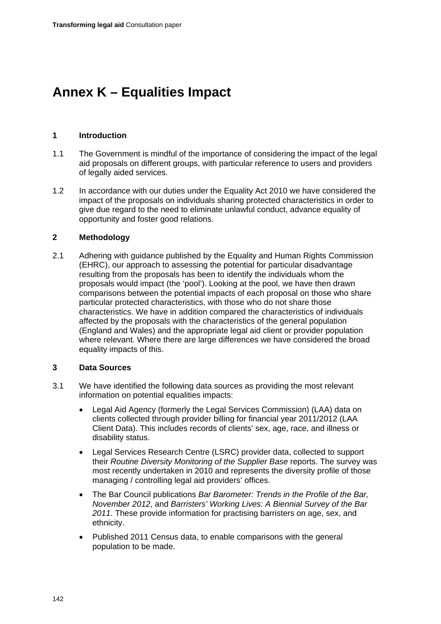# **Annex K – Equalities Impact**

## **1 Introduction**

- 1.1 The Government is mindful of the importance of considering the impact of the legal aid proposals on different groups, with particular reference to users and providers of legally aided services.
- 1.2 In accordance with our duties under the Equality Act 2010 we have considered the impact of the proposals on individuals sharing protected characteristics in order to give due regard to the need to eliminate unlawful conduct, advance equality of opportunity and foster good relations.

# **2 Methodology**

2.1 Adhering with guidance published by the Equality and Human Rights Commission (EHRC), our approach to assessing the potential for particular disadvantage resulting from the proposals has been to identify the individuals whom the proposals would impact (the 'pool'). Looking at the pool, we have then drawn comparisons between the potential impacts of each proposal on those who share particular protected characteristics, with those who do not share those characteristics. We have in addition compared the characteristics of individuals affected by the proposals with the characteristics of the general population (England and Wales) and the appropriate legal aid client or provider population where relevant. Where there are large differences we have considered the broad equality impacts of this.

# **3 Data Sources**

- 3.1 We have identified the following data sources as providing the most relevant information on potential equalities impacts:
	- Legal Aid Agency (formerly the Legal Services Commission) (LAA) data on clients collected through provider billing for financial year 2011/2012 (LAA Client Data). This includes records of clients' sex, age, race, and illness or disability status.
	- Legal Services Research Centre (LSRC) provider data, collected to support their *Routine Diversity Monitoring of the Supplier Base* reports. The survey was most recently undertaken in 2010 and represents the diversity profile of those managing / controlling legal aid providers' offices.
	- The Bar Council publications *Bar Barometer: Trends in the Profile of the Bar, November 2012*, and *Barristers' Working Lives: A Biennial Survey of the Bar 2011*. These provide information for practising barristers on age, sex, and ethnicity.
	- Published 2011 Census data, to enable comparisons with the general population to be made.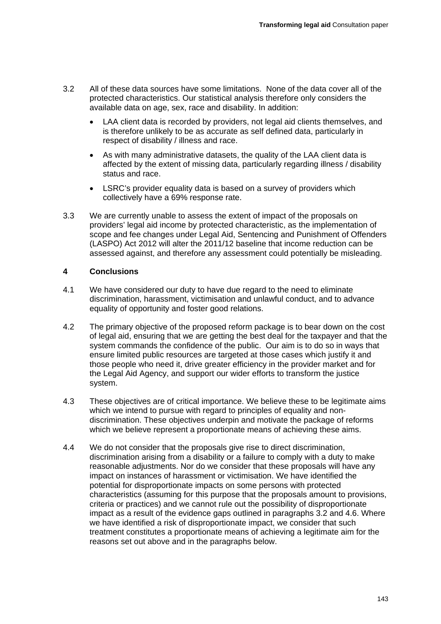- 3.2 All of these data sources have some limitations. None of the data cover all of the protected characteristics. Our statistical analysis therefore only considers the available data on age, sex, race and disability. In addition:
	- LAA client data is recorded by providers, not legal aid clients themselves, and is therefore unlikely to be as accurate as self defined data, particularly in respect of disability / illness and race.
	- As with many administrative datasets, the quality of the LAA client data is affected by the extent of missing data, particularly regarding illness / disability status and race.
	- LSRC's provider equality data is based on a survey of providers which collectively have a 69% response rate.
- 3.3 We are currently unable to assess the extent of impact of the proposals on providers' legal aid income by protected characteristic, as the implementation of scope and fee changes under Legal Aid, Sentencing and Punishment of Offenders (LASPO) Act 2012 will alter the 2011/12 baseline that income reduction can be assessed against, and therefore any assessment could potentially be misleading.

# **4 Conclusions**

- 4.1 We have considered our duty to have due regard to the need to eliminate discrimination, harassment, victimisation and unlawful conduct, and to advance equality of opportunity and foster good relations.
- 4.2 The primary objective of the proposed reform package is to bear down on the cost of legal aid, ensuring that we are getting the best deal for the taxpayer and that the system commands the confidence of the public. Our aim is to do so in ways that ensure limited public resources are targeted at those cases which justify it and those people who need it, drive greater efficiency in the provider market and for the Legal Aid Agency, and support our wider efforts to transform the justice system.
- 4.3 These objectives are of critical importance. We believe these to be legitimate aims which we intend to pursue with regard to principles of equality and nondiscrimination. These objectives underpin and motivate the package of reforms which we believe represent a proportionate means of achieving these aims.
- 4.4 We do not consider that the proposals give rise to direct discrimination, discrimination arising from a disability or a failure to comply with a duty to make reasonable adjustments. Nor do we consider that these proposals will have any impact on instances of harassment or victimisation. We have identified the potential for disproportionate impacts on some persons with protected characteristics (assuming for this purpose that the proposals amount to provisions, criteria or practices) and we cannot rule out the possibility of disproportionate impact as a result of the evidence gaps outlined in paragraphs 3.2 and 4.6. Where we have identified a risk of disproportionate impact, we consider that such treatment constitutes a proportionate means of achieving a legitimate aim for the reasons set out above and in the paragraphs below.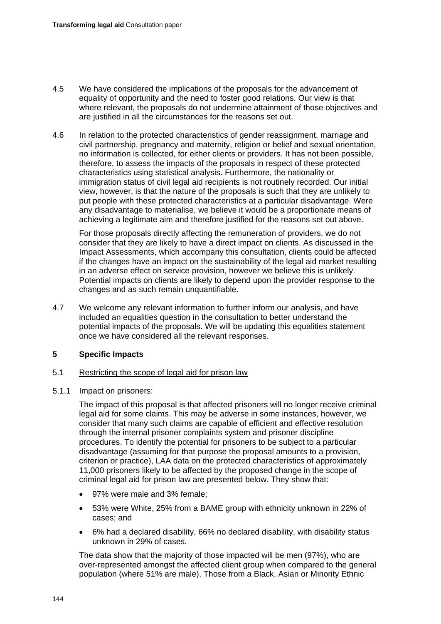- 4.5 We have considered the implications of the proposals for the advancement of equality of opportunity and the need to foster good relations. Our view is that where relevant, the proposals do not undermine attainment of those objectives and are justified in all the circumstances for the reasons set out.
- 4.6 In relation to the protected characteristics of gender reassignment, marriage and civil partnership, pregnancy and maternity, religion or belief and sexual orientation, no information is collected, for either clients or providers. It has not been possible, therefore, to assess the impacts of the proposals in respect of these protected characteristics using statistical analysis. Furthermore, the nationality or immigration status of civil legal aid recipients is not routinely recorded. Our initial view, however, is that the nature of the proposals is such that they are unlikely to put people with these protected characteristics at a particular disadvantage. Were any disadvantage to materialise, we believe it would be a proportionate means of achieving a legitimate aim and therefore justified for the reasons set out above.

For those proposals directly affecting the remuneration of providers, we do not consider that they are likely to have a direct impact on clients. As discussed in the Impact Assessments, which accompany this consultation, clients could be affected if the changes have an impact on the sustainability of the legal aid market resulting in an adverse effect on service provision, however we believe this is unlikely. Potential impacts on clients are likely to depend upon the provider response to the changes and as such remain unquantifiable.

4.7 We welcome any relevant information to further inform our analysis, and have included an equalities question in the consultation to better understand the potential impacts of the proposals. We will be updating this equalities statement once we have considered all the relevant responses.

# **5 Specific Impacts**

# 5.1 Restricting the scope of legal aid for prison law

# 5.1.1 Impact on prisoners:

The impact of this proposal is that affected prisoners will no longer receive criminal legal aid for some claims. This may be adverse in some instances, however, we consider that many such claims are capable of efficient and effective resolution through the internal prisoner complaints system and prisoner discipline procedures. To identify the potential for prisoners to be subject to a particular disadvantage (assuming for that purpose the proposal amounts to a provision, criterion or practice), LAA data on the protected characteristics of approximately 11,000 prisoners likely to be affected by the proposed change in the scope of criminal legal aid for prison law are presented below. They show that:

- 97% were male and 3% female;
- 53% were White, 25% from a BAME group with ethnicity unknown in 22% of cases; and
- 6% had a declared disability, 66% no declared disability, with disability status unknown in 29% of cases.

The data show that the majority of those impacted will be men (97%), who are over-represented amongst the affected client group when compared to the general population (where 51% are male). Those from a Black, Asian or Minority Ethnic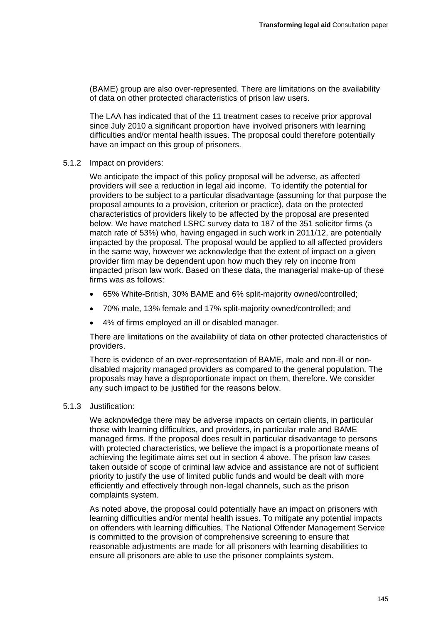(BAME) group are also over-represented. There are limitations on the availability of data on other protected characteristics of prison law users.

The LAA has indicated that of the 11 treatment cases to receive prior approval since July 2010 a significant proportion have involved prisoners with learning difficulties and/or mental health issues. The proposal could therefore potentially have an impact on this group of prisoners.

## 5.1.2 Impact on providers:

We anticipate the impact of this policy proposal will be adverse, as affected providers will see a reduction in legal aid income. To identify the potential for providers to be subject to a particular disadvantage (assuming for that purpose the proposal amounts to a provision, criterion or practice), data on the protected characteristics of providers likely to be affected by the proposal are presented below. We have matched LSRC survey data to 187 of the 351 solicitor firms (a match rate of 53%) who, having engaged in such work in 2011/12, are potentially impacted by the proposal. The proposal would be applied to all affected providers in the same way, however we acknowledge that the extent of impact on a given provider firm may be dependent upon how much they rely on income from impacted prison law work. Based on these data, the managerial make-up of these firms was as follows:

- 65% White-British, 30% BAME and 6% split-majority owned/controlled;
- 70% male, 13% female and 17% split-majority owned/controlled; and
- 4% of firms employed an ill or disabled manager.

There are limitations on the availability of data on other protected characteristics of providers.

There is evidence of an over-representation of BAME, male and non-ill or nondisabled majority managed providers as compared to the general population. The proposals may have a disproportionate impact on them, therefore. We consider any such impact to be justified for the reasons below.

#### 5.1.3 Justification:

We acknowledge there may be adverse impacts on certain clients, in particular those with learning difficulties, and providers, in particular male and BAME managed firms. If the proposal does result in particular disadvantage to persons with protected characteristics, we believe the impact is a proportionate means of achieving the legitimate aims set out in section 4 above. The prison law cases taken outside of scope of criminal law advice and assistance are not of sufficient priority to justify the use of limited public funds and would be dealt with more efficiently and effectively through non-legal channels, such as the prison complaints system.

As noted above, the proposal could potentially have an impact on prisoners with learning difficulties and/or mental health issues. To mitigate any potential impacts on offenders with learning difficulties, The National Offender Management Service is committed to the provision of comprehensive screening to ensure that reasonable adjustments are made for all prisoners with learning disabilities to ensure all prisoners are able to use the prisoner complaints system.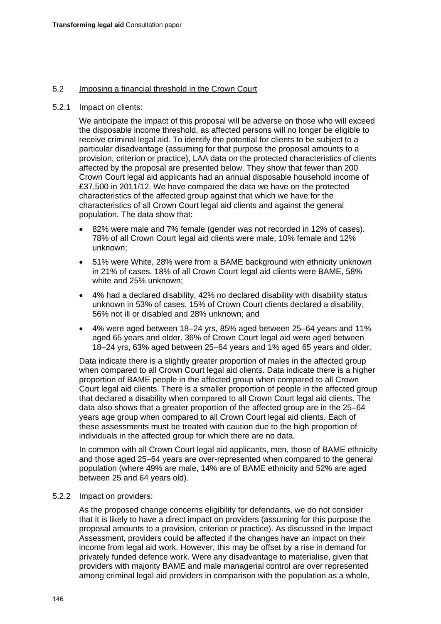# 5.2 Imposing a financial threshold in the Crown Court

5.2.1 Impact on clients:

We anticipate the impact of this proposal will be adverse on those who will exceed the disposable income threshold, as affected persons will no longer be eligible to receive criminal legal aid. To identify the potential for clients to be subject to a particular disadvantage (assuming for that purpose the proposal amounts to a provision, criterion or practice), LAA data on the protected characteristics of clients affected by the proposal are presented below. They show that fewer than 200 Crown Court legal aid applicants had an annual disposable household income of £37,500 in 2011/12. We have compared the data we have on the protected characteristics of the affected group against that which we have for the characteristics of all Crown Court legal aid clients and against the general population. The data show that:

- 82% were male and 7% female (gender was not recorded in 12% of cases). 78% of all Crown Court legal aid clients were male, 10% female and 12% unknown;
- 51% were White, 28% were from a BAME background with ethnicity unknown in 21% of cases. 18% of all Crown Court legal aid clients were BAME, 58% white and 25% unknown;
- 4% had a declared disability, 42% no declared disability with disability status unknown in 53% of cases. 15% of Crown Court clients declared a disability, 56% not ill or disabled and 28% unknown; and
- 4% were aged between 18–24 yrs, 85% aged between 25–64 years and 11% aged 65 years and older. 36% of Crown Court legal aid were aged between 18–24 yrs, 63% aged between 25–64 years and 1% aged 65 years and older.

Data indicate there is a slightly greater proportion of males in the affected group when compared to all Crown Court legal aid clients. Data indicate there is a higher proportion of BAME people in the affected group when compared to all Crown Court legal aid clients. There is a smaller proportion of people in the affected group that declared a disability when compared to all Crown Court legal aid clients. The data also shows that a greater proportion of the affected group are in the 25–64 years age group when compared to all Crown Court legal aid clients. Each of these assessments must be treated with caution due to the high proportion of individuals in the affected group for which there are no data.

In common with all Crown Court legal aid applicants, men, those of BAME ethnicity and those aged 25–64 years are over-represented when compared to the general population (where 49% are male, 14% are of BAME ethnicity and 52% are aged between 25 and 64 years old).

5.2.2 Impact on providers:

As the proposed change concerns eligibility for defendants, we do not consider that it is likely to have a direct impact on providers (assuming for this purpose the proposal amounts to a provision, criterion or practice). As discussed in the Impact Assessment, providers could be affected if the changes have an impact on their income from legal aid work. However, this may be offset by a rise in demand for privately funded defence work. Were any disadvantage to materialise, given that providers with majority BAME and male managerial control are over represented among criminal legal aid providers in comparison with the population as a whole,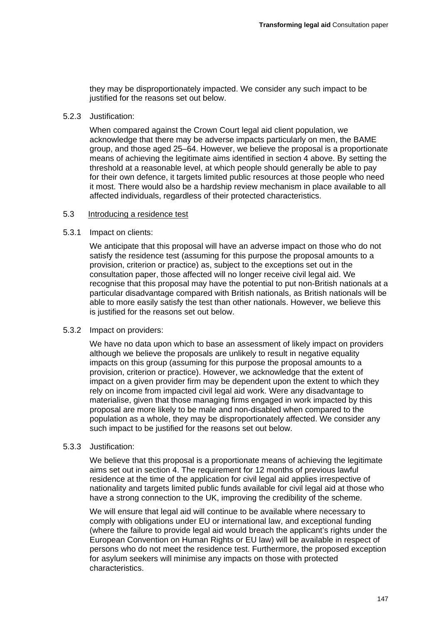they may be disproportionately impacted. We consider any such impact to be justified for the reasons set out below.

## 5.2.3 Justification:

When compared against the Crown Court legal aid client population, we acknowledge that there may be adverse impacts particularly on men, the BAME group, and those aged 25–64. However, we believe the proposal is a proportionate means of achieving the legitimate aims identified in section 4 above. By setting the threshold at a reasonable level, at which people should generally be able to pay for their own defence, it targets limited public resources at those people who need it most. There would also be a hardship review mechanism in place available to all affected individuals, regardless of their protected characteristics.

## 5.3 Introducing a residence test

## 5.3.1 Impact on clients:

We anticipate that this proposal will have an adverse impact on those who do not satisfy the residence test (assuming for this purpose the proposal amounts to a provision, criterion or practice) as, subject to the exceptions set out in the consultation paper, those affected will no longer receive civil legal aid. We recognise that this proposal may have the potential to put non-British nationals at a particular disadvantage compared with British nationals, as British nationals will be able to more easily satisfy the test than other nationals. However, we believe this is justified for the reasons set out below.

# 5.3.2 Impact on providers:

We have no data upon which to base an assessment of likely impact on providers although we believe the proposals are unlikely to result in negative equality impacts on this group (assuming for this purpose the proposal amounts to a provision, criterion or practice). However, we acknowledge that the extent of impact on a given provider firm may be dependent upon the extent to which they rely on income from impacted civil legal aid work. Were any disadvantage to materialise, given that those managing firms engaged in work impacted by this proposal are more likely to be male and non-disabled when compared to the population as a whole, they may be disproportionately affected. We consider any such impact to be justified for the reasons set out below.

## 5.3.3 Justification:

We believe that this proposal is a proportionate means of achieving the legitimate aims set out in section 4. The requirement for 12 months of previous lawful residence at the time of the application for civil legal aid applies irrespective of nationality and targets limited public funds available for civil legal aid at those who have a strong connection to the UK, improving the credibility of the scheme.

We will ensure that legal aid will continue to be available where necessary to comply with obligations under EU or international law, and exceptional funding (where the failure to provide legal aid would breach the applicant's rights under the European Convention on Human Rights or EU law) will be available in respect of persons who do not meet the residence test. Furthermore, the proposed exception for asylum seekers will minimise any impacts on those with protected characteristics.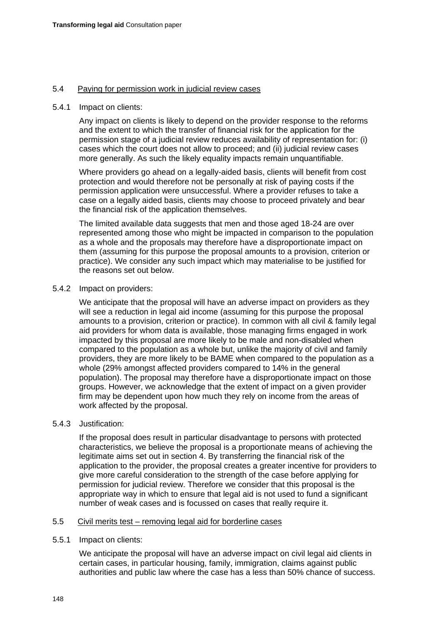## 5.4 Paying for permission work in judicial review cases

## 5.4.1 Impact on clients:

Any impact on clients is likely to depend on the provider response to the reforms and the extent to which the transfer of financial risk for the application for the permission stage of a judicial review reduces availability of representation for: (i) cases which the court does not allow to proceed; and (ii) judicial review cases more generally. As such the likely equality impacts remain unquantifiable.

Where providers go ahead on a legally-aided basis, clients will benefit from cost protection and would therefore not be personally at risk of paying costs if the permission application were unsuccessful. Where a provider refuses to take a case on a legally aided basis, clients may choose to proceed privately and bear the financial risk of the application themselves.

The limited available data suggests that men and those aged 18-24 are over represented among those who might be impacted in comparison to the population as a whole and the proposals may therefore have a disproportionate impact on them (assuming for this purpose the proposal amounts to a provision, criterion or practice). We consider any such impact which may materialise to be justified for the reasons set out below.

## 5.4.2 Impact on providers:

We anticipate that the proposal will have an adverse impact on providers as they will see a reduction in legal aid income (assuming for this purpose the proposal amounts to a provision, criterion or practice). In common with all civil & family legal aid providers for whom data is available, those managing firms engaged in work impacted by this proposal are more likely to be male and non-disabled when compared to the population as a whole but, unlike the majority of civil and family providers, they are more likely to be BAME when compared to the population as a whole (29% amongst affected providers compared to 14% in the general population). The proposal may therefore have a disproportionate impact on those groups. However, we acknowledge that the extent of impact on a given provider firm may be dependent upon how much they rely on income from the areas of work affected by the proposal.

## 5.4.3 Justification:

If the proposal does result in particular disadvantage to persons with protected characteristics, we believe the proposal is a proportionate means of achieving the legitimate aims set out in section 4. By transferring the financial risk of the application to the provider, the proposal creates a greater incentive for providers to give more careful consideration to the strength of the case before applying for permission for judicial review. Therefore we consider that this proposal is the appropriate way in which to ensure that legal aid is not used to fund a significant number of weak cases and is focussed on cases that really require it.

## 5.5 Civil merits test – removing legal aid for borderline cases

# 5.5.1 Impact on clients:

We anticipate the proposal will have an adverse impact on civil legal aid clients in certain cases, in particular housing, family, immigration, claims against public authorities and public law where the case has a less than 50% chance of success.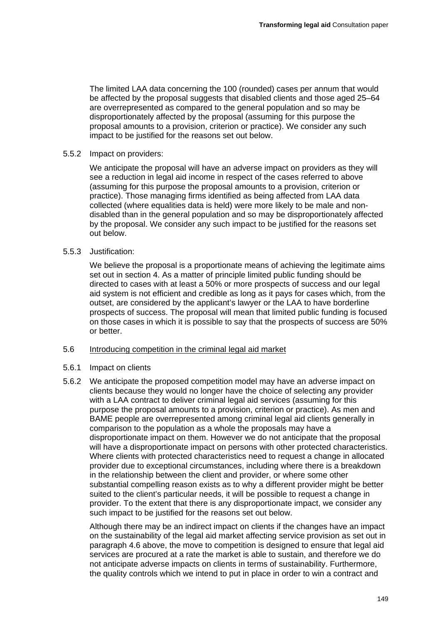The limited LAA data concerning the 100 (rounded) cases per annum that would be affected by the proposal suggests that disabled clients and those aged 25–64 are overrepresented as compared to the general population and so may be disproportionately affected by the proposal (assuming for this purpose the proposal amounts to a provision, criterion or practice). We consider any such impact to be justified for the reasons set out below.

#### 5.5.2 Impact on providers:

We anticipate the proposal will have an adverse impact on providers as they will see a reduction in legal aid income in respect of the cases referred to above (assuming for this purpose the proposal amounts to a provision, criterion or practice). Those managing firms identified as being affected from LAA data collected (where equalities data is held) were more likely to be male and nondisabled than in the general population and so may be disproportionately affected by the proposal. We consider any such impact to be justified for the reasons set out below.

#### 5.5.3 Justification:

We believe the proposal is a proportionate means of achieving the legitimate aims set out in section 4. As a matter of principle limited public funding should be directed to cases with at least a 50% or more prospects of success and our legal aid system is not efficient and credible as long as it pays for cases which, from the outset, are considered by the applicant's lawyer or the LAA to have borderline prospects of success. The proposal will mean that limited public funding is focused on those cases in which it is possible to say that the prospects of success are 50% or better.

## 5.6 Introducing competition in the criminal legal aid market

## 5.6.1 Impact on clients

5.6.2 We anticipate the proposed competition model may have an adverse impact on clients because they would no longer have the choice of selecting any provider with a LAA contract to deliver criminal legal aid services (assuming for this purpose the proposal amounts to a provision, criterion or practice). As men and BAME people are overrepresented among criminal legal aid clients generally in comparison to the population as a whole the proposals may have a disproportionate impact on them. However we do not anticipate that the proposal will have a disproportionate impact on persons with other protected characteristics. Where clients with protected characteristics need to request a change in allocated provider due to exceptional circumstances, including where there is a breakdown in the relationship between the client and provider, or where some other substantial compelling reason exists as to why a different provider might be better suited to the client's particular needs, it will be possible to request a change in provider. To the extent that there is any disproportionate impact, we consider any such impact to be justified for the reasons set out below.

Although there may be an indirect impact on clients if the changes have an impact on the sustainability of the legal aid market affecting service provision as set out in paragraph 4.6 above, the move to competition is designed to ensure that legal aid services are procured at a rate the market is able to sustain, and therefore we do not anticipate adverse impacts on clients in terms of sustainability. Furthermore, the quality controls which we intend to put in place in order to win a contract and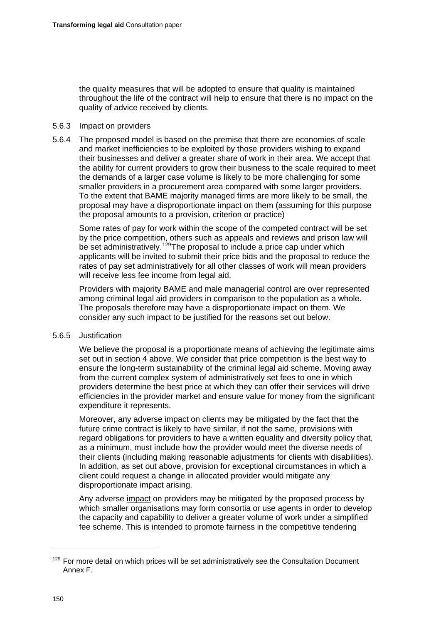the quality measures that will be adopted to ensure that quality is maintained throughout the life of the contract will help to ensure that there is no impact on the quality of advice received by clients.

## 5.6.3 Impact on providers

5.6.4 The proposed model is based on the premise that there are economies of scale and market inefficiencies to be exploited by those providers wishing to expand their businesses and deliver a greater share of work in their area. We accept that the ability for current providers to grow their business to the scale required to meet the demands of a larger case volume is likely to be more challenging for some smaller providers in a procurement area compared with some larger providers. To the extent that BAME majority managed firms are more likely to be small, the proposal may have a disproportionate impact on them (assuming for this purpose the proposal amounts to a provision, criterion or practice)

Some rates of pay for work within the scope of the competed contract will be set by the price competition, others such as appeals and reviews and prison law will be set administratively.<sup>[129](#page-152-0)</sup>The proposal to include a price cap under which applicants will be invited to submit their price bids and the proposal to reduce the rates of pay set administratively for all other classes of work will mean providers will receive less fee income from legal aid.

Providers with majority BAME and male managerial control are over represented among criminal legal aid providers in comparison to the population as a whole. The proposals therefore may have a disproportionate impact on them. We consider any such impact to be justified for the reasons set out below.

# 5.6.5 Justification

We believe the proposal is a proportionate means of achieving the legitimate aims set out in section 4 above. We consider that price competition is the best way to ensure the long-term sustainability of the criminal legal aid scheme. Moving away from the current complex system of administratively set fees to one in which providers determine the best price at which they can offer their services will drive efficiencies in the provider market and ensure value for money from the significant expenditure it represents.

Moreover, any adverse impact on clients may be mitigated by the fact that the future crime contract is likely to have similar, if not the same, provisions with regard obligations for providers to have a written equality and diversity policy that, as a minimum, must include how the provider would meet the diverse needs of their clients (including making reasonable adjustments for clients with disabilities). In addition, as set out above, provision for exceptional circumstances in which a client could request a change in allocated provider would mitigate any disproportionate impact arising.

Any adverse impact on providers may be mitigated by the proposed process by which smaller organisations may form consortia or use agents in order to develop the capacity and capability to deliver a greater volume of work under a simplified fee scheme. This is intended to promote fairness in the competitive tendering

-

<span id="page-152-0"></span> $129$  For more detail on which prices will be set administratively see the Consultation Document Annex F.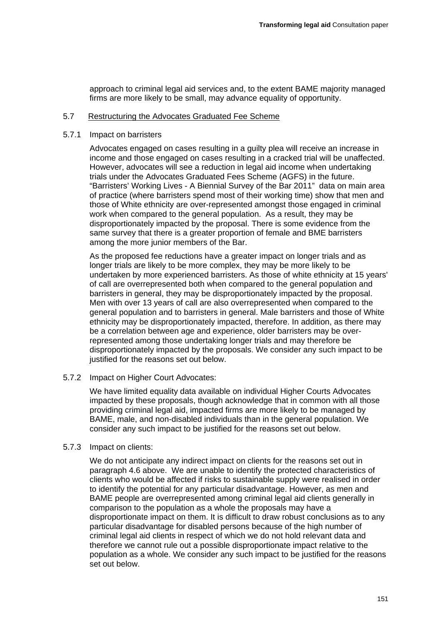approach to criminal legal aid services and, to the extent BAME majority managed firms are more likely to be small, may advance equality of opportunity.

## 5.7 Restructuring the Advocates Graduated Fee Scheme

## 5.7.1 Impact on barristers

Advocates engaged on cases resulting in a guilty plea will receive an increase in income and those engaged on cases resulting in a cracked trial will be unaffected. However, advocates will see a reduction in legal aid income when undertaking trials under the Advocates Graduated Fees Scheme (AGFS) in the future. "Barristers' Working Lives - A Biennial Survey of the Bar 2011" data on main area of practice (where barristers spend most of their working time) show that men and those of White ethnicity are over-represented amongst those engaged in criminal work when compared to the general population. As a result, they may be disproportionately impacted by the proposal. There is some evidence from the same survey that there is a greater proportion of female and BME barristers among the more junior members of the Bar.

As the proposed fee reductions have a greater impact on longer trials and as longer trials are likely to be more complex, they may be more likely to be undertaken by more experienced barristers. As those of white ethnicity at 15 years' of call are overrepresented both when compared to the general population and barristers in general, they may be disproportionately impacted by the proposal. Men with over 13 years of call are also overrepresented when compared to the general population and to barristers in general. Male barristers and those of White ethnicity may be disproportionately impacted, therefore. In addition, as there may be a correlation between age and experience, older barristers may be overrepresented among those undertaking longer trials and may therefore be disproportionately impacted by the proposals. We consider any such impact to be justified for the reasons set out below.

## 5.7.2 Impact on Higher Court Advocates:

We have limited equality data available on individual Higher Courts Advocates impacted by these proposals, though acknowledge that in common with all those providing criminal legal aid, impacted firms are more likely to be managed by BAME, male, and non-disabled individuals than in the general population. We consider any such impact to be justified for the reasons set out below.

# 5.7.3 Impact on clients:

We do not anticipate any indirect impact on clients for the reasons set out in paragraph 4.6 above. We are unable to identify the protected characteristics of clients who would be affected if risks to sustainable supply were realised in order to identify the potential for any particular disadvantage. However, as men and BAME people are overrepresented among criminal legal aid clients generally in comparison to the population as a whole the proposals may have a disproportionate impact on them. It is difficult to draw robust conclusions as to any particular disadvantage for disabled persons because of the high number of criminal legal aid clients in respect of which we do not hold relevant data and therefore we cannot rule out a possible disproportionate impact relative to the population as a whole. We consider any such impact to be justified for the reasons set out below.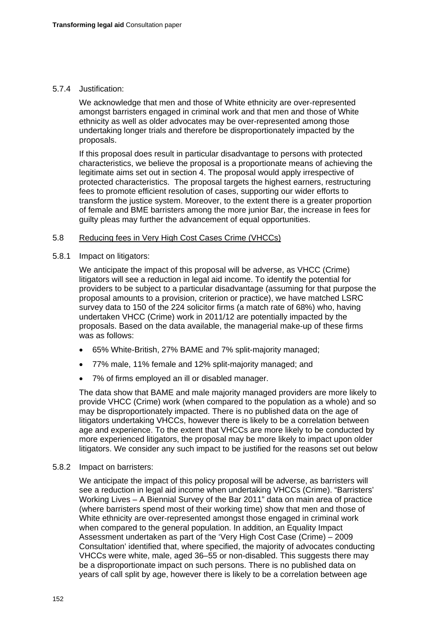## 5.7.4 Justification:

We acknowledge that men and those of White ethnicity are over-represented amongst barristers engaged in criminal work and that men and those of White ethnicity as well as older advocates may be over-represented among those undertaking longer trials and therefore be disproportionately impacted by the proposals.

If this proposal does result in particular disadvantage to persons with protected characteristics, we believe the proposal is a proportionate means of achieving the legitimate aims set out in section 4. The proposal would apply irrespective of protected characteristics. The proposal targets the highest earners, restructuring fees to promote efficient resolution of cases, supporting our wider efforts to transform the justice system. Moreover, to the extent there is a greater proportion of female and BME barristers among the more junior Bar, the increase in fees for guilty pleas may further the advancement of equal opportunities.

## 5.8 Reducing fees in Very High Cost Cases Crime (VHCCs)

5.8.1 Impact on litigators:

We anticipate the impact of this proposal will be adverse, as VHCC (Crime) litigators will see a reduction in legal aid income. To identify the potential for providers to be subject to a particular disadvantage (assuming for that purpose the proposal amounts to a provision, criterion or practice), we have matched LSRC survey data to 150 of the 224 solicitor firms (a match rate of 68%) who, having undertaken VHCC (Crime) work in 2011/12 are potentially impacted by the proposals. Based on the data available, the managerial make-up of these firms was as follows:

- 65% White-British, 27% BAME and 7% split-majority managed;
- 77% male, 11% female and 12% split-majority managed; and
- 7% of firms employed an ill or disabled manager.

The data show that BAME and male majority managed providers are more likely to provide VHCC (Crime) work (when compared to the population as a whole) and so may be disproportionately impacted. There is no published data on the age of litigators undertaking VHCCs, however there is likely to be a correlation between age and experience. To the extent that VHCCs are more likely to be conducted by more experienced litigators, the proposal may be more likely to impact upon older litigators. We consider any such impact to be justified for the reasons set out below

## 5.8.2 Impact on barristers:

We anticipate the impact of this policy proposal will be adverse, as barristers will see a reduction in legal aid income when undertaking VHCCs (Crime). "Barristers' Working Lives – A Biennial Survey of the Bar 2011" data on main area of practice (where barristers spend most of their working time) show that men and those of White ethnicity are over-represented amongst those engaged in criminal work when compared to the general population. In addition, an Equality Impact Assessment undertaken as part of the 'Very High Cost Case (Crime) – 2009 Consultation' identified that, where specified, the majority of advocates conducting VHCCs were white, male, aged 36–55 or non-disabled. This suggests there may be a disproportionate impact on such persons. There is no published data on years of call split by age, however there is likely to be a correlation between age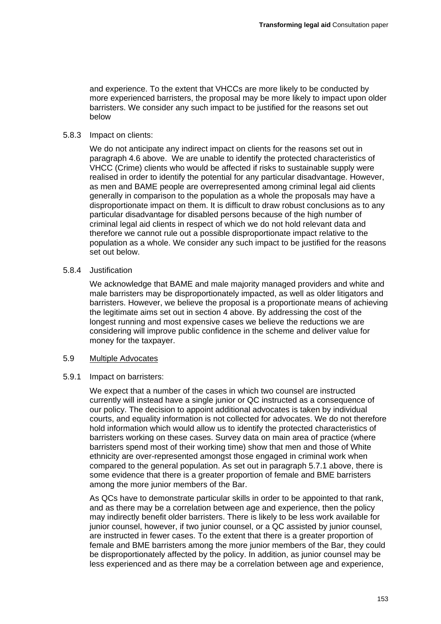and experience. To the extent that VHCCs are more likely to be conducted by more experienced barristers, the proposal may be more likely to impact upon older barristers. We consider any such impact to be justified for the reasons set out below

#### 5.8.3 Impact on clients:

We do not anticipate any indirect impact on clients for the reasons set out in paragraph 4.6 above. We are unable to identify the protected characteristics of VHCC (Crime) clients who would be affected if risks to sustainable supply were realised in order to identify the potential for any particular disadvantage. However, as men and BAME people are overrepresented among criminal legal aid clients generally in comparison to the population as a whole the proposals may have a disproportionate impact on them. It is difficult to draw robust conclusions as to any particular disadvantage for disabled persons because of the high number of criminal legal aid clients in respect of which we do not hold relevant data and therefore we cannot rule out a possible disproportionate impact relative to the population as a whole. We consider any such impact to be justified for the reasons set out below.

#### 5.8.4 Justification

We acknowledge that BAME and male majority managed providers and white and male barristers may be disproportionately impacted, as well as older litigators and barristers. However, we believe the proposal is a proportionate means of achieving the legitimate aims set out in section 4 above. By addressing the cost of the longest running and most expensive cases we believe the reductions we are considering will improve public confidence in the scheme and deliver value for money for the taxpayer.

#### 5.9 Multiple Advocates

#### 5.9.1 Impact on barristers:

We expect that a number of the cases in which two counsel are instructed currently will instead have a single junior or QC instructed as a consequence of our policy. The decision to appoint additional advocates is taken by individual courts, and equality information is not collected for advocates. We do not therefore hold information which would allow us to identify the protected characteristics of barristers working on these cases. Survey data on main area of practice (where barristers spend most of their working time) show that men and those of White ethnicity are over-represented amongst those engaged in criminal work when compared to the general population. As set out in paragraph 5.7.1 above, there is some evidence that there is a greater proportion of female and BME barristers among the more junior members of the Bar.

As QCs have to demonstrate particular skills in order to be appointed to that rank, and as there may be a correlation between age and experience, then the policy may indirectly benefit older barristers. There is likely to be less work available for junior counsel, however, if two junior counsel, or a QC assisted by junior counsel, are instructed in fewer cases. To the extent that there is a greater proportion of female and BME barristers among the more junior members of the Bar, they could be disproportionately affected by the policy. In addition, as junior counsel may be less experienced and as there may be a correlation between age and experience,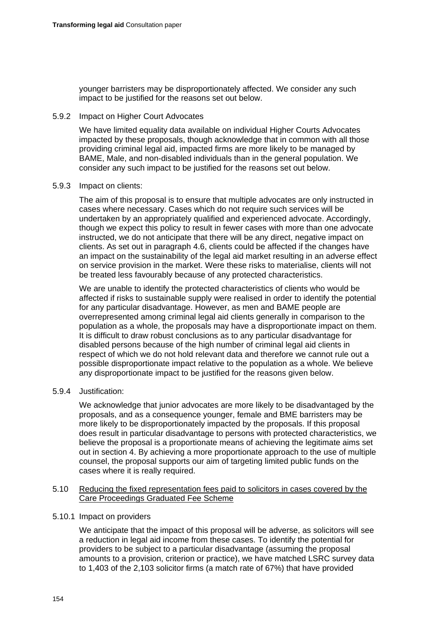younger barristers may be disproportionately affected. We consider any such impact to be justified for the reasons set out below.

## 5.9.2 Impact on Higher Court Advocates

We have limited equality data available on individual Higher Courts Advocates impacted by these proposals, though acknowledge that in common with all those providing criminal legal aid, impacted firms are more likely to be managed by BAME, Male, and non-disabled individuals than in the general population. We consider any such impact to be justified for the reasons set out below.

## 5.9.3 Impact on clients:

The aim of this proposal is to ensure that multiple advocates are only instructed in cases where necessary. Cases which do not require such services will be undertaken by an appropriately qualified and experienced advocate. Accordingly, though we expect this policy to result in fewer cases with more than one advocate instructed, we do not anticipate that there will be any direct, negative impact on clients. As set out in paragraph 4.6, clients could be affected if the changes have an impact on the sustainability of the legal aid market resulting in an adverse effect on service provision in the market. Were these risks to materialise, clients will not be treated less favourably because of any protected characteristics.

We are unable to identify the protected characteristics of clients who would be affected if risks to sustainable supply were realised in order to identify the potential for any particular disadvantage. However, as men and BAME people are overrepresented among criminal legal aid clients generally in comparison to the population as a whole, the proposals may have a disproportionate impact on them. It is difficult to draw robust conclusions as to any particular disadvantage for disabled persons because of the high number of criminal legal aid clients in respect of which we do not hold relevant data and therefore we cannot rule out a possible disproportionate impact relative to the population as a whole. We believe any disproportionate impact to be justified for the reasons given below.

# 5.9.4 Justification:

We acknowledge that junior advocates are more likely to be disadvantaged by the proposals, and as a consequence younger, female and BME barristers may be more likely to be disproportionately impacted by the proposals. If this proposal does result in particular disadvantage to persons with protected characteristics, we believe the proposal is a proportionate means of achieving the legitimate aims set out in section 4. By achieving a more proportionate approach to the use of multiple counsel, the proposal supports our aim of targeting limited public funds on the cases where it is really required.

## 5.10 Reducing the fixed representation fees paid to solicitors in cases covered by the Care Proceedings Graduated Fee Scheme

## 5.10.1 Impact on providers

We anticipate that the impact of this proposal will be adverse, as solicitors will see a reduction in legal aid income from these cases. To identify the potential for providers to be subject to a particular disadvantage (assuming the proposal amounts to a provision, criterion or practice), we have matched LSRC survey data to 1,403 of the 2,103 solicitor firms (a match rate of 67%) that have provided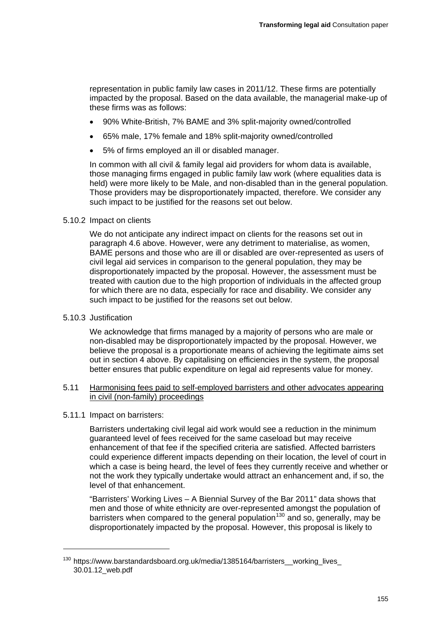representation in public family law cases in 2011/12. These firms are potentially impacted by the proposal. Based on the data available, the managerial make-up of these firms was as follows:

- 90% White-British, 7% BAME and 3% split-majority owned/controlled
- 65% male, 17% female and 18% split-majority owned/controlled
- 5% of firms employed an ill or disabled manager.

In common with all civil & family legal aid providers for whom data is available, those managing firms engaged in public family law work (where equalities data is held) were more likely to be Male, and non-disabled than in the general population. Those providers may be disproportionately impacted, therefore. We consider any such impact to be justified for the reasons set out below.

# 5.10.2 Impact on clients

We do not anticipate any indirect impact on clients for the reasons set out in paragraph 4.6 above. However, were any detriment to materialise, as women, BAME persons and those who are ill or disabled are over-represented as users of civil legal aid services in comparison to the general population, they may be disproportionately impacted by the proposal. However, the assessment must be treated with caution due to the high proportion of individuals in the affected group for which there are no data, especially for race and disability. We consider any such impact to be justified for the reasons set out below.

# 5.10.3 Justification

We acknowledge that firms managed by a majority of persons who are male or non-disabled may be disproportionately impacted by the proposal. However, we believe the proposal is a proportionate means of achieving the legitimate aims set out in section 4 above. By capitalising on efficiencies in the system, the proposal better ensures that public expenditure on legal aid represents value for money.

## 5.11 Harmonising fees paid to self-employed barristers and other advocates appearing in civil (non-family) proceedings

# 5.11.1 Impact on barristers:

1

Barristers undertaking civil legal aid work would see a reduction in the minimum guaranteed level of fees received for the same caseload but may receive enhancement of that fee if the specified criteria are satisfied. Affected barristers could experience different impacts depending on their location, the level of court in which a case is being heard, the level of fees they currently receive and whether or not the work they typically undertake would attract an enhancement and, if so, the level of that enhancement.

"Barristers' Working Lives – A Biennial Survey of the Bar 2011" data shows that men and those of white ethnicity are over-represented amongst the population of barristers when compared to the general population<sup>[130](#page-157-0)</sup> and so, generally, may be disproportionately impacted by the proposal. However, this proposal is likely to

<span id="page-157-0"></span><sup>&</sup>lt;sup>130</sup> https://www.barstandardsboard.org.uk/media/1385164/barristers\_\_working\_lives\_ [30.01.12\\_web.pdf](https://www.barstandardsboard.org.uk/media/1385164/barristers__working_lives_30.01.12_web.pdf)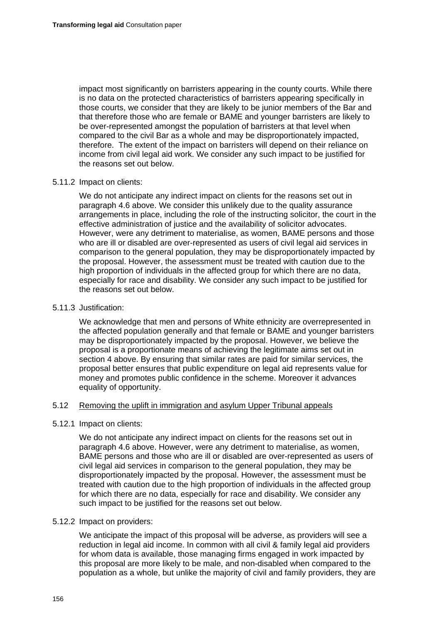impact most significantly on barristers appearing in the county courts. While there is no data on the protected characteristics of barristers appearing specifically in those courts, we consider that they are likely to be junior members of the Bar and that therefore those who are female or BAME and younger barristers are likely to be over-represented amongst the population of barristers at that level when compared to the civil Bar as a whole and may be disproportionately impacted, therefore. The extent of the impact on barristers will depend on their reliance on income from civil legal aid work. We consider any such impact to be justified for the reasons set out below.

## 5.11.2 Impact on clients:

We do not anticipate any indirect impact on clients for the reasons set out in paragraph 4.6 above. We consider this unlikely due to the quality assurance arrangements in place, including the role of the instructing solicitor, the court in the effective administration of justice and the availability of solicitor advocates. However, were any detriment to materialise, as women, BAME persons and those who are ill or disabled are over-represented as users of civil legal aid services in comparison to the general population, they may be disproportionately impacted by the proposal. However, the assessment must be treated with caution due to the high proportion of individuals in the affected group for which there are no data, especially for race and disability. We consider any such impact to be justified for the reasons set out below.

#### 5.11.3 Justification:

We acknowledge that men and persons of White ethnicity are overrepresented in the affected population generally and that female or BAME and younger barristers may be disproportionately impacted by the proposal. However, we believe the proposal is a proportionate means of achieving the legitimate aims set out in section 4 above. By ensuring that similar rates are paid for similar services, the proposal better ensures that public expenditure on legal aid represents value for money and promotes public confidence in the scheme. Moreover it advances equality of opportunity.

## 5.12 Removing the uplift in immigration and asylum Upper Tribunal appeals

## 5.12.1 Impact on clients:

We do not anticipate any indirect impact on clients for the reasons set out in paragraph 4.6 above. However, were any detriment to materialise, as women, BAME persons and those who are ill or disabled are over-represented as users of civil legal aid services in comparison to the general population, they may be disproportionately impacted by the proposal. However, the assessment must be treated with caution due to the high proportion of individuals in the affected group for which there are no data, especially for race and disability. We consider any such impact to be justified for the reasons set out below.

## 5.12.2 Impact on providers:

We anticipate the impact of this proposal will be adverse, as providers will see a reduction in legal aid income. In common with all civil & family legal aid providers for whom data is available, those managing firms engaged in work impacted by this proposal are more likely to be male, and non-disabled when compared to the population as a whole, but unlike the majority of civil and family providers, they are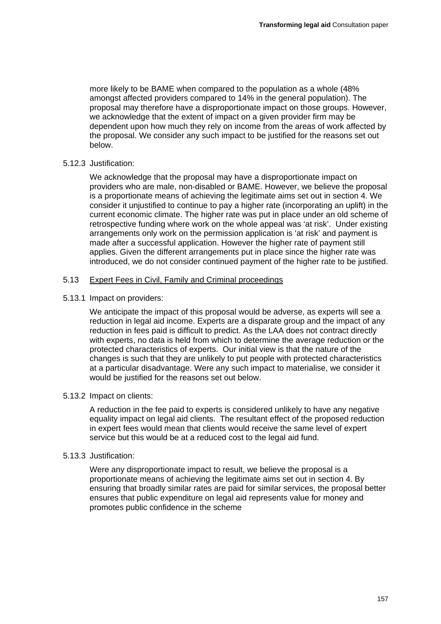more likely to be BAME when compared to the population as a whole (48% amongst affected providers compared to 14% in the general population). The proposal may therefore have a disproportionate impact on those groups. However, we acknowledge that the extent of impact on a given provider firm may be dependent upon how much they rely on income from the areas of work affected by the proposal. We consider any such impact to be justified for the reasons set out below.

## 5.12.3 Justification:

We acknowledge that the proposal may have a disproportionate impact on providers who are male, non-disabled or BAME. However, we believe the proposal is a proportionate means of achieving the legitimate aims set out in section 4. We consider it unjustified to continue to pay a higher rate (incorporating an uplift) in the current economic climate. The higher rate was put in place under an old scheme of retrospective funding where work on the whole appeal was 'at risk'. Under existing arrangements only work on the permission application is 'at risk' and payment is made after a successful application. However the higher rate of payment still applies. Given the different arrangements put in place since the higher rate was introduced, we do not consider continued payment of the higher rate to be justified.

## 5.13 Expert Fees in Civil, Family and Criminal proceedings

5.13.1 Impact on providers:

We anticipate the impact of this proposal would be adverse, as experts will see a reduction in legal aid income. Experts are a disparate group and the impact of any reduction in fees paid is difficult to predict. As the LAA does not contract directly with experts, no data is held from which to determine the average reduction or the protected characteristics of experts. Our initial view is that the nature of the changes is such that they are unlikely to put people with protected characteristics at a particular disadvantage. Were any such impact to materialise, we consider it would be justified for the reasons set out below.

## 5.13.2 Impact on clients:

A reduction in the fee paid to experts is considered unlikely to have any negative equality impact on legal aid clients. The resultant effect of the proposed reduction in expert fees would mean that clients would receive the same level of expert service but this would be at a reduced cost to the legal aid fund.

## 5.13.3 Justification:

Were any disproportionate impact to result, we believe the proposal is a proportionate means of achieving the legitimate aims set out in section 4. By ensuring that broadly similar rates are paid for similar services, the proposal better ensures that public expenditure on legal aid represents value for money and promotes public confidence in the scheme